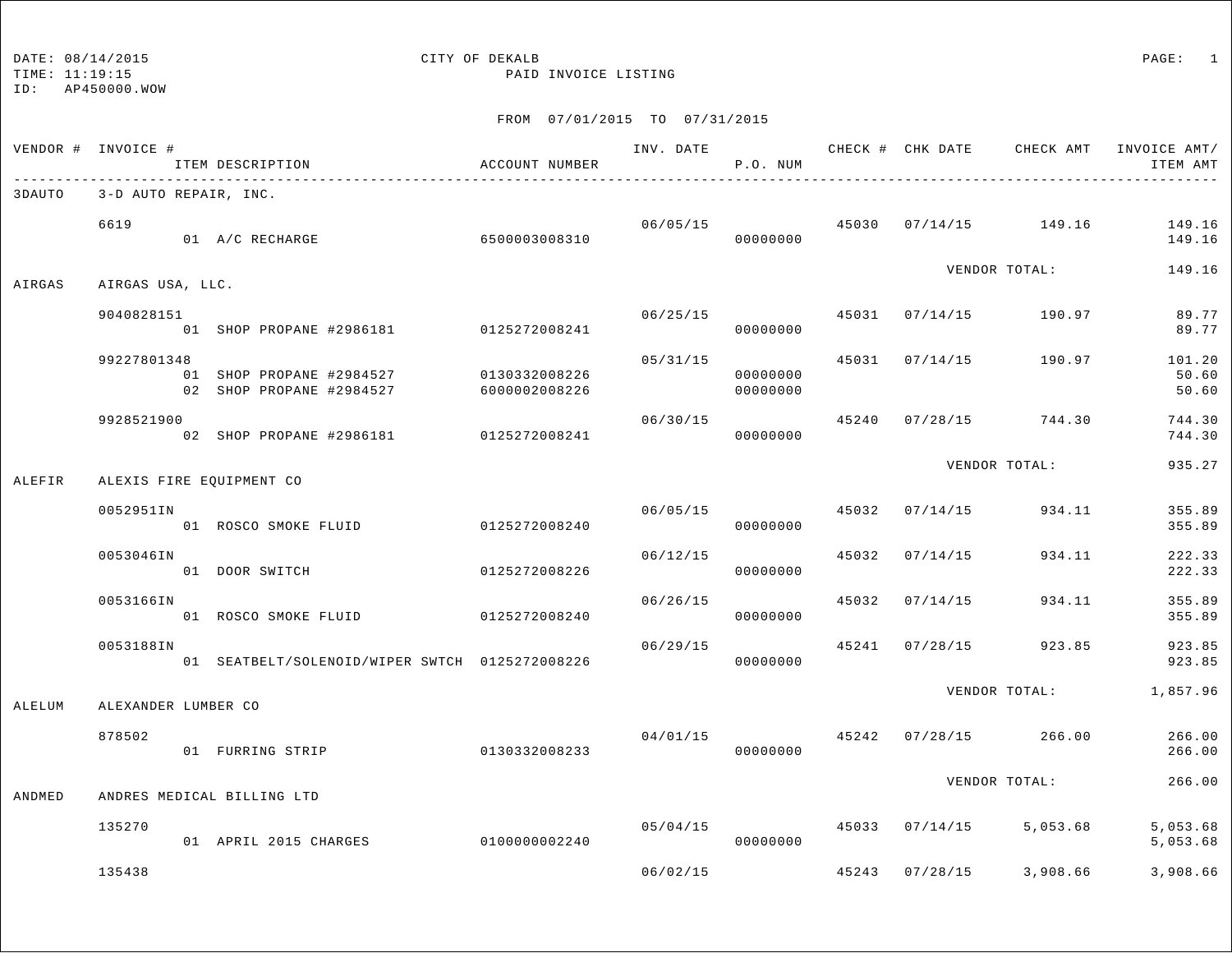### DATE: 08/14/2015 CITY OF DEKALB PAGE: 1 TIME: 11:19:15 PAID INVOICE LISTING

|        | VENDOR # INVOICE #    | ITEM DESCRIPTION                                     | ACCOUNT NUMBER                 |          | P.O. NUM             |       |                |                                        | INV. DATE 6 CHECK # CHK DATE CHECK AMT INVOICE AMT/<br>ITEM AMT |
|--------|-----------------------|------------------------------------------------------|--------------------------------|----------|----------------------|-------|----------------|----------------------------------------|-----------------------------------------------------------------|
| 3DAUTO | 3-D AUTO REPAIR, INC. |                                                      |                                |          |                      |       |                |                                        |                                                                 |
|        | 6619                  | 01 A/C RECHARGE                                      | 6500003008310                  |          | 06/05/15<br>00000000 |       |                | 45030 07/14/15 149.16                  | 149.16<br>149.16                                                |
| AIRGAS | AIRGAS USA, LLC.      |                                                      |                                |          |                      |       |                | VENDOR TOTAL:                          | 149.16                                                          |
|        | 9040828151            | 01 SHOP PROPANE #2986181 0125272008241               |                                |          | 06/25/15<br>00000000 |       |                | 45031 07/14/15 190.97                  | 89.77<br>89.77                                                  |
|        | 99227801348           | 01 SHOP PROPANE #2984527<br>02 SHOP PROPANE #2984527 | 0130332008226<br>6000002008226 | 05/31/15 | 00000000<br>00000000 |       |                | 45031 07/14/15 190.97                  | 101.20<br>50.60<br>50.60                                        |
|        | 9928521900            | 02 SHOP PROPANE #2986181 0125272008241               |                                | 06/30/15 | 00000000             |       |                | 45240 07/28/15 744.30                  | 744.30<br>744.30                                                |
| ALEFIR |                       | ALEXIS FIRE EQUIPMENT CO                             |                                |          |                      |       |                | VENDOR TOTAL:                          | 935.27                                                          |
|        | 0052951IN             | 01 ROSCO SMOKE FLUID                                 | 0125272008240                  | 06/05/15 | 00000000             |       | 45032 07/14/15 | 934.11                                 | 355.89<br>355.89                                                |
|        | 0053046IN             | 01 DOOR SWITCH                                       | 0125272008226                  | 06/12/15 | 00000000             | 45032 | 07/14/15       | 934.11                                 | 222.33<br>222.33                                                |
|        | 0053166IN             | 01 ROSCO SMOKE FLUID                                 | 0125272008240                  | 06/26/15 | 00000000             | 45032 | 07/14/15       | 934.11                                 | 355.89<br>355.89                                                |
|        | 0053188IN             | 01 SEATBELT/SOLENOID/WIPER SWTCH 0125272008226       |                                | 06/29/15 | 00000000             |       | 45241 07/28/15 | 923.85                                 | 923.85<br>923.85                                                |
| ALELUM | ALEXANDER LUMBER CO   |                                                      |                                |          |                      |       |                | VENDOR TOTAL:                          | 1,857.96                                                        |
|        | 878502                | 01 FURRING STRIP                                     | 0130332008233                  |          | 00000000             |       |                | $04/01/15$ $45242$ $07/28/15$ $266.00$ | 266.00<br>266.00                                                |
| ANDMED |                       | ANDRES MEDICAL BILLING LTD                           |                                |          |                      |       |                | VENDOR TOTAL:                          | 266.00                                                          |
|        | 135270                | 01 APRIL 2015 CHARGES                                | 01000000002240                 | 05/04/15 | 00000000             |       |                | 45033 07/14/15 5,053.68                | 5,053.68<br>5,053.68                                            |
|        | 135438                |                                                      |                                | 06/02/15 |                      |       |                | 45243 07/28/15 3,908.66                | 3,908.66                                                        |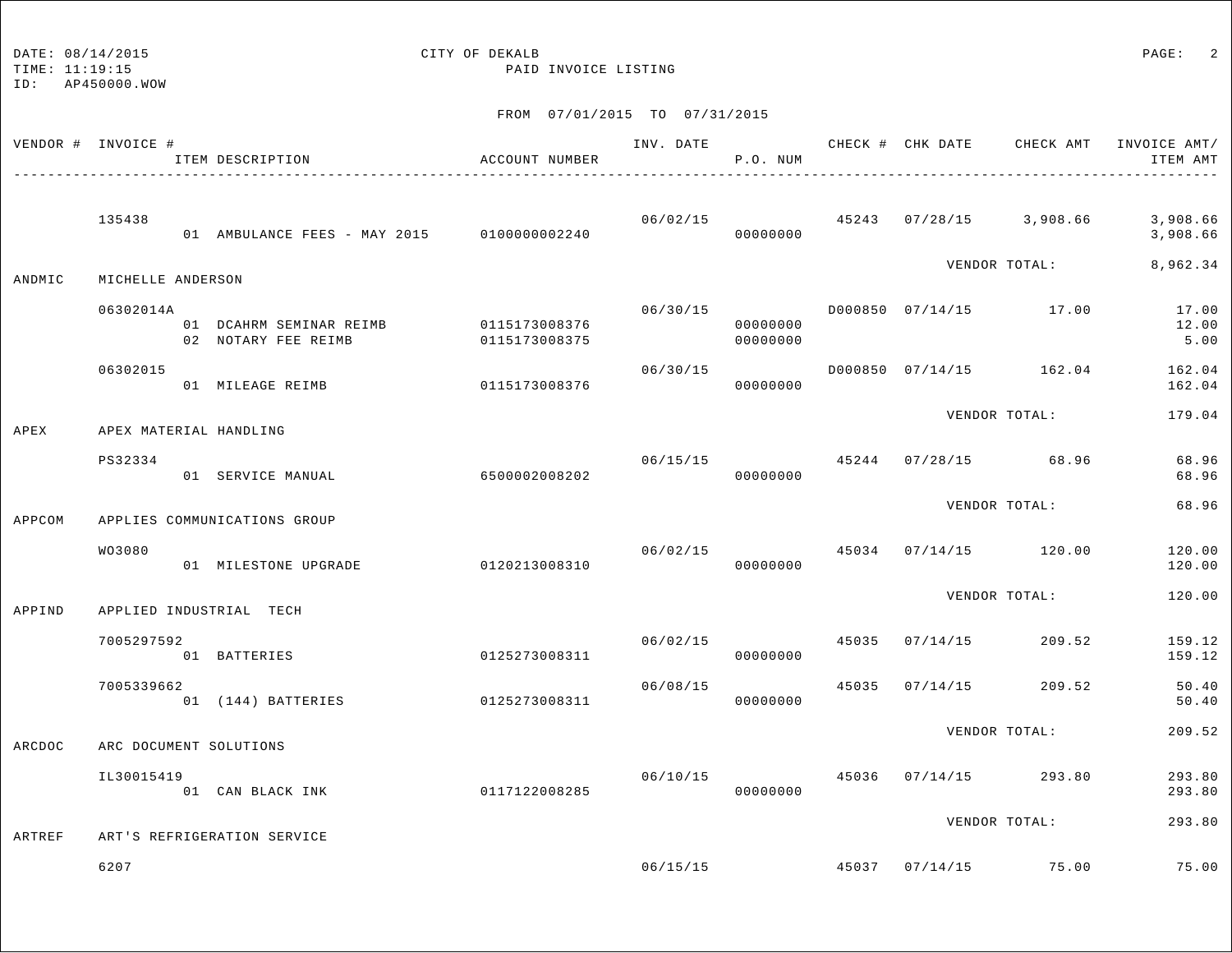TIME: 11:19:15 PAID INVOICE LISTING

ID: AP450000.WOW

| VENDOR # INVOICE # |                   | ITEM DESCRIPTION<br>____________________________________ | ACCOUNT NUMBER                 | INV. DATE | P.O. NUM             |       |                |                                       | CHECK # CHK DATE CHECK AMT INVOICE AMT/<br>ITEM AMT |
|--------------------|-------------------|----------------------------------------------------------|--------------------------------|-----------|----------------------|-------|----------------|---------------------------------------|-----------------------------------------------------|
|                    | 135438            | 01 AMBULANCE FEES - MAY 2015 0100000002240               |                                | 06/02/15  | 00000000             |       |                | 45243 07/28/15 3,908.66               | 3,908.66<br>3,908.66                                |
| ANDMIC             | MICHELLE ANDERSON |                                                          |                                |           |                      |       |                | VENDOR TOTAL:                         | 8,962.34                                            |
|                    | 06302014A         | 01 DCAHRM SEMINAR REIMB<br>02 NOTARY FEE REIMB           | 0115173008376<br>0115173008375 | 06/30/15  | 00000000<br>00000000 |       |                | D000850 07/14/15 17.00                | 17.00<br>12.00<br>5.00                              |
|                    | 06302015          | 01 MILEAGE REIMB                                         | 0115173008376                  | 06/30/15  | 00000000             |       |                | D000850 07/14/15 162.04               | 162.04<br>162.04                                    |
| APEX               |                   | APEX MATERIAL HANDLING                                   |                                |           |                      |       |                | VENDOR TOTAL:                         | 179.04                                              |
|                    | PS32334           | 01 SERVICE MANUAL                                        | 6500002008202                  | 06/15/15  | 00000000             |       |                | 45244 07/28/15 68.96                  | 68.96<br>68.96                                      |
| APPCOM             |                   | APPLIES COMMUNICATIONS GROUP                             |                                |           |                      |       |                | VENDOR TOTAL:                         | 68.96                                               |
|                    | WO3080            | 01 MILESTONE UPGRADE                                     | 0120213008310                  |           | 06/02/15<br>00000000 | 45034 |                | 07/14/15 120.00                       | 120.00<br>120.00                                    |
| APPIND             |                   | APPLIED INDUSTRIAL TECH                                  |                                |           |                      |       |                | VENDOR TOTAL:                         | 120.00                                              |
|                    | 7005297592        | 01 BATTERIES                                             | 0125273008311                  | 06/02/15  | 00000000             |       | 45035 07/14/15 | 209.52                                | 159.12<br>159.12                                    |
|                    | 7005339662        | 01 (144) BATTERIES                                       | 0125273008311                  | 06/08/15  | 00000000             | 45035 | 07/14/15       | 209.52                                | 50.40<br>50.40                                      |
| ARCDOC             |                   | ARC DOCUMENT SOLUTIONS                                   |                                |           |                      |       |                | VENDOR TOTAL:                         | 209.52                                              |
|                    | IL30015419        | 01 CAN BLACK INK                                         | 0117122008285                  | 06/10/15  | 00000000             |       | 45036 07/14/15 | 293.80                                | 293.80<br>293.80                                    |
| ARTREF             |                   | ART'S REFRIGERATION SERVICE                              |                                |           |                      |       |                | VENDOR TOTAL:                         | 293.80                                              |
|                    | 6207              |                                                          |                                |           |                      |       |                | $06/15/15$ $45037$ $07/14/15$ $75.00$ | 75.00                                               |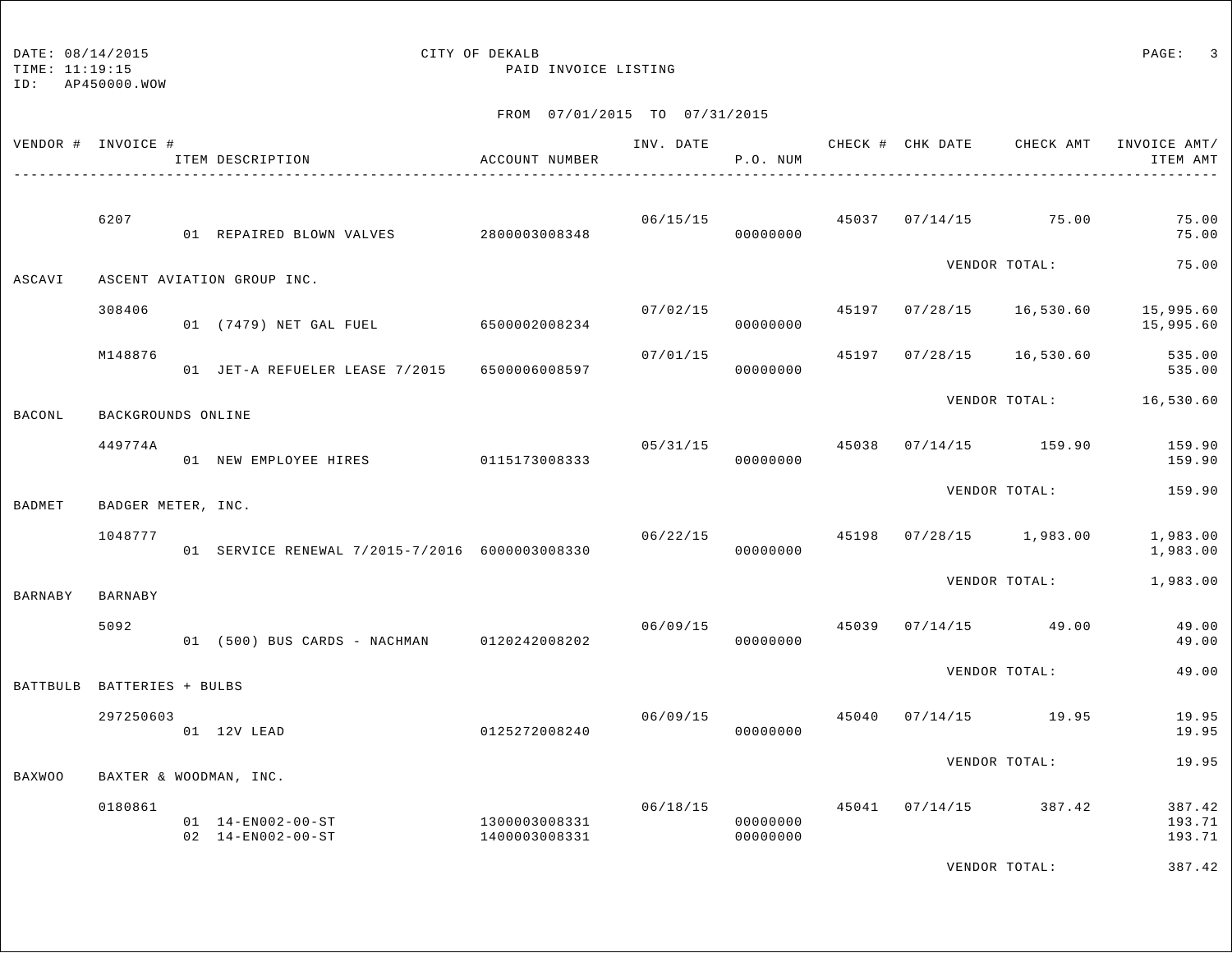TIME: 11:19:15 PAID INVOICE LISTING

ID: AP450000.WOW

| VENDOR # INVOICE # |                    | ITEM DESCRIPTION                               | ACCOUNT NUMBER                 | INV. DATE | P.O. NUM                         |       | CHECK # CHK DATE | CHECK AMT     | INVOICE AMT/<br>ITEM AMT   |
|--------------------|--------------------|------------------------------------------------|--------------------------------|-----------|----------------------------------|-------|------------------|---------------|----------------------------|
|                    | 6207               | 01 REPAIRED BLOWN VALVES                       | 2800003008348                  | 06/15/15  | 00000000                         | 45037 | 07/14/15         | 75.00         | 75.00<br>75.00             |
| ASCAVI             |                    | ASCENT AVIATION GROUP INC.                     |                                |           |                                  |       |                  | VENDOR TOTAL: | 75.00                      |
|                    | 308406             | 01 (7479) NET GAL FUEL                         | 6500002008234                  | 07/02/15  | 00000000                         | 45197 | 07/28/15         | 16,530.60     | 15,995.60<br>15,995.60     |
|                    | M148876            | 01 JET-A REFUELER LEASE 7/2015                 | 6500006008597                  | 07/01/15  | 00000000                         | 45197 | 07/28/15         | 16,530.60     | 535.00<br>535.00           |
| <b>BACONL</b>      | BACKGROUNDS ONLINE |                                                |                                |           |                                  |       |                  | VENDOR TOTAL: | 16,530.60                  |
|                    | 449774A            | 01 NEW EMPLOYEE HIRES                          | 0115173008333                  | 05/31/15  | 00000000                         | 45038 | 07/14/15         | 159.90        | 159.90<br>159.90           |
| <b>BADMET</b>      | BADGER METER, INC. |                                                |                                |           |                                  |       |                  | VENDOR TOTAL: | 159.90                     |
|                    | 1048777            | 01 SERVICE RENEWAL 7/2015-7/2016 6000003008330 |                                | 06/22/15  | 00000000                         | 45198 | 07/28/15         | 1,983.00      | 1,983.00<br>1,983.00       |
| <b>BARNABY</b>     | BARNABY            |                                                |                                |           |                                  |       |                  | VENDOR TOTAL: | 1,983.00                   |
|                    | 5092               | 01 (500) BUS CARDS - NACHMAN                   | 0120242008202                  | 06/09/15  | 00000000                         | 45039 | 07/14/15         | 49.00         | 49.00<br>49.00             |
| <b>BATTBULB</b>    | BATTERIES + BULBS  |                                                |                                |           |                                  |       |                  | VENDOR TOTAL: | 49.00                      |
|                    | 297250603          | 01 12V LEAD                                    | 0125272008240                  | 06/09/15  | 00000000                         | 45040 | 07/14/15         | 19.95         | 19.95<br>19.95             |
| <b>BAXWOO</b>      |                    | BAXTER & WOODMAN, INC.                         |                                |           |                                  |       |                  | VENDOR TOTAL: | 19.95                      |
|                    | 0180861            | 01  14-EN002-00-ST<br>02 14-EN002-00-ST        | 1300003008331<br>1400003008331 |           | 06/18/15<br>00000000<br>00000000 | 45041 | 07/14/15         | 387.42        | 387.42<br>193.71<br>193.71 |
|                    |                    |                                                |                                |           |                                  |       |                  | VENDOR TOTAL: | 387.42                     |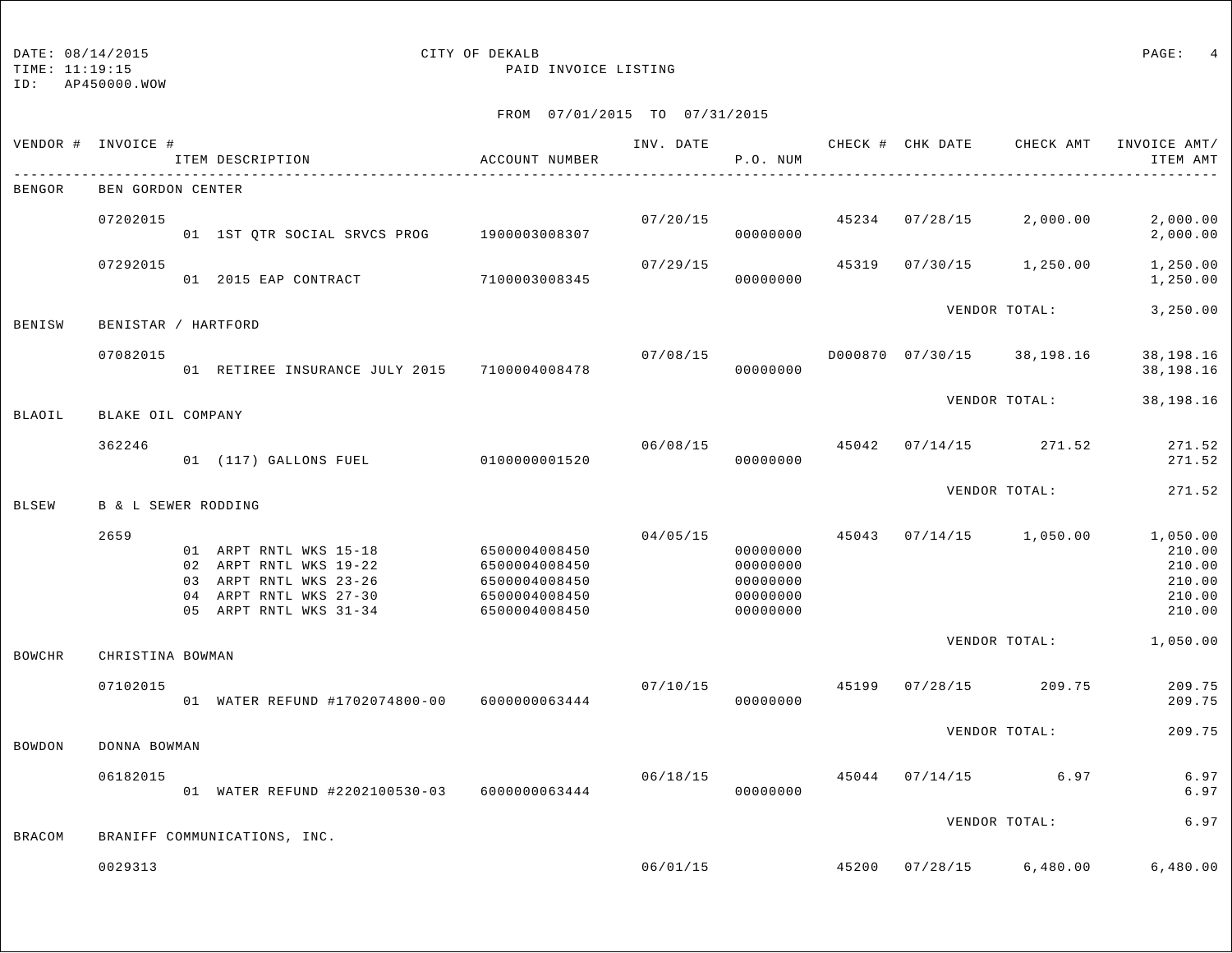## DATE:  $08/14/2015$  PAGE: 4

TIME: 11:19:15 PAID INVOICE LISTING

| VENDOR #      | INVOICE #           |    | ITEM DESCRIPTION                                                                                                            | ACCOUNT NUMBER                                                                    | INV. DATE | P.O. NUM                                                 |       | CHECK # CHK DATE | CHECK AMT     | INVOICE AMT/<br>ITEM AMT                                   |
|---------------|---------------------|----|-----------------------------------------------------------------------------------------------------------------------------|-----------------------------------------------------------------------------------|-----------|----------------------------------------------------------|-------|------------------|---------------|------------------------------------------------------------|
| <b>BENGOR</b> | BEN GORDON CENTER   |    |                                                                                                                             |                                                                                   |           |                                                          |       |                  |               |                                                            |
|               | 07202015            |    | 01 1ST OTR SOCIAL SRVCS PROG 1900003008307                                                                                  |                                                                                   | 07/20/15  | 00000000                                                 | 45234 | 07/28/15         | 2,000.00      | 2,000.00<br>2,000.00                                       |
|               | 07292015            |    | 01 2015 EAP CONTRACT                                                                                                        | 7100003008345                                                                     | 07/29/15  | 00000000                                                 | 45319 | 07/30/15         | 1,250.00      | 1,250.00<br>1,250.00                                       |
| BENISW        | BENISTAR / HARTFORD |    |                                                                                                                             |                                                                                   |           |                                                          |       |                  | VENDOR TOTAL: | 3,250.00                                                   |
|               | 07082015            |    | 01 RETIREE INSURANCE JULY 2015 7100004008478                                                                                |                                                                                   | 07/08/15  | 00000000                                                 |       | D000870 07/30/15 | 38,198.16     | 38,198.16<br>38,198.16                                     |
| <b>BLAOIL</b> | BLAKE OIL COMPANY   |    |                                                                                                                             |                                                                                   |           |                                                          |       |                  | VENDOR TOTAL: | 38,198.16                                                  |
|               | 362246              |    | 01 (117) GALLONS FUEL 010000001520                                                                                          |                                                                                   | 06/08/15  | 00000000                                                 | 45042 | 07/14/15         | 271.52        | 271.52<br>271.52                                           |
| <b>BLSEW</b>  | B & L SEWER RODDING |    |                                                                                                                             |                                                                                   |           |                                                          |       |                  | VENDOR TOTAL: | 271.52                                                     |
|               | 2659                | 04 | 01 ARPT RNTL WKS 15-18<br>02 ARPT RNTL WKS 19-22<br>03 ARPT RNTL WKS 23-26<br>ARPT RNTL WKS 27-30<br>05 ARPT RNTL WKS 31-34 | 6500004008450<br>6500004008450<br>6500004008450<br>6500004008450<br>6500004008450 | 04/05/15  | 00000000<br>00000000<br>00000000<br>00000000<br>00000000 | 45043 | 07/14/15         | 1,050.00      | 1,050.00<br>210.00<br>210.00<br>210.00<br>210.00<br>210.00 |
| <b>BOWCHR</b> | CHRISTINA BOWMAN    |    |                                                                                                                             |                                                                                   |           |                                                          |       |                  | VENDOR TOTAL: | 1,050.00                                                   |
|               | 07102015            |    | 01 WATER REFUND #1702074800-00 6000000063444                                                                                |                                                                                   | 07/10/15  | 00000000                                                 | 45199 | 07/28/15         | 209.75        | 209.75<br>209.75                                           |
| <b>BOWDON</b> | DONNA BOWMAN        |    |                                                                                                                             |                                                                                   |           |                                                          |       |                  | VENDOR TOTAL: | 209.75                                                     |
|               | 06182015            |    | 01 WATER REFUND #2202100530-03 6000000063444                                                                                |                                                                                   | 06/18/15  | 00000000                                                 | 45044 | 07/14/15         | 6.97          | 6.97<br>6.97                                               |
| <b>BRACOM</b> |                     |    | BRANIFF COMMUNICATIONS, INC.                                                                                                |                                                                                   |           |                                                          |       |                  | VENDOR TOTAL: | 6.97                                                       |
|               | 0029313             |    |                                                                                                                             |                                                                                   | 06/01/15  |                                                          | 45200 | 07/28/15         | 6,480.00      | 6,480.00                                                   |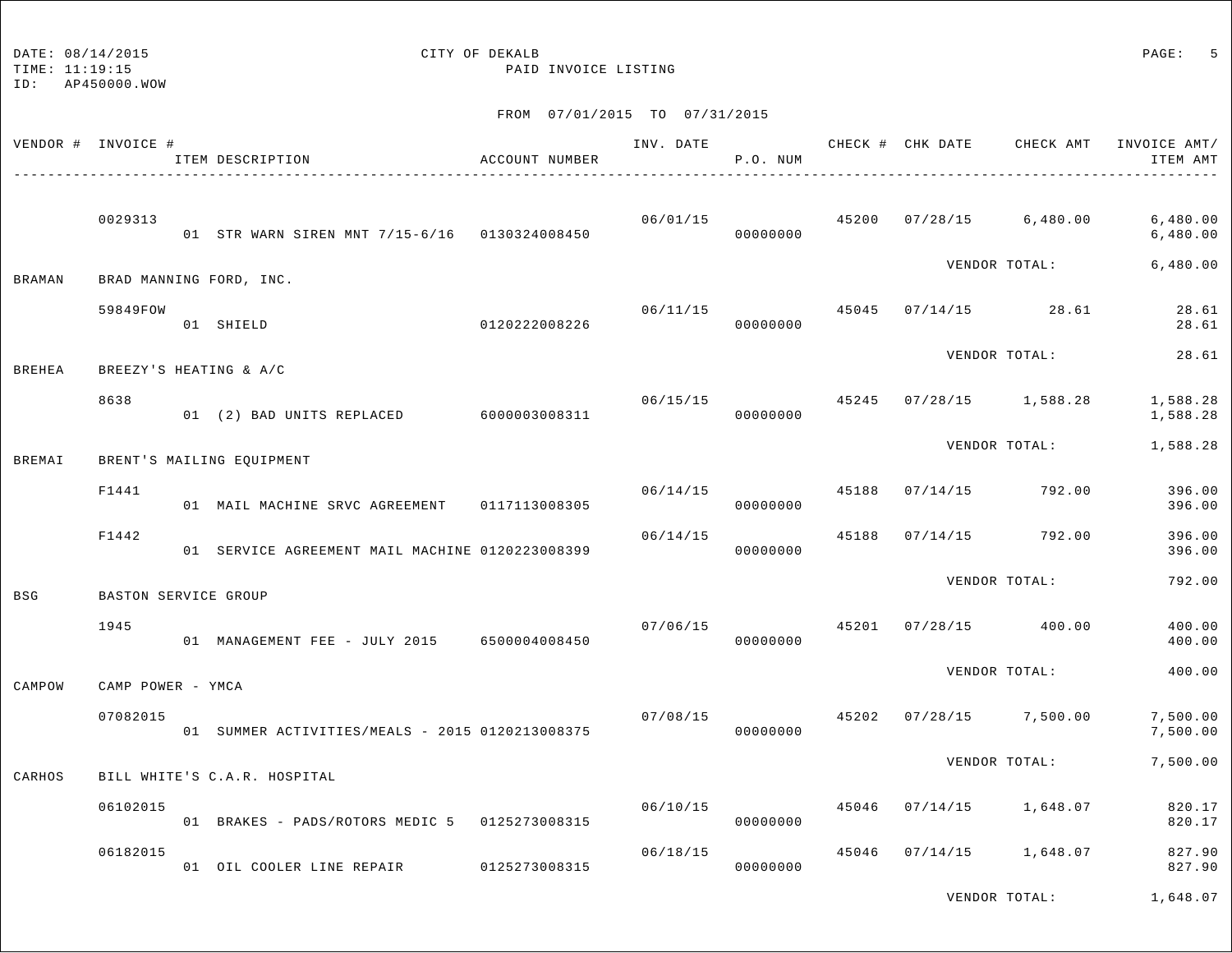ID: AP450000.WOW

TIME: 11:19:15 PAID INVOICE LISTING

FROM 07/01/2015 TO 07/31/2015

|               | VENDOR # INVOICE #   | ITEM DESCRIPTION                                | ACCOUNT NUMBER |          | P.O. NUM                   |       |                                          |                                          | INV. DATE 6 1999 CHECK # CHK DATE 6 CHECK AMT INVOICE AMT<br>ITEM AMT |
|---------------|----------------------|-------------------------------------------------|----------------|----------|----------------------------|-------|------------------------------------------|------------------------------------------|-----------------------------------------------------------------------|
|               | 0029313              | 01 STR WARN SIREN MNT 7/15-6/16 0130324008450   |                |          | 00000000                   |       |                                          | $06/01/15$ $45200$ $07/28/15$ $6,480.00$ | 6,480.00<br>6,480.00                                                  |
| BRAMAN        |                      | BRAD MANNING FORD, INC.                         |                |          |                            |       |                                          | VENDOR TOTAL:                            | 6,480.00                                                              |
|               | 59849FOW             | 01 SHIELD                                       | 0120222008226  | 06/11/15 | 00000000                   |       |                                          | 45045 07/14/15 28.61                     | 28.61<br>28.61                                                        |
| <b>BREHEA</b> |                      | BREEZY'S HEATING & A/C                          |                |          |                            |       |                                          | VENDOR TOTAL:                            | 28.61                                                                 |
|               | 8638                 | 01 (2) BAD UNITS REPLACED 6000003008311         |                |          | 06/15/15 45245<br>00000000 |       |                                          | $07/28/15$ 1,588.28                      | 1,588.28<br>1,588.28                                                  |
| BREMAI        |                      | BRENT'S MAILING EQUIPMENT                       |                |          |                            |       |                                          | VENDOR TOTAL:                            | 1,588.28                                                              |
|               | F1441                | 01 MAIL MACHINE SRVC AGREEMENT 0117113008305    |                | 06/14/15 | 00000000                   |       | 45188 07/14/15 792.00                    |                                          | 396.00<br>396.00                                                      |
|               | F1442                | 01 SERVICE AGREEMENT MAIL MACHINE 0120223008399 |                | 06/14/15 | 00000000                   | 45188 | 07/14/15 792.00                          |                                          | 396.00<br>396.00                                                      |
| <b>BSG</b>    | BASTON SERVICE GROUP |                                                 |                |          |                            |       |                                          | VENDOR TOTAL:                            | 792.00                                                                |
|               | 1945                 | 01 MANAGEMENT FEE - JULY 2015 6500004008450     |                | 07/06/15 | 00000000                   |       | 45201 07/28/15 400.00                    |                                          | 400.00<br>400.00                                                      |
| CAMPOW        | CAMP POWER - YMCA    |                                                 |                |          |                            |       |                                          | VENDOR TOTAL:                            | 400.00                                                                |
|               | 07082015             | 01 SUMMER ACTIVITIES/MEALS - 2015 0120213008375 |                |          | 00000000                   |       | $07/08/15$ $45202$ $07/28/15$ $7,500.00$ |                                          | 7,500.00<br>7,500.00                                                  |
| CARHOS        |                      | BILL WHITE'S C.A.R. HOSPITAL                    |                |          |                            |       |                                          | VENDOR TOTAL:                            | 7,500.00                                                              |
|               | 06102015             | 01 BRAKES - PADS/ROTORS MEDIC 5 0125273008315   |                | 06/10/15 | 00000000                   |       | 45046 07/14/15 1,648.07                  |                                          | 820.17<br>820.17                                                      |
|               | 06182015             | 01 OIL COOLER LINE REPAIR 0125273008315         |                | 06/18/15 | 00000000                   |       | 45046 07/14/15 1,648.07                  |                                          | 827.90<br>827.90                                                      |
|               |                      |                                                 |                |          |                            |       |                                          |                                          |                                                                       |

VENDOR TOTAL: 1,648.07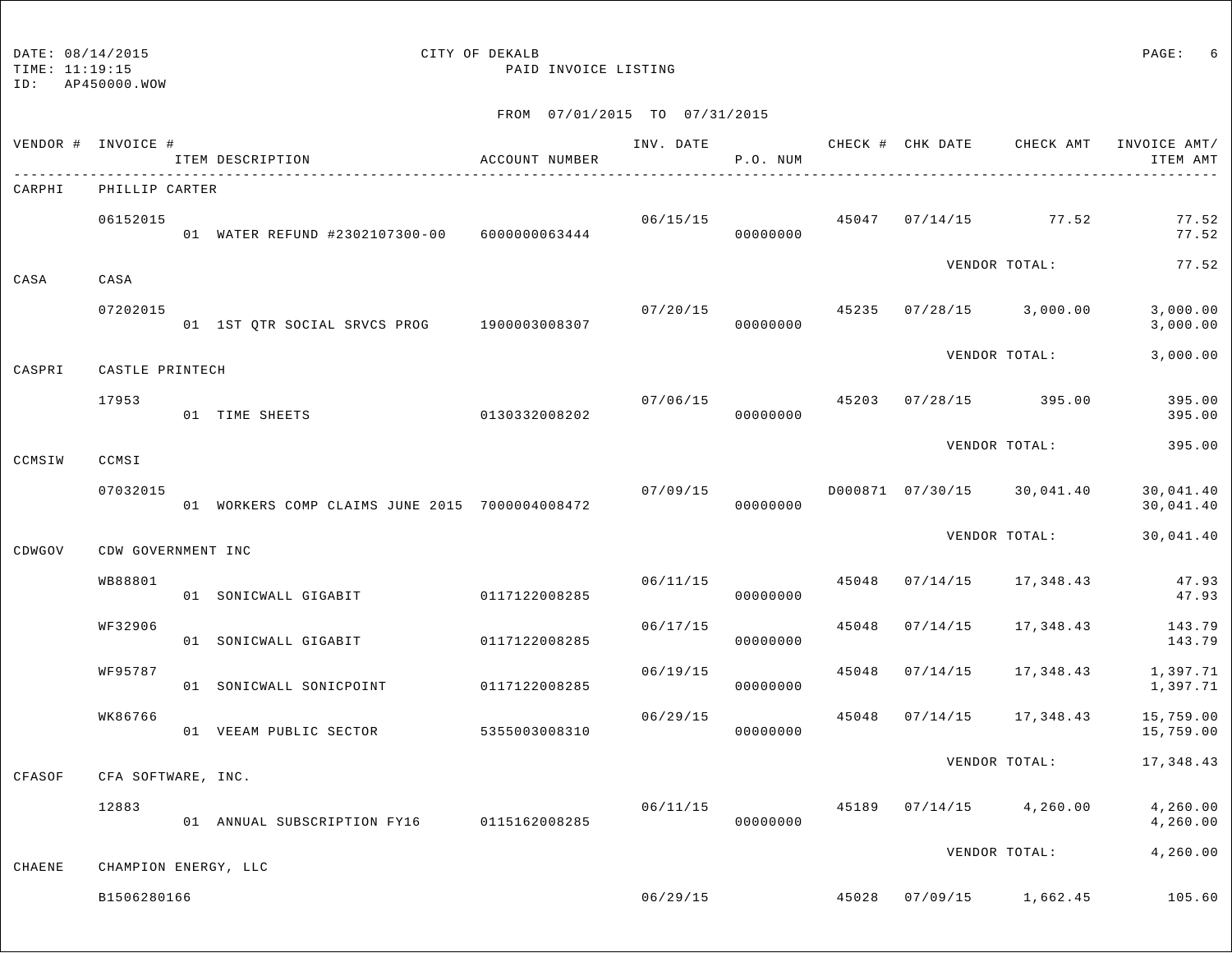# DATE:  $08/14/2015$  PAGE: 6

TIME: 11:19:15 PAID INVOICE LISTING

| VENDOR # INVOICE # |                      | ITEM DESCRIPTION                               | ACCOUNT NUMBER | INV. DATE | P.O. NUM |       |          | CHECK # CHK DATE CHECK AMT | INVOICE AMT/<br>ITEM AMT |
|--------------------|----------------------|------------------------------------------------|----------------|-----------|----------|-------|----------|----------------------------|--------------------------|
| CARPHI             | PHILLIP CARTER       |                                                |                |           |          |       |          |                            |                          |
|                    | 06152015             | 01 WATER REFUND #2302107300-00 6000000063444   |                | 06/15/15  | 00000000 |       |          | 45047 07/14/15 77.52       | 77.52<br>77.52           |
| CASA               | CASA                 |                                                |                |           |          |       |          | VENDOR TOTAL:              | 77.52                    |
|                    | 07202015             | 01 1ST QTR SOCIAL SRVCS PROG 1900003008307     |                | 07/20/15  | 00000000 | 45235 | 07/28/15 | 3,000.00                   | 3,000.00<br>3,000.00     |
| CASPRI             | CASTLE PRINTECH      |                                                |                |           |          |       |          | VENDOR TOTAL:              | 3,000.00                 |
|                    | 17953                | 01 TIME SHEETS                                 | 0130332008202  | 07/06/15  | 00000000 | 45203 |          | 07/28/15 395.00            | 395.00<br>395.00         |
| CCMSIW             | CCMSI                |                                                |                |           |          |       |          | VENDOR TOTAL:              | 395.00                   |
|                    | 07032015             | 01 WORKERS COMP CLAIMS JUNE 2015 7000004008472 |                | 07/09/15  | 00000000 |       |          | D000871 07/30/15 30,041.40 | 30,041.40<br>30,041.40   |
| CDWGOV             | CDW GOVERNMENT INC   |                                                |                |           |          |       |          | VENDOR TOTAL:              | 30,041.40                |
|                    | WB88801              | 01 SONICWALL GIGABIT                           | 0117122008285  | 06/11/15  | 00000000 | 45048 | 07/14/15 | 17,348.43                  | 47.93<br>47.93           |
|                    | WF32906              | 01 SONICWALL GIGABIT                           | 0117122008285  | 06/17/15  | 00000000 | 45048 | 07/14/15 | 17,348.43                  | 143.79<br>143.79         |
|                    | WF95787              | 01 SONICWALL SONICPOINT                        | 0117122008285  | 06/19/15  | 00000000 | 45048 | 07/14/15 | 17,348.43                  | 1,397.71<br>1,397.71     |
|                    | WK86766              | 01 VEEAM PUBLIC SECTOR                         | 5355003008310  | 06/29/15  | 00000000 | 45048 | 07/14/15 | 17,348.43                  | 15,759.00<br>15,759.00   |
| CFASOF             | CFA SOFTWARE, INC.   |                                                |                |           |          |       |          | VENDOR TOTAL:              | 17,348.43                |
|                    | 12883                | 01 ANNUAL SUBSCRIPTION FY16 0115162008285      |                | 06/11/15  | 00000000 | 45189 | 07/14/15 | 4,260.00                   | 4,260.00<br>4,260.00     |
| CHAENE             | CHAMPION ENERGY, LLC |                                                |                |           |          |       |          | VENDOR TOTAL:              | 4,260.00                 |
|                    | B1506280166          |                                                |                | 06/29/15  |          | 45028 |          | $07/09/15$ 1,662.45        | 105.60                   |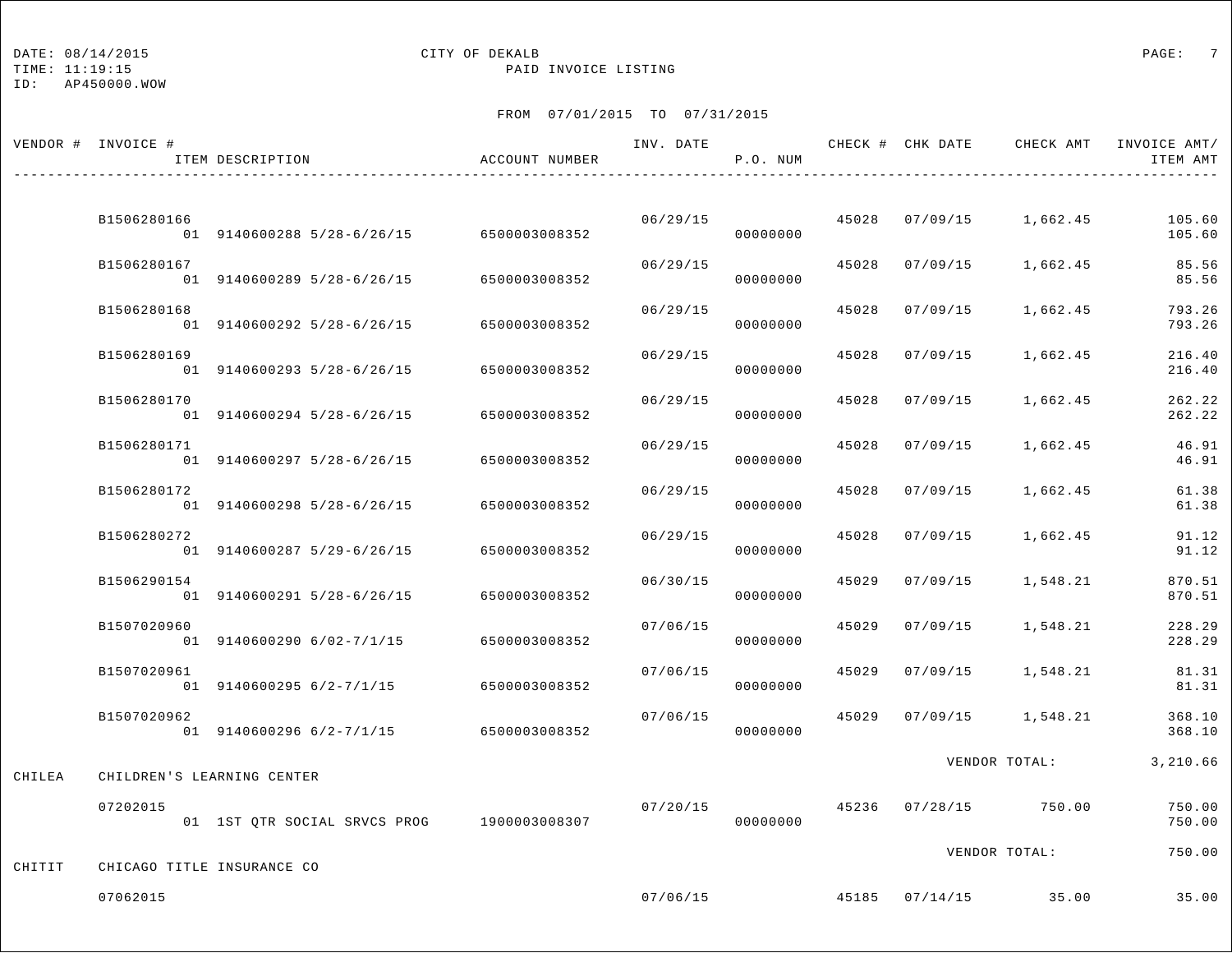## DATE:  $08/14/2015$  PAGE: 7

TIME: 11:19:15 PAID INVOICE LISTING

|        | VENDOR # INVOICE # | ITEM DESCRIPTION                           | ACCOUNT NUMBER | INV. DATE | P.O. NUM |       |          | CHECK # CHK DATE CHECK AMT INVOICE AMT/ | ITEM AMT         |
|--------|--------------------|--------------------------------------------|----------------|-----------|----------|-------|----------|-----------------------------------------|------------------|
|        |                    |                                            |                |           |          |       |          |                                         |                  |
|        | B1506280166        | 01 9140600288 5/28-6/26/15                 | 6500003008352  | 06/29/15  | 00000000 | 45028 | 07/09/15 | 1,662.45                                | 105.60<br>105.60 |
|        | B1506280167        | 01 9140600289 5/28-6/26/15                 | 6500003008352  | 06/29/15  | 00000000 | 45028 | 07/09/15 | 1,662.45                                | 85.56<br>85.56   |
|        | B1506280168        | 01 9140600292 5/28-6/26/15                 | 6500003008352  | 06/29/15  | 00000000 | 45028 | 07/09/15 | 1,662.45                                | 793.26<br>793.26 |
|        | B1506280169        | 01 9140600293 5/28-6/26/15                 | 6500003008352  | 06/29/15  | 00000000 | 45028 | 07/09/15 | 1,662.45                                | 216.40<br>216.40 |
|        | B1506280170        | 01 9140600294 5/28-6/26/15                 | 6500003008352  | 06/29/15  | 00000000 | 45028 | 07/09/15 | 1,662.45                                | 262.22<br>262.22 |
|        | B1506280171        | 01 9140600297 5/28-6/26/15                 | 6500003008352  | 06/29/15  | 00000000 | 45028 | 07/09/15 | 1,662.45                                | 46.91<br>46.91   |
|        | B1506280172        | 01 9140600298 5/28-6/26/15                 | 6500003008352  | 06/29/15  | 00000000 | 45028 | 07/09/15 | 1,662.45                                | 61.38<br>61.38   |
|        | B1506280272        | 01 9140600287 5/29-6/26/15                 | 6500003008352  | 06/29/15  | 00000000 | 45028 | 07/09/15 | 1,662.45                                | 91.12<br>91.12   |
|        | B1506290154        | 01 9140600291 5/28-6/26/15                 | 6500003008352  | 06/30/15  | 00000000 | 45029 | 07/09/15 | 1,548.21                                | 870.51<br>870.51 |
|        | B1507020960        | 01 9140600290 6/02-7/1/15                  | 6500003008352  | 07/06/15  | 00000000 | 45029 | 07/09/15 | 1,548.21                                | 228.29<br>228.29 |
|        | B1507020961        | 01 9140600295 6/2-7/1/15                   | 6500003008352  | 07/06/15  | 00000000 | 45029 | 07/09/15 | 1,548.21                                | 81.31<br>81.31   |
|        | B1507020962        | 01 9140600296 6/2-7/1/15                   | 6500003008352  | 07/06/15  | 00000000 | 45029 | 07/09/15 | 1,548.21                                | 368.10<br>368.10 |
| CHILEA |                    | CHILDREN'S LEARNING CENTER                 |                |           |          |       |          | VENDOR TOTAL:                           | 3,210.66         |
|        | 07202015           | 01 1ST QTR SOCIAL SRVCS PROG 1900003008307 |                | 07/20/15  | 00000000 | 45236 | 07/28/15 | 750.00                                  | 750.00<br>750.00 |
|        |                    |                                            |                |           |          |       |          | VENDOR TOTAL:                           | 750.00           |
| CHITIT |                    | CHICAGO TITLE INSURANCE CO                 |                |           |          |       |          |                                         |                  |
|        | 07062015           |                                            |                | 07/06/15  |          |       |          | 45185 07/14/15 35.00                    | 35.00            |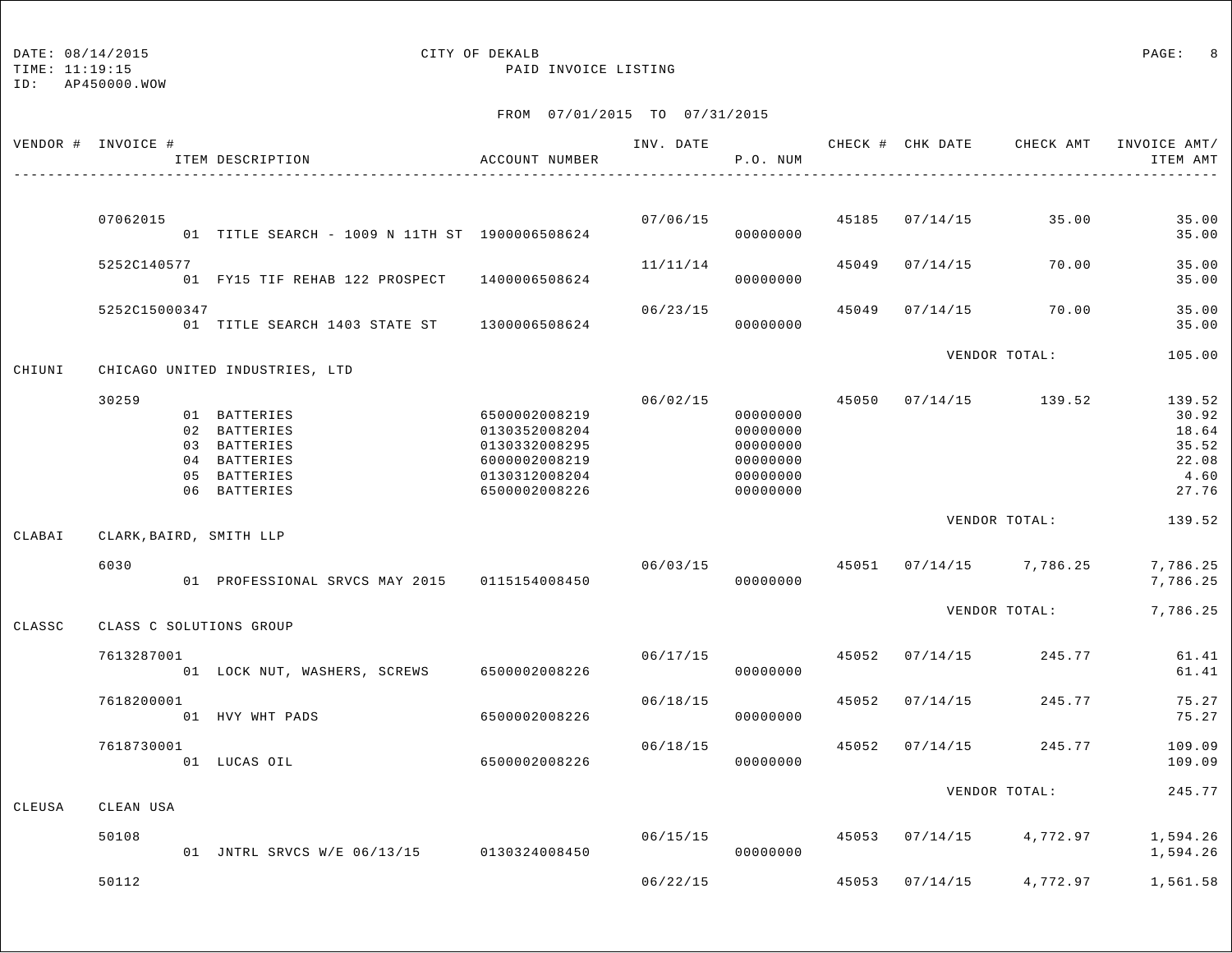TIME: 11:19:15 PAID INVOICE LISTING

|        | VENDOR # INVOICE # | ITEM DESCRIPTION                                                                             | ACCOUNT NUMBER                                                                                     | INV. DATE | P.O. NUM                                                             |       | CHECK # CHK DATE | CHECK AMT               | INVOICE AMT/<br>ITEM AMT                                    |
|--------|--------------------|----------------------------------------------------------------------------------------------|----------------------------------------------------------------------------------------------------|-----------|----------------------------------------------------------------------|-------|------------------|-------------------------|-------------------------------------------------------------|
|        | 07062015           | 01 TITLE SEARCH - 1009 N 11TH ST 1900006508624                                               |                                                                                                    | 07/06/15  | 00000000                                                             |       | 45185 07/14/15   | 35.00                   | 35.00<br>35.00                                              |
|        | 5252C140577        | 01 FY15 TIF REHAB 122 PROSPECT                                                               | 1400006508624                                                                                      | 11/11/14  | 00000000                                                             | 45049 | 07/14/15         | 70.00                   | 35.00<br>35.00                                              |
|        | 5252C15000347      | 01 TITLE SEARCH 1403 STATE ST 1300006508624                                                  |                                                                                                    | 06/23/15  | 00000000                                                             | 45049 | 07/14/15         | 70.00                   | 35.00<br>35.00                                              |
| CHIUNI |                    | CHICAGO UNITED INDUSTRIES, LTD                                                               |                                                                                                    |           |                                                                      |       |                  | VENDOR TOTAL:           | 105.00                                                      |
|        | 30259              | 01 BATTERIES<br>02 BATTERIES<br>03 BATTERIES<br>04 BATTERIES<br>05 BATTERIES<br>06 BATTERIES | 6500002008219<br>0130352008204<br>0130332008295<br>6000002008219<br>0130312008204<br>6500002008226 | 06/02/15  | 00000000<br>00000000<br>00000000<br>00000000<br>00000000<br>00000000 | 45050 |                  | $07/14/15$ 139.52       | 139.52<br>30.92<br>18.64<br>35.52<br>22.08<br>4.60<br>27.76 |
| CLABAI |                    | CLARK, BAIRD, SMITH LLP                                                                      |                                                                                                    |           |                                                                      |       |                  | VENDOR TOTAL:           | 139.52                                                      |
|        | 6030               | 01 PROFESSIONAL SRVCS MAY 2015                                                               | 0115154008450                                                                                      | 06/03/15  | 00000000                                                             | 45051 |                  | $07/14/15$ 7,786.25     | 7,786.25<br>7,786.25                                        |
| CLASSC |                    | CLASS C SOLUTIONS GROUP                                                                      |                                                                                                    |           |                                                                      |       |                  | VENDOR TOTAL:           | 7,786.25                                                    |
|        | 7613287001         | 01 LOCK NUT, WASHERS, SCREWS                                                                 | 6500002008226                                                                                      | 06/17/15  | 00000000                                                             | 45052 | 07/14/15         | 245.77                  | 61.41<br>61.41                                              |
|        | 7618200001         | 01 HVY WHT PADS                                                                              | 6500002008226                                                                                      | 06/18/15  | 00000000                                                             | 45052 | 07/14/15         | 245.77                  | 75.27<br>75.27                                              |
|        | 7618730001         | 01 LUCAS OIL                                                                                 | 6500002008226                                                                                      | 06/18/15  | 00000000                                                             | 45052 | 07/14/15         | 245.77                  | 109.09<br>109.09                                            |
| CLEUSA | CLEAN USA          |                                                                                              |                                                                                                    |           |                                                                      |       |                  | VENDOR TOTAL:           | 245.77                                                      |
|        | 50108              | 01 JNTRL SRVCS W/E 06/13/15                                                                  | 0130324008450                                                                                      | 06/15/15  | 00000000                                                             |       | 45053 07/14/15   | 4,772.97                | 1,594.26<br>1,594.26                                        |
|        | 50112              |                                                                                              |                                                                                                    | 06/22/15  |                                                                      |       |                  | 45053 07/14/15 4,772.97 | 1,561.58                                                    |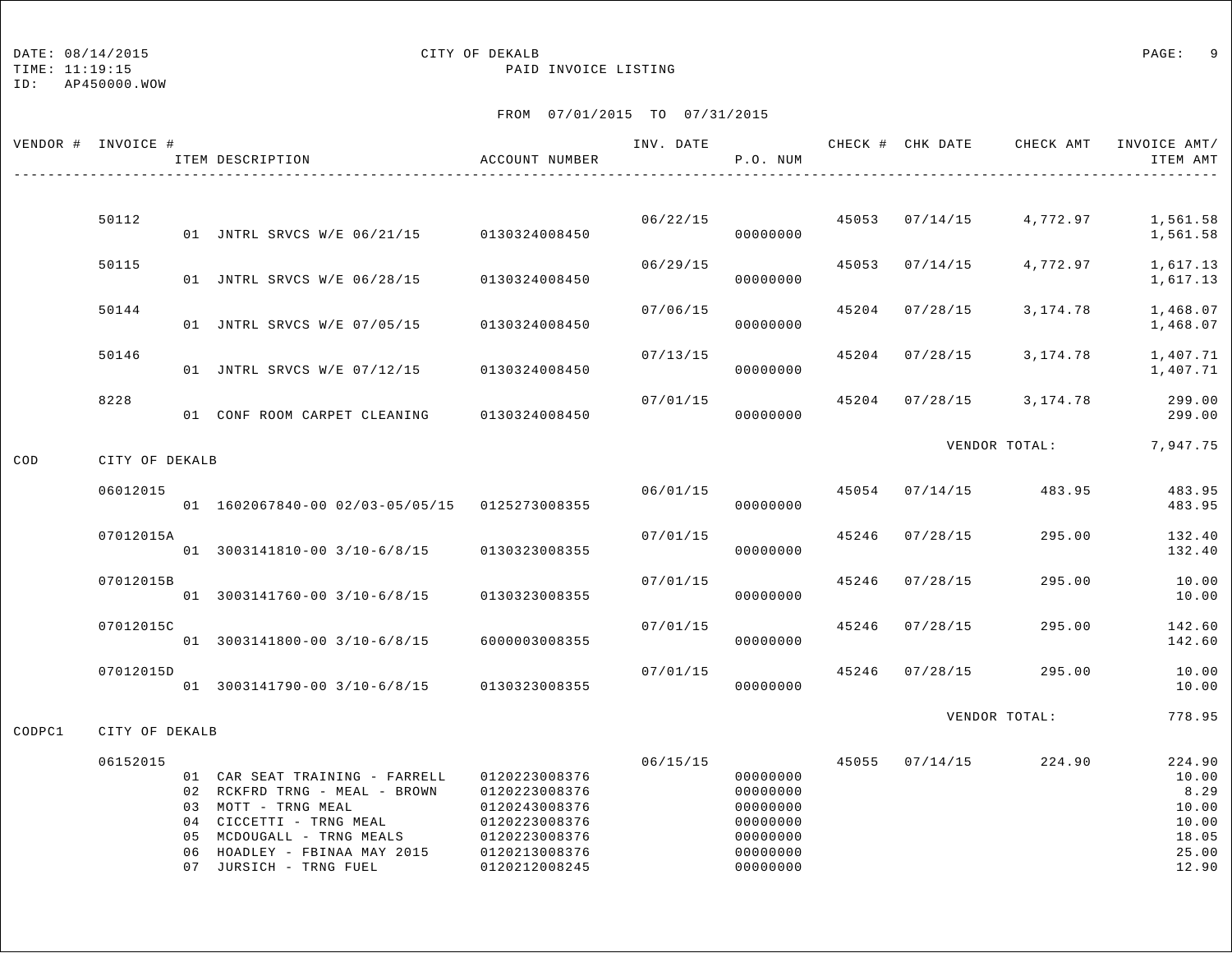## DATE:  $08/14/2015$  PAGE: 9

TIME: 11:19:15 PAID INVOICE LISTING

|        | VENDOR # INVOICE # | ITEM DESCRIPTION                                                                                                                                                                                         | ACCOUNT NUMBER                                                                                                      | INV. DATE | P.O. NUM                                                                         |       |                | CHECK # CHK DATE CHECK AMT INVOICE AMT/ | ITEM AMT                                                             |
|--------|--------------------|----------------------------------------------------------------------------------------------------------------------------------------------------------------------------------------------------------|---------------------------------------------------------------------------------------------------------------------|-----------|----------------------------------------------------------------------------------|-------|----------------|-----------------------------------------|----------------------------------------------------------------------|
|        |                    |                                                                                                                                                                                                          |                                                                                                                     |           |                                                                                  |       |                |                                         |                                                                      |
|        | 50112              | 01 JNTRL SRVCS W/E 06/21/15 0130324008450                                                                                                                                                                |                                                                                                                     | 06/22/15  | 00000000                                                                         |       | 45053 07/14/15 | 4,772.97                                | 1,561.58<br>1,561.58                                                 |
|        | 50115              | 01 JNTRL SRVCS W/E 06/28/15                                                                                                                                                                              | 0130324008450                                                                                                       | 06/29/15  | 00000000                                                                         | 45053 | 07/14/15       | 4,772.97                                | 1,617.13<br>1,617.13                                                 |
|        | 50144              | 01 JNTRL SRVCS W/E 07/05/15                                                                                                                                                                              | 0130324008450                                                                                                       | 07/06/15  | 00000000                                                                         |       | 45204 07/28/15 | 3,174.78                                | 1,468.07<br>1,468.07                                                 |
|        | 50146              | 01 JNTRL SRVCS W/E 07/12/15                                                                                                                                                                              | 0130324008450                                                                                                       | 07/13/15  | 00000000                                                                         | 45204 | 07/28/15       | 3,174.78                                | 1,407.71<br>1,407.71                                                 |
|        | 8228               | 01 CONF ROOM CARPET CLEANING                                                                                                                                                                             | 0130324008450                                                                                                       | 07/01/15  | 00000000                                                                         |       | 45204 07/28/15 | 3,174.78                                | 299.00<br>299.00                                                     |
| COD    | CITY OF DEKALB     |                                                                                                                                                                                                          |                                                                                                                     |           |                                                                                  |       |                | VENDOR TOTAL: 7,947.75                  |                                                                      |
|        | 06012015           | 01 1602067840-00 02/03-05/05/15 0125273008355                                                                                                                                                            |                                                                                                                     | 06/01/15  | 00000000                                                                         |       | 45054 07/14/15 | 483.95                                  | 483.95<br>483.95                                                     |
|        | 07012015A          | 01 3003141810-00 3/10-6/8/15 0130323008355                                                                                                                                                               |                                                                                                                     | 07/01/15  | 00000000                                                                         | 45246 | 07/28/15       | 295.00                                  | 132.40<br>132.40                                                     |
|        | 07012015B          | 01 3003141760-00 3/10-6/8/15                                                                                                                                                                             | 0130323008355                                                                                                       | 07/01/15  | 00000000                                                                         | 45246 | 07/28/15       | 295.00                                  | 10.00<br>10.00                                                       |
|        | 07012015C          | 01 3003141800-00 3/10-6/8/15                                                                                                                                                                             | 6000003008355                                                                                                       | 07/01/15  | 00000000                                                                         | 45246 | 07/28/15       | 295.00                                  | 142.60<br>142.60                                                     |
|        | 07012015D          | 01 3003141790-00 3/10-6/8/15 0130323008355                                                                                                                                                               |                                                                                                                     | 07/01/15  | 00000000                                                                         | 45246 | 07/28/15       | 295.00                                  | 10.00<br>10.00                                                       |
| CODPC1 | CITY OF DEKALB     |                                                                                                                                                                                                          |                                                                                                                     |           |                                                                                  |       |                | VENDOR TOTAL:                           | 778.95                                                               |
|        | 06152015           | 01 CAR SEAT TRAINING - FARRELL<br>02 RCKFRD TRNG - MEAL - BROWN<br>03 MOTT - TRNG MEAL<br>04 CICCETTI - TRNG MEAL<br>05 MCDOUGALL - TRNG MEALS<br>06 HOADLEY - FBINAA MAY 2015<br>07 JURSICH - TRNG FUEL | 0120223008376<br>0120223008376<br>0120243008376<br>0120223008376<br>0120223008376<br>0120213008376<br>0120212008245 | 06/15/15  | 00000000<br>00000000<br>00000000<br>00000000<br>00000000<br>00000000<br>00000000 |       | 45055 07/14/15 | 224.90                                  | 224.90<br>10.00<br>8.29<br>10.00<br>10.00<br>18.05<br>25.00<br>12.90 |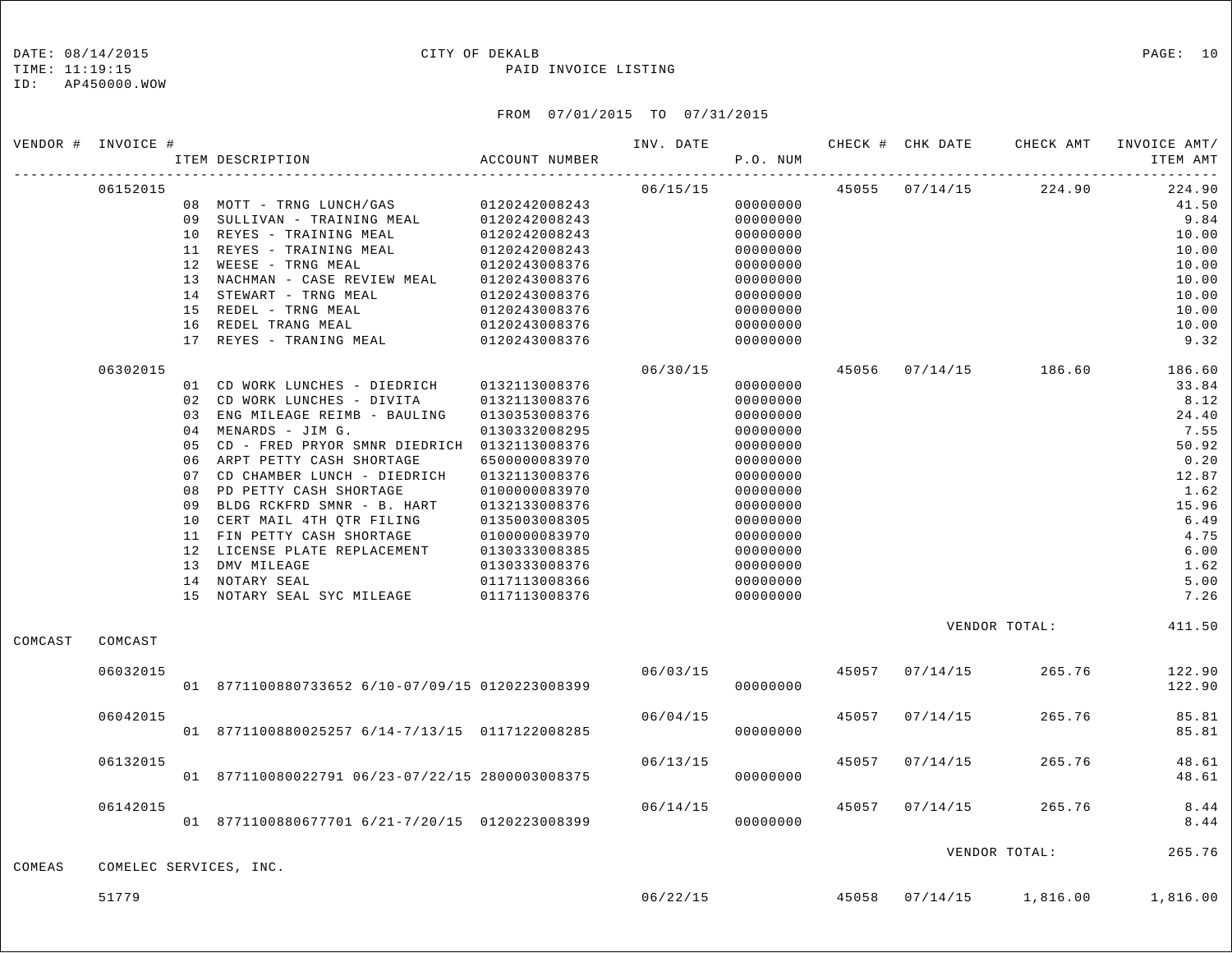### DATE: 08/14/2015 CITY OF DEKALB PAGE: 10

TIME: 11:19:15 PAID INVOICE LISTING

|         | VENDOR # INVOICE #     |    | ITEM DESCRIPTION                                | ACCOUNT NUMBER                 | INV. DATE | P.O. NUM             |       | CHECK # CHK DATE | CHECK AMT             | INVOICE AMT/<br>ITEM AMT |
|---------|------------------------|----|-------------------------------------------------|--------------------------------|-----------|----------------------|-------|------------------|-----------------------|--------------------------|
|         | 06152015               |    |                                                 |                                | 06/15/15  |                      |       |                  | 45055 07/14/15 224.90 | 224.90                   |
|         |                        |    | 08 MOTT - TRNG LUNCH/GAS                        | 0120242008243                  |           | 00000000             |       |                  |                       | 41.50                    |
|         |                        |    | 09 SULLIVAN - TRAINING MEAL                     | 0120242008243                  |           | 00000000             |       |                  |                       | 9.84                     |
|         |                        |    | 10 REYES - TRAINING MEAL                        | 0120242008243                  |           | 00000000             |       |                  |                       | 10.00                    |
|         |                        |    | 11 REYES - TRAINING MEAL                        | 0120242008243                  |           | 00000000             |       |                  |                       | 10.00                    |
|         |                        |    | 12 WEESE - TRNG MEAL                            | 0120243008376                  |           | 00000000             |       |                  |                       | 10.00                    |
|         |                        |    | 13 NACHMAN - CASE REVIEW MEAL                   | 0120243008376                  |           | 00000000             |       |                  |                       | 10.00                    |
|         |                        |    | 14 STEWART - TRNG MEAL                          | 0120243008376                  |           | 00000000             |       |                  |                       | 10.00                    |
|         |                        |    | 15 REDEL - TRNG MEAL                            |                                |           |                      |       |                  |                       | 10.00                    |
|         |                        |    | 16 REDEL TRANG MEAL                             | 0120243008376                  |           | 00000000<br>00000000 |       |                  |                       | 10.00                    |
|         |                        |    | 17 REYES - TRANING MEAL                         | 0120243008376<br>0120243008376 |           | 00000000             |       |                  |                       | 9.32                     |
|         | 06302015               |    |                                                 |                                | 06/30/15  |                      |       |                  | 45056 07/14/15 186.60 | 186.60                   |
|         |                        |    | 01 CD WORK LUNCHES - DIEDRICH                   | 0132113008376                  |           | 00000000             |       |                  |                       | 33.84                    |
|         |                        |    | 02 CD WORK LUNCHES - DIVITA                     | 0132113008376                  |           | 00000000             |       |                  |                       | 8.12                     |
|         |                        |    | 03 ENG MILEAGE REIMB - BAULING                  | 0130353008376                  |           | 00000000             |       |                  |                       | 24.40                    |
|         |                        |    | 04 MENARDS - JIM G.                             | 0130332008295                  |           | 00000000             |       |                  |                       | 7.55                     |
|         |                        | 05 | CD - FRED PRYOR SMNR DIEDRICH 0132113008376     |                                |           | 00000000             |       |                  |                       | 50.92                    |
|         |                        |    | 06 ARPT PETTY CASH SHORTAGE                     | 6500000083970                  |           | 00000000             |       |                  |                       | 0.20                     |
|         |                        | 07 | CD CHAMBER LUNCH - DIEDRICH                     | 0132113008376                  |           | 00000000             |       |                  |                       | 12.87                    |
|         |                        | 08 | PD PETTY CASH SHORTAGE                          | 0100000083970                  |           | 00000000             |       |                  |                       | 1.62                     |
|         |                        | 09 | BLDG RCKFRD SMNR - B. HART                      | 0132133008376                  |           | 00000000             |       |                  |                       | 15.96                    |
|         |                        |    | 10 CERT MAIL 4TH QTR FILING                     | 0135003008305                  |           | 00000000             |       |                  |                       | 6.49                     |
|         |                        |    | 11 FIN PETTY CASH SHORTAGE                      | 0100000083970                  |           | 00000000             |       |                  |                       | 4.75                     |
|         |                        |    | 12 LICENSE PLATE REPLACEMENT                    | 0130333008385                  |           | 00000000             |       |                  |                       | 6.00                     |
|         |                        |    | 13 DMV MILEAGE                                  | 0130333008376                  |           | 00000000             |       |                  |                       | 1.62                     |
|         |                        |    | 14 NOTARY SEAL                                  |                                |           | 00000000             |       |                  |                       | 5.00                     |
|         |                        |    |                                                 | 0117113008366                  |           | 00000000             |       |                  |                       | 7.26                     |
|         |                        |    | 15 NOTARY SEAL SYC MILEAGE                      | 0117113008376                  |           |                      |       |                  |                       |                          |
| COMCAST | COMCAST                |    |                                                 |                                |           |                      |       |                  | VENDOR TOTAL:         | 411.50                   |
|         | 06032015               |    |                                                 |                                | 06/03/15  |                      | 45057 | 07/14/15         | 265.76                | 122.90                   |
|         |                        |    | 01 8771100880733652 6/10-07/09/15 0120223008399 |                                |           | 00000000             |       |                  |                       | 122.90                   |
|         |                        |    |                                                 |                                |           |                      |       |                  |                       | 85.81                    |
|         | 06042015               |    | 01 8771100880025257 6/14-7/13/15 0117122008285  |                                | 06/04/15  | 00000000             | 45057 | 07/14/15         | 265.76                | 85.81                    |
|         | 06132015               |    |                                                 |                                | 06/13/15  |                      | 45057 | 07/14/15         | 265.76                | 48.61                    |
|         |                        |    | 01 877110080022791 06/23-07/22/15 2800003008375 |                                |           | 00000000             |       |                  |                       | 48.61                    |
|         |                        |    |                                                 |                                |           |                      |       |                  |                       |                          |
|         | 06142015               |    | 01 8771100880677701 6/21-7/20/15 0120223008399  |                                | 06/14/15  | 00000000             | 45057 | 07/14/15         | 265.76                | 8.44<br>8.44             |
|         |                        |    |                                                 |                                |           |                      |       |                  | VENDOR TOTAL:         | 265.76                   |
| COMEAS  | COMELEC SERVICES, INC. |    |                                                 |                                |           |                      |       |                  |                       |                          |
|         | 51779                  |    |                                                 |                                | 06/22/15  |                      | 45058 | 07/14/15         | 1,816.00              | 1,816.00                 |
|         |                        |    |                                                 |                                |           |                      |       |                  |                       |                          |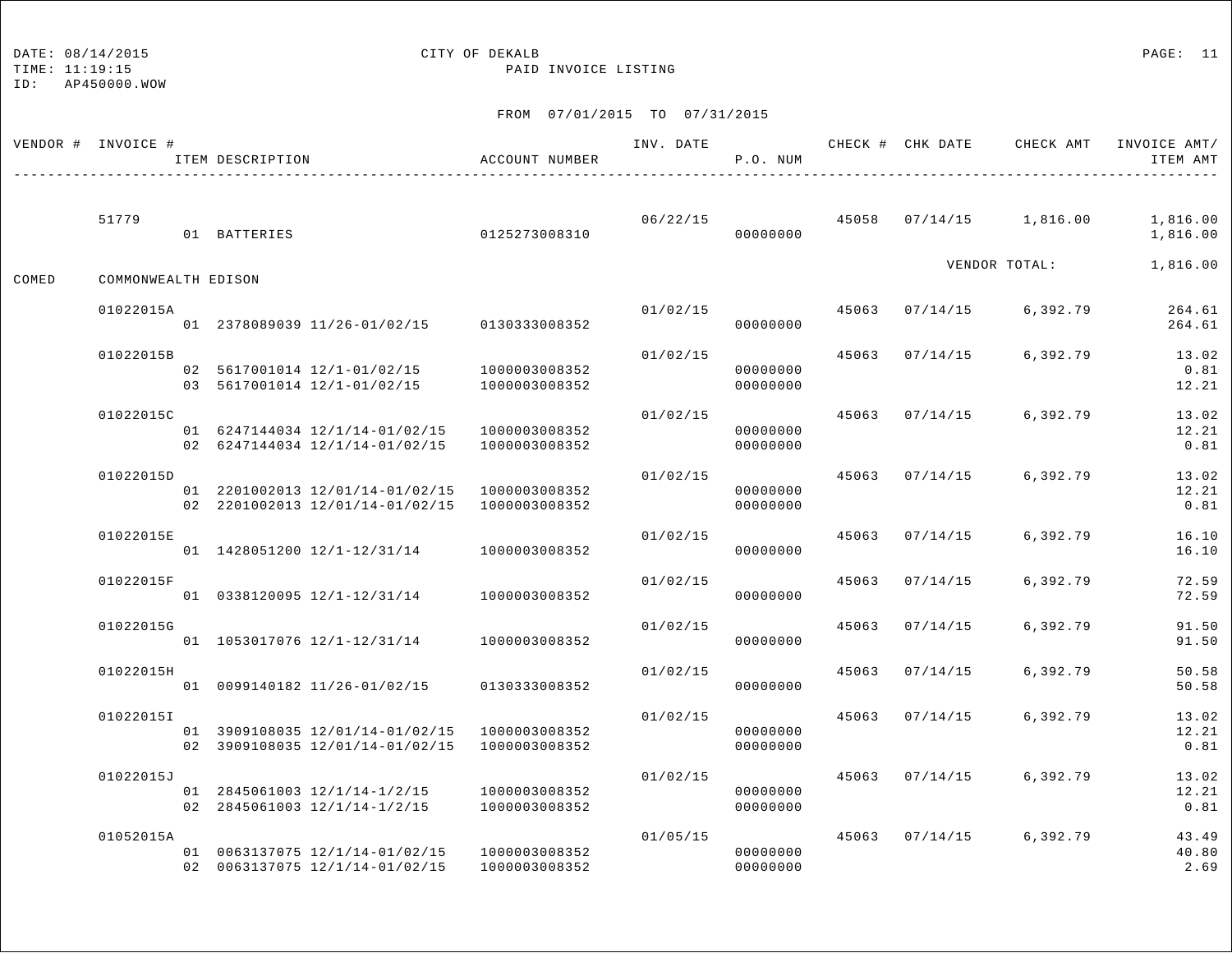TIME: 11:19:15 PAID INVOICE LISTING

ID: AP450000.WOW

|       | VENDOR # INVOICE #  | ITEM DESCRIPTION                                                                 | ACCOUNT NUMBER                 | INV. DATE | P.O. NUM             |       |                |                     | CHECK # CHK DATE CHECK AMT INVOICE AMT/<br>ITEM AMT |
|-------|---------------------|----------------------------------------------------------------------------------|--------------------------------|-----------|----------------------|-------|----------------|---------------------|-----------------------------------------------------|
|       | 51779               | 01 BATTERIES                                                                     | 0125273008310                  | 06/22/15  | 00000000             | 45058 |                | $07/14/15$ 1,816.00 | 1,816.00<br>1,816.00                                |
| COMED | COMMONWEALTH EDISON |                                                                                  |                                |           |                      |       |                | VENDOR TOTAL:       | 1,816.00                                            |
|       | 01022015A           | 01 2378089039 11/26-01/02/15 0130333008352                                       |                                | 01/02/15  | 00000000             |       | 45063 07/14/15 | 6,392.79            | 264.61<br>264.61                                    |
|       | 01022015B           | 02 5617001014 12/1-01/02/15<br>03 5617001014 12/1-01/02/15                       | 1000003008352<br>1000003008352 | 01/02/15  | 00000000<br>00000000 | 45063 | 07/14/15       | 6,392.79            | 13.02<br>0.81<br>12.21                              |
|       | 01022015C           | 01 6247144034 12/1/14-01/02/15<br>02 6247144034 12/1/14-01/02/15                 | 1000003008352<br>1000003008352 | 01/02/15  | 00000000<br>00000000 |       | 45063 07/14/15 | 6,392.79            | 13.02<br>12.21<br>0.81                              |
|       | 01022015D           | 01 2201002013 12/01/14-01/02/15 1000003008352<br>02 2201002013 12/01/14-01/02/15 | 1000003008352                  | 01/02/15  | 00000000<br>00000000 | 45063 | 07/14/15       | 6,392.79            | 13.02<br>12.21<br>0.81                              |
|       | 01022015E           | 01 1428051200 12/1-12/31/14                                                      | 1000003008352                  | 01/02/15  | 00000000             | 45063 | 07/14/15       | 6,392.79            | 16.10<br>16.10                                      |
|       | 01022015F           | 01 0338120095 12/1-12/31/14                                                      | 1000003008352                  | 01/02/15  | 00000000             | 45063 | 07/14/15       | 6,392.79            | 72.59<br>72.59                                      |
|       | 01022015G           | 01 1053017076 12/1-12/31/14                                                      | 1000003008352                  | 01/02/15  | 00000000             | 45063 | 07/14/15       | 6,392.79            | 91.50<br>91.50                                      |
|       | 01022015H           | 01 0099140182 11/26-01/02/15                                                     | 0130333008352                  | 01/02/15  | 00000000             | 45063 | 07/14/15       | 6,392.79            | 50.58<br>50.58                                      |
|       | 01022015I           | 01 3909108035 12/01/14-01/02/15<br>02 3909108035 12/01/14-01/02/15               | 1000003008352<br>1000003008352 | 01/02/15  | 00000000<br>00000000 | 45063 | 07/14/15       | 6,392.79            | 13.02<br>12.21<br>0.81                              |
|       | 01022015J           | 01 2845061003 12/1/14-1/2/15<br>02 2845061003 12/1/14-1/2/15                     | 1000003008352<br>1000003008352 | 01/02/15  | 00000000<br>00000000 | 45063 | 07/14/15       | 6,392.79            | 13.02<br>12.21<br>0.81                              |
|       | 01052015A           | 01 0063137075 12/1/14-01/02/15<br>02 0063137075 12/1/14-01/02/15                 | 1000003008352<br>1000003008352 | 01/05/15  | 00000000<br>00000000 | 45063 | 07/14/15       | 6,392.79            | 43.49<br>40.80<br>2.69                              |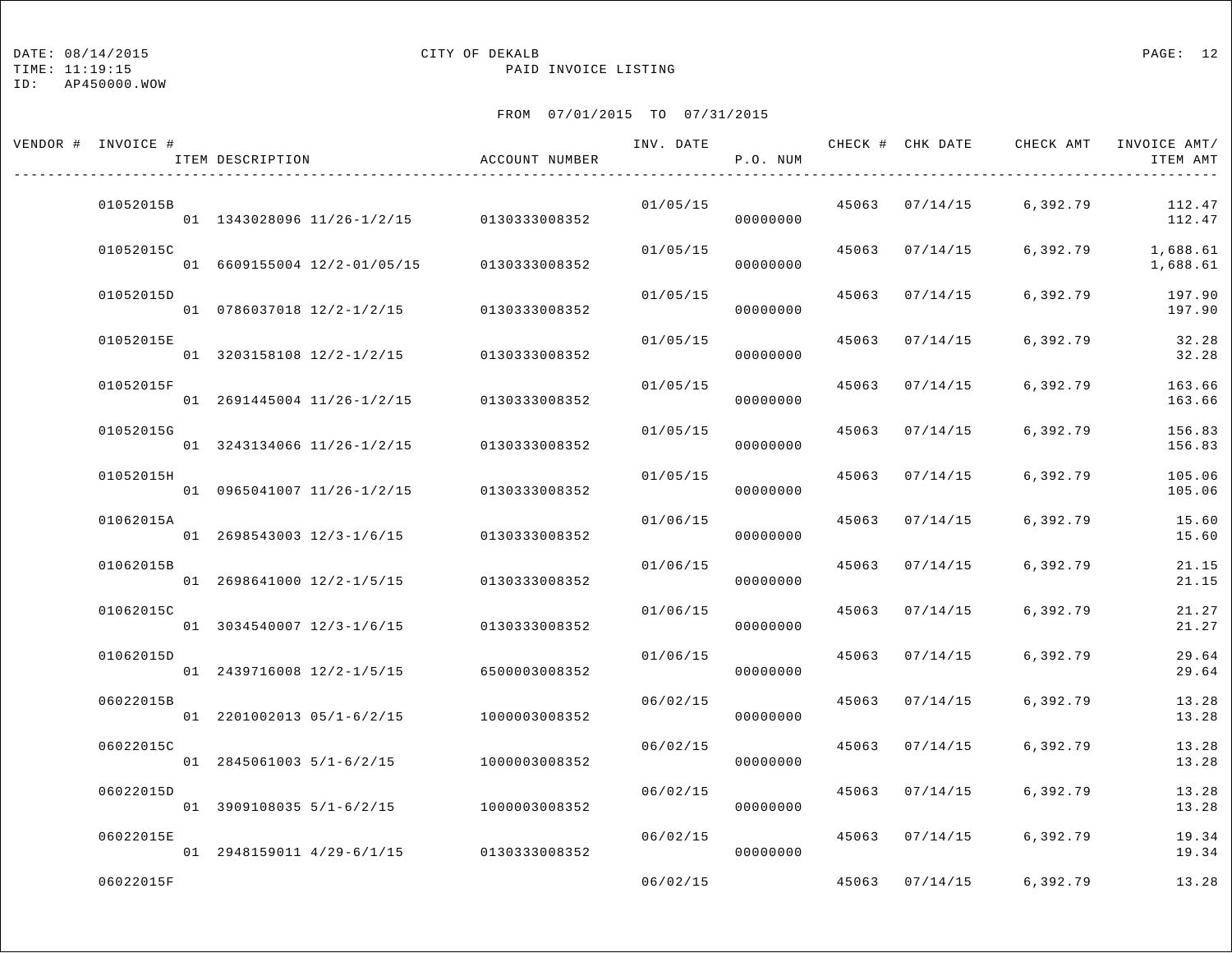TIME: 11:19:15 PAID INVOICE LISTING

ID: AP450000.WOW

| VENDOR # INVOICE # | ITEM DESCRIPTION            | ACCOUNT NUMBER | INV. DATE | P.O. NUM |       |                | CHECK # CHK DATE CHECK AMT | INVOICE AMT/<br>ITEM AMT |
|--------------------|-----------------------------|----------------|-----------|----------|-------|----------------|----------------------------|--------------------------|
| 01052015B          | 01 1343028096 11/26-1/2/15  | 0130333008352  | 01/05/15  | 00000000 |       | 45063 07/14/15 | 6,392.79                   | 112.47<br>112.47         |
| 01052015C          | 01 6609155004 12/2-01/05/15 | 0130333008352  | 01/05/15  | 00000000 |       | 45063 07/14/15 | 6,392.79                   | 1,688.61<br>1,688.61     |
| 01052015D          | 01 0786037018 12/2-1/2/15   | 0130333008352  | 01/05/15  | 00000000 |       | 45063 07/14/15 | 6,392.79                   | 197.90<br>197.90         |
| 01052015E          | 01 3203158108 12/2-1/2/15   | 0130333008352  | 01/05/15  | 00000000 | 45063 | 07/14/15       | 6,392.79                   | 32.28<br>32.28           |
| 01052015F          | 01 2691445004 11/26-1/2/15  | 0130333008352  | 01/05/15  | 00000000 | 45063 | 07/14/15       | 6,392.79                   | 163.66<br>163.66         |
| 01052015G          | 01 3243134066 11/26-1/2/15  | 0130333008352  | 01/05/15  | 00000000 |       | 45063 07/14/15 | 6,392.79                   | 156.83<br>156.83         |
| 01052015H          | 01 0965041007 11/26-1/2/15  | 0130333008352  | 01/05/15  | 00000000 | 45063 | 07/14/15       | 6,392.79                   | 105.06<br>105.06         |
| 01062015A          | 01 2698543003 12/3-1/6/15   | 0130333008352  | 01/06/15  | 00000000 | 45063 | 07/14/15       | 6,392.79                   | 15.60<br>15.60           |
| 01062015B          | 01 2698641000 12/2-1/5/15   | 0130333008352  | 01/06/15  | 00000000 | 45063 | 07/14/15       | 6,392.79                   | 21.15<br>21.15           |
| 01062015C          | 01 3034540007 12/3-1/6/15   | 0130333008352  | 01/06/15  | 00000000 | 45063 | 07/14/15       | 6,392.79                   | 21.27<br>21.27           |
| 01062015D          | 01 2439716008 12/2-1/5/15   | 6500003008352  | 01/06/15  | 00000000 | 45063 | 07/14/15       | 6,392.79                   | 29.64<br>29.64           |
| 06022015B          | 01 2201002013 05/1-6/2/15   | 1000003008352  | 06/02/15  | 00000000 | 45063 | 07/14/15       | 6,392.79                   | 13.28<br>13.28           |
| 06022015C          | 01 2845061003 5/1-6/2/15    | 1000003008352  | 06/02/15  | 00000000 | 45063 | 07/14/15       | 6,392.79                   | 13.28<br>13.28           |
| 06022015D          | 01 3909108035 5/1-6/2/15    | 1000003008352  | 06/02/15  | 00000000 | 45063 | 07/14/15       | 6,392.79                   | 13.28<br>13.28           |
| 06022015E          | 01 2948159011 4/29-6/1/15   | 0130333008352  | 06/02/15  | 00000000 |       | 45063 07/14/15 | 6,392.79                   | 19.34<br>19.34           |
| 06022015F          |                             |                | 06/02/15  |          |       |                | 45063 07/14/15 6,392.79    | 13.28                    |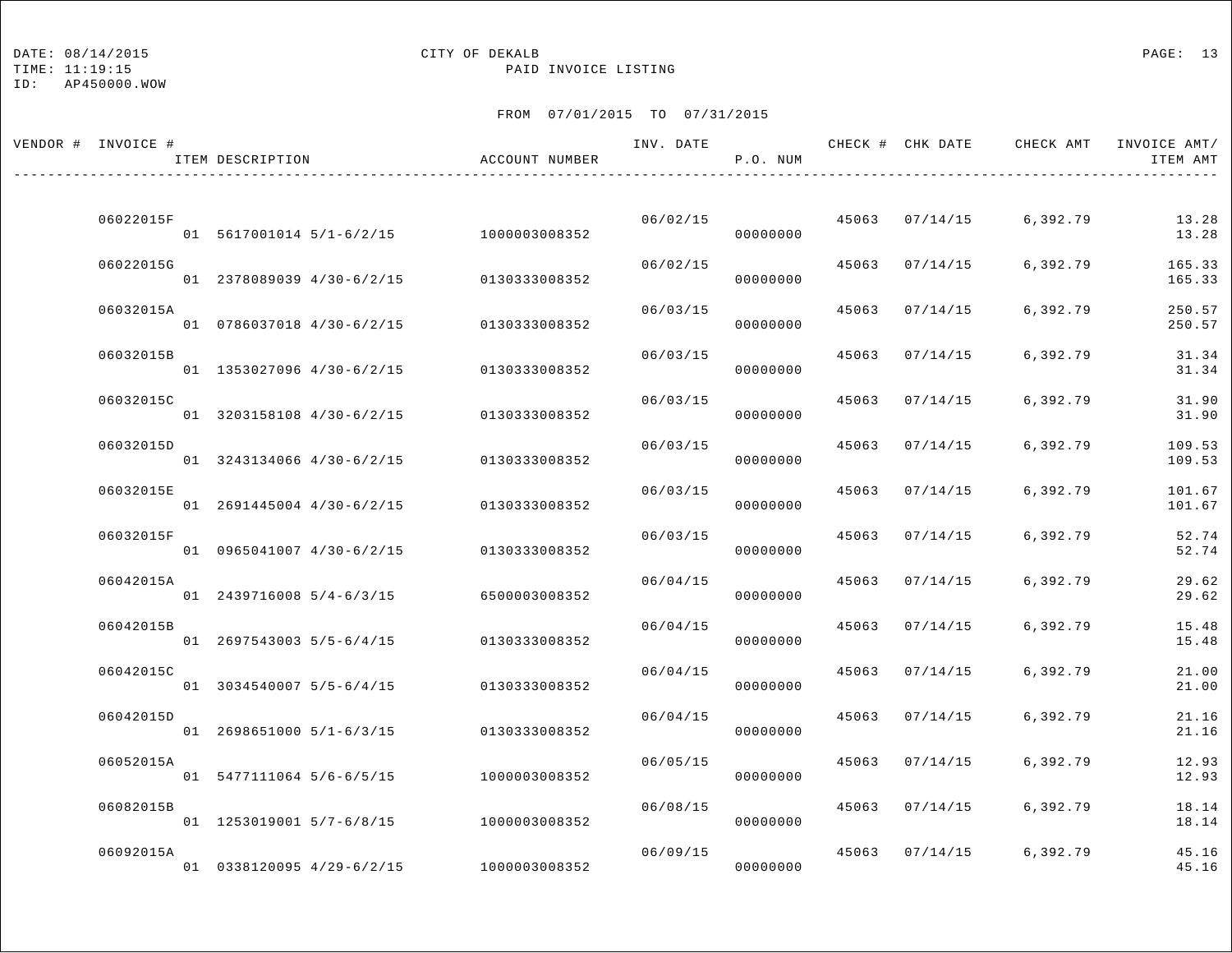### DATE:  $08/14/2015$  PAGE: 13

TIME: 11:19:15 PAID INVOICE LISTING

| VENDOR # INVOICE # | ITEM DESCRIPTION                       | ACCOUNT NUMBER | INV. DATE | P.O. NUM |       |                | CHECK # CHK DATE CHECK AMT INVOICE AMT/ | ITEM AMT         |
|--------------------|----------------------------------------|----------------|-----------|----------|-------|----------------|-----------------------------------------|------------------|
|                    |                                        |                |           |          |       |                |                                         |                  |
| 06022015F          | 01 5617001014 5/1-6/2/15 1000003008352 |                | 06/02/15  | 00000000 |       | 45063 07/14/15 | 6,392.79                                | 13.28<br>13.28   |
| 06022015G          | 01 2378089039 4/30-6/2/15              | 0130333008352  | 06/02/15  | 00000000 |       | 45063 07/14/15 | 6,392.79                                | 165.33<br>165.33 |
| 06032015A          | 01 0786037018 4/30-6/2/15              | 0130333008352  | 06/03/15  | 00000000 |       | 45063 07/14/15 | 6,392.79                                | 250.57<br>250.57 |
| 06032015B          | 01 1353027096 4/30-6/2/15              | 0130333008352  | 06/03/15  | 00000000 | 45063 | 07/14/15       | 6,392.79                                | 31.34<br>31.34   |
| 06032015C          | 01 3203158108 4/30-6/2/15              | 0130333008352  | 06/03/15  | 00000000 | 45063 | 07/14/15       | 6,392.79                                | 31.90<br>31.90   |
| 06032015D          | 01 3243134066 4/30-6/2/15              | 0130333008352  | 06/03/15  | 00000000 |       | 45063 07/14/15 | 6,392.79                                | 109.53<br>109.53 |
| 06032015E          | 01 2691445004 4/30-6/2/15              | 0130333008352  | 06/03/15  | 00000000 | 45063 | 07/14/15       | 6,392.79                                | 101.67<br>101.67 |
| 06032015F          | 01 0965041007 4/30-6/2/15              | 0130333008352  | 06/03/15  | 00000000 | 45063 | 07/14/15       | 6,392.79                                | 52.74<br>52.74   |
| 06042015A          | 01 2439716008 5/4-6/3/15               | 6500003008352  | 06/04/15  | 00000000 | 45063 | 07/14/15       | 6,392.79                                | 29.62<br>29.62   |
| 06042015B          | 01 2697543003 5/5-6/4/15               | 0130333008352  | 06/04/15  | 00000000 | 45063 | 07/14/15       | 6,392.79                                | 15.48<br>15.48   |
| 06042015C          |                                        |                | 06/04/15  |          | 45063 | 07/14/15       | 6,392.79                                | 21.00            |
| 06042015D          | $01$ 3034540007 5/5-6/4/15             | 0130333008352  | 06/04/15  | 00000000 | 45063 | 07/14/15       | 6,392.79                                | 21.00<br>21.16   |
| 06052015A          | 01 2698651000 5/1-6/3/15               | 0130333008352  | 06/05/15  | 00000000 |       | 45063 07/14/15 | 6,392.79                                | 21.16<br>12.93   |
|                    | 01 5477111064 5/6-6/5/15               | 1000003008352  |           | 00000000 |       |                |                                         | 12.93            |
| 06082015B          | 01 1253019001 5/7-6/8/15               | 1000003008352  | 06/08/15  | 00000000 | 45063 | 07/14/15       | 6,392.79                                | 18.14<br>18.14   |
| 06092015A          | 01 0338120095 4/29-6/2/15              | 1000003008352  | 06/09/15  | 00000000 | 45063 | 07/14/15       | 6,392.79                                | 45.16<br>45.16   |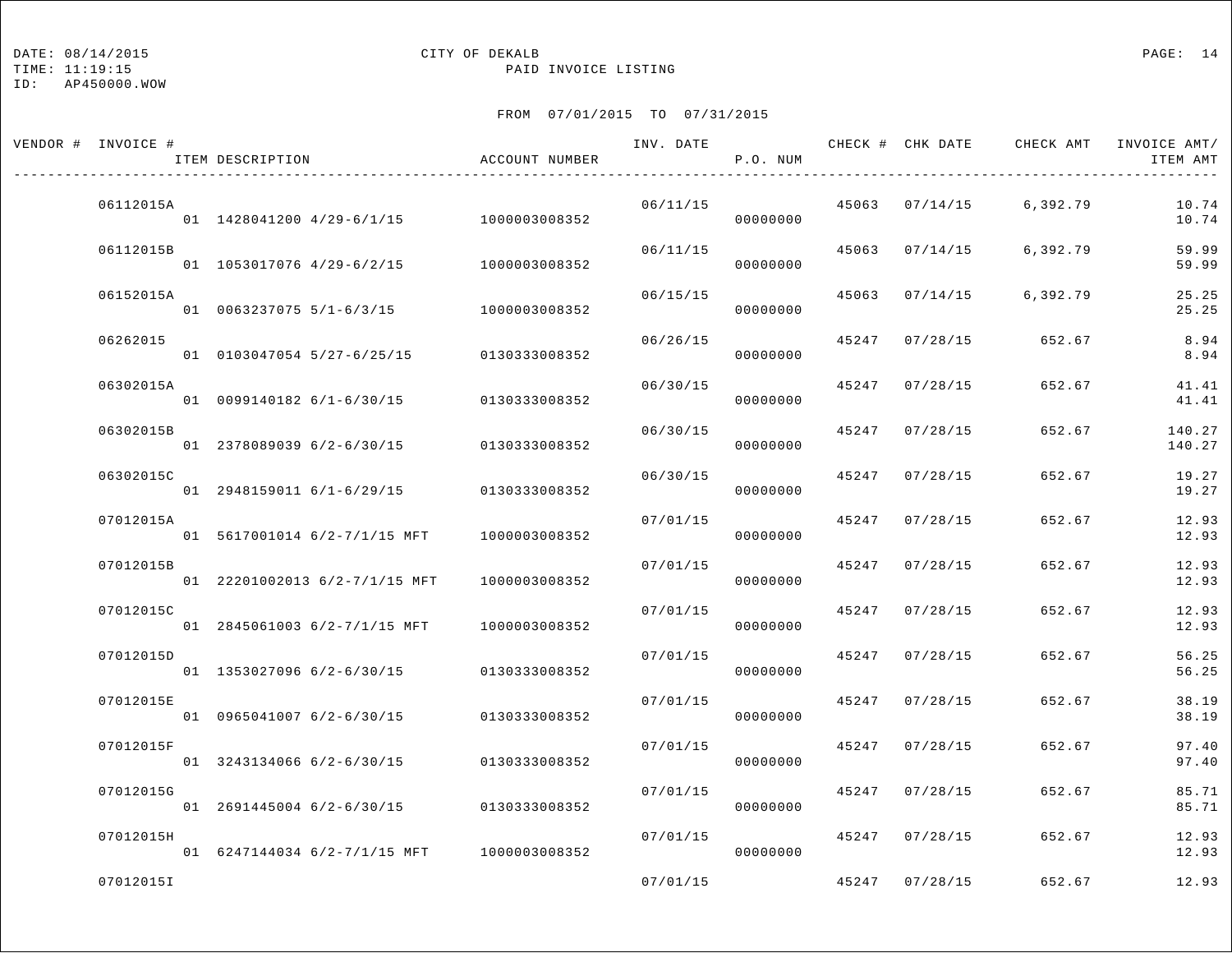TIME: 11:19:15 PAID INVOICE LISTING

ID: AP450000.WOW

| VENDOR # INVOICE # | ITEM DESCRIPTION                           | ACCOUNT NUMBER | INV. DATE | P.O. NUM |       | CHECK # CHK DATE | CHECK AMT | INVOICE AMT/<br>ITEM AMT |
|--------------------|--------------------------------------------|----------------|-----------|----------|-------|------------------|-----------|--------------------------|
| 06112015A          | 01 1428041200 4/29-6/1/15 1000003008352    |                | 06/11/15  | 00000000 |       | 45063 07/14/15   | 6,392.79  | 10.74<br>10.74           |
| 06112015B          | 01 1053017076 4/29-6/2/15                  | 1000003008352  | 06/11/15  | 00000000 |       | 45063 07/14/15   | 6,392.79  | 59.99<br>59.99           |
| 06152015A          | 01 0063237075 5/1-6/3/15                   | 1000003008352  | 06/15/15  | 00000000 | 45063 | 07/14/15         | 6,392.79  | 25.25<br>25.25           |
| 06262015           | 01 0103047054 5/27-6/25/15                 | 0130333008352  | 06/26/15  | 00000000 | 45247 | 07/28/15         | 652.67    | 8.94<br>8.94             |
| 06302015A          | $01$ 0099140182 6/1-6/30/15                | 0130333008352  | 06/30/15  | 00000000 | 45247 | 07/28/15         | 652.67    | 41.41<br>41.41           |
| 06302015B          | 01 2378089039 6/2-6/30/15                  | 0130333008352  | 06/30/15  | 00000000 | 45247 | 07/28/15         | 652.67    | 140.27<br>140.27         |
| 06302015C          | 01 2948159011 6/1-6/29/15                  | 0130333008352  | 06/30/15  | 00000000 | 45247 | 07/28/15         | 652.67    | 19.27<br>19.27           |
| 07012015A          | 01 5617001014 6/2-7/1/15 MFT               | 1000003008352  | 07/01/15  | 00000000 | 45247 | 07/28/15         | 652.67    | 12.93<br>12.93           |
| 07012015B          | 01 22201002013 6/2-7/1/15 MFT              | 1000003008352  | 07/01/15  | 00000000 | 45247 | 07/28/15         | 652.67    | 12.93<br>12.93           |
| 07012015C          | 01 2845061003 6/2-7/1/15 MFT               | 1000003008352  | 07/01/15  | 00000000 | 45247 | 07/28/15         | 652.67    | 12.93<br>12.93           |
| 07012015D          | 01 1353027096 6/2-6/30/15                  | 0130333008352  | 07/01/15  | 00000000 | 45247 | 07/28/15         | 652.67    | 56.25<br>56.25           |
| 07012015E          | 01 0965041007 6/2-6/30/15                  | 0130333008352  | 07/01/15  | 00000000 | 45247 | 07/28/15         | 652.67    | 38.19<br>38.19           |
| 07012015F          | 01 3243134066 6/2-6/30/15                  | 0130333008352  | 07/01/15  | 00000000 | 45247 | 07/28/15         | 652.67    | 97.40<br>97.40           |
| 07012015G          | 01 2691445004 6/2-6/30/15                  | 0130333008352  | 07/01/15  | 00000000 | 45247 | 07/28/15         | 652.67    | 85.71<br>85.71           |
| 07012015H          | 01 6247144034 6/2-7/1/15 MFT 1000003008352 |                | 07/01/15  | 00000000 | 45247 | 07/28/15         | 652.67    | 12.93<br>12.93           |
| 07012015I          |                                            |                | 07/01/15  |          |       | 45247 07/28/15   | 652.67    | 12.93                    |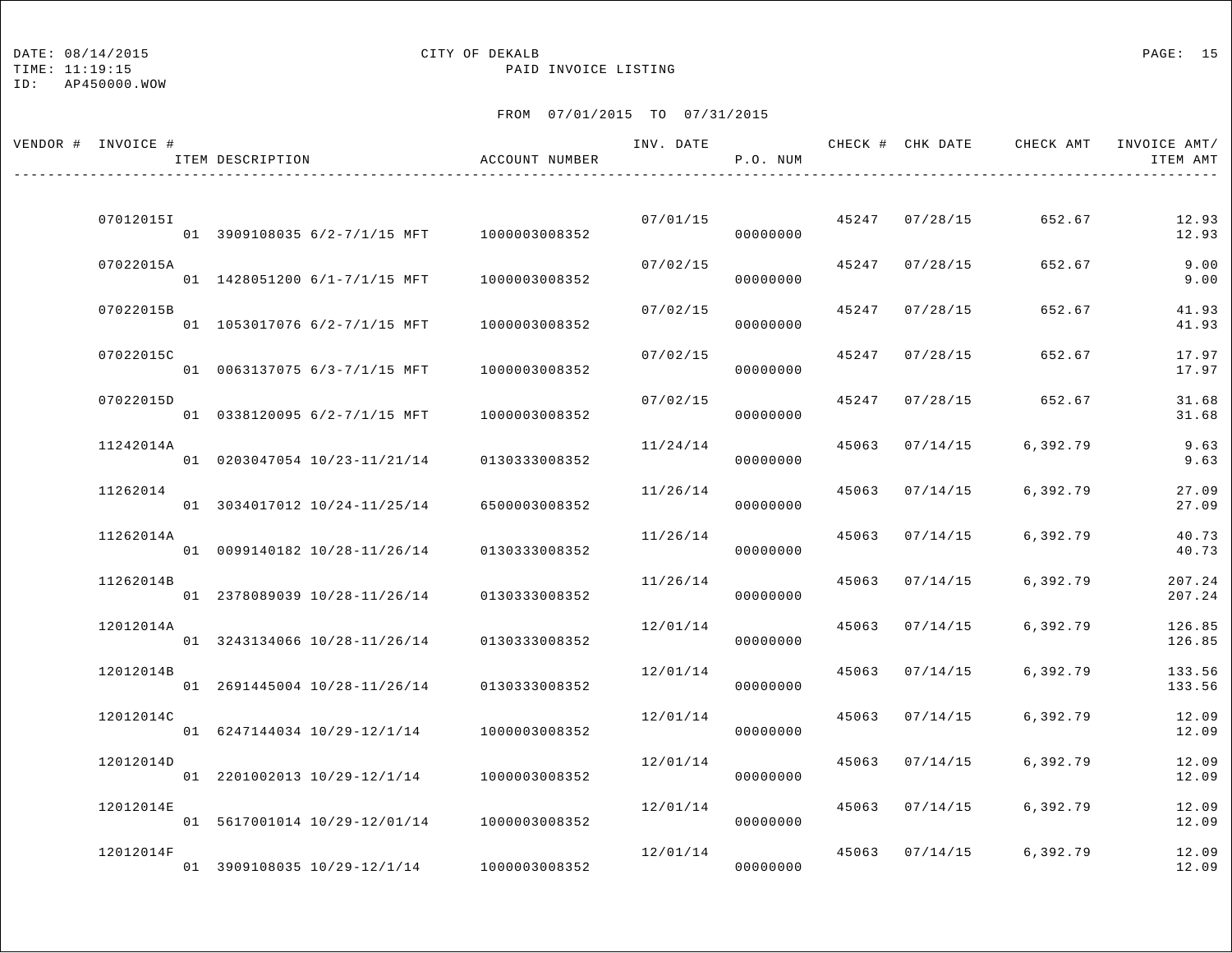## DATE:  $08/14/2015$  PAGE: 15

TIME: 11:19:15 PAID INVOICE LISTING

| VENDOR # INVOICE # | ITEM DESCRIPTION                           | ACCOUNT NUMBER | INV. DATE | P.O. NUM |       |                | CHECK # CHK DATE CHECK AMT | INVOICE AMT/<br>ITEM AMT |
|--------------------|--------------------------------------------|----------------|-----------|----------|-------|----------------|----------------------------|--------------------------|
| 07012015I          | 01 3909108035 6/2-7/1/15 MFT 1000003008352 |                | 07/01/15  | 00000000 |       | 45247 07/28/15 | 652.67                     | 12.93<br>12.93           |
| 07022015A          | 01 1428051200 6/1-7/1/15 MFT               | 1000003008352  | 07/02/15  | 00000000 |       | 45247 07/28/15 | 652.67                     | 9.00<br>9.00             |
| 07022015B          | 01 1053017076 6/2-7/1/15 MFT               | 1000003008352  | 07/02/15  | 00000000 | 45247 | 07/28/15       | 652.67                     | 41.93<br>41.93           |
| 07022015C          | 01 0063137075 6/3-7/1/15 MFT               | 1000003008352  | 07/02/15  | 00000000 | 45247 | 07/28/15       | 652.67                     | 17.97<br>17.97           |
| 07022015D          | 01 0338120095 6/2-7/1/15 MFT               | 1000003008352  | 07/02/15  | 00000000 | 45247 | 07/28/15       | 652.67                     | 31.68<br>31.68           |
| 11242014A          | 01 0203047054 10/23-11/21/14               | 0130333008352  | 11/24/14  | 00000000 |       | 45063 07/14/15 | 6,392.79                   | 9.63<br>9.63             |
| 11262014           | 01 3034017012 10/24-11/25/14               | 6500003008352  | 11/26/14  | 00000000 | 45063 | 07/14/15       | 6,392.79                   | 27.09<br>27.09           |
| 11262014A          | 01 0099140182 10/28-11/26/14               | 0130333008352  | 11/26/14  | 00000000 | 45063 | 07/14/15       | 6,392.79                   | 40.73<br>40.73           |
| 11262014B          | 01 2378089039 10/28-11/26/14               | 0130333008352  | 11/26/14  | 00000000 | 45063 | 07/14/15       | 6,392.79                   | 207.24<br>207.24         |
| 12012014A          | 01 3243134066 10/28-11/26/14               | 0130333008352  | 12/01/14  | 00000000 | 45063 | 07/14/15       | 6,392.79                   | 126.85<br>126.85         |
| 12012014B          | 01 2691445004 10/28-11/26/14               | 0130333008352  | 12/01/14  | 00000000 | 45063 | 07/14/15       | 6,392.79                   | 133.56<br>133.56         |
| 12012014C          | 01 6247144034 10/29-12/1/14                | 1000003008352  | 12/01/14  | 00000000 | 45063 | 07/14/15       | 6,392.79                   | 12.09<br>12.09           |
| 12012014D          | 01 2201002013 10/29-12/1/14                | 1000003008352  | 12/01/14  | 00000000 | 45063 | 07/14/15       | 6,392.79                   | 12.09<br>12.09           |
| 12012014E          | 01 5617001014 10/29-12/01/14               | 1000003008352  | 12/01/14  | 00000000 | 45063 | 07/14/15       | 6,392.79                   | 12.09<br>12.09           |
| 12012014F          | 01 3909108035 10/29-12/1/14 1000003008352  |                | 12/01/14  | 00000000 |       | 45063 07/14/15 | 6,392.79                   | 12.09<br>12.09           |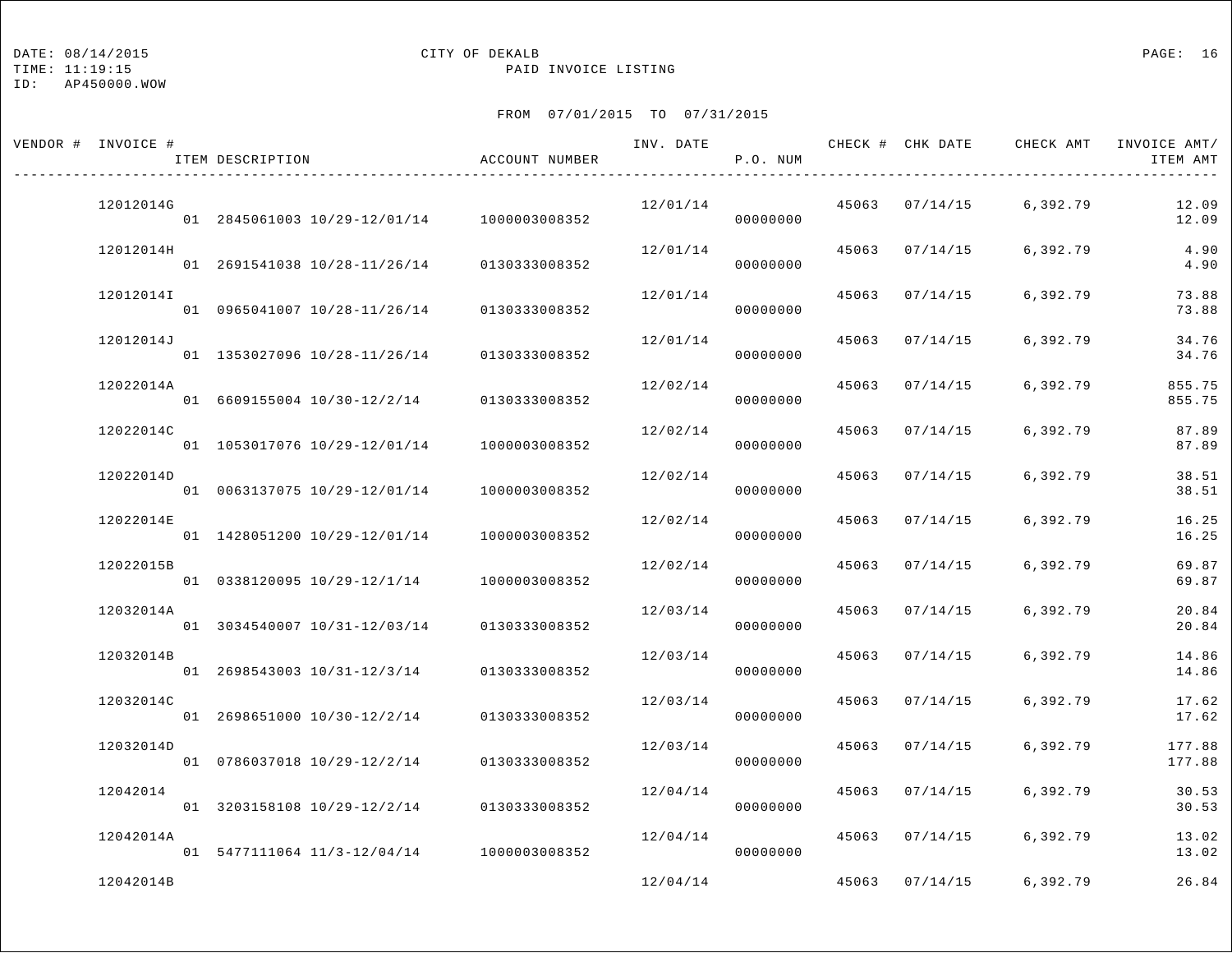TIME: 11:19:15 PAID INVOICE LISTING

ID: AP450000.WOW

| VENDOR # INVOICE # | ITEM DESCRIPTION                           | ACCOUNT NUMBER | INV. DATE | P.O. NUM |       |                | CHECK # CHK DATE CHECK AMT INVOICE AMT/ | ITEM AMT         |
|--------------------|--------------------------------------------|----------------|-----------|----------|-------|----------------|-----------------------------------------|------------------|
| 12012014G          | 01 2845061003 10/29-12/01/14 1000003008352 |                | 12/01/14  | 00000000 |       | 45063 07/14/15 | 6,392.79                                | 12.09<br>12.09   |
| 12012014H          | 01 2691541038 10/28-11/26/14               | 0130333008352  | 12/01/14  | 00000000 |       | 45063 07/14/15 | 6,392.79                                | 4.90<br>4.90     |
| 120120141          | 01 0965041007 10/28-11/26/14               | 0130333008352  | 12/01/14  | 00000000 | 45063 | 07/14/15       | 6,392.79                                | 73.88<br>73.88   |
| 12012014J          | 01 1353027096 10/28-11/26/14               | 0130333008352  | 12/01/14  | 00000000 | 45063 | 07/14/15       | 6,392.79                                | 34.76<br>34.76   |
| 12022014A          | 01 6609155004 10/30-12/2/14                | 0130333008352  | 12/02/14  | 00000000 | 45063 | 07/14/15       | 6,392.79                                | 855.75<br>855.75 |
| 12022014C          | 01 1053017076 10/29-12/01/14               | 1000003008352  | 12/02/14  | 00000000 |       | 45063 07/14/15 | 6,392.79                                | 87.89<br>87.89   |
| 12022014D          | 01 0063137075 10/29-12/01/14               | 1000003008352  | 12/02/14  | 00000000 | 45063 | 07/14/15       | 6,392.79                                | 38.51<br>38.51   |
| 12022014E          | 01 1428051200 10/29-12/01/14               | 1000003008352  | 12/02/14  | 00000000 | 45063 | 07/14/15       | 6,392.79                                | 16.25<br>16.25   |
| 12022015B          | 01 0338120095 10/29-12/1/14                | 1000003008352  | 12/02/14  | 00000000 | 45063 | 07/14/15       | 6,392.79                                | 69.87<br>69.87   |
| 12032014A          | 01 3034540007 10/31-12/03/14               | 0130333008352  | 12/03/14  | 00000000 |       | 45063 07/14/15 | 6,392.79                                | 20.84<br>20.84   |
| 12032014B          | 01 2698543003 10/31-12/3/14                | 0130333008352  | 12/03/14  | 00000000 | 45063 | 07/14/15       | 6,392.79                                | 14.86<br>14.86   |
| 12032014C          | 01 2698651000 10/30-12/2/14                | 0130333008352  | 12/03/14  | 00000000 | 45063 | 07/14/15       | 6,392.79                                | 17.62<br>17.62   |
| 12032014D          | 01 0786037018 10/29-12/2/14                | 0130333008352  | 12/03/14  | 00000000 | 45063 | 07/14/15       | 6,392.79                                | 177.88<br>177.88 |
| 12042014           | 01 3203158108 10/29-12/2/14 0130333008352  |                | 12/04/14  | 00000000 | 45063 | 07/14/15       | 6,392.79                                | 30.53<br>30.53   |
| 12042014A          | 01 5477111064 11/3-12/04/14 1000003008352  |                | 12/04/14  | 00000000 | 45063 | 07/14/15       | 6,392.79                                | 13.02<br>13.02   |
| 12042014B          |                                            |                | 12/04/14  |          |       | 45063 07/14/15 | 6,392.79                                | 26.84            |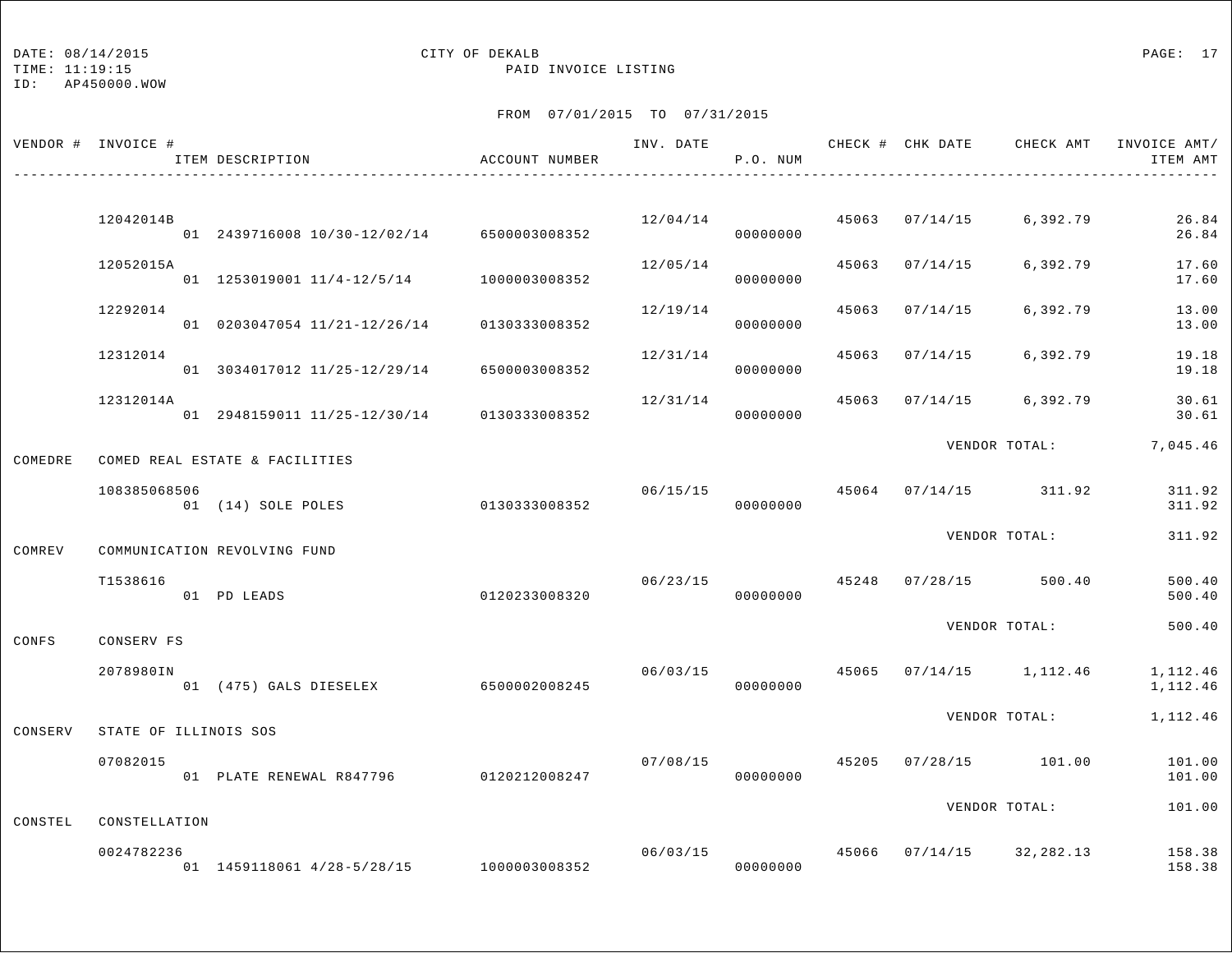## DATE:  $08/14/2015$  PAGE: 17

TIME: 11:19:15 PAID INVOICE LISTING

|         | VENDOR # INVOICE #          | ITEM DESCRIPTION                            | ACCOUNT NUMBER | INV. DATE      | P.O. NUM             |       |                | CHECK # CHK DATE CHECK AMT                | INVOICE AMT/<br>ITEM AMT |
|---------|-----------------------------|---------------------------------------------|----------------|----------------|----------------------|-------|----------------|-------------------------------------------|--------------------------|
|         |                             |                                             |                |                |                      |       |                |                                           |                          |
|         | 12042014B                   | 01 2439716008 10/30-12/02/14 6500003008352  |                |                | 00000000             |       |                | $12/04/14$ $45063$ $07/14/15$ 6,392.79    | 26.84<br>26.84           |
|         | 12052015A                   | 01 1253019001 11/4-12/5/14 1000003008352    |                | 12/05/14       | 00000000             |       | 45063 07/14/15 | 6,392.79                                  | 17.60<br>17.60           |
|         | 12292014                    | 01 0203047054 11/21-12/26/14                | 0130333008352  | 12/19/14       | 00000000             | 45063 | 07/14/15       | 6,392.79                                  | 13.00<br>13.00           |
|         | 12312014                    | 01 3034017012 11/25-12/29/14                | 6500003008352  | 12/31/14       | 00000000             | 45063 | 07/14/15       | 6,392.79                                  | 19.18<br>19.18           |
|         | 12312014A                   | 01 2948159011 11/25-12/30/14                | 0130333008352  | 12/31/14       | 00000000             |       |                | 45063 07/14/15 6,392.79                   | 30.61<br>30.61           |
| COMEDRE |                             | COMED REAL ESTATE & FACILITIES              |                |                |                      |       |                | VENDOR TOTAL:                             | 7,045.46                 |
|         | 108385068506                | 01 (14) SOLE POLES                          | 0130333008352  |                | 00000000             |       |                | $06/15/15$ 45064 07/14/15 311.92          | 311.92<br>311.92         |
| COMREV  |                             | COMMUNICATION REVOLVING FUND                |                |                |                      |       |                | VENDOR TOTAL:                             | 311.92                   |
|         | T1538616                    | 01 PD LEADS                                 | 0120233008320  |                | 06/23/15<br>00000000 |       |                | 45248 07/28/15 500.40                     | 500.40<br>500.40         |
| CONFS   | CONSERV FS                  |                                             |                |                |                      |       |                | VENDOR TOTAL:                             | 500.40                   |
|         | 2078980IN                   | 01 (475) GALS DIESELEX                      | 6500002008245  | 06/03/15 45065 | 00000000             |       |                | $07/14/15$ 1, 112.46                      | 1,112.46<br>1,112.46     |
| CONSERV | STATE OF ILLINOIS SOS       |                                             |                |                |                      |       |                | VENDOR TOTAL:                             | 1,112.46                 |
|         | 07082015                    | 01 PLATE RENEWAL R847796 0120212008247      |                | 07/08/15       | 00000000             |       |                | 45205 07/28/15 101.00                     | 101.00<br>101.00         |
|         |                             |                                             |                |                |                      |       |                | VENDOR TOTAL:                             | 101.00                   |
| CONSTEL | CONSTELLATION<br>0024782236 | 01  1459118061  4/28-5/28/15  1000003008352 |                |                | 00000000             |       |                | $06/03/15$ $45066$ $07/14/15$ $32,282.13$ | 158.38<br>158.38         |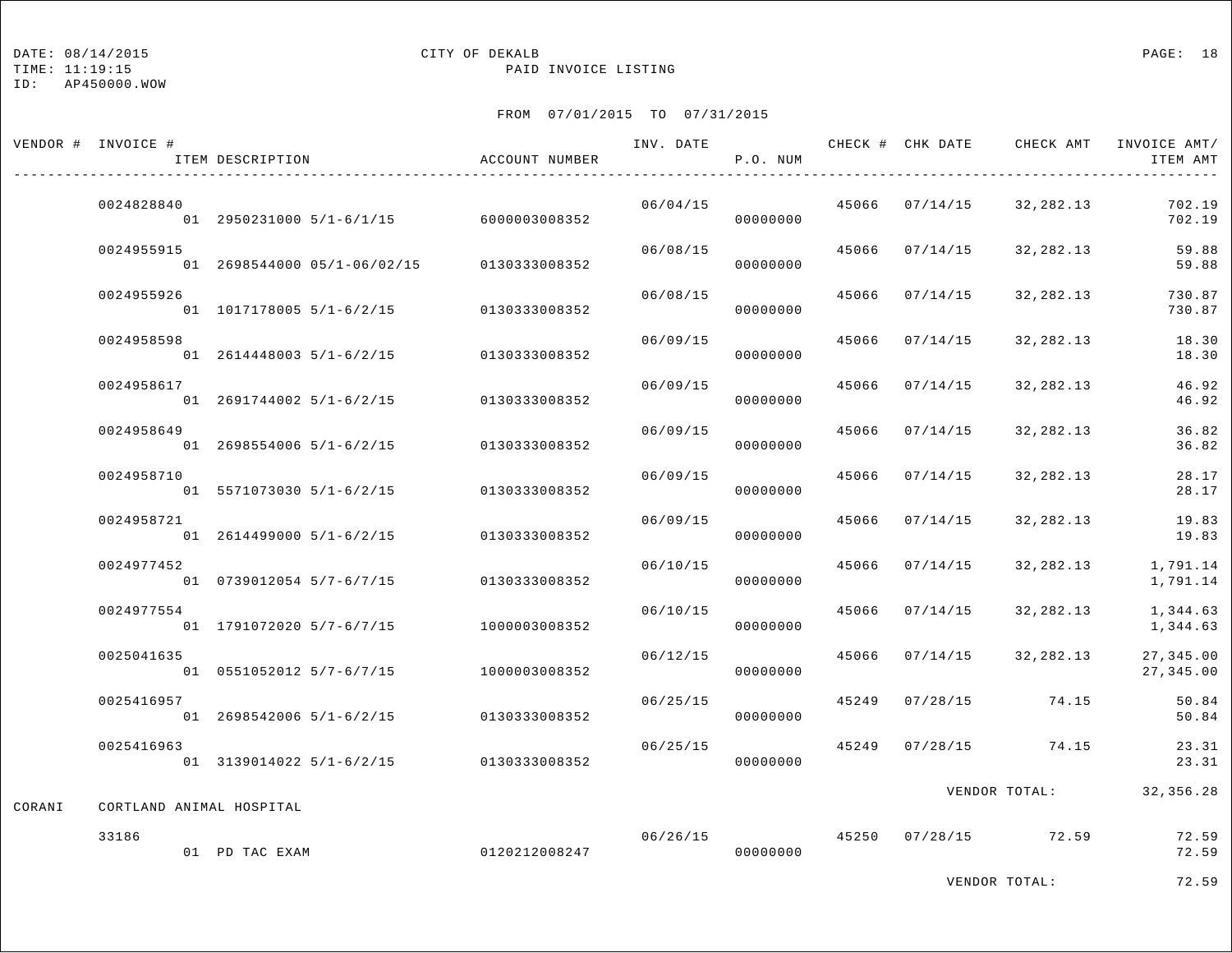#### DATE: 08/14/2015 CITY OF DEKALB PAGE: 18

TIME: 11:19:15 PAID INVOICE LISTING

ID: AP450000.WOW

|        | VENDOR # INVOICE #       | ITEM DESCRIPTION                          | ACCOUNT NUMBER |          | P.O. NUM             |                |                                       | ITEM AMT               |
|--------|--------------------------|-------------------------------------------|----------------|----------|----------------------|----------------|---------------------------------------|------------------------|
|        | 0024828840               | 01 2950231000 5/1-6/1/15 6000003008352    |                | 06/04/15 | 00000000             |                | 45066 07/14/15 32,282.13              | 702.19<br>702.19       |
|        | 0024955915               | 01 2698544000 05/1-06/02/15 0130333008352 |                |          | 06/08/15<br>00000000 |                | 45066 07/14/15 32,282.13              | 59.88<br>59.88         |
|        | 0024955926               | 01 1017178005 5/1-6/2/15 0130333008352    |                | 06/08/15 | 00000000             | 45066 07/14/15 | 32,282.13                             | 730.87<br>730.87       |
|        | 0024958598               | 01 2614448003 5/1-6/2/15 0130333008352    |                | 06/09/15 | 00000000             | 45066 07/14/15 | 32,282.13                             | 18.30<br>18.30         |
|        | 0024958617               | 01 2691744002 5/1-6/2/15 0130333008352    |                | 06/09/15 | 00000000             |                | 45066 07/14/15 32,282.13              | 46.92<br>46.92         |
|        | 0024958649               | 01  2698554006  5/1-6/2/15  0130333008352 |                | 06/09/15 | 00000000             | 45066 07/14/15 | 32,282.13                             | 36.82<br>36.82         |
|        | 0024958710               | 01 5571073030 5/1-6/2/15                  | 0130333008352  | 06/09/15 | 00000000             | 45066 07/14/15 | 32,282.13                             | 28.17<br>28.17         |
|        | 0024958721               | 01 2614499000 5/1-6/2/15 0130333008352    |                | 06/09/15 | 00000000             | 45066 07/14/15 | 32,282.13                             | 19.83<br>19.83         |
|        | 0024977452               | 01 0739012054 5/7-6/7/15                  | 0130333008352  | 06/10/15 | 00000000             | 45066 07/14/15 | 32,282.13                             | 1,791.14<br>1,791.14   |
|        | 0024977554               | 01 1791072020 5/7-6/7/15 1000003008352    |                | 06/10/15 | 00000000             | 45066 07/14/15 | 32,282.13                             | 1,344.63<br>1,344.63   |
|        | 0025041635               | 01 0551052012 5/7-6/7/15                  | 1000003008352  | 06/12/15 | 00000000             |                | 45066 07/14/15 32,282.13              | 27,345.00<br>27,345.00 |
|        | 0025416957               | 01 2698542006 5/1-6/2/15 0130333008352    |                | 06/25/15 | 00000000             |                | 45249 07/28/15 74.15                  | 50.84<br>50.84         |
|        | 0025416963               | 01 3139014022 5/1-6/2/15 0130333008352    |                | 06/25/15 | 00000000             |                | 45249 07/28/15 74.15                  | 23.31<br>23.31         |
| CORANI | CORTLAND ANIMAL HOSPITAL |                                           |                |          |                      |                | VENDOR TOTAL: 32,356.28               |                        |
|        | 33186                    | 01 PD TAC EXAM                            | 0120212008247  |          | 00000000             |                | $06/26/15$ $45250$ $07/28/15$ $72.59$ | 72.59<br>72.59         |
|        |                          |                                           |                |          |                      |                |                                       | .                      |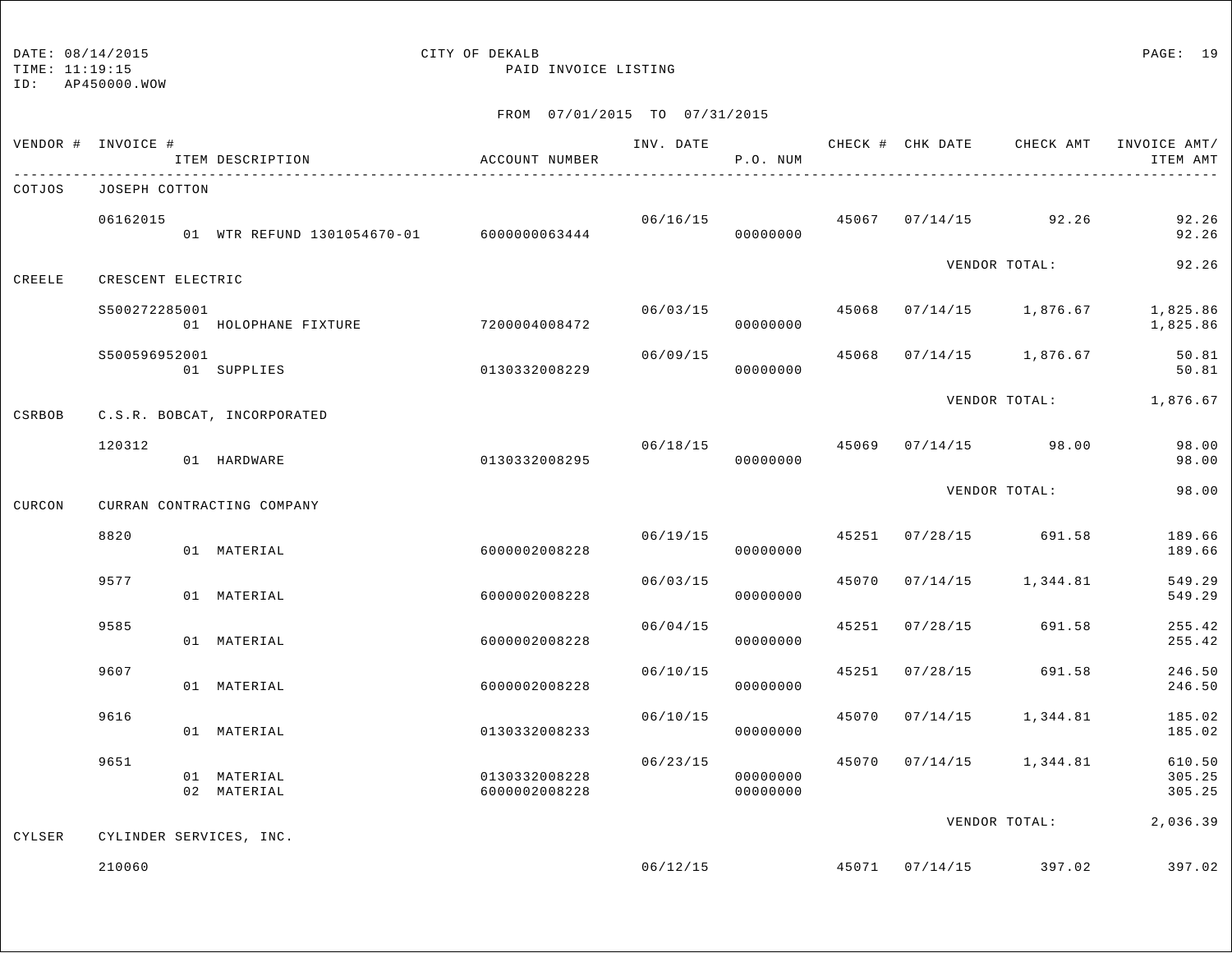TIME: 11:19:15 PAID INVOICE LISTING

|        | VENDOR # INVOICE # | ITEM DESCRIPTION                          | ACCOUNT NUMBER                 |          | P.O. NUM             |       |                |                                       | INV. DATE 6 CHECK # CHK DATE CHECK AMT INVOICE AMT/<br>ITEM AMT |
|--------|--------------------|-------------------------------------------|--------------------------------|----------|----------------------|-------|----------------|---------------------------------------|-----------------------------------------------------------------|
| COTJOS | JOSEPH COTTON      |                                           |                                |          |                      |       |                |                                       |                                                                 |
|        | 06162015           | 01 WTR REFUND 1301054670-01 6000000063444 |                                |          | 00000000             |       |                | $06/16/15$ $45067$ $07/14/15$ $92.26$ | 92.26<br>92.26                                                  |
| CREELE | CRESCENT ELECTRIC  |                                           |                                |          |                      |       |                | VENDOR TOTAL:                         | 92.26                                                           |
|        | \$500272285001     | 01 HOLOPHANE FIXTURE 7200004008472        |                                | 06/03/15 | 00000000             |       |                |                                       | 45068 07/14/15 1,876.67 1,825.86<br>1,825.86                    |
|        | S500596952001      | 01 SUPPLIES                               | 0130332008229                  | 06/09/15 | 00000000             | 45068 |                | 07/14/15 1,876.67                     | 50.81<br>50.81                                                  |
| CSRBOB |                    | C.S.R. BOBCAT, INCORPORATED               |                                |          |                      |       |                |                                       | VENDOR TOTAL: 1,876.67                                          |
|        | 120312             | 01 HARDWARE                               | 0130332008295                  |          | 06/18/15<br>00000000 |       |                | 45069 07/14/15 98.00                  | 98.00<br>98.00                                                  |
| CURCON |                    | CURRAN CONTRACTING COMPANY                |                                |          |                      |       |                | VENDOR TOTAL:                         | 98.00                                                           |
|        | 8820               | 01 MATERIAL                               | 6000002008228                  |          | 06/19/15<br>00000000 |       |                | 45251 07/28/15 691.58                 | 189.66<br>189.66                                                |
|        | 9577               | 01 MATERIAL                               | 6000002008228                  | 06/03/15 | 00000000             | 45070 | 07/14/15       | 1,344.81                              | 549.29<br>549.29                                                |
|        | 9585               | 01 MATERIAL                               | 6000002008228                  | 06/04/15 | 00000000             |       | 45251 07/28/15 | 691.58                                | 255.42<br>255.42                                                |
|        | 9607               | 01 MATERIAL                               | 6000002008228                  | 06/10/15 | 00000000             | 45251 | 07/28/15       | 691.58                                | 246.50<br>246.50                                                |
|        | 9616               | 01 MATERIAL                               | 0130332008233                  | 06/10/15 | 00000000             |       | 45070 07/14/15 | 1,344.81                              | 185.02<br>185.02                                                |
|        | 9651               | 01 MATERIAL<br>02 MATERIAL                | 0130332008228<br>6000002008228 | 06/23/15 | 00000000<br>00000000 |       |                | 45070 07/14/15 1,344.81               | 610.50<br>305.25<br>305.25                                      |
| CYLSER |                    | CYLINDER SERVICES, INC.                   |                                |          |                      |       |                | VENDOR TOTAL:                         | 2,036.39                                                        |
|        | 210060             |                                           |                                |          | 06/12/15             |       |                | 45071 07/14/15 397.02                 | 397.02                                                          |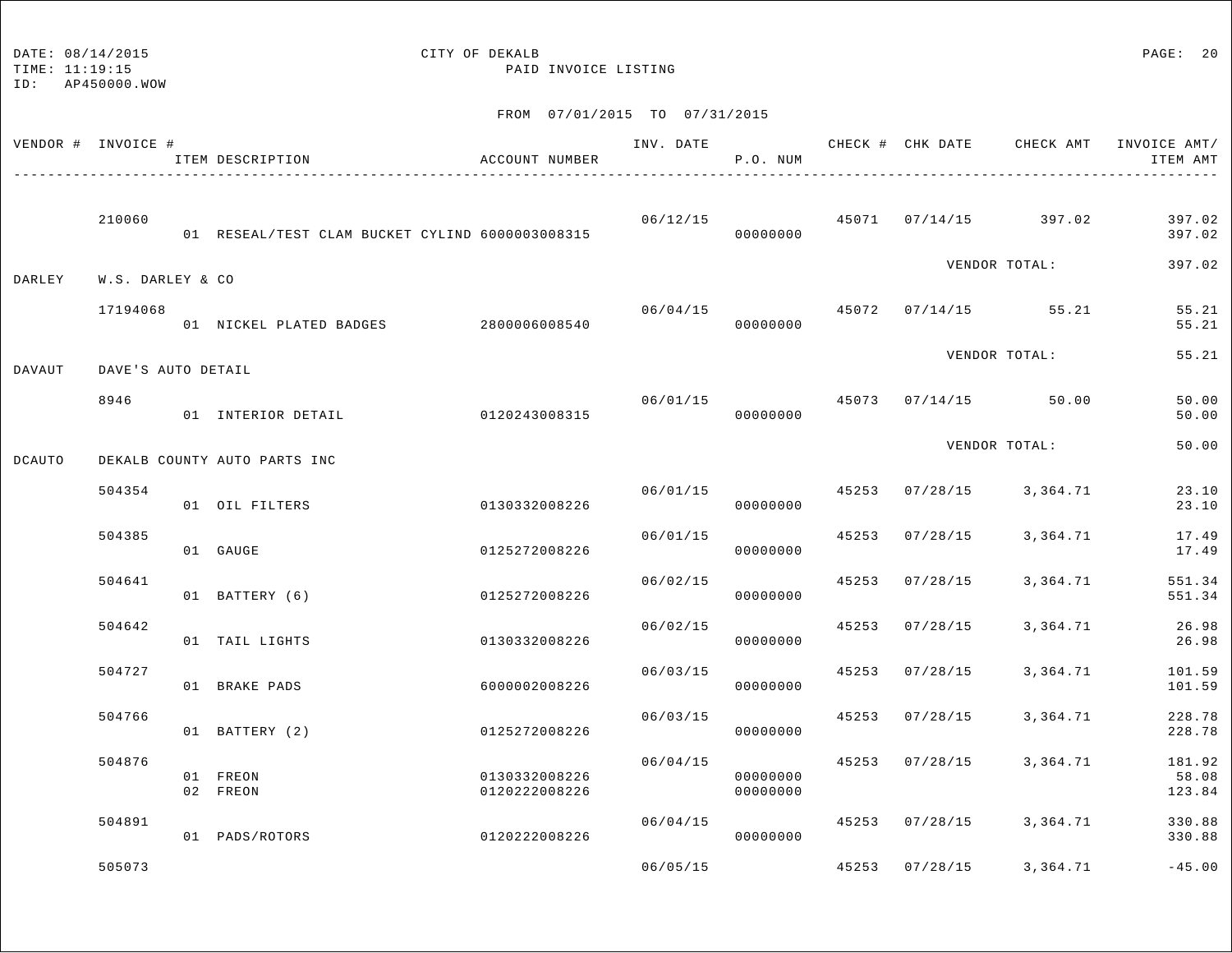TIME: 11:19:15 PAID INVOICE LISTING

ID: AP450000.WOW

| VENDOR # INVOICE # |                    | ITEM DESCRIPTION                                | ACCOUNT NUMBER                 |          | P.O. NUM             |                |                                        | INV. DATE 6 1997 CHECK # CHK DATE CHECK AMT INVOICE AMT<br>ITEM AMT |
|--------------------|--------------------|-------------------------------------------------|--------------------------------|----------|----------------------|----------------|----------------------------------------|---------------------------------------------------------------------|
|                    | 210060             | 01 RESEAL/TEST CLAM BUCKET CYLIND 6000003008315 |                                |          | 00000000             |                | $06/12/15$ $45071$ $07/14/15$ $397.02$ | 397.02<br>397.02                                                    |
| DARLEY             | W.S. DARLEY & CO   |                                                 |                                |          |                      |                | VENDOR TOTAL:                          | 397.02                                                              |
|                    | 17194068           | 01 NICKEL PLATED BADGES 2800006008540           |                                | 06/04/15 | 00000000             |                | 45072 07/14/15 55.21                   | 55.21<br>55.21                                                      |
| DAVAUT             | DAVE'S AUTO DETAIL |                                                 |                                |          |                      |                | VENDOR TOTAL:                          | 55.21                                                               |
|                    | 8946               | 01 INTERIOR DETAIL                              | 0120243008315                  |          | 00000000             |                | $06/01/15$ $45073$ $07/14/15$ $50.00$  | 50.00<br>50.00                                                      |
| DCAUTO             |                    | DEKALB COUNTY AUTO PARTS INC                    |                                |          |                      |                | VENDOR TOTAL:                          | 50.00                                                               |
|                    | 504354             | 01 OIL FILTERS                                  | 0130332008226                  | 06/01/15 | 00000000             |                | 45253 07/28/15 3,364.71                | 23.10<br>23.10                                                      |
|                    | 504385             | 01 GAUGE                                        | 0125272008226                  | 06/01/15 | 00000000             | 45253 07/28/15 | 3,364.71                               | 17.49<br>17.49                                                      |
|                    | 504641             | 01 BATTERY (6)                                  | 0125272008226                  | 06/02/15 | 00000000             | 45253 07/28/15 | 3,364.71                               | 551.34<br>551.34                                                    |
|                    | 504642             | 01 TAIL LIGHTS                                  | 0130332008226                  | 06/02/15 | 00000000             | 45253 07/28/15 | 3,364.71                               | 26.98<br>26.98                                                      |
|                    | 504727             | 01 BRAKE PADS                                   | 6000002008226                  | 06/03/15 | 00000000             | 45253 07/28/15 | 3,364.71                               | 101.59<br>101.59                                                    |
|                    | 504766             | 01 BATTERY (2)                                  | 0125272008226                  | 06/03/15 | 00000000             | 45253 07/28/15 | 3,364.71                               | 228.78<br>228.78                                                    |
|                    | 504876             | 01 FREON<br>02 FREON                            | 0130332008226<br>0120222008226 | 06/04/15 | 00000000<br>00000000 | 45253 07/28/15 | 3,364.71                               | 181.92<br>58.08<br>123.84                                           |
|                    | 504891             | 01 PADS/ROTORS                                  | 0120222008226                  | 06/04/15 | 00000000             |                | 45253 07/28/15 3,364.71                | 330.88<br>330.88                                                    |
|                    | 505073             |                                                 |                                | 06/05/15 |                      | 45253 07/28/15 | 3,364.71                               | $-45.00$                                                            |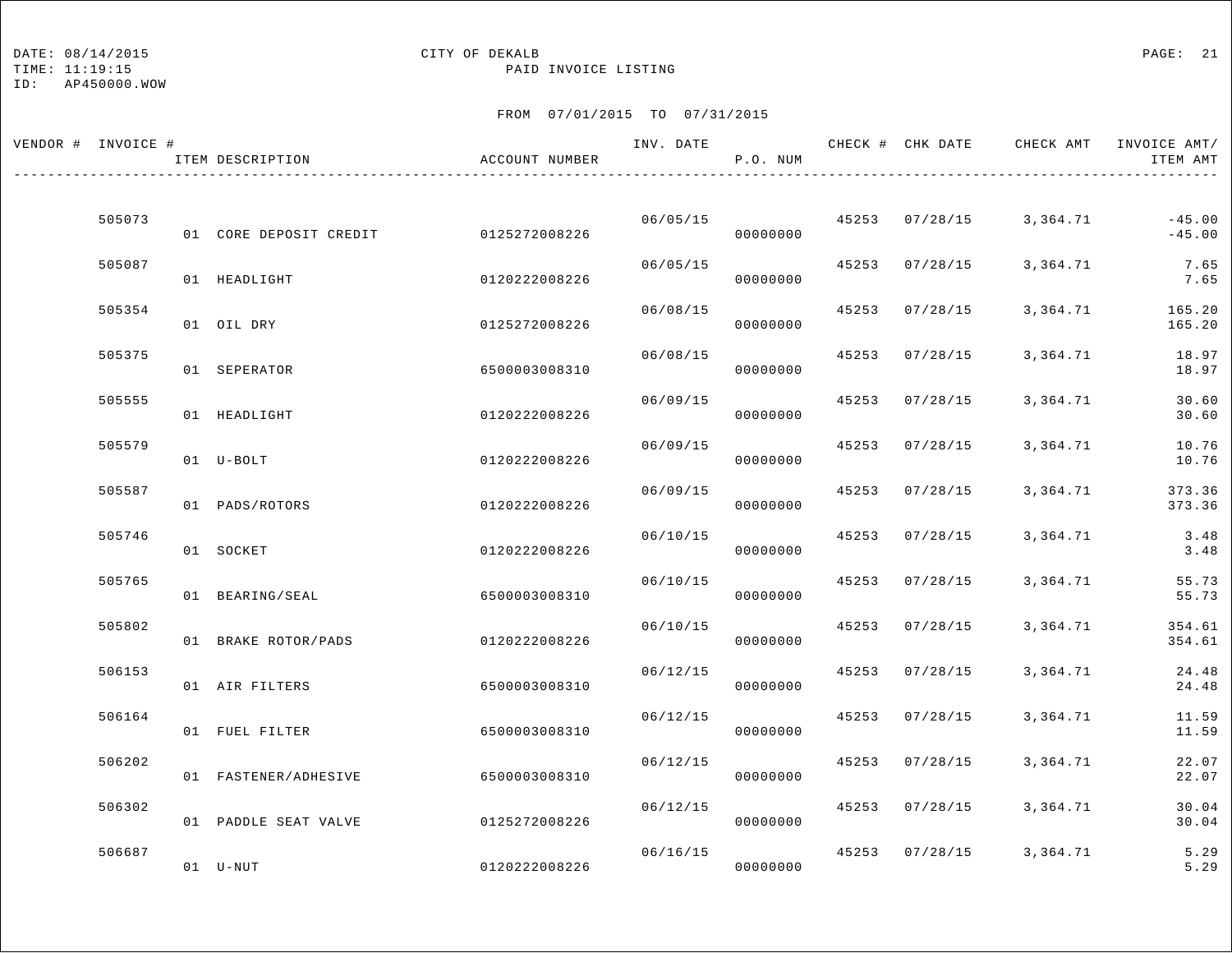## DATE:  $08/14/2015$  PAGE: 21

TIME: 11:19:15 PAID INVOICE LISTING

| VENDOR # INVOICE # | ITEM DESCRIPTION       | ACCOUNT NUMBER | INV. DATE | P.O. NUM |       |                | CHECK # CHK DATE CHECK AMT INVOICE AMT/ | ITEM AMT             |
|--------------------|------------------------|----------------|-----------|----------|-------|----------------|-----------------------------------------|----------------------|
|                    |                        |                |           |          |       |                |                                         |                      |
| 505073             | 01 CORE DEPOSIT CREDIT | 0125272008226  | 06/05/15  | 00000000 |       | 45253 07/28/15 | 3,364.71                                | $-45.00$<br>$-45.00$ |
| 505087             | 01 HEADLIGHT           | 0120222008226  | 06/05/15  | 00000000 | 45253 | 07/28/15       | 3,364.71                                | 7.65<br>7.65         |
| 505354             | 01 OIL DRY             | 0125272008226  | 06/08/15  | 00000000 | 45253 | 07/28/15       | 3,364.71                                | 165.20<br>165.20     |
| 505375             | 01 SEPERATOR           | 6500003008310  | 06/08/15  | 00000000 | 45253 | 07/28/15       | 3,364.71                                | 18.97<br>18.97       |
| 505555             |                        |                | 06/09/15  |          | 45253 | 07/28/15       | 3,364.71                                | 30.60                |
| 505579             | 01 HEADLIGHT           | 0120222008226  | 06/09/15  | 00000000 | 45253 | 07/28/15       | 3,364.71                                | 30.60<br>10.76       |
|                    | 01 U-BOLT              | 0120222008226  |           | 00000000 |       |                |                                         | 10.76                |
| 505587             | 01 PADS/ROTORS         | 0120222008226  | 06/09/15  | 00000000 | 45253 | 07/28/15       | 3,364.71                                | 373.36<br>373.36     |
| 505746             | 01 SOCKET              | 0120222008226  | 06/10/15  | 00000000 | 45253 | 07/28/15       | 3,364.71                                | 3.48<br>3.48         |
| 505765             | 01 BEARING/SEAL        | 6500003008310  | 06/10/15  | 00000000 | 45253 | 07/28/15       | 3,364.71                                | 55.73<br>55.73       |
| 505802             | 01 BRAKE ROTOR/PADS    | 0120222008226  | 06/10/15  | 00000000 |       | 45253 07/28/15 | 3,364.71                                | 354.61<br>354.61     |
| 506153             | 01 AIR FILTERS         | 6500003008310  | 06/12/15  | 00000000 | 45253 | 07/28/15       | 3,364.71                                | 24.48<br>24.48       |
| 506164             |                        |                | 06/12/15  |          | 45253 | 07/28/15       | 3,364.71                                | 11.59                |
|                    | 01 FUEL FILTER         | 6500003008310  |           | 00000000 |       |                |                                         | 11.59                |
| 506202             | 01 FASTENER/ADHESIVE   | 6500003008310  | 06/12/15  | 00000000 | 45253 | 07/28/15       | 3,364.71                                | 22.07<br>22.07       |
| 506302             | 01 PADDLE SEAT VALVE   | 0125272008226  | 06/12/15  | 00000000 | 45253 | 07/28/15       | 3,364.71                                | 30.04<br>30.04       |
| 506687             | 01 U-NUT               | 0120222008226  | 06/16/15  | 00000000 |       | 45253 07/28/15 | 3,364.71                                | 5.29<br>5.29         |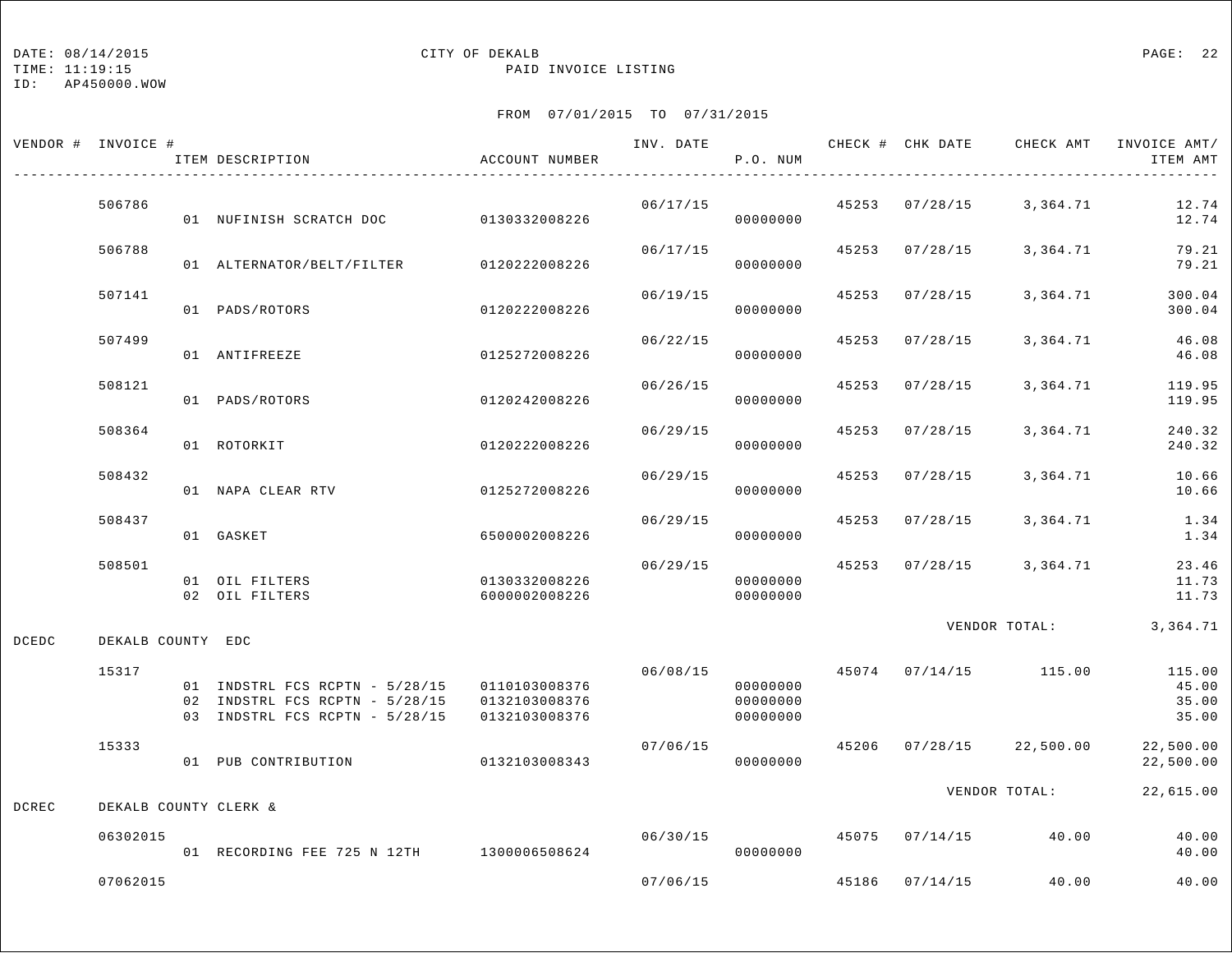### DATE:  $08/14/2015$  PAGE: 22

TIME: 11:19:15 PAID INVOICE LISTING

|       | VENDOR # INVOICE #    | ITEM DESCRIPTION                                                                                                 | ACCOUNT NUMBER                 | INV. DATE | P.O. NUM                         |       |                | CHECK # CHK DATE CHECK AMT | INVOICE AMT/<br>ITEM AMT          |
|-------|-----------------------|------------------------------------------------------------------------------------------------------------------|--------------------------------|-----------|----------------------------------|-------|----------------|----------------------------|-----------------------------------|
|       | 506786                | 01 NUFINISH SCRATCH DOC 0130332008226                                                                            |                                | 06/17/15  | 00000000                         |       |                | 45253 07/28/15 3,364.71    | 12.74<br>12.74                    |
|       | 506788                | 01 ALTERNATOR/BELT/FILTER                                                                                        | 0120222008226                  | 06/17/15  | 00000000                         |       | 45253 07/28/15 | 3,364.71                   | 79.21<br>79.21                    |
|       | 507141                | 01 PADS/ROTORS                                                                                                   | 0120222008226                  | 06/19/15  | 00000000                         | 45253 | 07/28/15       | 3,364.71                   | 300.04<br>300.04                  |
|       | 507499                | 01 ANTIFREEZE                                                                                                    | 0125272008226                  | 06/22/15  | 00000000                         | 45253 | 07/28/15       | 3,364.71                   | 46.08<br>46.08                    |
|       | 508121                | 01 PADS/ROTORS                                                                                                   | 0120242008226                  | 06/26/15  | 00000000                         | 45253 | 07/28/15       | 3,364.71                   | 119.95<br>119.95                  |
|       | 508364                | 01 ROTORKIT                                                                                                      | 0120222008226                  | 06/29/15  | 00000000                         | 45253 | 07/28/15       | 3,364.71                   | 240.32<br>240.32                  |
|       | 508432                | 01 NAPA CLEAR RTV                                                                                                | 0125272008226                  | 06/29/15  | 00000000                         |       | 45253 07/28/15 | 3,364.71                   | 10.66<br>10.66                    |
|       | 508437                | 01 GASKET                                                                                                        | 6500002008226                  | 06/29/15  | 00000000                         | 45253 | 07/28/15       | 3,364.71                   | 1.34<br>1.34                      |
|       | 508501                | 01 OIL FILTERS<br>02 OIL FILTERS                                                                                 | 0130332008226<br>6000002008226 | 06/29/15  | 00000000<br>00000000             |       |                | 45253 07/28/15 3,364.71    | 23.46<br>11.73<br>11.73           |
| DCEDC | DEKALB COUNTY EDC     |                                                                                                                  |                                |           |                                  |       |                | VENDOR TOTAL: 3,364.71     |                                   |
|       | 15317                 | 01 INDSTRL FCS RCPTN - 5/28/15 0110103008376<br>02 INDSTRL FCS RCPTN - 5/28/15<br>03 INDSTRL FCS RCPTN - 5/28/15 | 0132103008376<br>0132103008376 | 06/08/15  | 00000000<br>00000000<br>00000000 |       |                | 45074 07/14/15 115.00      | 115.00<br>45.00<br>35.00<br>35.00 |
|       | 15333                 | 01 PUB CONTRIBUTION                                                                                              | 0132103008343                  | 07/06/15  | 00000000                         |       |                | 45206 07/28/15 22,500.00   | 22,500.00<br>22,500.00            |
| DCREC | DEKALB COUNTY CLERK & |                                                                                                                  |                                |           |                                  |       |                | VENDOR TOTAL:              | 22,615.00                         |
|       | 06302015              | 01 RECORDING FEE 725 N 12TH 1300006508624                                                                        |                                | 06/30/15  | 00000000                         |       | 45075 07/14/15 | 40.00                      | 40.00<br>40.00                    |
|       | 07062015              |                                                                                                                  |                                | 07/06/15  |                                  |       | 45186 07/14/15 | 40.00                      | 40.00                             |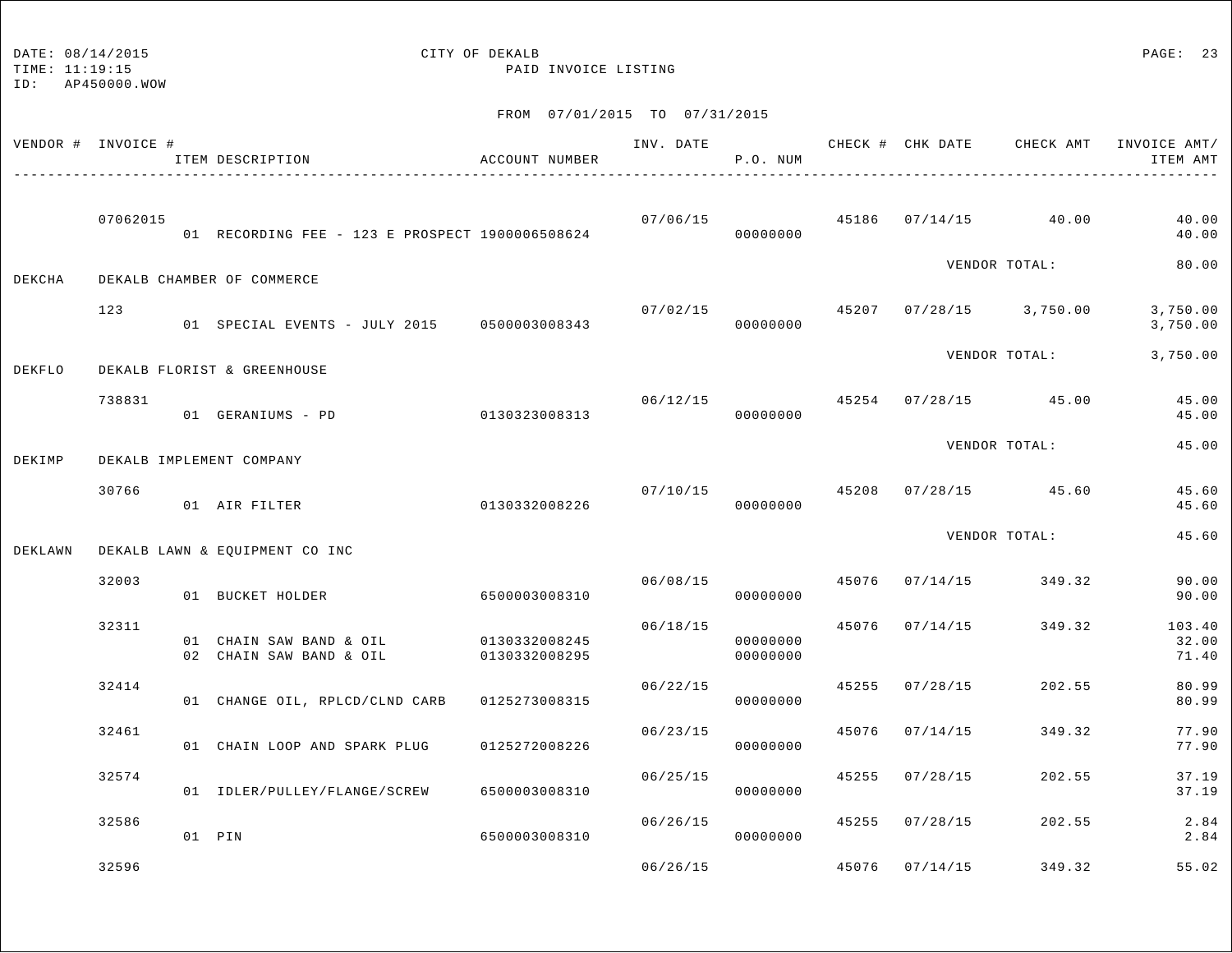TIME: 11:19:15 PAID INVOICE LISTING

|         | VENDOR # INVOICE # | ITEM DESCRIPTION                                   | ACCOUNT NUMBER                 | INV. DATE | P.O. NUM             |       | CHECK # CHK DATE | CHECK AMT               | INVOICE AMT/<br>ITEM AMT |
|---------|--------------------|----------------------------------------------------|--------------------------------|-----------|----------------------|-------|------------------|-------------------------|--------------------------|
|         | 07062015           | 01 RECORDING FEE - 123 E PROSPECT 1900006508624    |                                | 07/06/15  | 00000000             |       |                  | 45186 07/14/15 40.00    | 40.00<br>40.00           |
| DEKCHA  |                    | DEKALB CHAMBER OF COMMERCE                         |                                |           |                      |       |                  | VENDOR TOTAL:           | 80.00                    |
|         | 123                | 01 SPECIAL EVENTS - JULY 2015 0500003008343        |                                | 07/02/15  | 00000000             |       |                  | 45207 07/28/15 3,750.00 | 3,750.00<br>3,750.00     |
| DEKFLO  |                    | DEKALB FLORIST & GREENHOUSE                        |                                |           |                      |       |                  | VENDOR TOTAL:           | 3,750.00                 |
|         | 738831             | 01 GERANIUMS - PD                                  | 0130323008313                  | 06/12/15  | 00000000             |       |                  | 45254 07/28/15 45.00    | 45.00<br>45.00           |
| DEKIMP  |                    | DEKALB IMPLEMENT COMPANY                           |                                |           |                      |       |                  | VENDOR TOTAL:           | 45.00                    |
|         | 30766              | 01 AIR FILTER                                      | 0130332008226                  |           | 07/10/15<br>00000000 | 45208 |                  | $07/28/15$ 45.60        | 45.60<br>45.60           |
| DEKLAWN |                    | DEKALB LAWN & EQUIPMENT CO INC                     |                                |           |                      |       |                  | VENDOR TOTAL:           | 45.60                    |
|         | 32003              | 01 BUCKET HOLDER                                   | 6500003008310                  | 06/08/15  | 00000000             | 45076 | 07/14/15         | 349.32                  | 90.00<br>90.00           |
|         | 32311              | 01 CHAIN SAW BAND & OIL<br>02 CHAIN SAW BAND & OIL | 0130332008245<br>0130332008295 | 06/18/15  | 00000000<br>00000000 | 45076 | 07/14/15         | 349.32                  | 103.40<br>32.00<br>71.40 |
|         | 32414              | 01 CHANGE OIL, RPLCD/CLND CARB                     | 0125273008315                  | 06/22/15  | 00000000             | 45255 | 07/28/15         | 202.55                  | 80.99<br>80.99           |
|         | 32461              | 01 CHAIN LOOP AND SPARK PLUG                       | 0125272008226                  | 06/23/15  | 00000000             | 45076 | 07/14/15         | 349.32                  | 77.90<br>77.90           |
|         | 32574              | 01 IDLER/PULLEY/FLANGE/SCREW                       | 6500003008310                  | 06/25/15  | 00000000             | 45255 | 07/28/15         | 202.55                  | 37.19<br>37.19           |
|         | 32586              | 01 PIN                                             | 6500003008310                  | 06/26/15  | 00000000             |       | 45255 07/28/15   | 202.55                  | 2.84<br>2.84             |
|         | 32596              |                                                    |                                | 06/26/15  |                      | 45076 | 07/14/15         | 349.32                  | 55.02                    |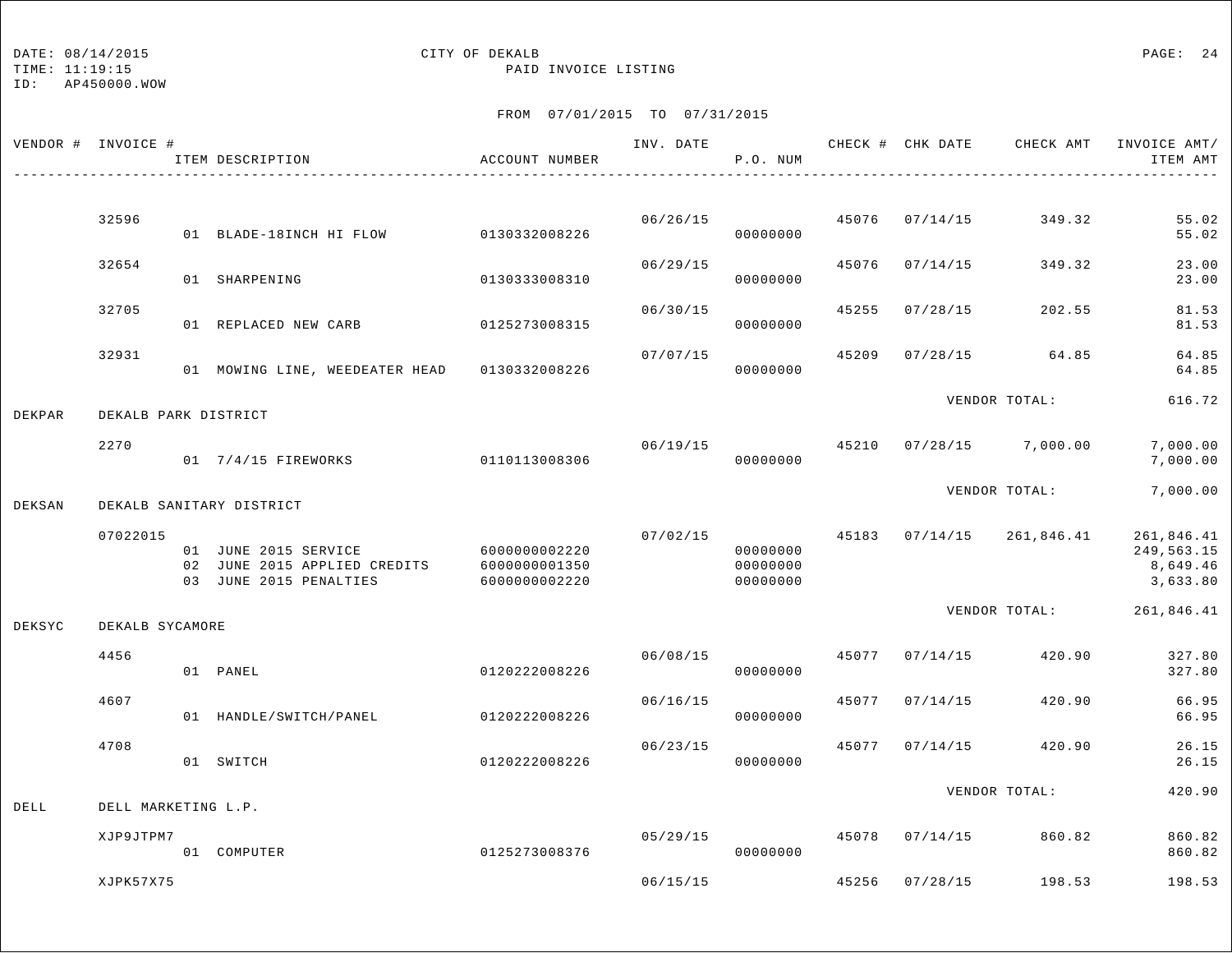TIME: 11:19:15 PAID INVOICE LISTING

ID: AP450000.WOW

|        | VENDOR # INVOICE #   | ITEM DESCRIPTION                                                               | ACCOUNT NUMBER                                   | INV. DATE | P.O. NUM                         |       | CHECK # CHK DATE | CHECK AMT                 | INVOICE AMT/<br>ITEM AMT                         |
|--------|----------------------|--------------------------------------------------------------------------------|--------------------------------------------------|-----------|----------------------------------|-------|------------------|---------------------------|--------------------------------------------------|
|        | 32596                |                                                                                |                                                  | 06/26/15  |                                  | 45076 | 07/14/15         | 349.32                    | 55.02                                            |
|        |                      | 01 BLADE-18INCH HI FLOW                                                        | 0130332008226                                    |           | 00000000                         |       |                  |                           | 55.02                                            |
|        | 32654                | 01 SHARPENING                                                                  | 0130333008310                                    | 06/29/15  | 00000000                         | 45076 | 07/14/15         | 349.32                    | 23.00<br>23.00                                   |
|        | 32705                | 01 REPLACED NEW CARB                                                           | 0125273008315                                    | 06/30/15  | 00000000                         | 45255 | 07/28/15         | 202.55                    | 81.53<br>81.53                                   |
|        | 32931                | 01 MOWING LINE, WEEDEATER HEAD 0130332008226                                   |                                                  | 07/07/15  | 00000000                         | 45209 | 07/28/15         | 64.85                     | 64.85<br>64.85                                   |
| DEKPAR | DEKALB PARK DISTRICT |                                                                                |                                                  |           |                                  |       |                  | VENDOR TOTAL:             | 616.72                                           |
|        | 2270                 | 01 7/4/15 FIREWORKS                                                            | 0110113008306                                    | 06/19/15  | 00000000                         |       |                  | 45210 07/28/15 7,000.00   | 7,000.00<br>7,000.00                             |
| DEKSAN |                      | DEKALB SANITARY DISTRICT                                                       |                                                  |           |                                  |       |                  | VENDOR TOTAL:             | 7,000.00                                         |
|        | 07022015             | 01 JUNE 2015 SERVICE<br>02 JUNE 2015 APPLIED CREDITS<br>03 JUNE 2015 PENALTIES | 60000000002220<br>6000000001350<br>6000000002220 | 07/02/15  | 00000000<br>00000000<br>00000000 |       |                  | 45183 07/14/15 261,846.41 | 261,846.41<br>249,563.15<br>8,649.46<br>3,633.80 |
| DEKSYC | DEKALB SYCAMORE      |                                                                                |                                                  |           |                                  |       |                  | VENDOR TOTAL:             | 261,846.41                                       |
|        | 4456                 | 01 PANEL                                                                       | 0120222008226                                    | 06/08/15  | 00000000                         | 45077 | 07/14/15         | 420.90                    | 327.80<br>327.80                                 |
|        | 4607                 | 01 HANDLE/SWITCH/PANEL                                                         | 0120222008226                                    | 06/16/15  | 00000000                         | 45077 | 07/14/15         | 420.90                    | 66.95<br>66.95                                   |
|        | 4708                 | 01 SWITCH                                                                      | 0120222008226                                    | 06/23/15  | 00000000                         | 45077 | 07/14/15         | 420.90                    | 26.15<br>26.15                                   |
| DELL   | DELL MARKETING L.P.  |                                                                                |                                                  |           |                                  |       |                  | VENDOR TOTAL:             | 420.90                                           |
|        | XJP9JTPM7            | 01 COMPUTER                                                                    | 0125273008376                                    | 05/29/15  | 00000000                         |       | 45078 07/14/15   | 860.82                    | 860.82<br>860.82                                 |
|        | XJPK57X75            |                                                                                |                                                  | 06/15/15  |                                  | 45256 | 07/28/15         | 198.53                    | 198.53                                           |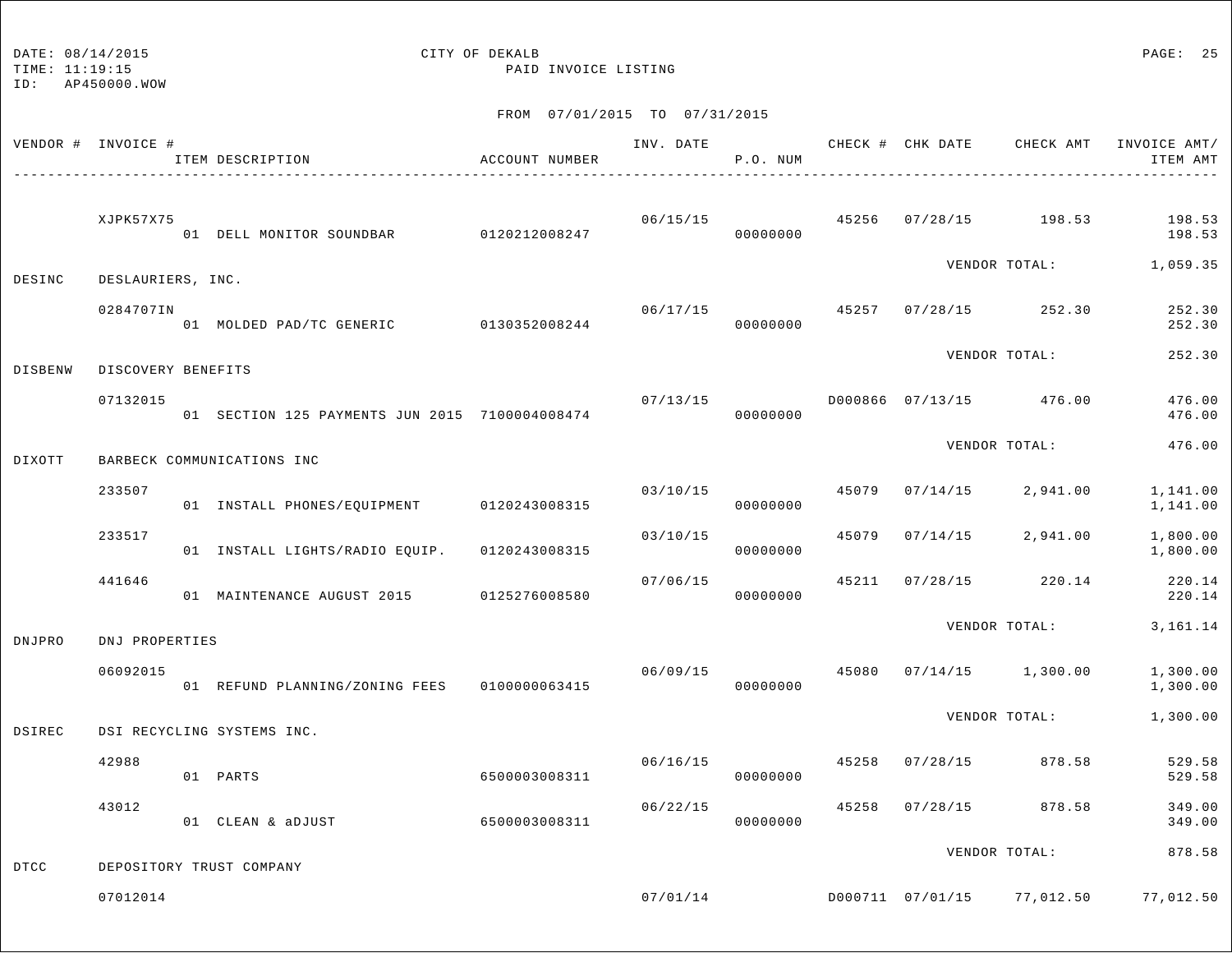# DATE:  $08/14/2015$  PAGE: 25

TIME: 11:19:15 PAID INVOICE LISTING

|             | VENDOR # INVOICE # | ITEM DESCRIPTION                               | ACCOUNT NUMBER | INV. DATE | P.O. NUM             |       |                |                                       | CHECK # CHK DATE CHECK AMT INVOICE AMT/<br>ITEM AMT |
|-------------|--------------------|------------------------------------------------|----------------|-----------|----------------------|-------|----------------|---------------------------------------|-----------------------------------------------------|
|             | XJPK57X75          | 01 DELL MONITOR SOUNDBAR 0120212008247         |                | 06/15/15  | 00000000             |       |                | 45256 07/28/15 198.53                 | 198.53<br>198.53                                    |
| DESINC      | DESLAURIERS, INC.  |                                                |                |           |                      |       |                | VENDOR TOTAL:                         | 1,059.35                                            |
|             | 0284707IN          | 01 MOLDED PAD/TC GENERIC 0130352008244         |                | 06/17/15  | 00000000             |       |                | 45257 07/28/15 252.30                 | 252.30<br>252.30                                    |
| DISBENW     | DISCOVERY BENEFITS |                                                |                |           |                      |       |                | VENDOR TOTAL:                         | 252.30                                              |
|             | 07132015           | 01 SECTION 125 PAYMENTS JUN 2015 7100004008474 |                | 07/13/15  | 00000000             |       |                | D000866 07/13/15 476.00               | 476.00<br>476.00                                    |
| DIXOTT      |                    | BARBECK COMMUNICATIONS INC                     |                |           |                      |       |                | VENDOR TOTAL:                         | 476.00                                              |
|             | 233507             | 01 INSTALL PHONES/EQUIPMENT 0120243008315      |                | 03/10/15  | 00000000             | 45079 | 07/14/15       | 2,941.00                              | 1,141.00<br>1,141.00                                |
|             | 233517             | 01 INSTALL LIGHTS/RADIO EQUIP. 0120243008315   |                | 03/10/15  | 00000000             | 45079 |                | $07/14/15$ 2,941.00                   | 1,800.00<br>1,800.00                                |
|             | 441646             | 01 MAINTENANCE AUGUST 2015                     | 0125276008580  | 07/06/15  | 00000000             |       |                | 45211 07/28/15 220.14                 | 220.14<br>220.14                                    |
| DNJPRO      | DNJ PROPERTIES     |                                                |                |           |                      |       |                | VENDOR TOTAL:                         | 3, 161. 14                                          |
|             | 06092015           | 01 REFUND PLANNING/ZONING FEES 0100000063415   |                |           | 06/09/15<br>00000000 | 45080 |                | $07/14/15$ 1,300.00                   | 1,300.00<br>1,300.00                                |
| DSIREC      |                    | DSI RECYCLING SYSTEMS INC.                     |                |           |                      |       |                | VENDOR TOTAL:                         | 1,300.00                                            |
|             | 42988              | 01 PARTS                                       | 6500003008311  | 06/16/15  | 00000000             | 45258 | 07/28/15       | 878.58                                | 529.58<br>529.58                                    |
|             | 43012              | 01 CLEAN & aDJUST                              | 6500003008311  | 06/22/15  | 00000000             |       | 45258 07/28/15 | 878.58                                | 349.00<br>349.00                                    |
|             |                    |                                                |                |           |                      |       |                | VENDOR TOTAL:                         | 878.58                                              |
| <b>DTCC</b> | 07012014           | DEPOSITORY TRUST COMPANY                       |                |           |                      |       |                | $07/01/14$ D000711 07/01/15 77,012.50 | 77,012.50                                           |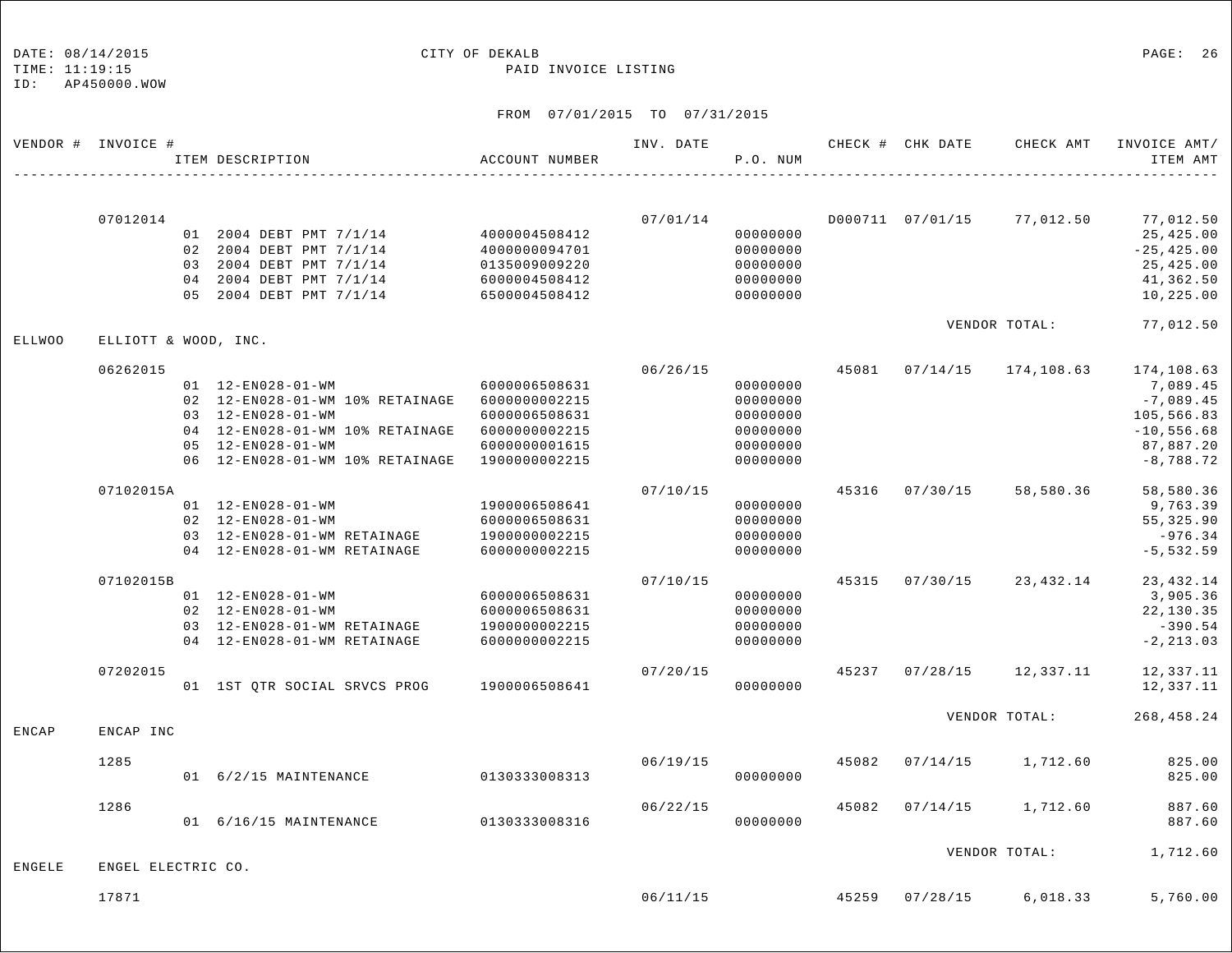### DATE:  $08/14/2015$  PAGE: 26

TIME: 11:19:15 PAID INVOICE LISTING

| VENDOR # INVOICE # |                      | ITEM DESCRIPTION<br>_______________________________                                                                                                                                                                              | ACCOUNT NUMBER                                                                    | INV. DATE | P.O. NUM                                                             |       | CHECK # CHK DATE | CHECK AMT             | INVOICE AMT/<br>ITEM AMT                                                                         |
|--------------------|----------------------|----------------------------------------------------------------------------------------------------------------------------------------------------------------------------------------------------------------------------------|-----------------------------------------------------------------------------------|-----------|----------------------------------------------------------------------|-------|------------------|-----------------------|--------------------------------------------------------------------------------------------------|
|                    | 07012014             | 01 2004 DEBT PMT 7/1/14<br>02 2004 DEBT PMT 7/1/14<br>03 2004 DEBT PMT 7/1/14<br>04 2004 DEBT PMT 7/1/14<br>05 2004 DEBT PMT 7/1/14                                                                                              | 4000004508412<br>4000000094701<br>0135009009220<br>6000004508412<br>6500004508412 | 07/01/14  | 00000000<br>00000000<br>00000000<br>00000000<br>00000000             |       | D000711 07/01/15 | 77,012.50             | 77,012.50<br>25,425.00<br>$-25, 425.00$<br>25,425.00<br>41,362.50<br>10,225.00                   |
| <b>ELLWOO</b>      | ELLIOTT & WOOD, INC. |                                                                                                                                                                                                                                  |                                                                                   |           |                                                                      |       |                  | VENDOR TOTAL:         | 77,012.50                                                                                        |
|                    | 06262015             | 01  12-EN028-01-WM<br>02 12-EN028-01-WM 10% RETAINAGE 6000000002215<br>03 12-EN028-01-WM<br>04  12-EN028-01-WM  10% RETAINAGE  6000000002215<br>$05 12 - EN 0 28 - 01 - WM$<br>06  12-EN028-01-WM  10% RETAINAGE  19000000002215 | 6000006508631<br>6000006508631<br>6000000001615                                   | 06/26/15  | 00000000<br>00000000<br>00000000<br>00000000<br>00000000<br>00000000 | 45081 |                  | $07/14/15$ 174,108.63 | 174,108.63<br>7,089.45<br>$-7,089.45$<br>105,566.83<br>$-10, 556.68$<br>87,887.20<br>$-8,788.72$ |
|                    | 07102015A            | 01  12-EN028-01-WM<br>02 12-EN028-01-WM<br>03 12-EN028-01-WM RETAINAGE<br>04 12-EN028-01-WM RETAINAGE                                                                                                                            | 1900006508641<br>6000006508631<br>1900000002215<br>6000000002215                  | 07/10/15  | 00000000<br>00000000<br>00000000<br>00000000                         | 45316 | 07/30/15         | 58,580.36             | 58,580.36<br>9,763.39<br>55,325.90<br>$-976.34$<br>$-5, 532.59$                                  |
|                    | 07102015B            | 01  12-EN028-01-WM<br>02 12-EN028-01-WM<br>03 12-EN028-01-WM RETAINAGE<br>04 12-EN028-01-WM RETAINAGE                                                                                                                            | 6000006508631<br>6000006508631<br>1900000002215<br>6000000002215                  | 07/10/15  | 00000000<br>00000000<br>00000000<br>00000000                         | 45315 | 07/30/15         | 23,432.14             | 23, 432.14<br>3,905.36<br>22,130.35<br>$-390.54$<br>$-2, 213.03$                                 |
|                    | 07202015             | 01 1ST QTR SOCIAL SRVCS PROG                                                                                                                                                                                                     | 1900006508641                                                                     | 07/20/15  | 00000000                                                             | 45237 | 07/28/15         | 12,337.11             | 12,337.11<br>12,337.11                                                                           |
| ENCAP              | ENCAP INC            |                                                                                                                                                                                                                                  |                                                                                   |           |                                                                      |       |                  | VENDOR TOTAL:         | 268, 458. 24                                                                                     |
|                    | 1285                 | 01 6/2/15 MAINTENANCE                                                                                                                                                                                                            | 0130333008313                                                                     | 06/19/15  | 00000000                                                             | 45082 | 07/14/15         | 1,712.60              | 825.00<br>825.00                                                                                 |
|                    | 1286                 | 01 6/16/15 MAINTENANCE                                                                                                                                                                                                           | 0130333008316                                                                     | 06/22/15  | 00000000                                                             | 45082 | 07/14/15         | 1,712.60              | 887.60<br>887.60                                                                                 |
| <b>ENGELE</b>      | ENGEL ELECTRIC CO.   |                                                                                                                                                                                                                                  |                                                                                   |           |                                                                      |       |                  | VENDOR TOTAL:         | 1,712.60                                                                                         |
|                    | 17871                |                                                                                                                                                                                                                                  |                                                                                   | 06/11/15  |                                                                      | 45259 | 07/28/15         | 6,018.33              | 5,760.00                                                                                         |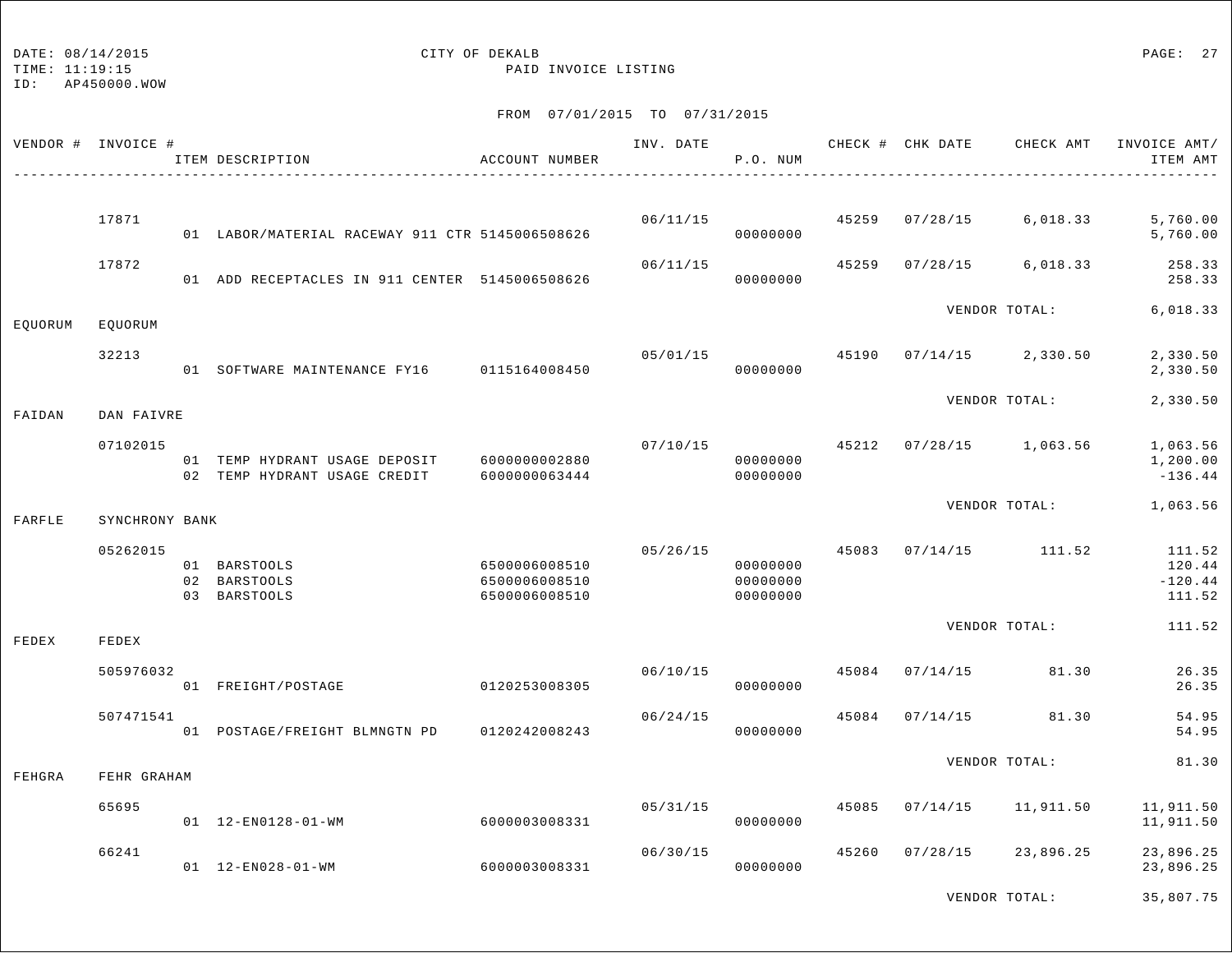## DATE:  $08/14/2015$  PAGE: 27

TIME: 11:19:15 PAID INVOICE LISTING

|         | VENDOR # INVOICE # | ITEM DESCRIPTION                                              | ACCOUNT NUMBER                                  | INV. DATE | P.O. NUM                         |       | CHECK # CHK DATE | CHECK AMT     | INVOICE AMT/<br>ITEM AMT                |
|---------|--------------------|---------------------------------------------------------------|-------------------------------------------------|-----------|----------------------------------|-------|------------------|---------------|-----------------------------------------|
|         | 17871              |                                                               |                                                 | 06/11/15  |                                  | 45259 | 07/28/15         | 6,018.33      | 5,760.00                                |
|         |                    | 01 LABOR/MATERIAL RACEWAY 911 CTR 5145006508626               |                                                 |           | 00000000                         |       |                  |               | 5,760.00                                |
|         | 17872              | 01 ADD RECEPTACLES IN 911 CENTER 5145006508626                |                                                 | 06/11/15  | 00000000                         | 45259 | 07/28/15         | 6,018.33      | 258.33<br>258.33                        |
|         |                    |                                                               |                                                 |           |                                  |       |                  | VENDOR TOTAL: | 6,018.33                                |
| EQUORUM | EQUORUM            |                                                               |                                                 |           |                                  |       |                  |               |                                         |
|         | 32213              | 01 SOFTWARE MAINTENANCE FY16 0115164008450                    |                                                 | 05/01/15  | 00000000                         | 45190 | 07/14/15         | 2,330.50      | 2,330.50<br>2,330.50                    |
| FAIDAN  | DAN FAIVRE         |                                                               |                                                 |           |                                  |       |                  | VENDOR TOTAL: | 2,330.50                                |
|         | 07102015           | 01 TEMP HYDRANT USAGE DEPOSIT<br>02 TEMP HYDRANT USAGE CREDIT | 6000000002880<br>6000000063444                  | 07/10/15  | 00000000<br>00000000             | 45212 | 07/28/15         | 1,063.56      | 1,063.56<br>1,200.00<br>$-136.44$       |
|         |                    |                                                               |                                                 |           |                                  |       |                  | VENDOR TOTAL: | 1,063.56                                |
| FARFLE  | SYNCHRONY BANK     |                                                               |                                                 |           |                                  |       |                  |               |                                         |
|         | 05262015           | 01 BARSTOOLS<br>02 BARSTOOLS<br>03 BARSTOOLS                  | 6500006008510<br>6500006008510<br>6500006008510 | 05/26/15  | 00000000<br>00000000<br>00000000 | 45083 | 07/14/15         | 111.52        | 111.52<br>120.44<br>$-120.44$<br>111.52 |
|         |                    |                                                               |                                                 |           |                                  |       |                  | VENDOR TOTAL: | 111.52                                  |
| FEDEX   | FEDEX              |                                                               |                                                 |           |                                  |       |                  |               |                                         |
|         | 505976032          | 01 FREIGHT/POSTAGE                                            | 0120253008305                                   | 06/10/15  | 00000000                         | 45084 | 07/14/15         | 81.30         | 26.35<br>26.35                          |
|         | 507471541          | 01 POSTAGE/FREIGHT BLMNGTN PD                                 | 0120242008243                                   | 06/24/15  | 00000000                         | 45084 | 07/14/15         | 81.30         | 54.95<br>54.95                          |
| FEHGRA  | FEHR GRAHAM        |                                                               |                                                 |           |                                  |       |                  | VENDOR TOTAL: | 81.30                                   |
|         |                    |                                                               |                                                 |           |                                  |       |                  |               |                                         |
|         | 65695              | 01  12-EN0128-01-WM                                           | 6000003008331                                   | 05/31/15  | 00000000                         | 45085 | 07/14/15         | 11,911.50     | 11,911.50<br>11,911.50                  |
|         | 66241              | 01  12-EN028-01-WM                                            | 6000003008331                                   | 06/30/15  | 00000000                         | 45260 | 07/28/15         | 23,896.25     | 23,896.25<br>23,896.25                  |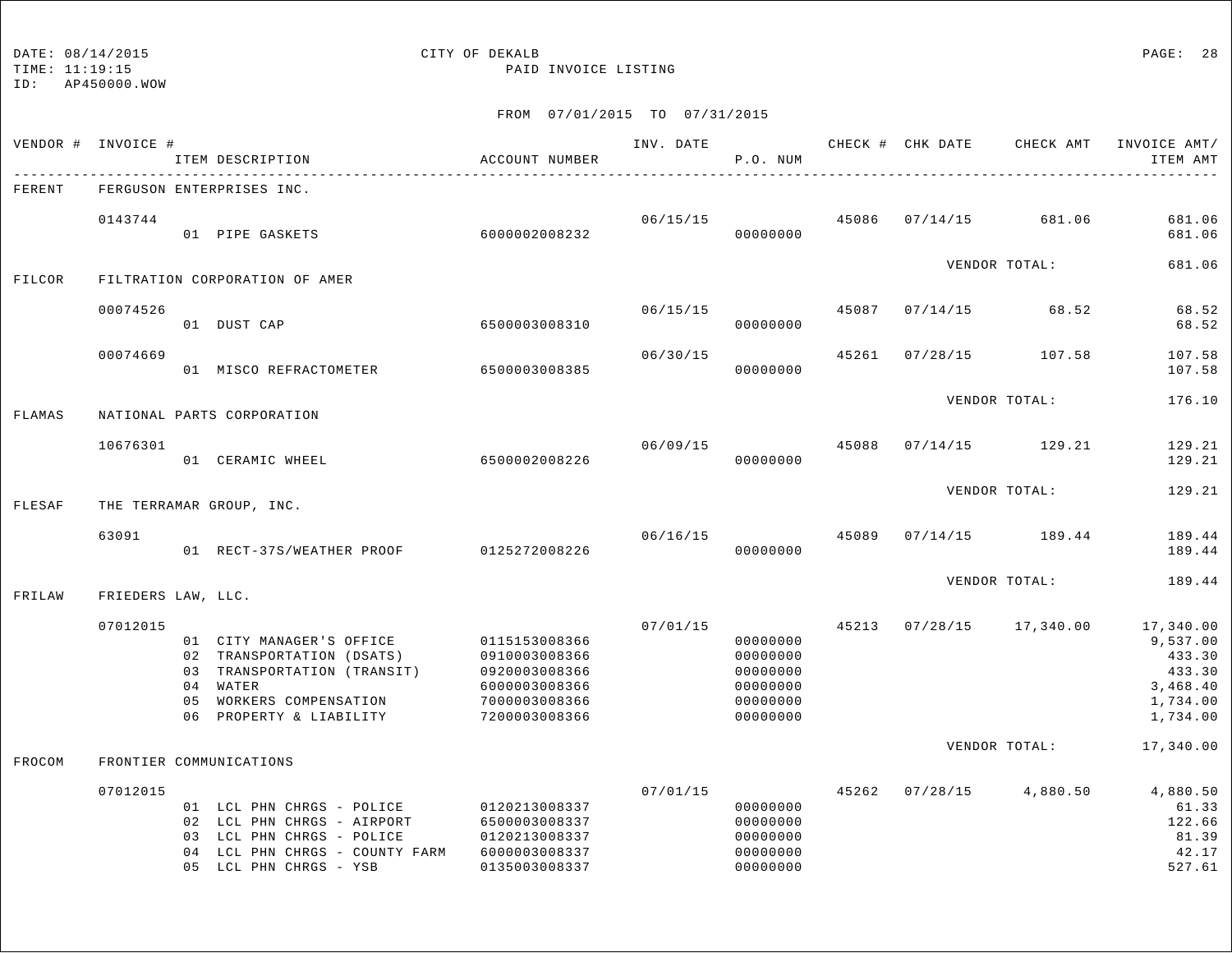## DATE:  $08/14/2015$  PAGE: 28

TIME: 11:19:15 PAID INVOICE LISTING

|        | VENDOR # INVOICE # |          | ITEM DESCRIPTION                                                                                                                                 | ACCOUNT NUMBER                                                                                     | INV. DATE | P.O. NUM                                                             |       | CHECK # CHK DATE | CHECK AMT     | INVOICE AMT/<br>ITEM AMT                                                      |
|--------|--------------------|----------|--------------------------------------------------------------------------------------------------------------------------------------------------|----------------------------------------------------------------------------------------------------|-----------|----------------------------------------------------------------------|-------|------------------|---------------|-------------------------------------------------------------------------------|
| FERENT |                    |          | FERGUSON ENTERPRISES INC.                                                                                                                        |                                                                                                    |           |                                                                      |       |                  |               |                                                                               |
|        | 0143744            |          | 01 PIPE GASKETS                                                                                                                                  | 6000002008232                                                                                      | 06/15/15  | 00000000                                                             | 45086 | 07/14/15         | 681.06        | 681.06<br>681.06                                                              |
| FILCOR |                    |          | FILTRATION CORPORATION OF AMER                                                                                                                   |                                                                                                    |           |                                                                      |       |                  | VENDOR TOTAL: | 681.06                                                                        |
|        | 00074526           |          | 01 DUST CAP                                                                                                                                      | 6500003008310                                                                                      | 06/15/15  | 00000000                                                             | 45087 | 07/14/15         | 68.52         | 68.52<br>68.52                                                                |
|        | 00074669           |          | 01 MISCO REFRACTOMETER                                                                                                                           | 6500003008385                                                                                      | 06/30/15  | 00000000                                                             | 45261 | 07/28/15         | 107.58        | 107.58<br>107.58                                                              |
| FLAMAS |                    |          | NATIONAL PARTS CORPORATION                                                                                                                       |                                                                                                    |           |                                                                      |       |                  | VENDOR TOTAL: | 176.10                                                                        |
|        | 10676301           |          | 01 CERAMIC WHEEL                                                                                                                                 | 6500002008226                                                                                      | 06/09/15  | 00000000                                                             | 45088 | 07/14/15         | 129.21        | 129.21<br>129.21                                                              |
| FLESAF |                    |          | THE TERRAMAR GROUP, INC.                                                                                                                         |                                                                                                    |           |                                                                      |       |                  | VENDOR TOTAL: | 129.21                                                                        |
|        | 63091              |          | 01 RECT-37S/WEATHER PROOF                                                                                                                        | 0125272008226                                                                                      | 06/16/15  | 00000000                                                             | 45089 | 07/14/15         | 189.44        | 189.44<br>189.44                                                              |
| FRILAW | FRIEDERS LAW, LLC. |          |                                                                                                                                                  |                                                                                                    |           |                                                                      |       |                  | VENDOR TOTAL: | 189.44                                                                        |
|        | 07012015           | 05<br>06 | 01 CITY MANAGER'S OFFICE<br>02 TRANSPORTATION (DSATS)<br>03 TRANSPORTATION (TRANSIT)<br>04 WATER<br>WORKERS COMPENSATION<br>PROPERTY & LIABILITY | 0115153008366<br>0910003008366<br>0920003008366<br>6000003008366<br>7000003008366<br>7200003008366 | 07/01/15  | 00000000<br>00000000<br>00000000<br>00000000<br>00000000<br>00000000 | 45213 | 07/28/15         | 17,340.00     | 17,340.00<br>9,537.00<br>433.30<br>433.30<br>3,468.40<br>1,734.00<br>1,734.00 |
| FROCOM |                    |          | FRONTIER COMMUNICATIONS                                                                                                                          |                                                                                                    |           |                                                                      |       |                  | VENDOR TOTAL: | 17,340.00                                                                     |
|        | 07012015           |          | 01 LCL PHN CHRGS - POLICE<br>02 LCL PHN CHRGS - AIRPORT<br>03 LCL PHN CHRGS - POLICE<br>04 LCL PHN CHRGS - COUNTY FARM<br>05 LCL PHN CHRGS - YSB | 0120213008337<br>6500003008337<br>0120213008337<br>6000003008337<br>0135003008337                  | 07/01/15  | 00000000<br>00000000<br>00000000<br>00000000<br>00000000             | 45262 | 07/28/15         | 4,880.50      | 4,880.50<br>61.33<br>122.66<br>81.39<br>42.17<br>527.61                       |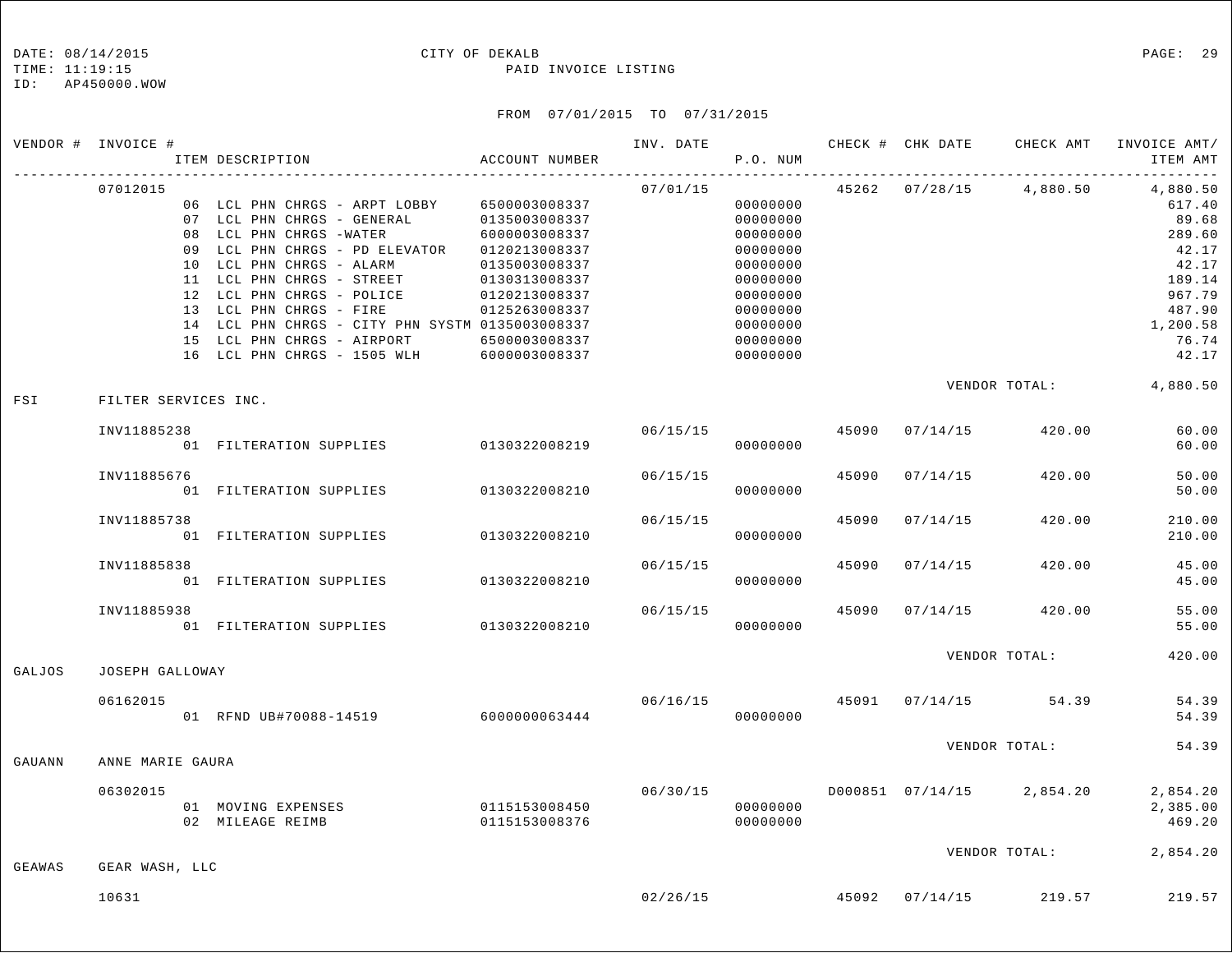#### TIME: 11:19:15 PAID INVOICE LISTING

ID: AP450000.WOW

|        | VENDOR # INVOICE #   | ITEM DESCRIPTION                                                                                                                                                                                                                                                                          | ACCOUNT NUMBER                                                                                                                       | INV. DATE               | P.O. NUM                                                                                                 |       | CHECK # CHK DATE |                                        | CHECK AMT INVOICE AMT/<br>ITEM AMT                                                                |
|--------|----------------------|-------------------------------------------------------------------------------------------------------------------------------------------------------------------------------------------------------------------------------------------------------------------------------------------|--------------------------------------------------------------------------------------------------------------------------------------|-------------------------|----------------------------------------------------------------------------------------------------------|-------|------------------|----------------------------------------|---------------------------------------------------------------------------------------------------|
|        | 07012015<br>09       | 06 LCL PHN CHRGS - ARPT LOBBY<br>07 LCL PHN CHRGS - GENERAL<br>08 LCL PHN CHRGS -WATER<br>LCL PHN CHRGS - PD ELEVATOR<br>10 LCL PHN CHRGS - ALARM<br>11 LCL PHN CHRGS - STREET<br>12 LCL PHN CHRGS - POLICE<br>13 LCL PHN CHRGS - FIRE<br>14 LCL PHN CHRGS - CITY PHN SYSTM 0135003008337 | 6500003008337<br>0135003008337<br>6000003008337<br>0120213008337<br>0135003008337<br>0130313008337<br>0120213008337<br>0125263008337 | 07/01/15                | 00000000<br>00000000<br>00000000<br>00000000<br>00000000<br>00000000<br>00000000<br>00000000<br>00000000 |       |                  | 45262 07/28/15 4,880.50                | 4,880.50<br>617.40<br>89.68<br>289.60<br>42.17<br>42.17<br>189.14<br>967.79<br>487.90<br>1,200.58 |
|        |                      | 15 LCL PHN CHRGS - AIRPORT<br>16 LCL PHN CHRGS - 1505 WLH                                                                                                                                                                                                                                 | 6500003008337<br>6000003008337                                                                                                       |                         | 00000000<br>00000000                                                                                     |       |                  |                                        | 76.74<br>42.17                                                                                    |
| FSI    | FILTER SERVICES INC. |                                                                                                                                                                                                                                                                                           |                                                                                                                                      |                         |                                                                                                          |       |                  |                                        | VENDOR TOTAL: 4,880.50                                                                            |
|        | INV11885238          | 01 FILTERATION SUPPLIES 0130322008219                                                                                                                                                                                                                                                     |                                                                                                                                      |                         | 06/15/15<br>00000000                                                                                     | 45090 | 07/14/15         | 420.00                                 | 60.00<br>60.00                                                                                    |
|        | INV11885676          | 01 FILTERATION SUPPLIES 0130322008210                                                                                                                                                                                                                                                     |                                                                                                                                      | 06/15/15                | 00000000                                                                                                 | 45090 | 07/14/15         | 420.00                                 | 50.00<br>50.00                                                                                    |
|        | INV11885738          | 01 FILTERATION SUPPLIES                                                                                                                                                                                                                                                                   | 0130322008210                                                                                                                        | 06/15/15                | 00000000                                                                                                 | 45090 | 07/14/15         | 420.00                                 | 210.00<br>210.00                                                                                  |
|        | INV11885838          | 01 FILTERATION SUPPLIES                                                                                                                                                                                                                                                                   | 0130322008210                                                                                                                        | 06/15/15                | 00000000                                                                                                 | 45090 | 07/14/15         | 420.00                                 | 45.00<br>45.00                                                                                    |
|        | INV11885938          | 01 FILTERATION SUPPLIES 0130322008210                                                                                                                                                                                                                                                     |                                                                                                                                      | 06/15/15                | 00000000                                                                                                 | 45090 | 07/14/15         | 420.00                                 | 55.00<br>55.00                                                                                    |
| GALJOS | JOSEPH GALLOWAY      |                                                                                                                                                                                                                                                                                           |                                                                                                                                      |                         |                                                                                                          |       |                  | VENDOR TOTAL:                          | 420.00                                                                                            |
|        | 06162015             | 01 RFND UB#70088-14519 6000000063444                                                                                                                                                                                                                                                      |                                                                                                                                      | 06/16/15 45091 07/14/15 | 00000000                                                                                                 |       |                  | 54.39                                  | 54.39<br>54.39                                                                                    |
| GAUANN | ANNE MARIE GAURA     |                                                                                                                                                                                                                                                                                           |                                                                                                                                      |                         |                                                                                                          |       |                  | VENDOR TOTAL:                          | 54.39                                                                                             |
|        | 06302015             | 01 MOVING EXPENSES<br>02 MILEAGE REIMB                                                                                                                                                                                                                                                    | 0115153008450<br>0115153008376                                                                                                       | 06/30/15                | 00000000<br>00000000                                                                                     |       |                  | D000851 07/14/15 2,854.20              | 2,854.20<br>2,385.00<br>469.20                                                                    |
| GEAWAS | GEAR WASH, LLC       |                                                                                                                                                                                                                                                                                           |                                                                                                                                      |                         |                                                                                                          |       |                  | VENDOR TOTAL:                          | 2,854.20                                                                                          |
|        | 10631                |                                                                                                                                                                                                                                                                                           |                                                                                                                                      |                         |                                                                                                          |       |                  | $02/26/15$ $45092$ $07/14/15$ $219.57$ | 219.57                                                                                            |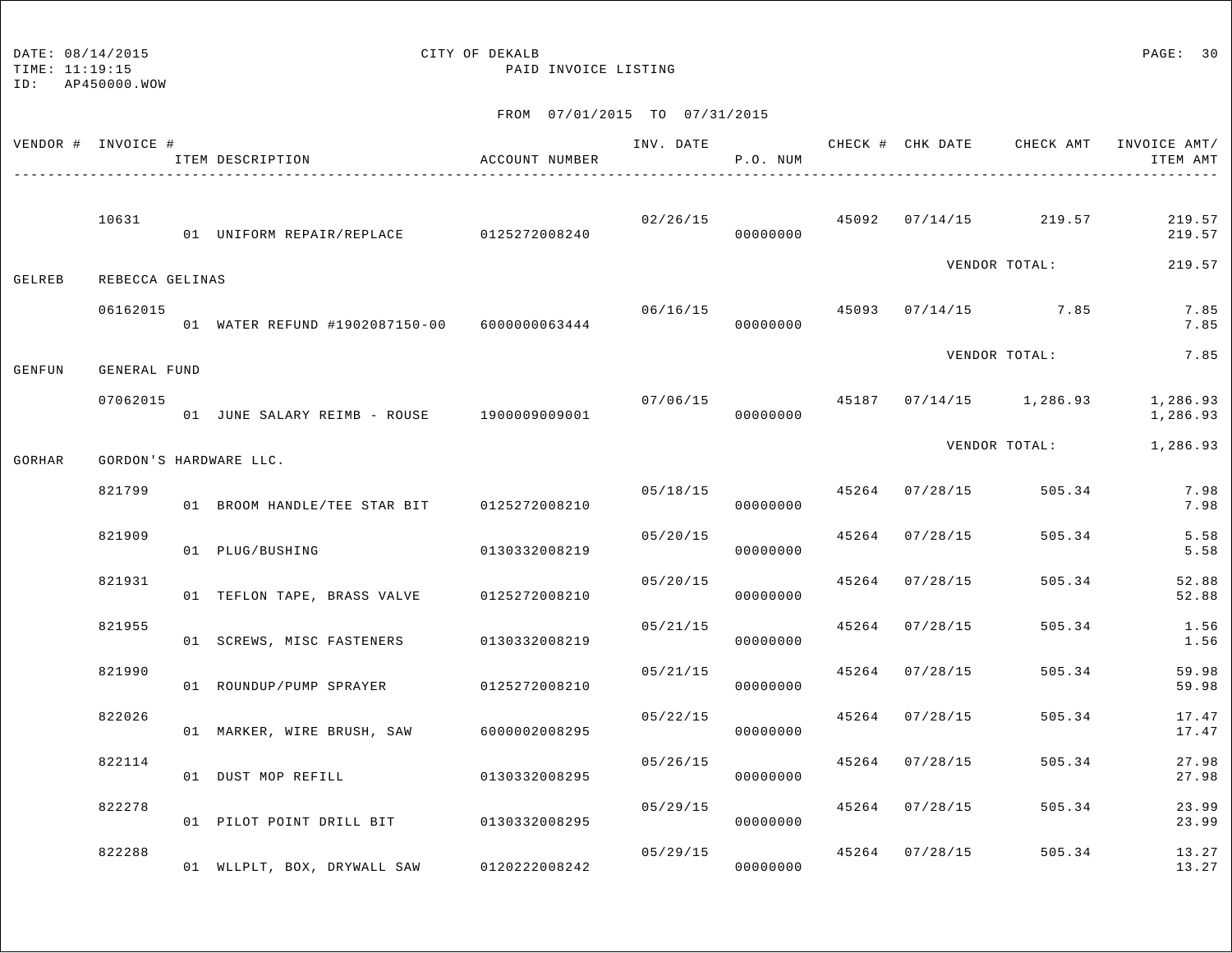## DATE:  $08/14/2015$  PAGE: 30

TIME: 11:19:15 PAID INVOICE LISTING

| VENDOR # INVOICE # |                 | ITEM DESCRIPTION                             | ACCOUNT NUMBER |          | P.O. NUM             |                | INV. DATE 6 19 CHECK # CHK DATE CHECK AMT INVOICE AMT/ | ITEM AMT             |
|--------------------|-----------------|----------------------------------------------|----------------|----------|----------------------|----------------|--------------------------------------------------------|----------------------|
|                    | 10631           | 01 UNIFORM REPAIR/REPLACE 0125272008240      |                |          | 00000000             |                | $02/26/15$ $45092$ $07/14/15$ $219.57$                 | 219.57<br>219.57     |
| GELREB             | REBECCA GELINAS |                                              |                |          |                      |                | VENDOR TOTAL:                                          | 219.57               |
|                    | 06162015        | 01 WATER REFUND #1902087150-00 6000000063444 |                | 06/16/15 | 00000000             |                | 45093 07/14/15 7.85                                    | 7.85<br>7.85         |
| GENFUN             | GENERAL FUND    |                                              |                |          |                      |                | VENDOR TOTAL:                                          | 7.85                 |
|                    | 07062015        | 01 JUNE SALARY REIMB - ROUSE 1900009009001   |                | 07/06/15 | 00000000             |                | 45187 07/14/15 1,286.93                                | 1,286.93<br>1,286.93 |
| GORHAR             |                 | GORDON'S HARDWARE LLC.                       |                |          |                      |                | VENDOR TOTAL:                                          | 1,286.93             |
|                    | 821799          | 01 BROOM HANDLE/TEE STAR BIT 0125272008210   |                | 05/18/15 | 00000000             | 45264 07/28/15 | 505.34                                                 | 7.98<br>7.98         |
|                    | 821909          | 01 PLUG/BUSHING                              | 0130332008219  | 05/20/15 | 00000000             | 45264 07/28/15 | 505.34                                                 | 5.58<br>5.58         |
|                    | 821931          | 01 TEFLON TAPE, BRASS VALVE 0125272008210    |                | 05/20/15 | 00000000             | 45264 07/28/15 | 505.34                                                 | 52.88<br>52.88       |
|                    | 821955          | 01 SCREWS, MISC FASTENERS 0130332008219      |                | 05/21/15 | 00000000             | 45264 07/28/15 | 505.34                                                 | 1.56<br>1.56         |
|                    | 821990          | 01 ROUNDUP/PUMP SPRAYER 0125272008210        |                |          | 05/21/15<br>00000000 | 45264 07/28/15 | 505.34                                                 | 59.98<br>59.98       |
|                    | 822026          | 01 MARKER, WIRE BRUSH, SAW                   | 6000002008295  | 05/22/15 | 00000000             | 45264 07/28/15 | 505.34                                                 | 17.47<br>17.47       |
|                    | 822114          | 01 DUST MOP REFILL                           | 0130332008295  | 05/26/15 | 00000000             | 45264 07/28/15 | 505.34                                                 | 27.98<br>27.98       |
|                    | 822278          | 01 PILOT POINT DRILL BIT 0130332008295       |                | 05/29/15 | 00000000             | 45264 07/28/15 | 505.34                                                 | 23.99<br>23.99       |
|                    | 822288          | 01 WLLPLT, BOX, DRYWALL SAW                  | 0120222008242  | 05/29/15 | 00000000             | 45264 07/28/15 | 505.34                                                 | 13.27<br>13.27       |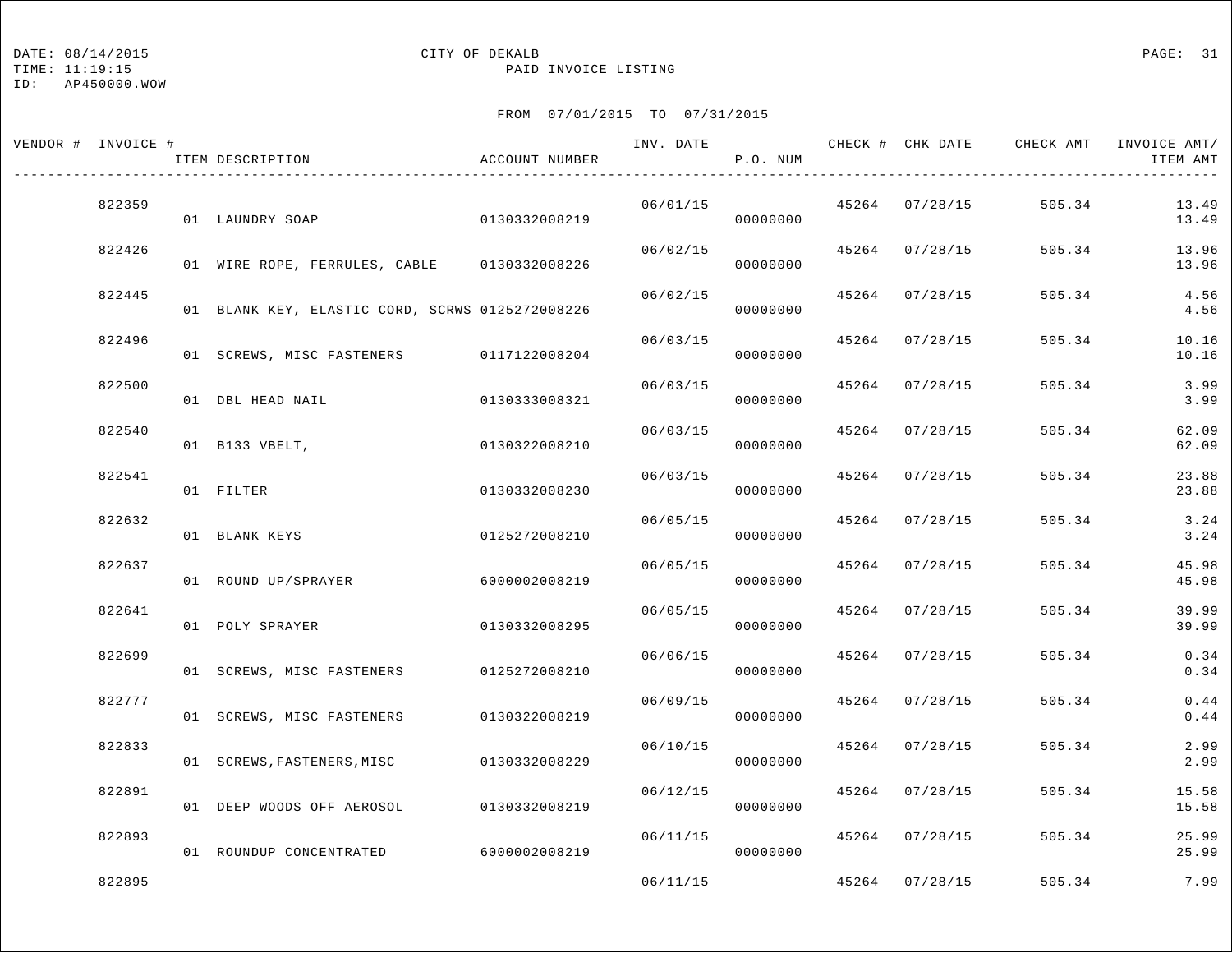TIME: 11:19:15 PAID INVOICE LISTING

ID: AP450000.WOW

| VENDOR # INVOICE # |        | ITEM DESCRIPTION                                | ACCOUNT NUMBER |          | P.O. NUM |                | INV. DATE 6 CHECK # CHK DATE CHECK AMT INVOICE AMT/ | ITEM AMT       |
|--------------------|--------|-------------------------------------------------|----------------|----------|----------|----------------|-----------------------------------------------------|----------------|
|                    | 822359 | 01 LAUNDRY SOAP                                 | 0130332008219  | 06/01/15 | 00000000 | 45264 07/28/15 | 505.34                                              | 13.49<br>13.49 |
|                    | 822426 | 01 WIRE ROPE, FERRULES, CABLE 0130332008226     |                | 06/02/15 | 00000000 | 45264 07/28/15 | 505.34                                              | 13.96<br>13.96 |
|                    | 822445 | 01 BLANK KEY, ELASTIC CORD, SCRWS 0125272008226 |                | 06/02/15 | 00000000 | 45264 07/28/15 | 505.34                                              | 4.56<br>4.56   |
|                    | 822496 | 01 SCREWS, MISC FASTENERS 0117122008204         |                | 06/03/15 | 00000000 | 45264 07/28/15 | 505.34                                              | 10.16<br>10.16 |
|                    | 822500 | 01 DBL HEAD NAIL                                | 0130333008321  | 06/03/15 | 00000000 | 45264 07/28/15 | 505.34                                              | 3.99<br>3.99   |
|                    | 822540 | 01 B133 VBELT,                                  | 0130322008210  | 06/03/15 | 00000000 | 45264 07/28/15 | 505.34                                              | 62.09<br>62.09 |
|                    | 822541 | 01 FILTER                                       | 0130332008230  | 06/03/15 | 00000000 | 45264 07/28/15 | 505.34                                              | 23.88<br>23.88 |
|                    | 822632 | 01 BLANK KEYS                                   | 0125272008210  | 06/05/15 | 00000000 | 45264 07/28/15 | 505.34                                              | 3.24<br>3.24   |
|                    | 822637 | 01 ROUND UP/SPRAYER                             | 6000002008219  | 06/05/15 | 00000000 | 45264 07/28/15 | 505.34                                              | 45.98<br>45.98 |
|                    | 822641 | 01 POLY SPRAYER                                 | 0130332008295  | 06/05/15 | 00000000 | 45264 07/28/15 | 505.34                                              | 39.99<br>39.99 |
|                    | 822699 | 01 SCREWS, MISC FASTENERS 0125272008210         |                | 06/06/15 | 00000000 | 45264 07/28/15 | 505.34                                              | 0.34<br>0.34   |
|                    | 822777 | 01 SCREWS, MISC FASTENERS                       | 0130322008219  | 06/09/15 | 00000000 | 45264 07/28/15 | 505.34                                              | 0.44<br>0.44   |
|                    | 822833 | 01 SCREWS, FASTENERS, MISC 0130332008229        |                | 06/10/15 | 00000000 | 45264 07/28/15 | 505.34                                              | 2.99<br>2.99   |
|                    | 822891 | 01 DEEP WOODS OFF AEROSOL                       | 0130332008219  | 06/12/15 | 00000000 | 45264 07/28/15 | 505.34                                              | 15.58<br>15.58 |
|                    | 822893 | 01 ROUNDUP CONCENTRATED                         | 6000002008219  | 06/11/15 | 00000000 | 45264 07/28/15 | 505.34                                              | 25.99<br>25.99 |
|                    | 822895 |                                                 |                | 06/11/15 |          | 45264 07/28/15 | 505.34                                              | 7.99           |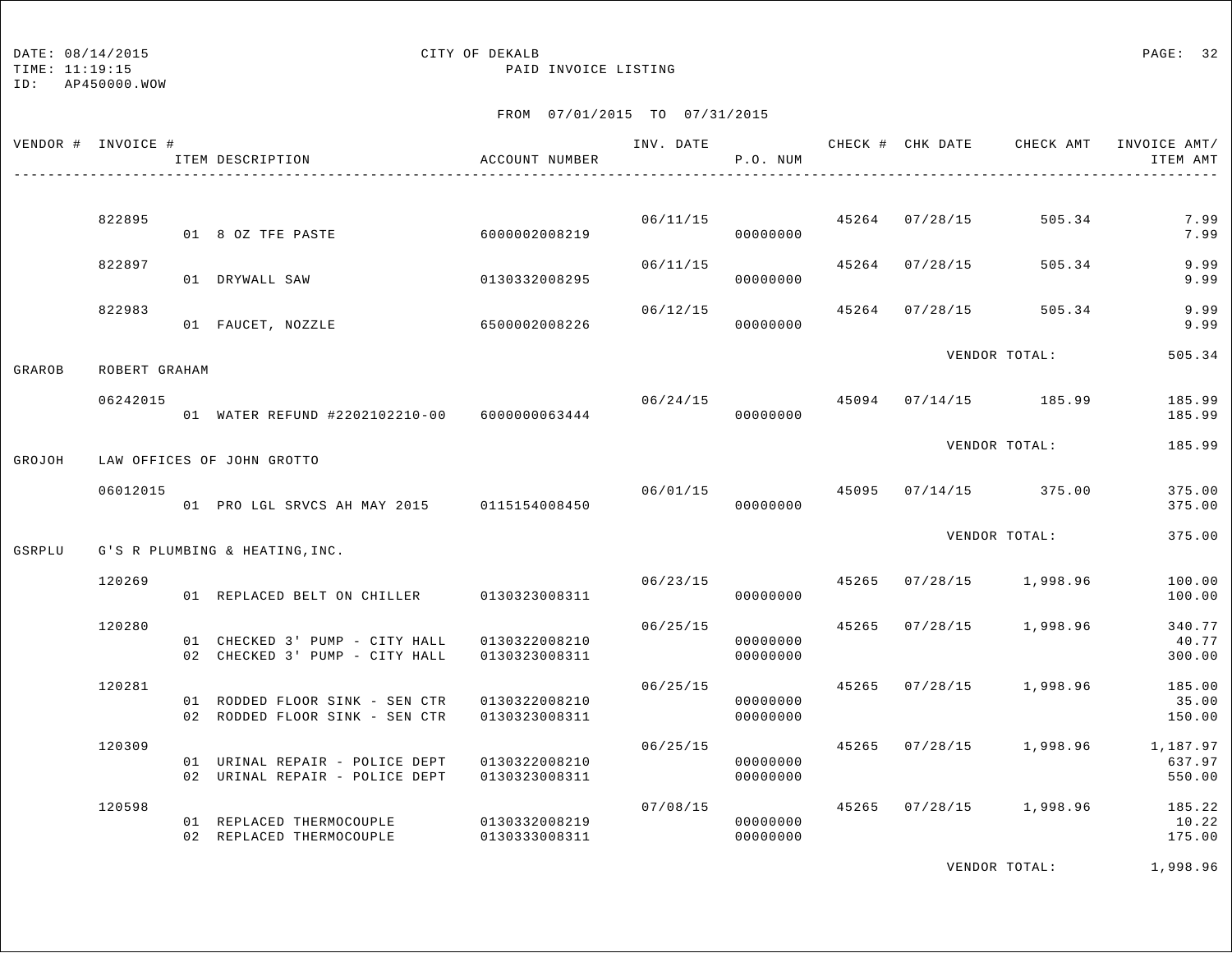## DATE:  $08/14/2015$  PAGE: 32

TIME: 11:19:15 PAID INVOICE LISTING

### FROM 07/01/2015 TO 07/31/2015

|        | VENDOR # INVOICE # | ITEM DESCRIPTION                                                 | ACCOUNT NUMBER                 |          | INV. DATE<br>P.O. NUM      |       |                | CHECK # CHK DATE CHECK AMT             | INVOICE AMT/<br>ITEM AMT     |
|--------|--------------------|------------------------------------------------------------------|--------------------------------|----------|----------------------------|-------|----------------|----------------------------------------|------------------------------|
|        | 822895             | 01 8 OZ TFE PASTE                                                | 6000002008219                  | 06/11/15 | 00000000                   |       | 45264 07/28/15 | 505.34                                 | 7.99<br>7.99                 |
|        | 822897             | 01 DRYWALL SAW                                                   | 0130332008295                  | 06/11/15 | 00000000                   |       | 45264 07/28/15 | 505.34                                 | 9.99<br>9.99                 |
|        | 822983             | 01 FAUCET, NOZZLE                                                | 6500002008226                  | 06/12/15 | 00000000                   | 45264 | 07/28/15       | 505.34                                 | 9.99<br>9.99                 |
| GRAROB | ROBERT GRAHAM      |                                                                  |                                |          |                            |       |                | VENDOR TOTAL:                          | 505.34                       |
|        | 06242015           | 01 WATER REFUND #2202102210-00 6000000063444                     |                                | 06/24/15 | 00000000                   |       |                | 45094 07/14/15 185.99                  | 185.99<br>185.99             |
| GROJOH |                    | LAW OFFICES OF JOHN GROTTO                                       |                                |          |                            |       |                | VENDOR TOTAL:                          | 185.99                       |
|        | 06012015           | 01 PRO LGL SRVCS AH MAY 2015 0115154008450                       |                                |          | 00000000                   |       |                | $06/01/15$ $45095$ $07/14/15$ $375.00$ | 375.00<br>375.00             |
| GSRPLU |                    | G'S R PLUMBING & HEATING, INC.                                   |                                |          |                            |       |                | VENDOR TOTAL:                          | 375.00                       |
|        | 120269             | 01 REPLACED BELT ON CHILLER                                      | 0130323008311                  |          | 06/23/15 45265<br>00000000 |       |                | 07/28/15 1,998.96                      | 100.00<br>100.00             |
|        | 120280             | 01 CHECKED 3' PUMP - CITY HALL<br>02 CHECKED 3' PUMP - CITY HALL | 0130322008210<br>0130323008311 | 06/25/15 | 00000000<br>00000000       | 45265 |                | 07/28/15 1,998.96                      | 340.77<br>40.77<br>300.00    |
|        | 120281             | 01 RODDED FLOOR SINK - SEN CTR<br>02 RODDED FLOOR SINK - SEN CTR | 0130322008210<br>0130323008311 | 06/25/15 | 00000000<br>00000000       |       |                | 45265 07/28/15 1,998.96                | 185.00<br>35.00<br>150.00    |
|        | 120309             | 01 URINAL REPAIR - POLICE DEPT<br>02 URINAL REPAIR - POLICE DEPT | 0130322008210<br>0130323008311 | 06/25/15 | 00000000<br>00000000       |       |                | 45265 07/28/15 1,998.96                | 1,187.97<br>637.97<br>550.00 |
|        | 120598             | 01 REPLACED THERMOCOUPLE<br>02 REPLACED THERMOCOUPLE             | 0130332008219<br>0130333008311 | 07/08/15 | 00000000<br>00000000       | 45265 |                | $07/28/15$ 1,998.96                    | 185.22<br>10.22<br>175.00    |

VENDOR TOTAL: 1,998.96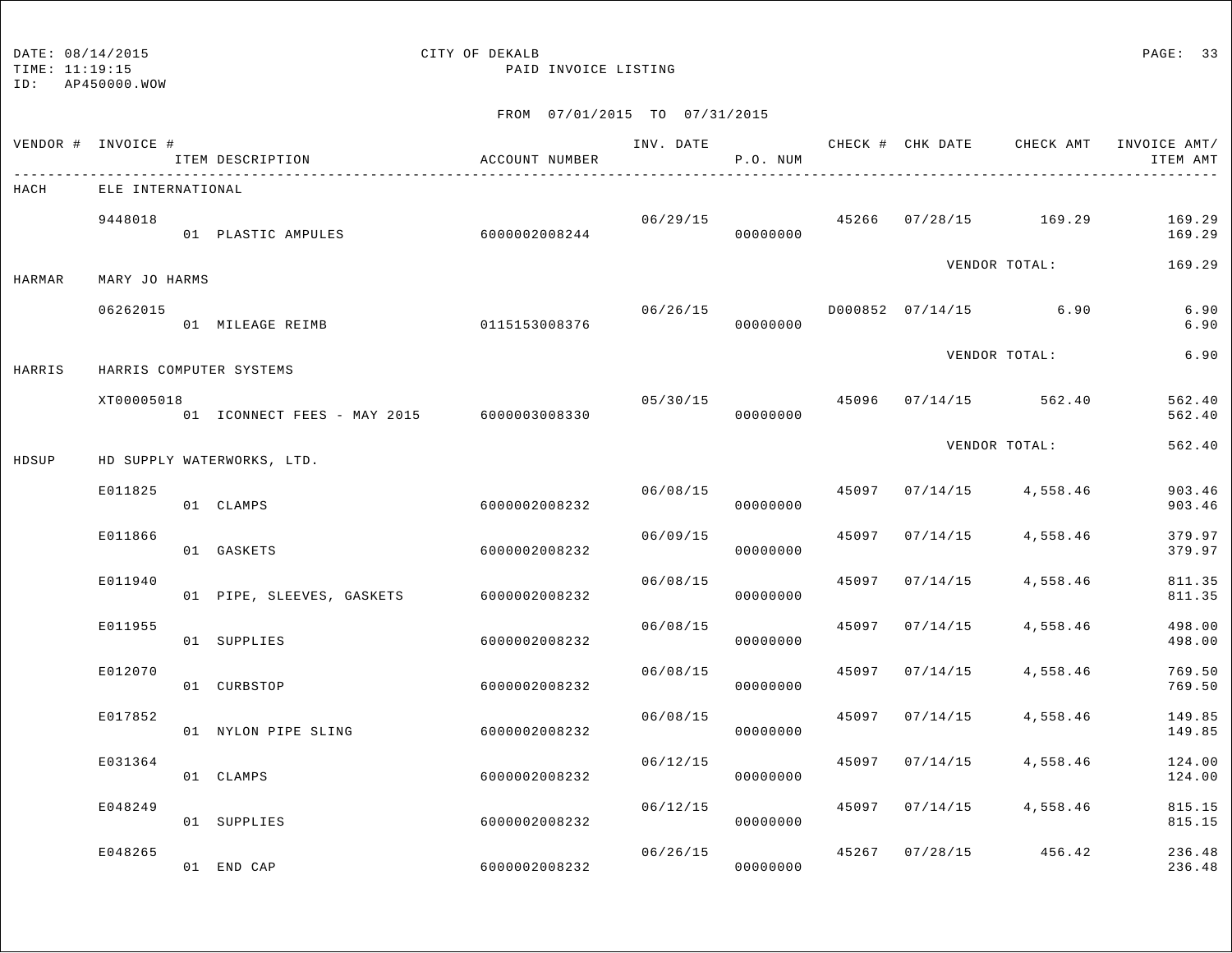TIME: 11:19:15 PAID INVOICE LISTING

ID: AP450000.WOW

|        | VENDOR # INVOICE # | ITEM DESCRIPTION                                | ACCOUNT NUMBER |                | P.O. NUM             |       |          | INV. DATE 6 CHECK # CHK DATE CHECK AMT | INVOICE AMT/<br>ITEM AMT |
|--------|--------------------|-------------------------------------------------|----------------|----------------|----------------------|-------|----------|----------------------------------------|--------------------------|
| HACH   | ELE INTERNATIONAL  |                                                 |                |                |                      |       |          |                                        |                          |
|        | 9448018            | 01 PLASTIC AMPULES                              | 60000002008244 |                | 00000000             |       |          | $06/29/15$ $45266$ $07/28/15$ $169.29$ | 169.29<br>169.29         |
| HARMAR | MARY JO HARMS      |                                                 |                |                |                      |       |          | VENDOR TOTAL:                          | 169.29                   |
|        | 06262015           | 01 MILEAGE REIMB                                | 0115153008376  | 06/26/15       | 00000000             |       |          | D000852 07/14/15 6.90                  | 6.90<br>6.90             |
| HARRIS |                    | HARRIS COMPUTER SYSTEMS                         |                |                |                      |       |          | VENDOR TOTAL:                          | 6.90                     |
|        | XT00005018         | 01    ICONNECT FEES - MAY 2015    6000003008330 |                | 05/30/15 45096 | 00000000             |       |          | $07/14/15$ 562.40                      | 562.40<br>562.40         |
| HDSUP  |                    | HD SUPPLY WATERWORKS, LTD.                      |                |                |                      |       |          | VENDOR TOTAL:                          | 562.40                   |
|        | E011825            | 01 CLAMPS                                       | 6000002008232  | 06/08/15       | 00000000             | 45097 | 07/14/15 | 4,558.46                               | 903.46<br>903.46         |
|        | E011866            | 01 GASKETS                                      | 6000002008232  | 06/09/15       | 00000000             | 45097 | 07/14/15 | 4,558.46                               | 379.97<br>379.97         |
|        | E011940            | 01 PIPE, SLEEVES, GASKETS                       | 6000002008232  | 06/08/15       | 00000000             | 45097 | 07/14/15 | 4,558.46                               | 811.35<br>811.35         |
|        | E011955            | 01 SUPPLIES                                     | 6000002008232  | 06/08/15       | 00000000             | 45097 | 07/14/15 | 4,558.46                               | 498.00<br>498.00         |
|        | E012070            | 01 CURBSTOP                                     | 6000002008232  | 06/08/15       | 00000000             | 45097 | 07/14/15 | 4,558.46                               | 769.50<br>769.50         |
|        | E017852            | 01 NYLON PIPE SLING                             | 6000002008232  | 06/08/15       | 00000000             | 45097 | 07/14/15 | 4,558.46                               | 149.85<br>149.85         |
|        | E031364            | 01 CLAMPS                                       | 6000002008232  | 06/12/15       | 00000000             | 45097 | 07/14/15 | 4,558.46                               | 124.00<br>124.00         |
|        | E048249            | 01 SUPPLIES                                     | 6000002008232  | 06/12/15       | 00000000             | 45097 | 07/14/15 | 4,558.46                               | 815.15<br>815.15         |
|        | E048265            | 01 END CAP                                      | 6000002008232  |                | 06/26/15<br>00000000 | 45267 |          | $07/28/15$ 456.42                      | 236.48<br>236.48         |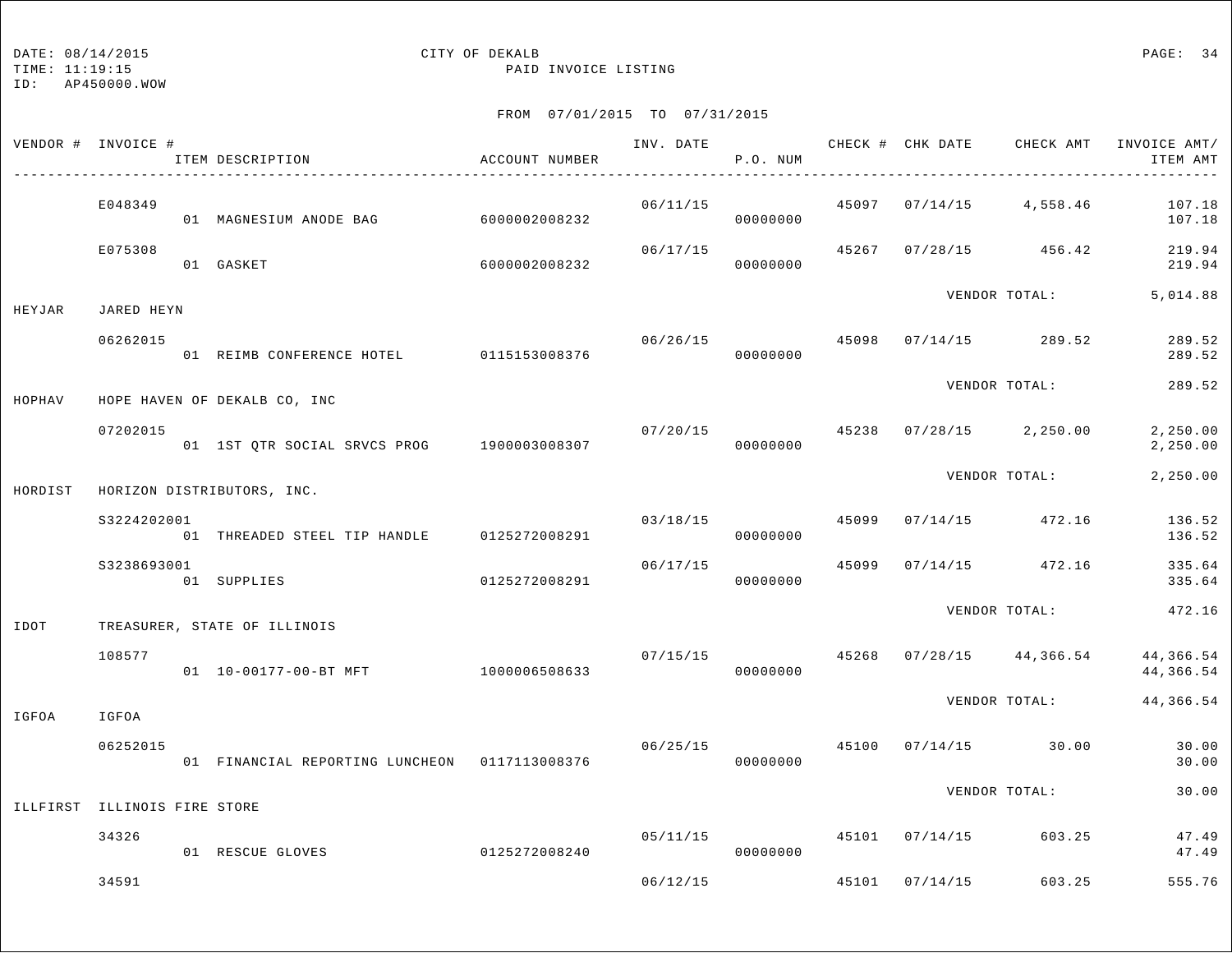TIME: 11:19:15 PAID INVOICE LISTING

|         | VENDOR # INVOICE #           | ACCOUNT NUMBER<br>ITEM DESCRIPTION            |               |          | P.O. NUM             |       |                |                          | INV. DATE 6 CHECK # CHK DATE CHECK AMT INVOICE AMT/<br>ITEM AMT |
|---------|------------------------------|-----------------------------------------------|---------------|----------|----------------------|-------|----------------|--------------------------|-----------------------------------------------------------------|
|         | E048349                      | 01 MAGNESIUM ANODE BAG                        | 6000002008232 | 06/11/15 | 00000000             |       |                | 45097 07/14/15 4,558.46  | 107.18<br>107.18                                                |
|         | E075308                      | 01 GASKET                                     | 6000002008232 | 06/17/15 | 00000000             |       |                | 45267 07/28/15 456.42    | 219.94<br>219.94                                                |
| HEYJAR  | JARED HEYN                   |                                               |               |          |                      |       |                | VENDOR TOTAL:            | 5,014.88                                                        |
|         | 06262015                     | 01 REIMB CONFERENCE HOTEL 0115153008376       |               |          | 06/26/15<br>00000000 | 45098 |                | $07/14/15$ 289.52        | 289.52<br>289.52                                                |
| HOPHAV  |                              | HOPE HAVEN OF DEKALB CO, INC                  |               |          |                      |       |                | VENDOR TOTAL:            | 289.52                                                          |
|         | 07202015                     | 01 1ST QTR SOCIAL SRVCS PROG 1900003008307    |               | 07/20/15 | 00000000             |       |                | 45238 07/28/15 2,250.00  | 2,250.00<br>2,250.00                                            |
| HORDIST |                              | HORIZON DISTRIBUTORS, INC.                    |               |          |                      |       |                | VENDOR TOTAL:            | 2,250.00                                                        |
|         | S3224202001                  | 01 THREADED STEEL TIP HANDLE 0125272008291    |               |          | 03/18/15             | 45099 |                | $07/14/15$ 472.16        | 136.52                                                          |
|         | S3238693001                  | 01 SUPPLIES                                   | 0125272008291 | 06/17/15 | 00000000<br>00000000 | 45099 |                | $07/14/15$ 472.16        | 136.52<br>335.64<br>335.64                                      |
| IDOT    |                              | TREASURER, STATE OF ILLINOIS                  |               |          |                      |       |                | VENDOR TOTAL:            | 472.16                                                          |
|         | 108577                       | 01  10-00177-00-BT MFT  1000006508633         |               | 07/15/15 | 00000000             |       |                | 45268 07/28/15 44,366.54 | 44,366.54<br>44,366.54                                          |
| IGFOA   | IGFOA                        |                                               |               |          |                      |       |                | VENDOR TOTAL:            | 44,366.54                                                       |
|         | 06252015                     | 01 FINANCIAL REPORTING LUNCHEON 0117113008376 |               | 06/25/15 | 00000000             | 45100 |                | $07/14/15$ 30.00         | 30.00<br>30.00                                                  |
|         | ILLFIRST ILLINOIS FIRE STORE |                                               |               |          |                      |       |                | VENDOR TOTAL:            | 30.00                                                           |
|         | 34326                        | 01 RESCUE GLOVES                              | 0125272008240 | 05/11/15 | 00000000             |       |                | 45101 07/14/15 603.25    | 47.49<br>47.49                                                  |
|         | 34591                        |                                               |               | 06/12/15 |                      |       | 45101 07/14/15 | 603.25                   | 555.76                                                          |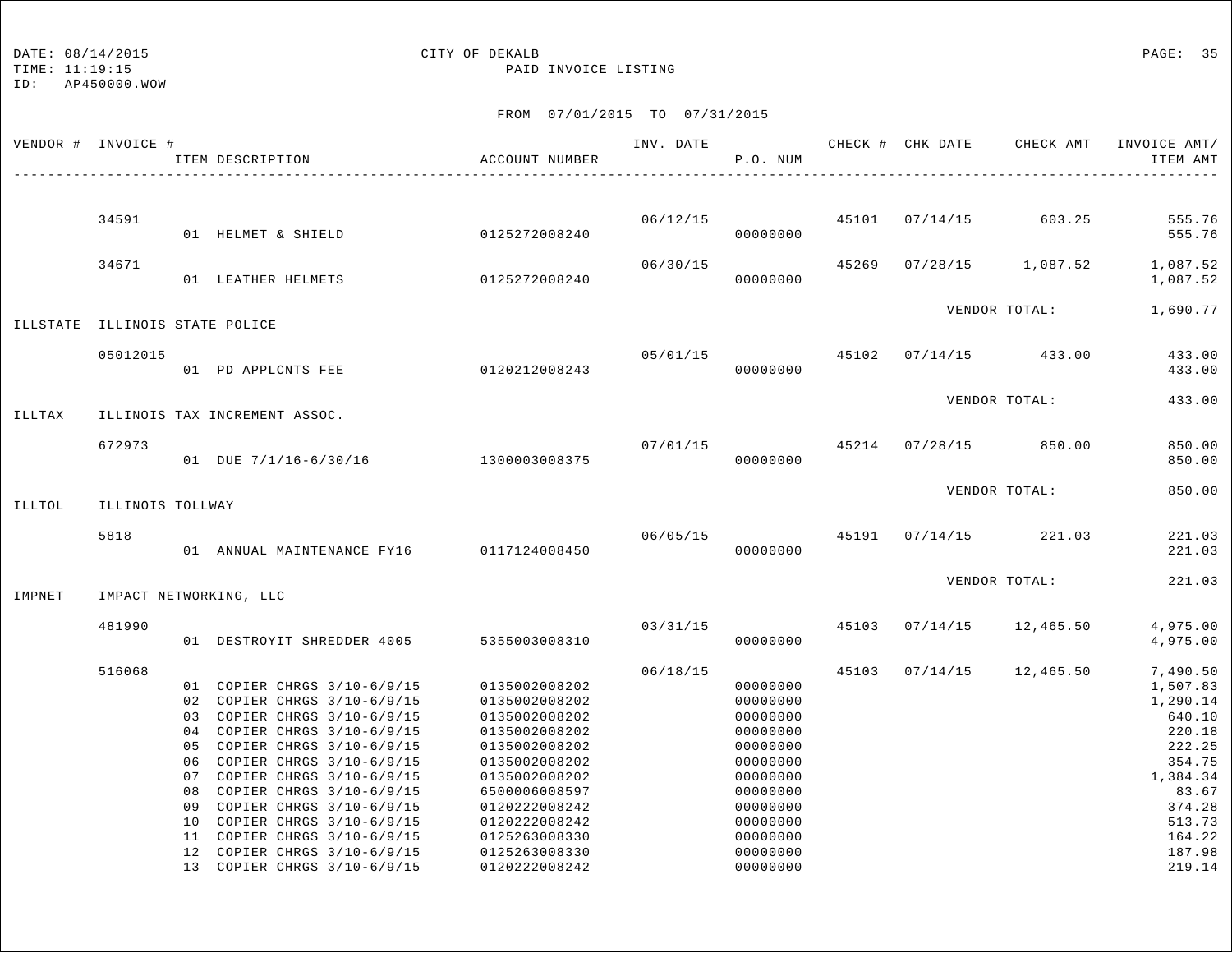TIME: 11:19:15 PAID INVOICE LISTING

ID: AP450000.WOW

|        |                            |                                                                                                              | ACCOUNT NUMBER                                                                                                                                                                                                                                                                                                                                                                                                                                                                             | INV. DATE                                                                                                                                                                                       | P.O. NUM                                                                                                                                     |                      |          |                                                    | INVOICE AMT/<br>ITEM AMT                                                                                                                                                                          |
|--------|----------------------------|--------------------------------------------------------------------------------------------------------------|--------------------------------------------------------------------------------------------------------------------------------------------------------------------------------------------------------------------------------------------------------------------------------------------------------------------------------------------------------------------------------------------------------------------------------------------------------------------------------------------|-------------------------------------------------------------------------------------------------------------------------------------------------------------------------------------------------|----------------------------------------------------------------------------------------------------------------------------------------------|----------------------|----------|----------------------------------------------------|---------------------------------------------------------------------------------------------------------------------------------------------------------------------------------------------------|
|        |                            |                                                                                                              |                                                                                                                                                                                                                                                                                                                                                                                                                                                                                            |                                                                                                                                                                                                 |                                                                                                                                              |                      |          |                                                    |                                                                                                                                                                                                   |
|        |                            |                                                                                                              |                                                                                                                                                                                                                                                                                                                                                                                                                                                                                            |                                                                                                                                                                                                 | 00000000                                                                                                                                     |                      |          |                                                    | 555.76<br>555.76                                                                                                                                                                                  |
| 34671  |                            |                                                                                                              |                                                                                                                                                                                                                                                                                                                                                                                                                                                                                            | 06/30/15                                                                                                                                                                                        | 00000000                                                                                                                                     |                      |          |                                                    | 1,087.52<br>1,087.52                                                                                                                                                                              |
|        |                            |                                                                                                              |                                                                                                                                                                                                                                                                                                                                                                                                                                                                                            |                                                                                                                                                                                                 |                                                                                                                                              |                      |          |                                                    | 1,690.77                                                                                                                                                                                          |
|        |                            |                                                                                                              |                                                                                                                                                                                                                                                                                                                                                                                                                                                                                            |                                                                                                                                                                                                 | 00000000                                                                                                                                     |                      | 07/14/15 |                                                    | 433.00<br>433.00                                                                                                                                                                                  |
|        |                            |                                                                                                              |                                                                                                                                                                                                                                                                                                                                                                                                                                                                                            |                                                                                                                                                                                                 |                                                                                                                                              |                      |          |                                                    | 433.00                                                                                                                                                                                            |
| 672973 |                            |                                                                                                              |                                                                                                                                                                                                                                                                                                                                                                                                                                                                                            | 07/01/15                                                                                                                                                                                        | 00000000                                                                                                                                     |                      |          |                                                    | 850.00<br>850.00                                                                                                                                                                                  |
|        |                            |                                                                                                              |                                                                                                                                                                                                                                                                                                                                                                                                                                                                                            |                                                                                                                                                                                                 |                                                                                                                                              |                      |          |                                                    | 850.00                                                                                                                                                                                            |
| 5818   |                            |                                                                                                              |                                                                                                                                                                                                                                                                                                                                                                                                                                                                                            |                                                                                                                                                                                                 | 00000000                                                                                                                                     |                      |          |                                                    | 221.03<br>221.03                                                                                                                                                                                  |
|        |                            |                                                                                                              |                                                                                                                                                                                                                                                                                                                                                                                                                                                                                            |                                                                                                                                                                                                 |                                                                                                                                              |                      |          |                                                    | 221.03                                                                                                                                                                                            |
| 481990 |                            |                                                                                                              |                                                                                                                                                                                                                                                                                                                                                                                                                                                                                            | 03/31/15                                                                                                                                                                                        | 00000000                                                                                                                                     |                      | 07/14/15 | 12,465.50                                          | 4,975.00<br>4,975.00                                                                                                                                                                              |
| 516068 | 05<br>06<br>08<br>09<br>10 | COPIER CHRGS 3/10-6/9/15<br>COPIER CHRGS 3/10-6/9/15<br>COPIER CHRGS 3/10-6/9/15<br>COPIER CHRGS 3/10-6/9/15 | 0135002008202<br>0135002008202<br>0135002008202<br>0135002008202<br>0135002008202<br>0135002008202<br>0135002008202<br>6500006008597<br>0120222008242<br>0120222008242<br>0125263008330<br>0125263008330                                                                                                                                                                                                                                                                                   | 06/18/15                                                                                                                                                                                        | 00000000<br>00000000<br>00000000<br>00000000<br>00000000<br>00000000<br>00000000<br>00000000<br>00000000<br>00000000<br>00000000<br>00000000 | 45103                | 07/14/15 | 12,465.50                                          | 7,490.50<br>1,507.83<br>1,290.14<br>640.10<br>220.18<br>222.25<br>354.75<br>1,384.34<br>83.67<br>374.28<br>513.73<br>164.22<br>187.98                                                             |
|        | 34591                      | VENDOR # INVOICE #<br>05012015                                                                               | ITEM DESCRIPTION<br>01 HELMET & SHIELD<br>01 LEATHER HELMETS<br>ILLSTATE ILLINOIS STATE POLICE<br>01 PD APPLCNTS FEE<br>ILLINOIS TAX INCREMENT ASSOC.<br>ILLINOIS TOLLWAY<br>IMPACT NETWORKING, LLC<br>01 COPIER CHRGS 3/10-6/9/15<br>02 COPIER CHRGS 3/10-6/9/15<br>03 COPIER CHRGS 3/10-6/9/15<br>04 COPIER CHRGS 3/10-6/9/15<br>COPIER CHRGS 3/10-6/9/15<br>COPIER CHRGS 3/10-6/9/15<br>07<br>11 COPIER CHRGS 3/10-6/9/15<br>12 COPIER CHRGS 3/10-6/9/15<br>13 COPIER CHRGS 3/10-6/9/15 | 0125272008240<br>0125272008240<br>0120212008243<br>01 DUE 7/1/16-6/30/16 1300003008375<br>01 ANNUAL MAINTENANCE FY16 0117124008450<br>01 DESTROYIT SHREDDER 4005 5355003008310<br>0120222008242 | 06/12/15                                                                                                                                     | 05/01/15<br>00000000 |          | 45101 07/14/15<br>45269 07/28/15<br>45102<br>45103 | CHECK # CHK DATE CHECK AMT<br>603.25<br>1,087.52<br>VENDOR TOTAL:<br>433.00<br>VENDOR TOTAL:<br>45214 07/28/15 850.00<br>VENDOR TOTAL:<br>$06/05/15$ $45191$ $07/14/15$ $221.03$<br>VENDOR TOTAL: |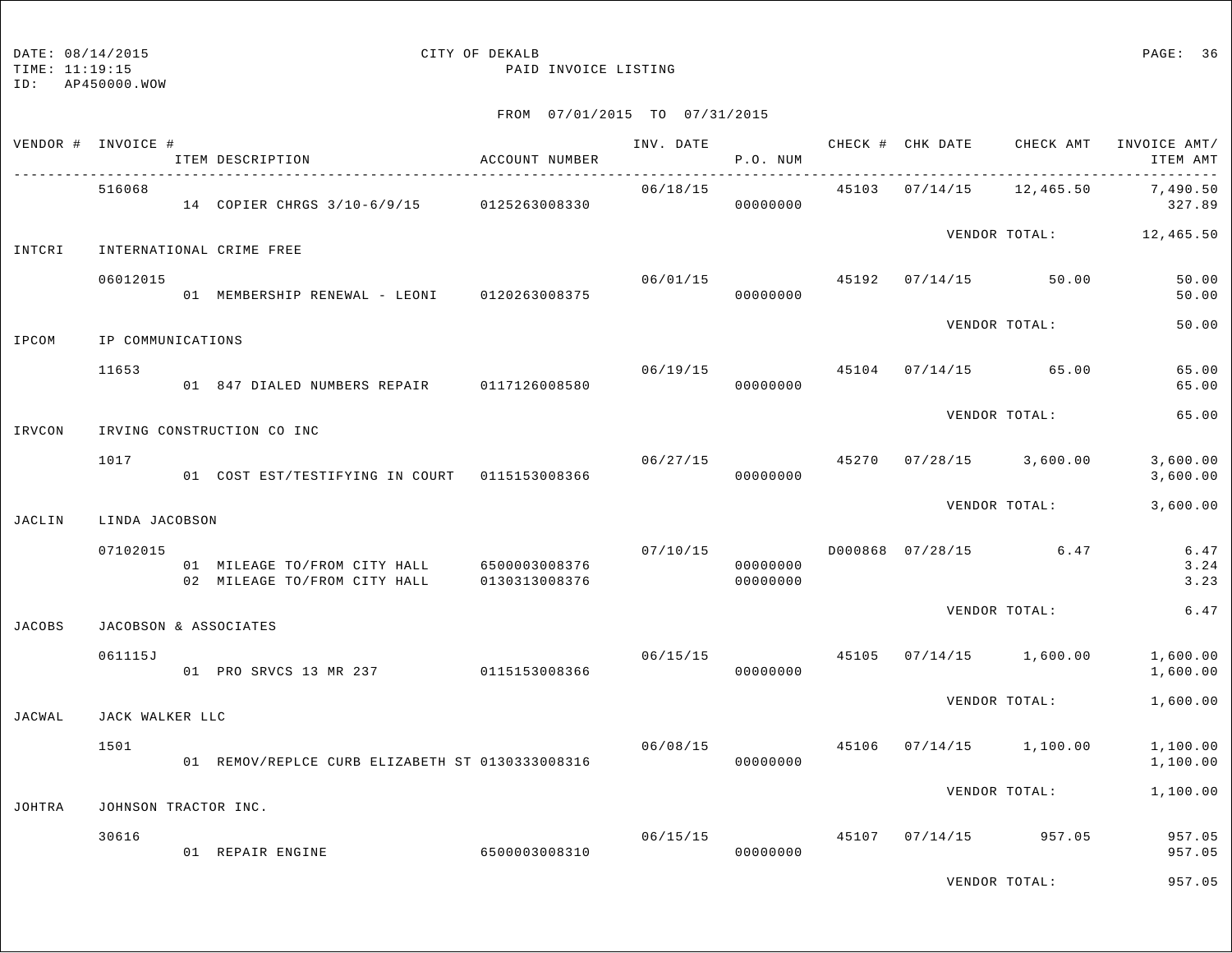TIME: 11:19:15 PAID INVOICE LISTING

| VENDOR # INVOICE # |                      | ITEM DESCRIPTION                                                           | ACCOUNT NUMBER | INV. DATE | P.O. NUM                   |       |                      | CHECK # CHK DATE CHECK AMT | INVOICE AMT/<br>ITEM AMT |
|--------------------|----------------------|----------------------------------------------------------------------------|----------------|-----------|----------------------------|-------|----------------------|----------------------------|--------------------------|
|                    | 516068               | 14 COPIER CHRGS 3/10-6/9/15 0125263008330                                  |                | 06/18/15  | 00000000                   |       | 45103 07/14/15       | 12,465.50                  | 7,490.50<br>327.89       |
| INTCRI             |                      | INTERNATIONAL CRIME FREE                                                   |                |           |                            |       |                      |                            | VENDOR TOTAL: 12,465.50  |
|                    | 06012015             | 01 MEMBERSHIP RENEWAL - LEONI 0120263008375                                |                |           | 06/01/15<br>00000000       | 45192 |                      | $07/14/15$ 50.00           | 50.00<br>50.00           |
| IPCOM              | IP COMMUNICATIONS    |                                                                            |                |           |                            |       |                      | VENDOR TOTAL:              | 50.00                    |
|                    | 11653                | 01 847 DIALED NUMBERS REPAIR 0117126008580                                 |                | 06/19/15  | 00000000                   |       | 45104 07/14/15 65.00 |                            | 65.00<br>65.00           |
| IRVCON             |                      | IRVING CONSTRUCTION CO INC                                                 |                |           |                            |       |                      | VENDOR TOTAL:              | 65.00                    |
|                    | 1017                 | 01 COST EST/TESTIFYING IN COURT 0115153008366                              |                |           | 06/27/15<br>00000000       | 45270 |                      | $07/28/15$ 3,600.00        | 3,600.00<br>3,600.00     |
| JACLIN             | LINDA JACOBSON       |                                                                            |                |           |                            |       |                      | VENDOR TOTAL:              | 3,600.00                 |
|                    | 07102015             | 01 MILEAGE TO/FROM CITY HALL 6500003008376<br>02 MILEAGE TO/FROM CITY HALL | 0130313008376  | 07/10/15  | 00000000<br>00000000       |       |                      | D000868 07/28/15 6.47      | 6.47<br>3.24<br>3.23     |
| <b>JACOBS</b>      |                      | JACOBSON & ASSOCIATES                                                      |                |           |                            |       |                      | VENDOR TOTAL:              | 6.47                     |
|                    | 061115J              | 01 PRO SRVCS 13 MR 237 0115153008366                                       |                |           | 06/15/15 45105<br>00000000 |       |                      | $07/14/15$ 1,600.00        | 1,600.00<br>1,600.00     |
| JACWAL             | JACK WALKER LLC      |                                                                            |                |           |                            |       |                      | VENDOR TOTAL:              | 1,600.00                 |
|                    | 1501                 | 01 REMOV/REPLCE CURB ELIZABETH ST 0130333008316                            |                | 06/08/15  | 00000000                   | 45106 |                      | $07/14/15$ 1,100.00        | 1,100.00<br>1,100.00     |
| JOHTRA             | JOHNSON TRACTOR INC. |                                                                            |                |           |                            |       |                      | VENDOR TOTAL:              | 1,100.00                 |
|                    | 30616                | 01 REPAIR ENGINE                                                           | 6500003008310  |           | 06/15/15<br>00000000       | 45107 |                      | $07/14/15$ 957.05          | 957.05<br>957.05         |
|                    |                      |                                                                            |                |           |                            |       |                      | VENDOR TOTAL:              | 957.05                   |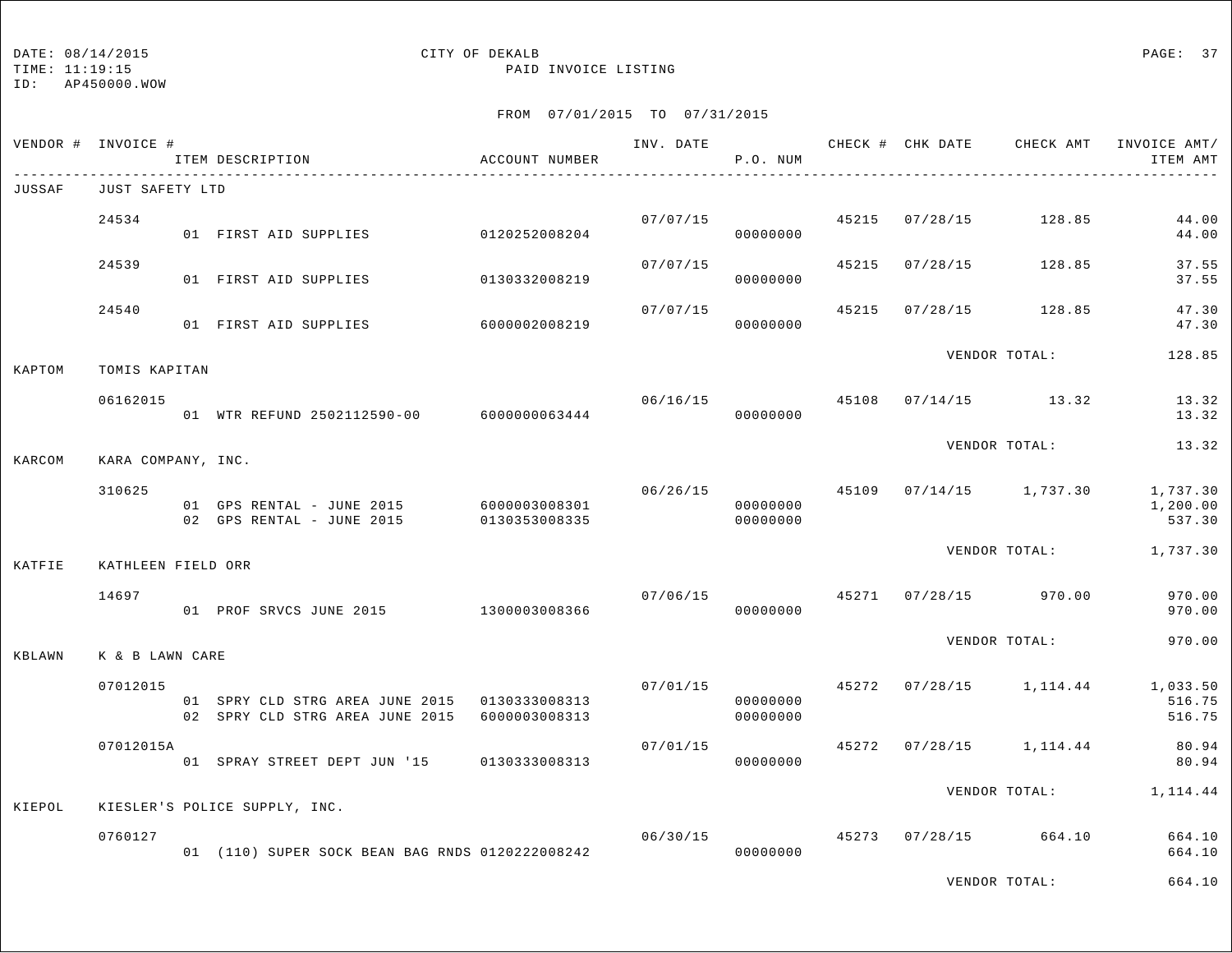TIME: 11:19:15 PAID INVOICE LISTING

ID: AP450000.WOW

## FROM 07/01/2015 TO 07/31/2015

|        | VENDOR # INVOICE # | ITEM DESCRIPTION                                                                                 | ACCOUNT NUMBER                 |          | P.O. NUM                   |       |                | INV. DATE 6 1997 CHECK # CHK DATE CHECK AMT INVOICE AMT | ITEM AMT                                         |
|--------|--------------------|--------------------------------------------------------------------------------------------------|--------------------------------|----------|----------------------------|-------|----------------|---------------------------------------------------------|--------------------------------------------------|
| JUSSAF | JUST SAFETY LTD    |                                                                                                  |                                |          |                            |       |                |                                                         |                                                  |
|        | 24534              | 01 FIRST AID SUPPLIES                                                                            | 0120252008204                  | 07/07/15 | 00000000                   |       | 45215 07/28/15 | 128.85                                                  | 44.00<br>44.00                                   |
|        | 24539              | 01 FIRST AID SUPPLIES                                                                            | 0130332008219                  | 07/07/15 | 00000000                   | 45215 | 07/28/15       | 128.85                                                  | 37.55<br>37.55                                   |
|        | 24540              | 01 FIRST AID SUPPLIES                                                                            | 6000002008219                  | 07/07/15 | 00000000                   | 45215 | 07/28/15       | 128.85                                                  | 47.30<br>47.30                                   |
| KAPTOM | TOMIS KAPITAN      |                                                                                                  |                                |          |                            |       |                | VENDOR TOTAL:                                           | 128.85                                           |
|        | 06162015           | 01 WTR REFUND 2502112590-00 6000000063444                                                        |                                |          | 06/16/15 45108<br>00000000 |       |                | $07/14/15$ 13.32                                        | 13.32<br>13.32                                   |
| KARCOM | KARA COMPANY, INC. |                                                                                                  |                                |          |                            |       |                | VENDOR TOTAL:                                           | 13.32                                            |
|        | 310625             | 01 GPS RENTAL - JUNE 2015<br>02 GPS RENTAL - JUNE 2015                                           | 6000003008301<br>0130353008335 | 06/26/15 | 00000000<br>00000000       |       |                | 45109 07/14/15 1,737.30                                 | 1,737.30<br>1,200.00<br>537.30                   |
| KATFIE | KATHLEEN FIELD ORR |                                                                                                  |                                |          |                            |       |                | VENDOR TOTAL:                                           | 1,737.30                                         |
|        | 14697              | 01 PROF SRVCS JUNE 2015 1300003008366                                                            |                                |          | 00000000                   |       |                | $07/06/15$ 45271 07/28/15 970.00                        | 970.00<br>970.00                                 |
| KBLAWN | K & B LAWN CARE    |                                                                                                  |                                |          |                            |       |                | VENDOR TOTAL:                                           | 970.00                                           |
|        | 07012015           | 01 SPRY CLD STRG AREA JUNE 2015  0130333008313<br>02 SPRY CLD STRG AREA JUNE 2015  6000003008313 |                                | 07/01/15 | 00000000<br>00000000       |       |                | 45272 07/28/15 1,114.44                                 | 1,033.50<br>516.75<br>516.75                     |
|        | 07012015A          | 01 SPRAY STREET DEPT JUN '15 0130333008313                                                       |                                | 07/01/15 | 00000000                   |       |                | 45272 07/28/15 1,114.44                                 | 80.94<br>80.94                                   |
|        |                    | KIESLER'S POLICE SUPPLY, INC.                                                                    |                                |          |                            |       |                | VENDOR TOTAL:                                           | 1,114.44                                         |
| KIEPOL | 0760127            | 01 (110) SUPER SOCK BEAN BAG RNDS 0120222008242                                                  |                                |          | 06/30/15<br>00000000       | 45273 |                | $07/28/15$ 664.10                                       | 664.10<br>664.10                                 |
|        |                    |                                                                                                  |                                |          |                            |       |                | $\frac{1}{2}$                                           | $\epsilon$ $\epsilon$ $\alpha$ $\alpha$ $\alpha$ |

VENDOR TOTAL: 664.10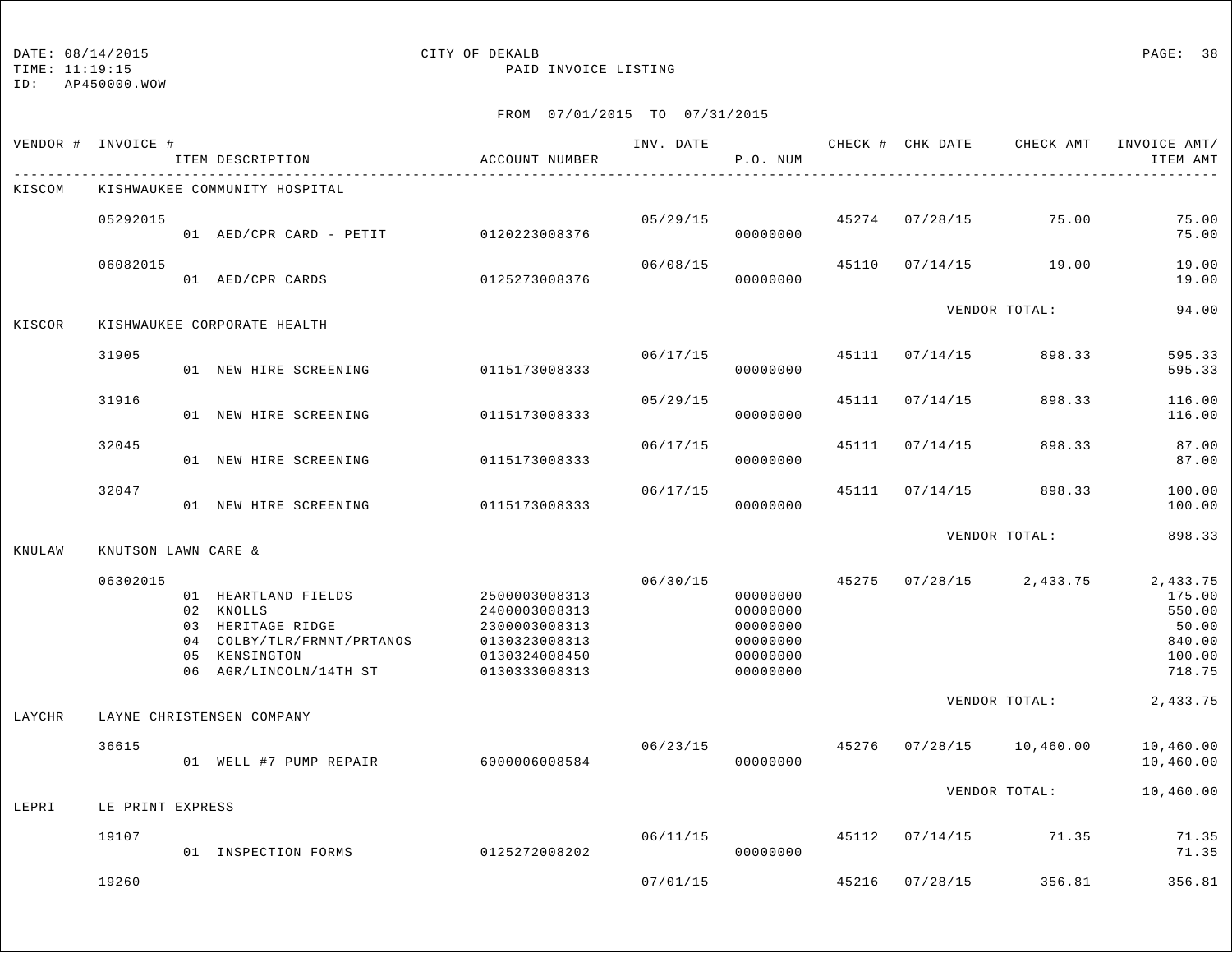#### DATE:  $08/14/2015$  PAGE: 38

TIME: 11:19:15 PAID INVOICE LISTING

| VENDOR # | INVOICE #           | ITEM DESCRIPTION                                                                                                               | ACCOUNT NUMBER                                                                                     | INV. DATE | P.O. NUM                                                             |       |                | CHECK # CHK DATE CHECK AMT | INVOICE AMT/<br>ITEM AMT                                            |
|----------|---------------------|--------------------------------------------------------------------------------------------------------------------------------|----------------------------------------------------------------------------------------------------|-----------|----------------------------------------------------------------------|-------|----------------|----------------------------|---------------------------------------------------------------------|
| KISCOM   |                     | KISHWAUKEE COMMUNITY HOSPITAL                                                                                                  |                                                                                                    |           |                                                                      |       |                |                            |                                                                     |
|          | 05292015            | 01 AED/CPR CARD - PETIT                                                                                                        | 0120223008376                                                                                      | 05/29/15  | 00000000                                                             | 45274 | 07/28/15       | 75.00                      | 75.00<br>75.00                                                      |
|          | 06082015            | 01 AED/CPR CARDS                                                                                                               | 0125273008376                                                                                      | 06/08/15  | 00000000                                                             | 45110 | 07/14/15       | 19.00                      | 19.00<br>19.00                                                      |
| KISCOR   |                     | KISHWAUKEE CORPORATE HEALTH                                                                                                    |                                                                                                    |           |                                                                      |       |                | VENDOR TOTAL:              | 94.00                                                               |
|          | 31905               | 01 NEW HIRE SCREENING                                                                                                          | 0115173008333                                                                                      | 06/17/15  | 00000000                                                             | 45111 | 07/14/15       | 898.33                     | 595.33<br>595.33                                                    |
|          | 31916               | 01 NEW HIRE SCREENING                                                                                                          | 0115173008333                                                                                      | 05/29/15  | 00000000                                                             | 45111 | 07/14/15       | 898.33                     | 116.00<br>116.00                                                    |
|          | 32045               | 01 NEW HIRE SCREENING                                                                                                          | 0115173008333                                                                                      | 06/17/15  | 00000000                                                             | 45111 | 07/14/15       | 898.33                     | 87.00<br>87.00                                                      |
|          | 32047               | 01 NEW HIRE SCREENING                                                                                                          | 0115173008333                                                                                      | 06/17/15  | 00000000                                                             | 45111 | 07/14/15       | 898.33                     | 100.00<br>100.00                                                    |
| KNULAW   | KNUTSON LAWN CARE & |                                                                                                                                |                                                                                                    |           |                                                                      |       |                | VENDOR TOTAL:              | 898.33                                                              |
|          | 06302015            | 01 HEARTLAND FIELDS<br>02 KNOLLS<br>03 HERITAGE RIDGE<br>04 COLBY/TLR/FRMNT/PRTANOS<br>05 KENSINGTON<br>06 AGR/LINCOLN/14TH ST | 2500003008313<br>2400003008313<br>2300003008313<br>0130323008313<br>0130324008450<br>0130333008313 | 06/30/15  | 00000000<br>00000000<br>00000000<br>00000000<br>00000000<br>00000000 | 45275 | 07/28/15       | 2,433.75                   | 2,433.75<br>175.00<br>550.00<br>50.00<br>840.00<br>100.00<br>718.75 |
| LAYCHR   |                     | LAYNE CHRISTENSEN COMPANY                                                                                                      |                                                                                                    |           |                                                                      |       |                | VENDOR TOTAL:              | 2,433.75                                                            |
|          | 36615               | 01 WELL #7 PUMP REPAIR 6000006008584                                                                                           |                                                                                                    | 06/23/15  | 00000000                                                             | 45276 | 07/28/15       | 10,460.00                  | 10,460.00<br>10,460.00                                              |
| LEPRI    | LE PRINT EXPRESS    |                                                                                                                                |                                                                                                    |           |                                                                      |       |                | VENDOR TOTAL:              | 10,460.00                                                           |
|          | 19107               | 01 INSPECTION FORMS                                                                                                            | 0125272008202                                                                                      | 06/11/15  | 00000000                                                             |       | 45112 07/14/15 | 71.35                      | 71.35<br>71.35                                                      |
|          | 19260               |                                                                                                                                |                                                                                                    | 07/01/15  |                                                                      | 45216 | 07/28/15       | 356.81                     | 356.81                                                              |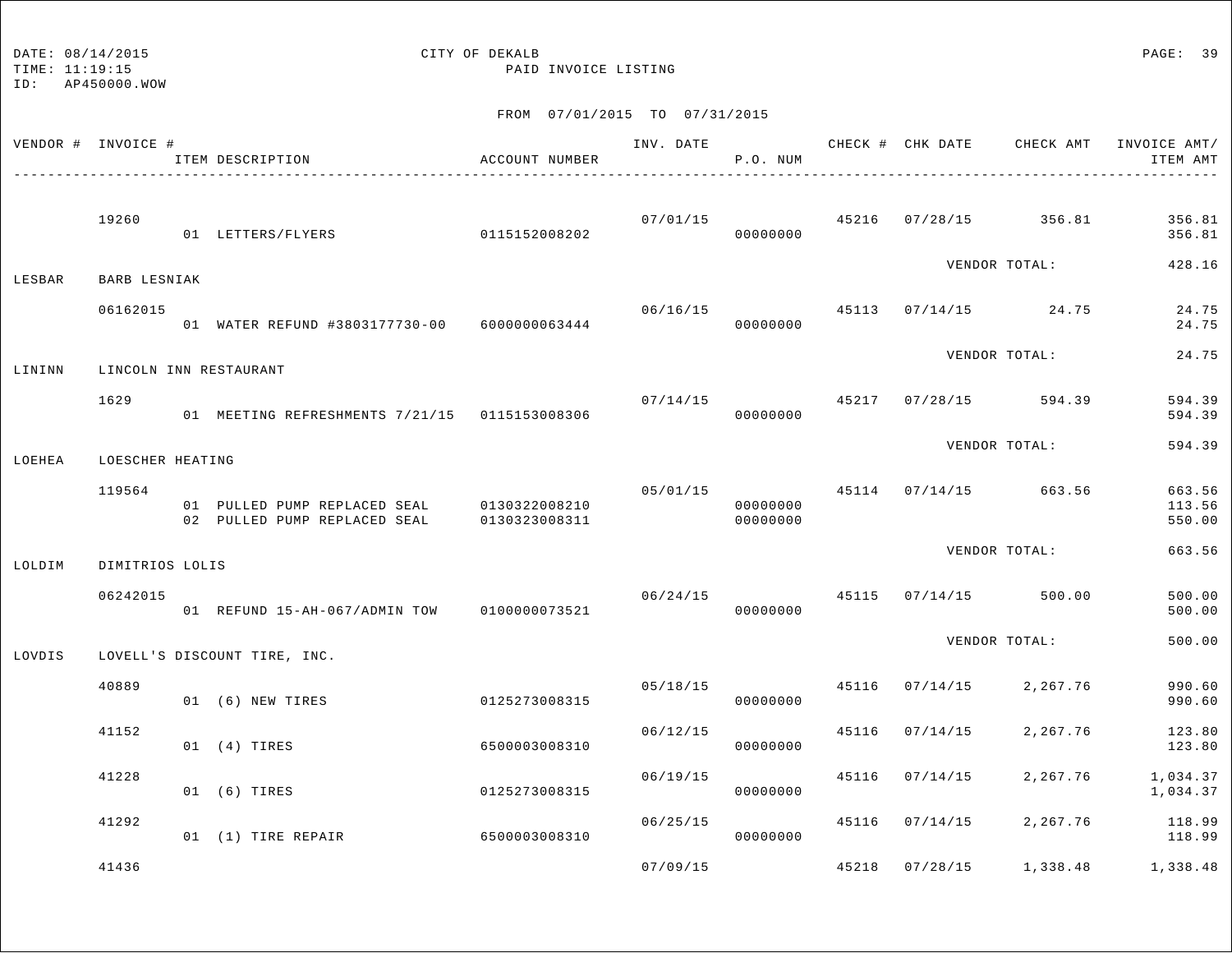DATE:  $08/14/2015$  PAGE: 39

TIME: 11:19:15 PAID INVOICE LISTING

|        | VENDOR # INVOICE # | ITEM DESCRIPTION                                                           | ACCOUNT NUMBER | INV. DATE | P.O. NUM             |       | CHECK # CHK DATE | CHECK AMT                              | INVOICE AMT/<br>ITEM AMT   |
|--------|--------------------|----------------------------------------------------------------------------|----------------|-----------|----------------------|-------|------------------|----------------------------------------|----------------------------|
|        | 19260              | 01 LETTERS/FLYERS                                                          | 0115152008202  |           | 00000000             |       |                  | $07/01/15$ 45216 $07/28/15$ 356.81     | 356.81<br>356.81           |
| LESBAR | BARB LESNIAK       |                                                                            |                |           |                      |       |                  | VENDOR TOTAL:                          | 428.16                     |
|        | 06162015           | 01 WATER REFUND #3803177730-00 6000000063444                               |                | 06/16/15  | 00000000             |       |                  | 45113 07/14/15 24.75                   | 24.75<br>24.75             |
| LININN |                    | LINCOLN INN RESTAURANT                                                     |                |           |                      |       |                  | VENDOR TOTAL:                          | 24.75                      |
|        | 1629               | 01 MEETING REFRESHMENTS 7/21/15  0115153008306                             |                |           | 00000000             |       |                  | $07/14/15$ $45217$ $07/28/15$ $594.39$ | 594.39<br>594.39           |
| LOEHEA | LOESCHER HEATING   |                                                                            |                |           |                      |       |                  | VENDOR TOTAL:                          | 594.39                     |
|        | 119564             | 01 PULLED PUMP REPLACED SEAL 0130322008210<br>02 PULLED PUMP REPLACED SEAL | 0130323008311  |           | 00000000<br>00000000 |       |                  | 05/01/15 45114 07/14/15 663.56         | 663.56<br>113.56<br>550.00 |
| LOLDIM | DIMITRIOS LOLIS    |                                                                            |                |           |                      |       |                  | VENDOR TOTAL:                          | 663.56                     |
|        | 06242015           | 01 REFUND 15-AH-067/ADMIN TOW                                              | 0100000073521  |           | 00000000             |       |                  | $06/24/15$ $45115$ $07/14/15$ $500.00$ | 500.00<br>500.00           |
| LOVDIS |                    | LOVELL'S DISCOUNT TIRE, INC.                                               |                |           |                      |       |                  | VENDOR TOTAL:                          | 500.00                     |
|        | 40889              | 01 (6) NEW TIRES                                                           | 0125273008315  | 05/18/15  | 00000000             | 45116 | 07/14/15         | 2,267.76                               | 990.60<br>990.60           |
|        | 41152              | 01 (4) TIRES                                                               | 6500003008310  | 06/12/15  | 00000000             | 45116 | 07/14/15         | 2,267.76                               | 123.80<br>123.80           |
|        | 41228              | 01 (6) TIRES                                                               | 0125273008315  | 06/19/15  | 00000000             | 45116 | 07/14/15         | 2,267.76                               | 1,034.37<br>1,034.37       |
|        | 41292              | 01 (1) TIRE REPAIR                                                         | 6500003008310  | 06/25/15  | 00000000             |       | 45116 07/14/15   | 2,267.76                               | 118.99<br>118.99           |
|        | 41436              |                                                                            |                | 07/09/15  |                      |       | 45218 07/28/15   | 1,338.48                               | 1,338.48                   |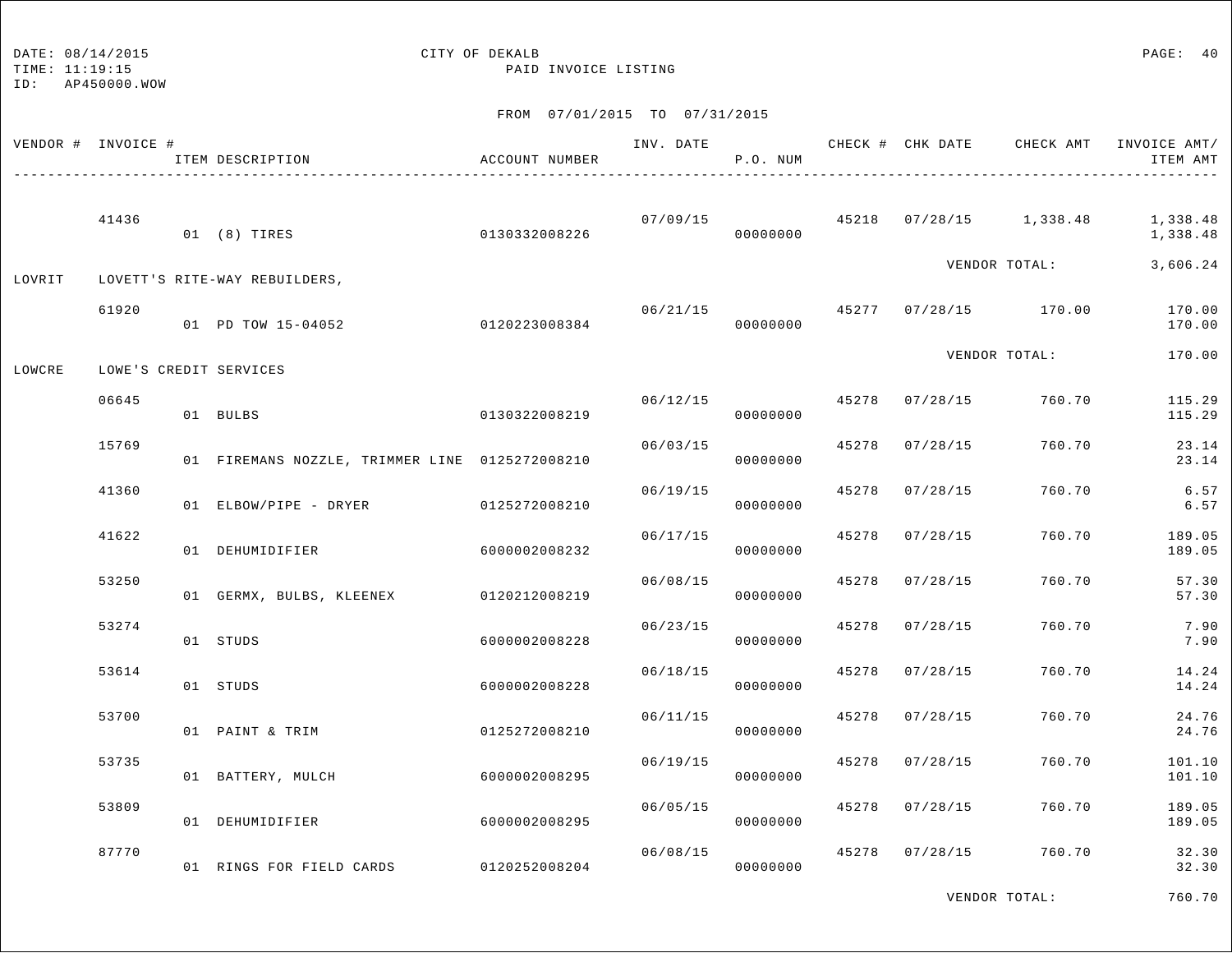## DATE:  $08/14/2015$  PAGE: 40

TIME: 11:19:15 PAID INVOICE LISTING

#### FROM 07/01/2015 TO 07/31/2015

|        | VENDOR # INVOICE # | ITEM DESCRIPTION                               | ACCOUNT NUMBER | INV. DATE | P.O. NUM             |       |                | CHECK # CHK DATE CHECK AMT | INVOICE AMT/<br>ITEM AMT |
|--------|--------------------|------------------------------------------------|----------------|-----------|----------------------|-------|----------------|----------------------------|--------------------------|
|        | 41436              | 01 (8) TIRES                                   | 0130332008226  |           | 07/09/15<br>00000000 |       |                | 45218 07/28/15 1,338.48    | 1,338.48<br>1,338.48     |
| LOVRIT |                    | LOVETT'S RITE-WAY REBUILDERS,                  |                |           |                      |       |                | VENDOR TOTAL:              | 3,606.24                 |
|        | 61920              | 01 PD TOW 15-04052                             | 0120223008384  | 06/21/15  | 00000000             |       |                | 45277 07/28/15 170.00      | 170.00<br>170.00         |
| LOWCRE |                    | LOWE'S CREDIT SERVICES                         |                |           |                      |       |                | VENDOR TOTAL:              | 170.00                   |
|        | 06645              | 01 BULBS                                       | 0130322008219  |           | 06/12/15<br>00000000 | 45278 | 07/28/15       | 760.70                     | 115.29<br>115.29         |
|        | 15769              | 01 FIREMANS NOZZLE, TRIMMER LINE 0125272008210 |                | 06/03/15  | 00000000             | 45278 | 07/28/15       | 760.70                     | 23.14<br>23.14           |
|        | 41360              | 01 ELBOW/PIPE - DRYER                          | 0125272008210  | 06/19/15  | 00000000             |       | 45278 07/28/15 | 760.70                     | 6.57<br>6.57             |
|        | 41622              | 01 DEHUMIDIFIER                                | 6000002008232  | 06/17/15  | 00000000             | 45278 | 07/28/15       | 760.70                     | 189.05<br>189.05         |
|        | 53250              | 01 GERMX, BULBS, KLEENEX                       | 0120212008219  | 06/08/15  | 00000000             | 45278 | 07/28/15       | 760.70                     | 57.30<br>57.30           |
|        | 53274              | 01 STUDS                                       | 6000002008228  | 06/23/15  | 00000000             | 45278 | 07/28/15       | 760.70                     | 7.90<br>7.90             |
|        | 53614              | 01 STUDS                                       | 6000002008228  | 06/18/15  | 00000000             | 45278 | 07/28/15       | 760.70                     | 14.24<br>14.24           |
|        | 53700              | 01 PAINT & TRIM                                | 0125272008210  | 06/11/15  | 00000000             | 45278 | 07/28/15       | 760.70                     | 24.76<br>24.76           |
|        | 53735              | 01 BATTERY, MULCH                              | 6000002008295  | 06/19/15  | 00000000             | 45278 | 07/28/15       | 760.70                     | 101.10<br>101.10         |
|        | 53809              | 01 DEHUMIDIFIER                                | 6000002008295  | 06/05/15  | 00000000             | 45278 | 07/28/15       | 760.70                     | 189.05<br>189.05         |
|        | 87770              | 01 RINGS FOR FIELD CARDS 0120252008204         |                | 06/08/15  | 00000000             | 45278 | 07/28/15       | 760.70                     | 32.30<br>32.30           |

VENDOR TOTAL: 760.70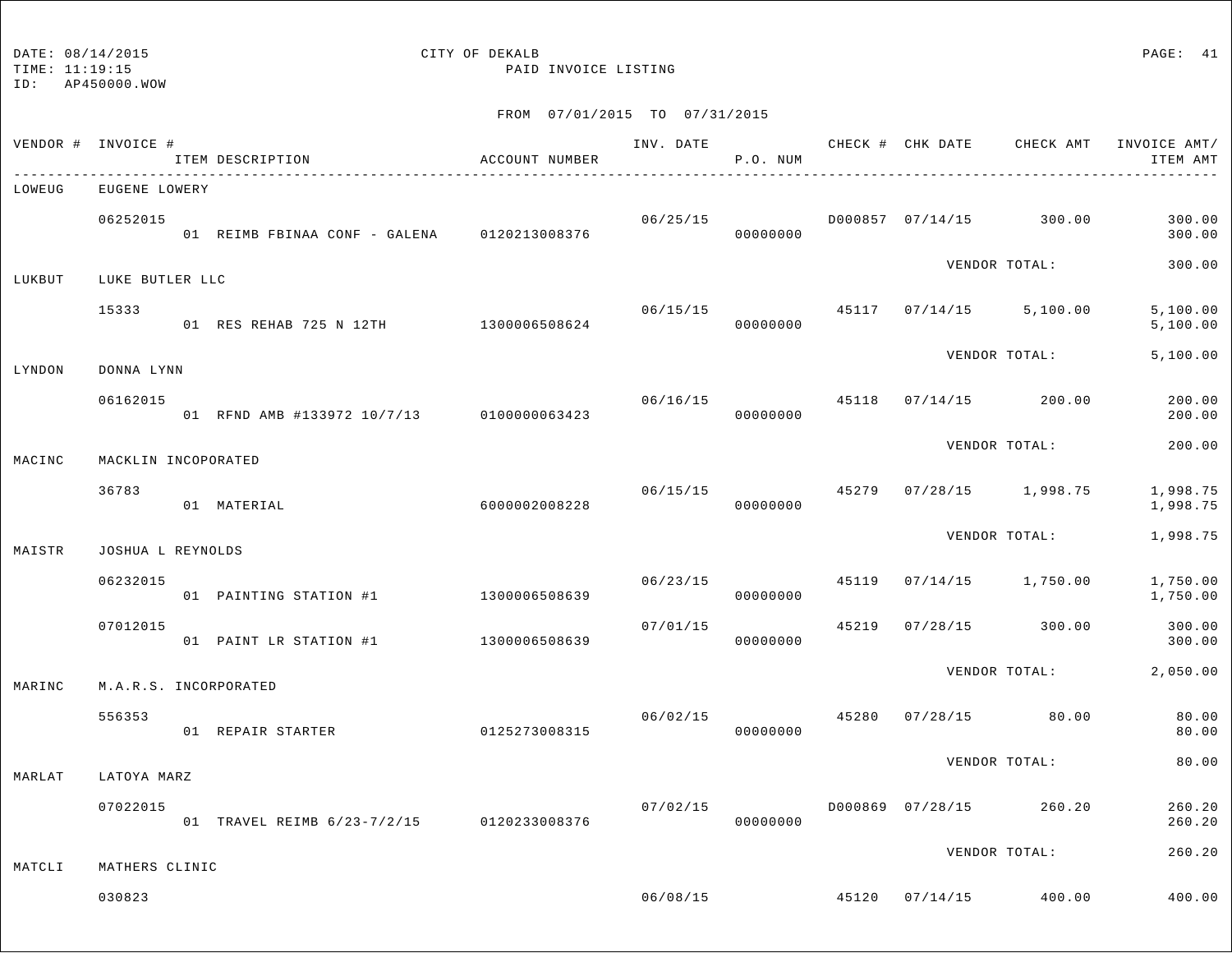TIME: 11:19:15 PAID INVOICE LISTING

ID: AP450000.WOW

|        |                                                                                                             |                                                                                                                                                                                                                                     |                                                                                                                                                                                                                             |                                       |                                                                      |          |          | ITEM AMT                                                                                                                                                                                                                                                                                                                                         |
|--------|-------------------------------------------------------------------------------------------------------------|-------------------------------------------------------------------------------------------------------------------------------------------------------------------------------------------------------------------------------------|-----------------------------------------------------------------------------------------------------------------------------------------------------------------------------------------------------------------------------|---------------------------------------|----------------------------------------------------------------------|----------|----------|--------------------------------------------------------------------------------------------------------------------------------------------------------------------------------------------------------------------------------------------------------------------------------------------------------------------------------------------------|
|        |                                                                                                             |                                                                                                                                                                                                                                     |                                                                                                                                                                                                                             |                                       |                                                                      |          |          |                                                                                                                                                                                                                                                                                                                                                  |
|        |                                                                                                             |                                                                                                                                                                                                                                     |                                                                                                                                                                                                                             | 00000000                              |                                                                      |          |          | 300.00<br>300.00                                                                                                                                                                                                                                                                                                                                 |
|        |                                                                                                             |                                                                                                                                                                                                                                     |                                                                                                                                                                                                                             |                                       |                                                                      |          |          | 300.00                                                                                                                                                                                                                                                                                                                                           |
| 15333  |                                                                                                             |                                                                                                                                                                                                                                     |                                                                                                                                                                                                                             | 00000000                              | 45117                                                                |          | 5,100.00 | 5,100.00<br>5,100.00                                                                                                                                                                                                                                                                                                                             |
|        |                                                                                                             |                                                                                                                                                                                                                                     |                                                                                                                                                                                                                             |                                       |                                                                      |          |          | 5,100.00                                                                                                                                                                                                                                                                                                                                         |
|        |                                                                                                             |                                                                                                                                                                                                                                     |                                                                                                                                                                                                                             | 00000000                              | 45118                                                                |          |          | 200.00<br>200.00                                                                                                                                                                                                                                                                                                                                 |
|        |                                                                                                             |                                                                                                                                                                                                                                     |                                                                                                                                                                                                                             |                                       |                                                                      |          |          | 200.00                                                                                                                                                                                                                                                                                                                                           |
| 36783  |                                                                                                             |                                                                                                                                                                                                                                     | 06/15/15                                                                                                                                                                                                                    | 00000000                              | 45279                                                                |          |          | 1,998.75<br>1,998.75                                                                                                                                                                                                                                                                                                                             |
|        |                                                                                                             |                                                                                                                                                                                                                                     |                                                                                                                                                                                                                             |                                       |                                                                      |          |          | 1,998.75                                                                                                                                                                                                                                                                                                                                         |
|        |                                                                                                             |                                                                                                                                                                                                                                     |                                                                                                                                                                                                                             | 00000000                              | 45119                                                                | 07/14/15 |          | 1,750.00<br>1,750.00                                                                                                                                                                                                                                                                                                                             |
|        |                                                                                                             |                                                                                                                                                                                                                                     | 07/01/15                                                                                                                                                                                                                    | 00000000                              | 45219                                                                | 07/28/15 |          | 300.00<br>300.00                                                                                                                                                                                                                                                                                                                                 |
|        |                                                                                                             |                                                                                                                                                                                                                                     |                                                                                                                                                                                                                             |                                       |                                                                      |          |          | 2,050.00                                                                                                                                                                                                                                                                                                                                         |
| 556353 |                                                                                                             |                                                                                                                                                                                                                                     | 06/02/15                                                                                                                                                                                                                    | 00000000                              | 45280                                                                |          |          | 80.00<br>80.00                                                                                                                                                                                                                                                                                                                                   |
|        |                                                                                                             |                                                                                                                                                                                                                                     |                                                                                                                                                                                                                             |                                       |                                                                      |          |          | 80.00                                                                                                                                                                                                                                                                                                                                            |
|        |                                                                                                             |                                                                                                                                                                                                                                     |                                                                                                                                                                                                                             | 00000000                              |                                                                      |          | 260.20   | 260.20<br>260.20                                                                                                                                                                                                                                                                                                                                 |
|        |                                                                                                             |                                                                                                                                                                                                                                     |                                                                                                                                                                                                                             |                                       |                                                                      |          |          | 260.20                                                                                                                                                                                                                                                                                                                                           |
| 030823 |                                                                                                             |                                                                                                                                                                                                                                     |                                                                                                                                                                                                                             |                                       | 45120                                                                |          |          | 400.00                                                                                                                                                                                                                                                                                                                                           |
|        | VENDOR # INVOICE #<br>06252015<br>DONNA LYNN<br>06162015<br>06232015<br>07012015<br>LATOYA MARZ<br>07022015 | ITEM DESCRIPTION<br>EUGENE LOWERY<br>LUKE BUTLER LLC<br>MACKLIN INCOPORATED<br>01 MATERIAL<br>JOSHUA L REYNOLDS<br>01 PAINTING STATION #1<br>01 PAINT LR STATION #1<br>M.A.R.S. INCORPORATED<br>01 REPAIR STARTER<br>MATHERS CLINIC | ACCOUNT NUMBER<br>01 REIMB FBINAA CONF - GALENA 0120213008376<br>01 RFND AMB #133972 10/7/13 0100000063423<br>6000002008228<br>1300006508639<br>1300006508639<br>0125273008315<br>01 TRAVEL REIMB 6/23-7/2/15 0120233008376 | 01 RES REHAB 725 N 12TH 1300006508624 | P.O. NUM<br>06/25/15<br>06/15/15<br>06/16/15<br>06/23/15<br>07/02/15 | 06/08/15 |          | INV. DATE 6 CHECK # CHK DATE CHECK AMT INVOICE AMT/<br>D000857 07/14/15 300.00<br>VENDOR TOTAL:<br>07/14/15<br>VENDOR TOTAL:<br>$07/14/15$ 200.00<br>VENDOR TOTAL:<br>$07/28/15$ 1,998.75<br>VENDOR TOTAL:<br>1,750.00<br>300.00<br>VENDOR TOTAL:<br>$07/28/15$ 80.00<br>VENDOR TOTAL:<br>D000869 07/28/15<br>VENDOR TOTAL:<br>$07/14/15$ 400.00 |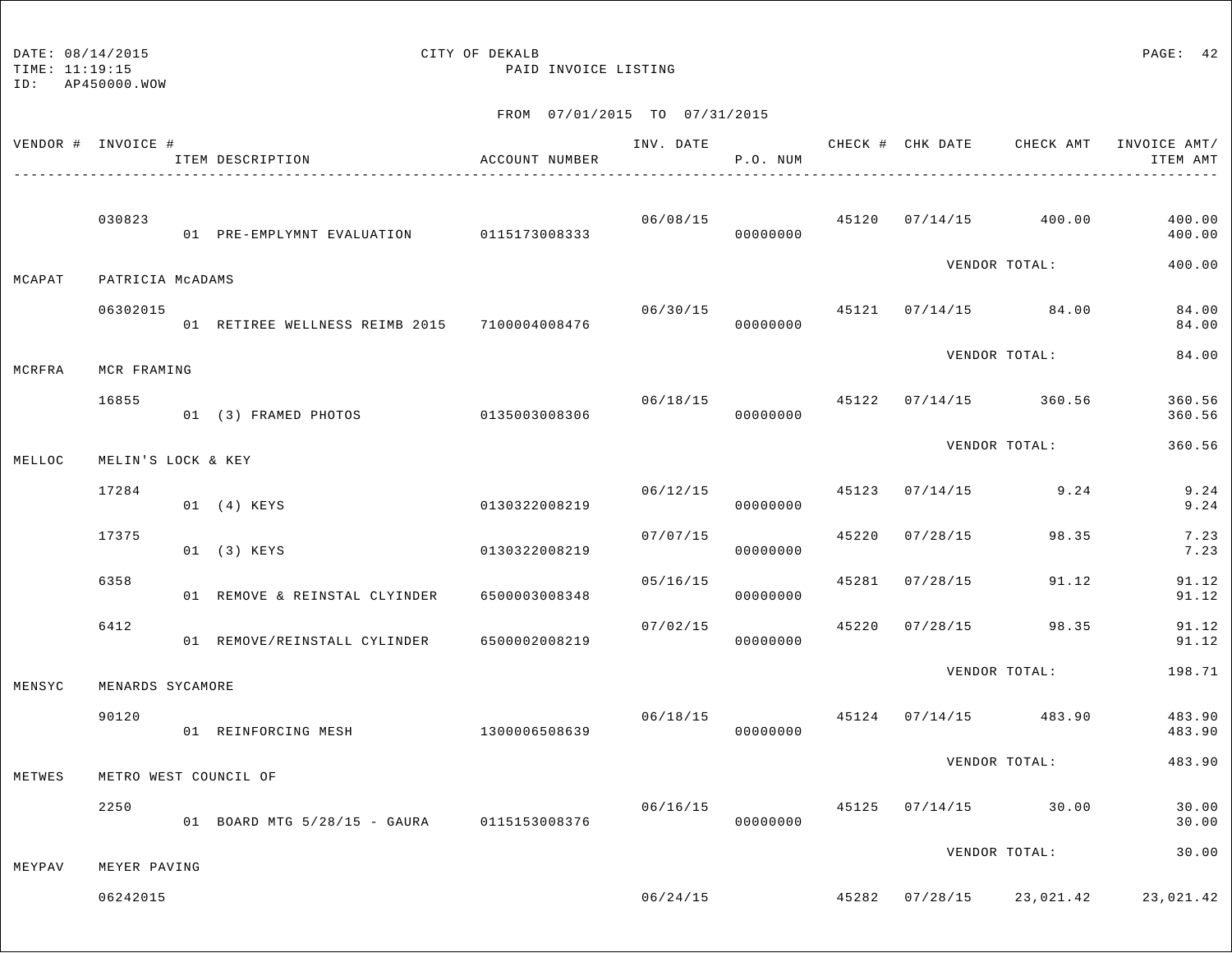| DATE: 08/14/2015 |
|------------------|
|                  |

# CITY OF DEKALB PAGE: 42

TIME: 11:19:15 PAID INVOICE LISTING

| VENDOR # INVOICE # |                    | ITEM DESCRIPTION                             | ACCOUNT NUMBER | INV. DATE | P.O. NUM             |       |                | CHECK # CHK DATE GHECK AMT INVOICE AMT/   | ITEM AMT         |
|--------------------|--------------------|----------------------------------------------|----------------|-----------|----------------------|-------|----------------|-------------------------------------------|------------------|
|                    | 030823             | 01 PRE-EMPLYMNT EVALUATION 0115173008333     |                | 06/08/15  | 00000000             |       |                | 45120 07/14/15 400.00                     | 400.00<br>400.00 |
| MCAPAT             | PATRICIA MCADAMS   |                                              |                |           |                      |       |                | VENDOR TOTAL:                             | 400.00           |
|                    | 06302015           | 01 RETIREE WELLNESS REIMB 2015 7100004008476 |                | 06/30/15  | 00000000             |       |                | 45121 07/14/15 84.00                      | 84.00<br>84.00   |
| MCRFRA             | MCR FRAMING        |                                              |                |           |                      |       |                | VENDOR TOTAL:                             | 84.00            |
|                    | 16855              | 01 (3) FRAMED PHOTOS 0135003008306           |                | 06/18/15  | 00000000             |       |                | 45122 07/14/15 360.56                     | 360.56<br>360.56 |
| MELLOC             | MELIN'S LOCK & KEY |                                              |                |           |                      |       |                | VENDOR TOTAL:                             | 360.56           |
|                    | 17284              | 01 (4) KEYS                                  | 0130322008219  | 06/12/15  | 00000000             | 45123 |                | $07/14/15$ 9.24                           | 9.24<br>9.24     |
|                    | 17375              | 01 (3) KEYS                                  | 0130322008219  | 07/07/15  | 00000000             | 45220 | 07/28/15       | 98.35                                     | 7.23<br>7.23     |
|                    | 6358               | 01 REMOVE & REINSTAL CLYINDER                | 6500003008348  | 05/16/15  | 00000000             | 45281 | 07/28/15       | 91.12                                     | 91.12<br>91.12   |
|                    | 6412               | 01 REMOVE/REINSTALL CYLINDER                 | 6500002008219  | 07/02/15  | 00000000             |       | 45220 07/28/15 | 98.35                                     | 91.12<br>91.12   |
| MENSYC             | MENARDS SYCAMORE   |                                              |                |           |                      |       |                | VENDOR TOTAL:                             | 198.71           |
|                    | 90120              | 01 REINFORCING MESH                          | 1300006508639  |           | 06/18/15<br>00000000 |       |                | 45124 07/14/15 483.90                     | 483.90<br>483.90 |
| METWES             |                    | METRO WEST COUNCIL OF                        |                |           |                      |       |                | VENDOR TOTAL:                             | 483.90           |
|                    | 2250               | 01 BOARD MTG 5/28/15 - GAURA 0115153008376   |                | 06/16/15  | 00000000             |       |                | 45125 07/14/15 30.00                      | 30.00<br>30.00   |
| MEYPAV             | MEYER PAVING       |                                              |                |           |                      |       |                | VENDOR TOTAL:                             | 30.00            |
|                    | 06242015           |                                              |                |           |                      |       |                | $06/24/15$ $45282$ $07/28/15$ $23,021.42$ | 23,021.42        |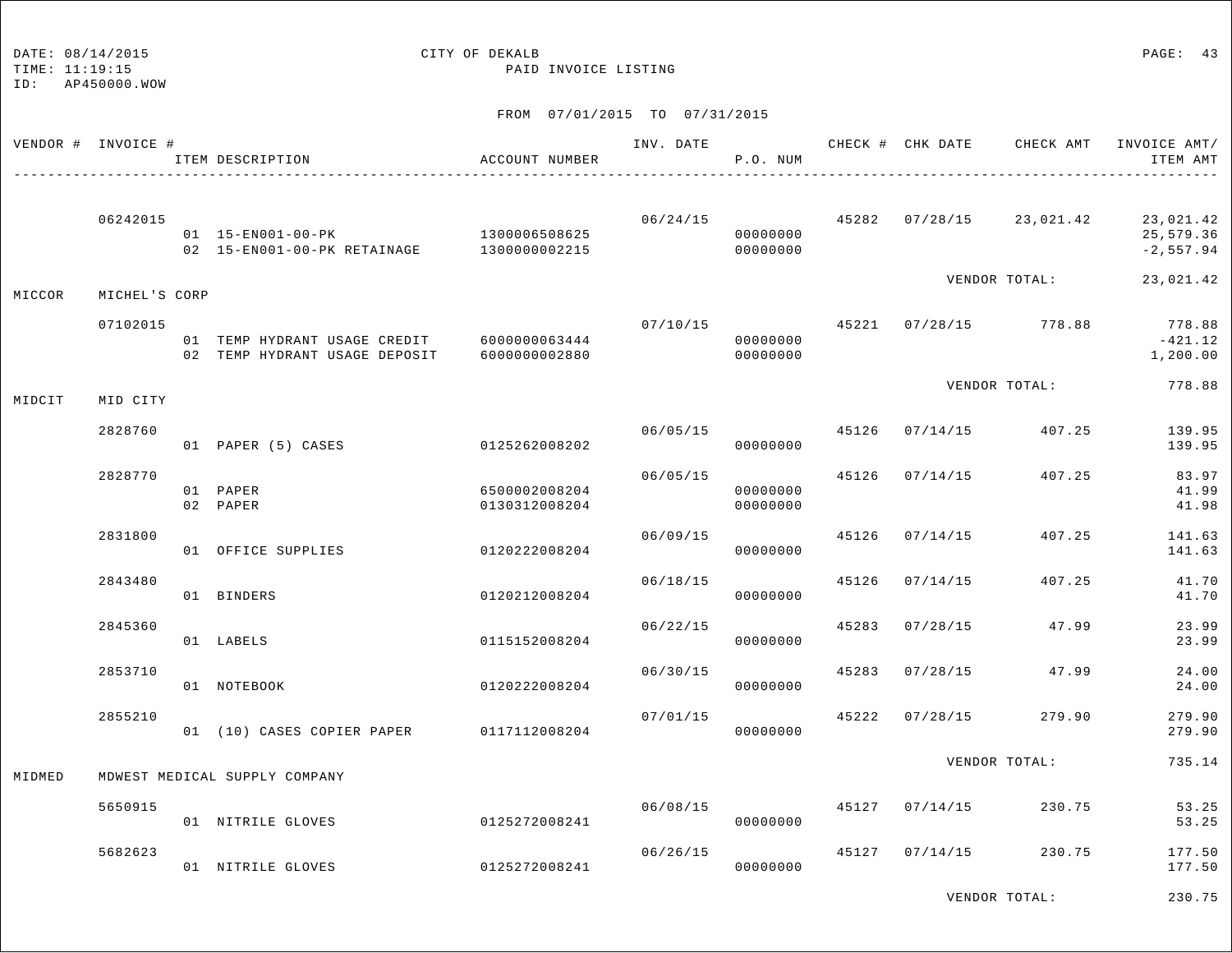## DATE: 08/14/2015 CITY OF DEKALB PAGE: 43

TIME: 11:19:15 PAID INVOICE LISTING

#### FROM 07/01/2015 TO 07/31/2015

| VENDOR # INVOICE # |               | ITEM DESCRIPTION                                                               | ACCOUNT NUMBER                 | INV. DATE | P.O. NUM             |       |                |                                           | CHECK # CHK DATE CHECK AMT INVOICE AMT/<br>ITEM AMT |
|--------------------|---------------|--------------------------------------------------------------------------------|--------------------------------|-----------|----------------------|-------|----------------|-------------------------------------------|-----------------------------------------------------|
|                    | 06242015      | 01  15-EN001-00-PK  1300006508625<br>02 15-EN001-00-PK RETAINAGE 1300000002215 |                                |           | 00000000<br>00000000 |       |                | $06/24/15$ $45282$ $07/28/15$ $23,021.42$ | 23,021.42<br>25,579.36<br>$-2,557.94$               |
| MICCOR             | MICHEL'S CORP |                                                                                |                                |           |                      |       |                | VENDOR TOTAL:                             | 23,021.42                                           |
|                    | 07102015      | 01 TEMP HYDRANT USAGE CREDIT 6000000063444<br>02 TEMP HYDRANT USAGE DEPOSIT    | 6000000002880                  | 07/10/15  | 00000000<br>00000000 |       |                | 45221 07/28/15 778.88                     | 778.88<br>-421.12<br>1,200.00                       |
| MIDCIT             | MID CITY      |                                                                                |                                |           |                      |       |                | VENDOR TOTAL:                             | 778.88                                              |
|                    | 2828760       | 01 PAPER (5) CASES 0125262008202                                               |                                | 06/05/15  | 00000000             |       |                | 45126 07/14/15 407.25                     | 139.95<br>139.95                                    |
|                    | 2828770       | 01 PAPER<br>02 PAPER                                                           | 6500002008204<br>0130312008204 | 06/05/15  | 00000000<br>00000000 | 45126 |                | $07/14/15$ 407.25                         | 83.97<br>41.99<br>41.98                             |
|                    | 2831800       | 01 OFFICE SUPPLIES                                                             | 0120222008204                  | 06/09/15  | 00000000             | 45126 | 07/14/15       | 407.25                                    | 141.63<br>141.63                                    |
|                    | 2843480       | 01 BINDERS                                                                     | 0120212008204                  | 06/18/15  | 00000000             | 45126 | 07/14/15       | 407.25                                    | 41.70<br>41.70                                      |
|                    | 2845360       | 01 LABELS                                                                      | 0115152008204                  | 06/22/15  | 00000000             | 45283 | 07/28/15       | 47.99                                     | 23.99<br>23.99                                      |
|                    | 2853710       | 01 NOTEBOOK                                                                    | 0120222008204                  | 06/30/15  | 00000000             | 45283 | 07/28/15       | 47.99                                     | 24.00<br>24.00                                      |
|                    | 2855210       | 01 (10) CASES COPIER PAPER 0117112008204                                       |                                | 07/01/15  | 00000000             | 45222 | 07/28/15       | 279.90                                    | 279.90<br>279.90                                    |
| MIDMED             |               | MDWEST MEDICAL SUPPLY COMPANY                                                  |                                |           |                      |       |                | VENDOR TOTAL:                             | 735.14                                              |
|                    | 5650915       | 01 NITRILE GLOVES                                                              | 0125272008241                  | 06/08/15  | 00000000             |       | 45127 07/14/15 | 230.75                                    | 53.25<br>53.25                                      |
|                    | 5682623       | 01 NITRILE GLOVES                                                              | 0125272008241                  | 06/26/15  | 00000000             | 45127 | 07/14/15       | 230.75                                    | 177.50<br>177.50                                    |

VENDOR TOTAL: 230.75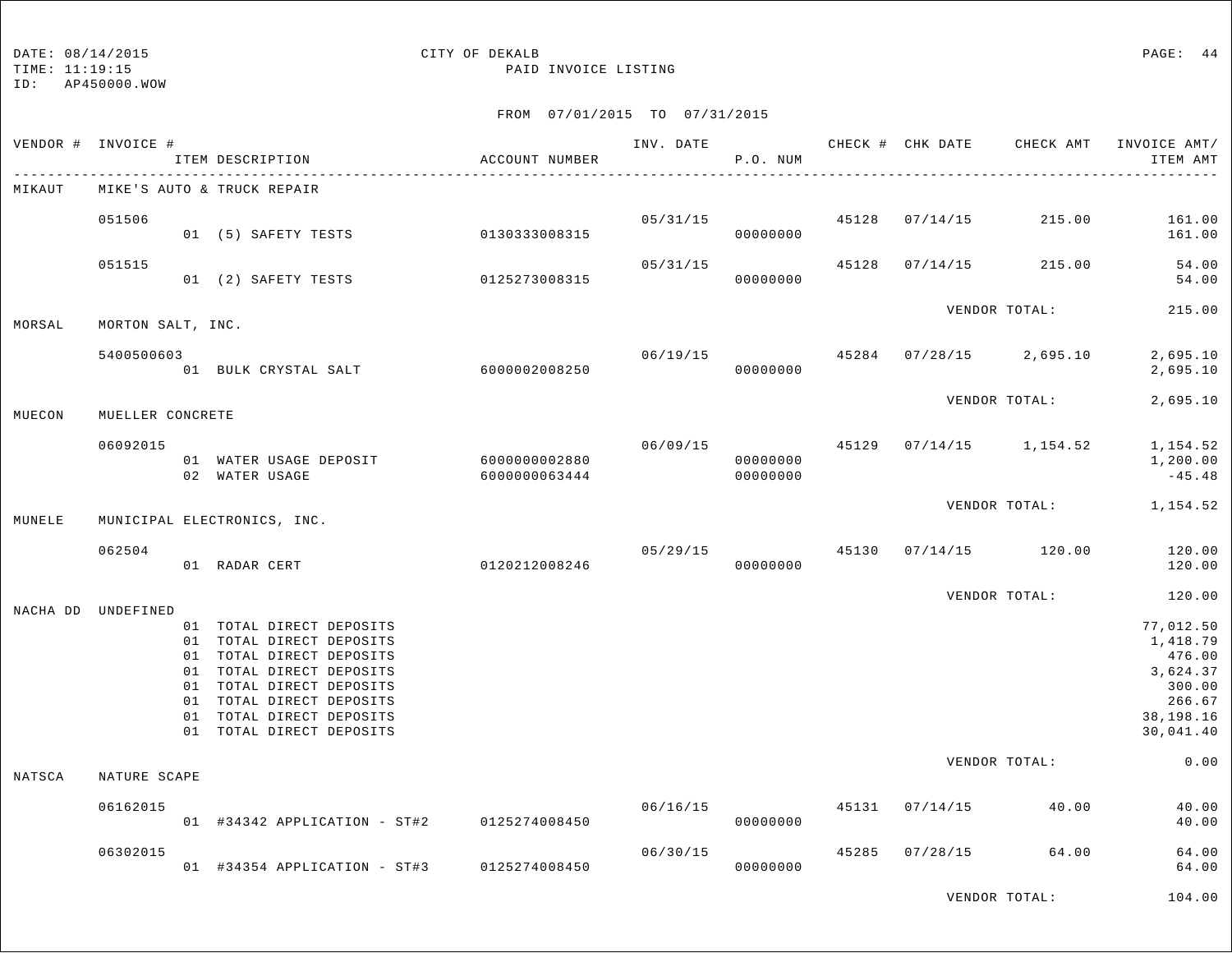#### DATE:  $08/14/2015$  PAGE: 44

TIME: 11:19:15 PAID INVOICE LISTING

#### FROM 07/01/2015 TO 07/31/2015

|        | VENDOR # INVOICE # | ITEM DESCRIPTION                                                                                                                                                                                                             | ACCOUNT NUMBER                 | INV. DATE | P.O. NUM                   |       | CHECK # CHK DATE | CHECK AMT             | INVOICE AMT/<br>ITEM AMT                                                                  |
|--------|--------------------|------------------------------------------------------------------------------------------------------------------------------------------------------------------------------------------------------------------------------|--------------------------------|-----------|----------------------------|-------|------------------|-----------------------|-------------------------------------------------------------------------------------------|
| MIKAUT |                    | MIKE'S AUTO & TRUCK REPAIR                                                                                                                                                                                                   |                                |           |                            |       |                  |                       |                                                                                           |
|        | 051506             | 01 (5) SAFETY TESTS                                                                                                                                                                                                          | 0130333008315                  |           | 05/31/15 45128<br>00000000 |       | 07/14/15         | 215.00                | 161.00<br>161.00                                                                          |
|        | 051515             | 01 (2) SAFETY TESTS                                                                                                                                                                                                          | 0125273008315                  | 05/31/15  | 00000000                   | 45128 | 07/14/15         | 215.00                | 54.00<br>54.00                                                                            |
| MORSAL | MORTON SALT, INC.  |                                                                                                                                                                                                                              |                                |           |                            |       |                  | VENDOR TOTAL:         | 215.00                                                                                    |
|        | 5400500603         | - 01 BULK CRYSTAL SALT 6000002008250                                                                                                                                                                                         |                                | 06/19/15  | 00000000                   | 45284 |                  | $07/28/15$ 2,695.10   | 2,695.10<br>2,695.10                                                                      |
| MUECON | MUELLER CONCRETE   |                                                                                                                                                                                                                              |                                |           |                            |       |                  | VENDOR TOTAL:         | 2,695.10                                                                                  |
|        | 06092015           | 01 WATER USAGE DEPOSIT<br>02 WATER USAGE                                                                                                                                                                                     | 6000000002880<br>6000000063444 | 06/09/15  | 00000000<br>00000000       | 45129 |                  | $07/14/15$ 1,154.52   | 1,154.52<br>1,200.00<br>$-45.48$                                                          |
| MUNELE |                    | MUNICIPAL ELECTRONICS, INC.                                                                                                                                                                                                  |                                |           |                            |       |                  | VENDOR TOTAL:         | 1,154.52                                                                                  |
|        | 062504             | 0120212008246<br>01 RADAR CERT                                                                                                                                                                                               |                                |           | 05/29/15<br>00000000       |       |                  | 45130 07/14/15 120.00 | 120.00<br>120.00                                                                          |
|        |                    |                                                                                                                                                                                                                              |                                |           |                            |       |                  | VENDOR TOTAL:         | 120.00                                                                                    |
|        | NACHA DD UNDEFINED | 01 TOTAL DIRECT DEPOSITS<br>01 TOTAL DIRECT DEPOSITS<br>01 TOTAL DIRECT DEPOSITS<br>01 TOTAL DIRECT DEPOSITS<br>01 TOTAL DIRECT DEPOSITS<br>01 TOTAL DIRECT DEPOSITS<br>01 TOTAL DIRECT DEPOSITS<br>01 TOTAL DIRECT DEPOSITS |                                |           |                            |       |                  |                       | 77,012.50<br>1,418.79<br>476.00<br>3,624.37<br>300.00<br>266.67<br>38,198.16<br>30,041.40 |
| NATSCA | NATURE SCAPE       |                                                                                                                                                                                                                              |                                |           |                            |       |                  | VENDOR TOTAL:         | 0.00                                                                                      |
|        | 06162015           | 01 #34342 APPLICATION - ST#2 0125274008450                                                                                                                                                                                   |                                | 06/16/15  | 00000000                   |       | 45131 07/14/15   | 40.00                 | 40.00<br>40.00                                                                            |
|        | 06302015           | 01 #34354 APPLICATION - ST#3                                                                                                                                                                                                 | 0125274008450                  | 06/30/15  | 00000000                   | 45285 | 07/28/15         | 64.00                 | 64.00<br>64.00                                                                            |

VENDOR TOTAL: 104.00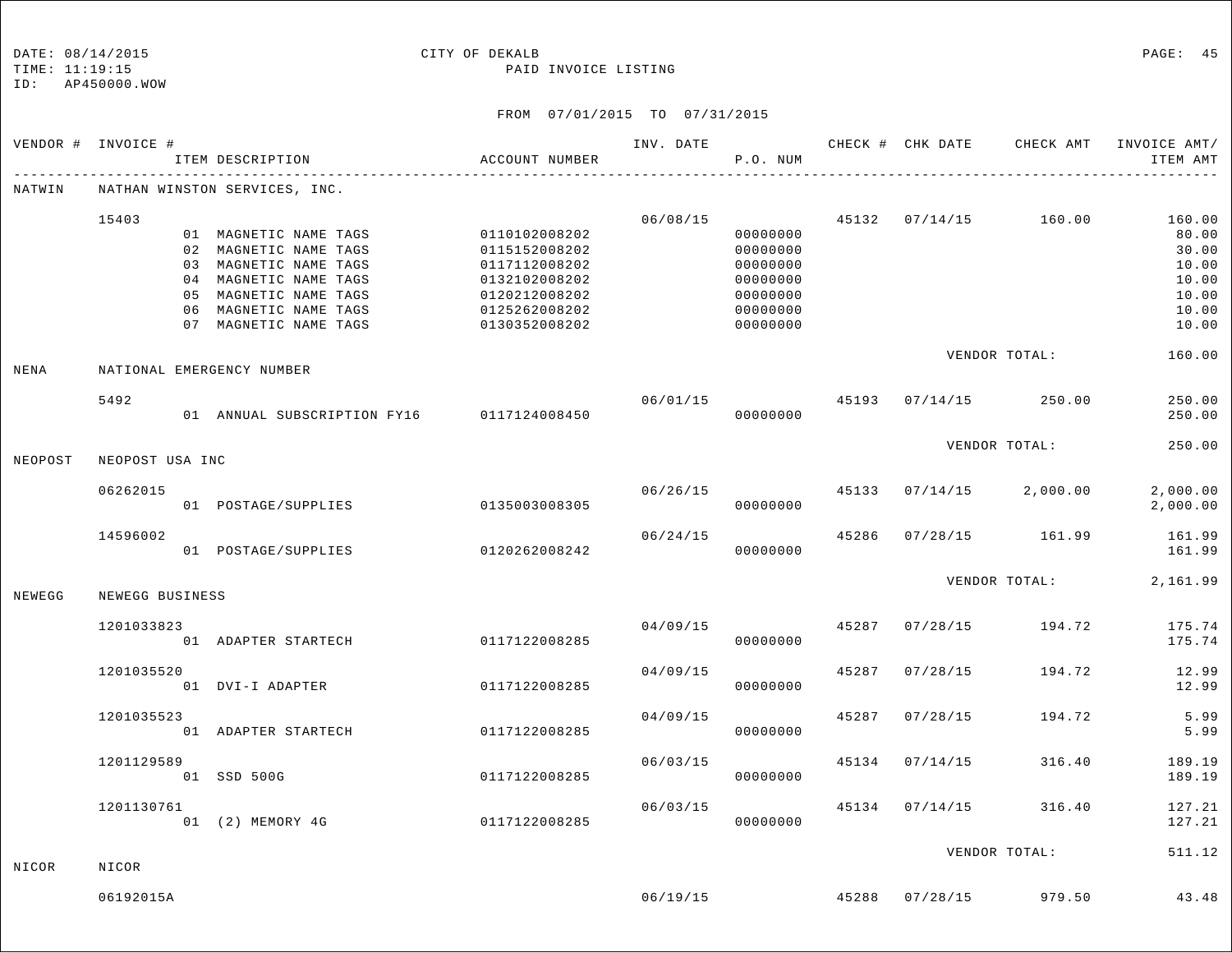| DATE: 08/14/201 |
|-----------------|
|                 |

#### on the contract of the contract of the contract of the contract of the contract of the contract of the contract of the contract of the contract of the contract of the contract of the contract of the contract of the contrac

TIME: 11:19:15 PAID INVOICE LISTING

|         | VENDOR # INVOICE #        | ITEM DESCRIPTION                                                                                                                                                            | ACCOUNT NUMBER                                                                                                      | INV. DATE | P.O. NUM                                                                                     |                        |  | CHECK # CHK DATE CHECK AMT         | INVOICE AMT/<br>ITEM AMT                                              |
|---------|---------------------------|-----------------------------------------------------------------------------------------------------------------------------------------------------------------------------|---------------------------------------------------------------------------------------------------------------------|-----------|----------------------------------------------------------------------------------------------|------------------------|--|------------------------------------|-----------------------------------------------------------------------|
| NATWIN  |                           | NATHAN WINSTON SERVICES, INC.                                                                                                                                               |                                                                                                                     |           |                                                                                              |                        |  |                                    |                                                                       |
|         | 15403                     | 01 MAGNETIC NAME TAGS<br>02 MAGNETIC NAME TAGS<br>03 MAGNETIC NAME TAGS<br>04 MAGNETIC NAME TAGS<br>05 MAGNETIC NAME TAGS<br>06 MAGNETIC NAME TAGS<br>07 MAGNETIC NAME TAGS | 0110102008202<br>0115152008202<br>0117112008202<br>0132102008202<br>0120212008202<br>0125262008202<br>0130352008202 |           | 06/08/15<br>00000000<br>00000000<br>00000000<br>00000000<br>00000000<br>00000000<br>00000000 |                        |  | 45132 07/14/15 160.00              | 160.00<br>80.00<br>30.00<br>10.00<br>10.00<br>10.00<br>10.00<br>10.00 |
| NENA    | NATIONAL EMERGENCY NUMBER |                                                                                                                                                                             |                                                                                                                     |           |                                                                                              |                        |  | VENDOR TOTAL:                      | 160.00                                                                |
|         | 5492                      | 01 ANNUAL SUBSCRIPTION FY16 0117124008450                                                                                                                                   |                                                                                                                     |           | 06/01/15<br>00000000                                                                         |                        |  | 45193 07/14/15 250.00              | 250.00<br>250.00                                                      |
| NEOPOST | NEOPOST USA INC           |                                                                                                                                                                             |                                                                                                                     |           |                                                                                              |                        |  | VENDOR TOTAL:                      | 250.00                                                                |
|         | 06262015                  | 01 POSTAGE/SUPPLIES                                                                                                                                                         | 0135003008305                                                                                                       |           | 00000000                                                                                     |                        |  | $06/26/15$ 45133 07/14/15 2,000.00 | 2,000.00<br>2,000.00                                                  |
|         | 14596002                  | 01 POSTAGE/SUPPLIES                                                                                                                                                         | 0120262008242                                                                                                       | 06/24/15  | 00000000                                                                                     |                        |  | 45286 07/28/15 161.99              | 161.99<br>161.99                                                      |
| NEWEGG  | NEWEGG BUSINESS           |                                                                                                                                                                             |                                                                                                                     |           |                                                                                              | VENDOR TOTAL: 2,161.99 |  |                                    |                                                                       |
|         | 1201033823                | 01 ADAPTER STARTECH                                                                                                                                                         | 0117122008285                                                                                                       | 04/09/15  | 00000000                                                                                     | 45287                  |  |                                    | $07/28/15$ 194.72 175.74<br>175.74                                    |
|         | 1201035520                | 01 DVI-I ADAPTER                                                                                                                                                            | 0117122008285                                                                                                       | 04/09/15  | 00000000                                                                                     | 45287                  |  | 07/28/15 194.72                    | 12.99<br>12.99                                                        |
|         | 1201035523                | 01 ADAPTER STARTECH                                                                                                                                                         | 0117122008285                                                                                                       | 04/09/15  | 00000000                                                                                     | 45287                  |  | 07/28/15 194.72                    | 5.99<br>5.99                                                          |
|         | 1201129589                | 01 SSD 500G                                                                                                                                                                 | 0117122008285                                                                                                       | 06/03/15  | 00000000                                                                                     |                        |  | 45134 07/14/15 316.40              | 189.19<br>189.19                                                      |
|         | 1201130761                | 01 (2) MEMORY 4G                                                                                                                                                            | 0117122008285                                                                                                       | 06/03/15  | 00000000                                                                                     |                        |  | 45134 07/14/15 316.40              | 127.21<br>127.21                                                      |
| NICOR   | NICOR                     |                                                                                                                                                                             |                                                                                                                     |           |                                                                                              |                        |  | VENDOR TOTAL:                      | 511.12                                                                |
|         | 06192015A                 |                                                                                                                                                                             |                                                                                                                     | 06/19/15  |                                                                                              |                        |  | 45288 07/28/15 979.50              | 43.48                                                                 |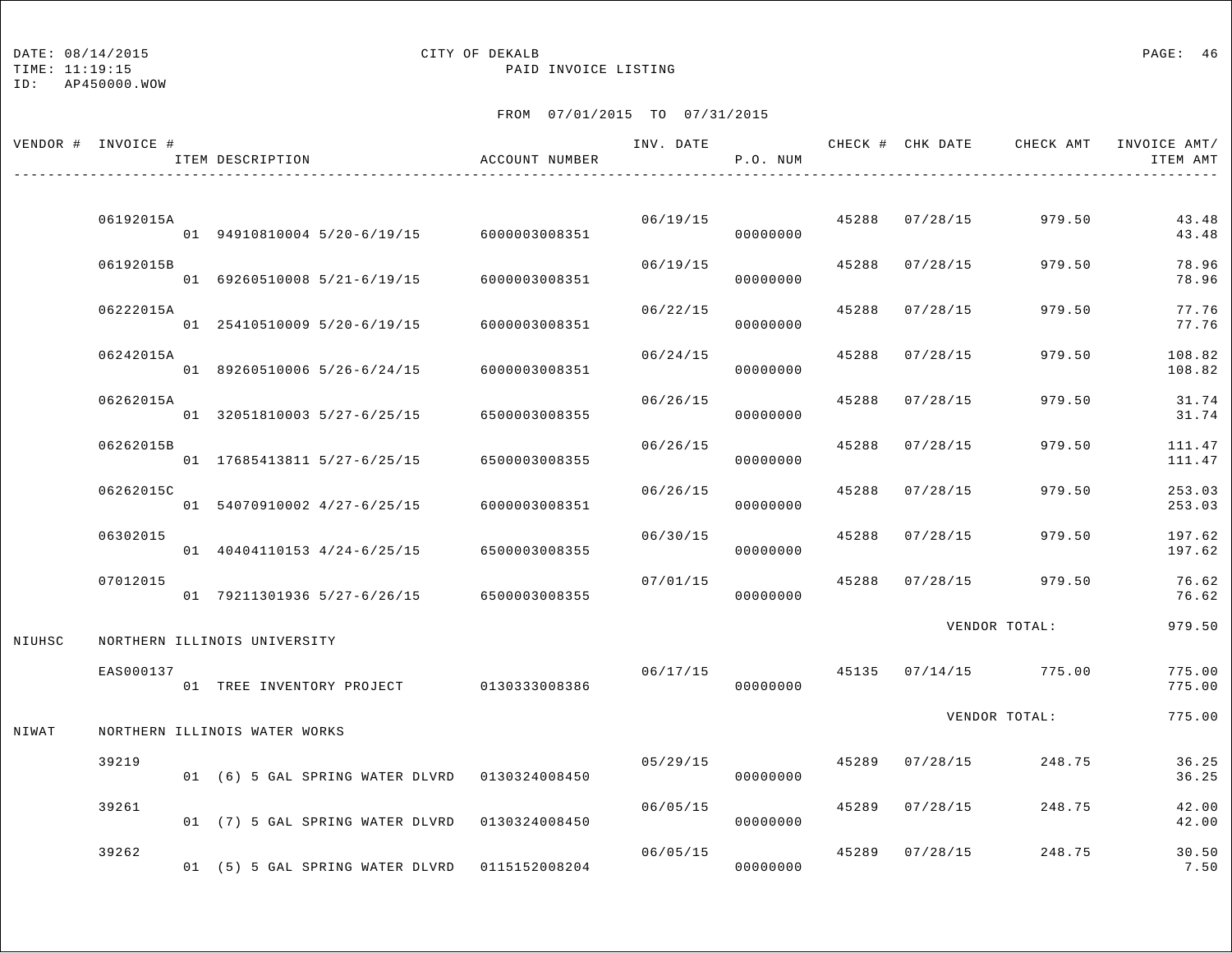## DATE:  $08/14/2015$  PAGE: 46

TIME: 11:19:15 PAID INVOICE LISTING

|        | VENDOR # INVOICE # | ITEM DESCRIPTION                              | ACCOUNT NUMBER | INV. DATE | P.O. NUM |       |                | CHECK # CHK DATE CHECK AMT INVOICE AMT/ | ITEM AMT         |
|--------|--------------------|-----------------------------------------------|----------------|-----------|----------|-------|----------------|-----------------------------------------|------------------|
|        |                    |                                               |                |           |          |       |                |                                         |                  |
|        | 06192015A          | 01 94910810004 5/20-6/19/15 6000003008351     |                | 06/19/15  | 00000000 | 45288 | 07/28/15       | 979.50                                  | 43.48<br>43.48   |
|        | 06192015B          | 01 69260510008 5/21-6/19/15                   | 6000003008351  | 06/19/15  | 00000000 | 45288 | 07/28/15       | 979.50                                  | 78.96<br>78.96   |
|        | 06222015A          | 01 25410510009 5/20-6/19/15                   | 6000003008351  | 06/22/15  | 00000000 | 45288 | 07/28/15       | 979.50                                  | 77.76<br>77.76   |
|        | 06242015A          | 01 89260510006 5/26-6/24/15                   | 6000003008351  | 06/24/15  | 00000000 | 45288 | 07/28/15       | 979.50                                  | 108.82<br>108.82 |
|        | 06262015A          | 01 32051810003 5/27-6/25/15                   | 6500003008355  | 06/26/15  | 00000000 | 45288 | 07/28/15       | 979.50                                  | 31.74<br>31.74   |
|        | 06262015B          | 01 17685413811 5/27-6/25/15                   | 6500003008355  | 06/26/15  | 00000000 | 45288 | 07/28/15       | 979.50                                  | 111.47<br>111.47 |
|        | 06262015C          | 01 54070910002 4/27-6/25/15                   | 6000003008351  | 06/26/15  | 00000000 | 45288 | 07/28/15       | 979.50                                  | 253.03<br>253.03 |
|        | 06302015           | 01 40404110153 4/24-6/25/15                   | 6500003008355  | 06/30/15  | 00000000 | 45288 | 07/28/15       | 979.50                                  | 197.62<br>197.62 |
|        | 07012015           | 01 79211301936 5/27-6/26/15                   | 6500003008355  | 07/01/15  | 00000000 | 45288 | 07/28/15       | 979.50                                  | 76.62<br>76.62   |
|        |                    |                                               |                |           |          |       |                | VENDOR TOTAL:                           | 979.50           |
| NIUHSC |                    | NORTHERN ILLINOIS UNIVERSITY                  |                |           |          |       |                |                                         |                  |
|        | EAS000137          | 01 TREE INVENTORY PROJECT 0130333008386       |                | 06/17/15  | 00000000 |       | 45135 07/14/15 | 775.00                                  | 775.00<br>775.00 |
| NIWAT  |                    | NORTHERN ILLINOIS WATER WORKS                 |                |           |          |       |                | VENDOR TOTAL:                           | 775.00           |
|        |                    |                                               |                |           |          |       |                |                                         |                  |
|        | 39219              | 01 (6) 5 GAL SPRING WATER DLVRD 0130324008450 |                | 05/29/15  | 00000000 | 45289 | 07/28/15       | 248.75                                  | 36.25<br>36.25   |
|        | 39261              | 01 (7) 5 GAL SPRING WATER DLVRD 0130324008450 |                | 06/05/15  | 00000000 | 45289 | 07/28/15       | 248.75                                  | 42.00<br>42.00   |
|        | 39262              | 01 (5) 5 GAL SPRING WATER DLVRD 0115152008204 |                | 06/05/15  | 00000000 | 45289 | 07/28/15       | 248.75                                  | 30.50<br>7.50    |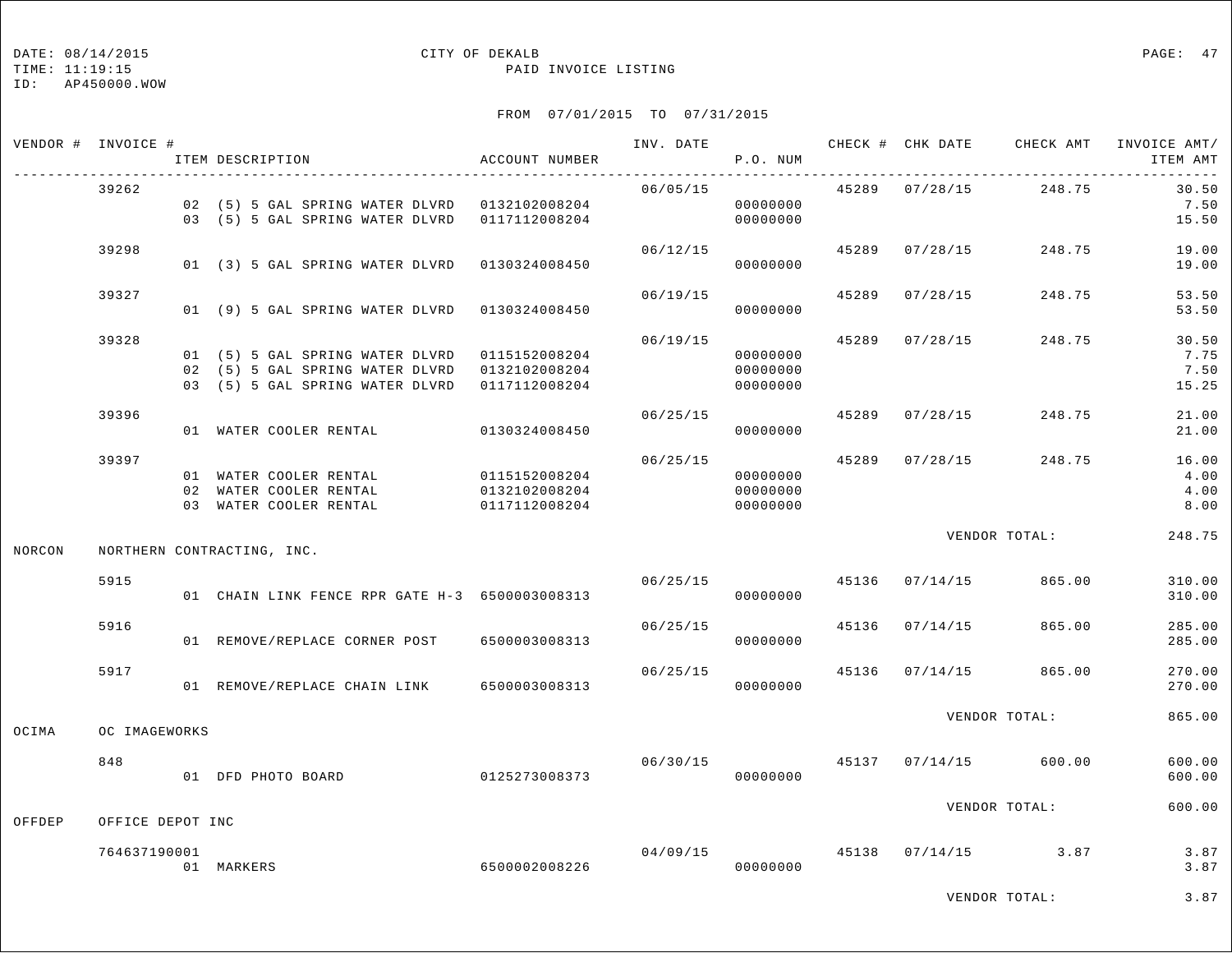## DATE:  $08/14/2015$  PAGE: 47

TIME: 11:19:15 PAID INVOICE LISTING

|        | VENDOR # INVOICE # | ITEM DESCRIPTION                                                                                                                                | ACCOUNT NUMBER                                  | INV. DATE | P.O. NUM                         |       |                |                                      | CHECK # CHK DATE CHECK AMT INVOICE AMT/<br>ITEM AMT |
|--------|--------------------|-------------------------------------------------------------------------------------------------------------------------------------------------|-------------------------------------------------|-----------|----------------------------------|-------|----------------|--------------------------------------|-----------------------------------------------------|
|        | 39262              | 02 (5) 5 GAL SPRING WATER DLVRD 0132102008204<br>03 (5) 5 GAL SPRING WATER DLVRD 0117112008204                                                  |                                                 | 06/05/15  | 00000000<br>00000000             |       |                | 45289 07/28/15 248.75                | 30.50<br>7.50<br>15.50                              |
|        | 39298              | 01 (3) 5 GAL SPRING WATER DLVRD 0130324008450                                                                                                   |                                                 | 06/12/15  | 00000000                         |       |                | 45289 07/28/15 248.75                | 19.00<br>19.00                                      |
|        | 39327              | 01 (9) 5 GAL SPRING WATER DLVRD 0130324008450                                                                                                   |                                                 | 06/19/15  | 00000000                         | 45289 | 07/28/15       | 248.75                               | 53.50<br>53.50                                      |
|        | 39328              | 01 (5) 5 GAL SPRING WATER DLVRD 0115152008204<br>02 (5) 5 GAL SPRING WATER DLVRD 0132102008204<br>03 (5) 5 GAL SPRING WATER DLVRD 0117112008204 |                                                 | 06/19/15  | 00000000<br>00000000<br>00000000 | 45289 | 07/28/15       | 248.75                               | 30.50<br>7.75<br>7.50<br>15.25                      |
|        | 39396              | 01 WATER COOLER RENTAL                                                                                                                          | 0130324008450                                   | 06/25/15  | 00000000                         |       | 45289 07/28/15 | 248.75                               | 21.00<br>21.00                                      |
|        | 39397              | 01 WATER COOLER RENTAL<br>02 WATER COOLER RENTAL<br>03 WATER COOLER RENTAL                                                                      | 0115152008204<br>0132102008204<br>0117112008204 | 06/25/15  | 00000000<br>00000000<br>00000000 |       |                | 45289 07/28/15 248.75                | 16.00<br>4.00<br>4.00<br>8.00                       |
| NORCON |                    | NORTHERN CONTRACTING, INC.                                                                                                                      |                                                 |           |                                  |       |                | VENDOR TOTAL:                        | 248.75                                              |
|        | 5915               | 01 CHAIN LINK FENCE RPR GATE H-3 6500003008313                                                                                                  |                                                 |           | 06/25/15<br>00000000             |       | 45136 07/14/15 | 865.00                               | 310.00<br>310.00                                    |
|        | 5916               | 01 REMOVE/REPLACE CORNER POST 6500003008313                                                                                                     |                                                 | 06/25/15  | 00000000                         |       | 45136 07/14/15 | 865.00                               | 285.00<br>285.00                                    |
|        | 5917               | 01 REMOVE/REPLACE CHAIN LINK 6500003008313                                                                                                      |                                                 |           | 00000000                         |       |                | $06/25/15$ 45136 07/14/15 865.00     | 270.00<br>270.00                                    |
| OCIMA  | OC IMAGEWORKS      |                                                                                                                                                 |                                                 |           |                                  |       |                | VENDOR TOTAL:                        | 865.00                                              |
|        | 848                | 01 DFD PHOTO BOARD                                                                                                                              | 0125273008373                                   | 06/30/15  | 00000000                         |       |                | 45137 07/14/15 600.00                | 600.00<br>600.00                                    |
| OFFDEP | OFFICE DEPOT INC   |                                                                                                                                                 |                                                 |           |                                  |       |                | VENDOR TOTAL:                        | 600.00                                              |
|        | 764637190001       | 01 MARKERS                                                                                                                                      | 6500002008226                                   |           | 00000000                         |       |                | $04/09/15$ $45138$ $07/14/15$ $3.87$ | 3.87<br>3.87                                        |
|        |                    |                                                                                                                                                 |                                                 |           |                                  |       |                | VENDOR TOTAL:                        | 3.87                                                |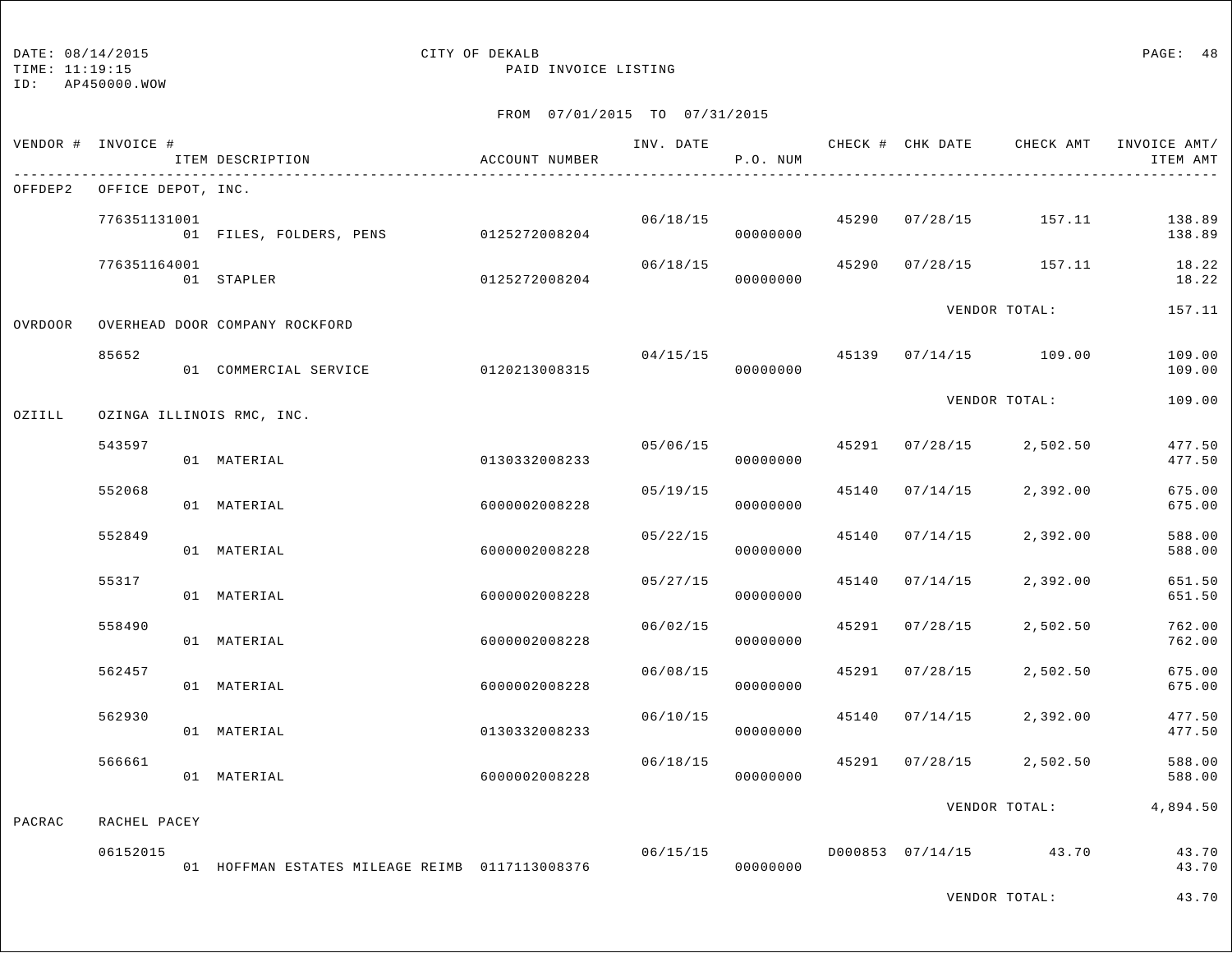## DATE:  $08/14/2015$  PAGE: 48

TIME: 11:19:15 PAID INVOICE LISTING

|         | VENDOR # INVOICE #         | ITEM DESCRIPTION                               | ACCOUNT NUMBER | INV. DATE | P.O. NUM             |       |                |                         | CHECK # CHK DATE CHECK AMT INVOICE AMT/<br>ITEM AMT |
|---------|----------------------------|------------------------------------------------|----------------|-----------|----------------------|-------|----------------|-------------------------|-----------------------------------------------------|
|         | OFFDEP2 OFFICE DEPOT, INC. |                                                |                |           |                      |       |                |                         |                                                     |
|         | 776351131001               | 01 FILES, FOLDERS, PENS 0125272008204          |                |           | 06/18/15<br>00000000 |       |                | 45290 07/28/15 157.11   | 138.89<br>138.89                                    |
|         | 776351164001               | 01 STAPLER                                     | 0125272008204  | 06/18/15  | 00000000             |       |                | 45290 07/28/15 157.11   | 18.22<br>18.22                                      |
| OVRDOOR |                            | OVERHEAD DOOR COMPANY ROCKFORD                 |                |           |                      |       |                | VENDOR TOTAL:           | 157.11                                              |
|         | 85652                      | 01 COMMERCIAL SERVICE 0120213008315            |                |           | 04/15/15<br>00000000 |       |                | 45139  07/14/15  109.00 | 109.00<br>109.00                                    |
| OZIILL  |                            | OZINGA ILLINOIS RMC, INC.                      |                |           |                      |       |                | VENDOR TOTAL:           | 109.00                                              |
|         | 543597                     | 01 MATERIAL                                    | 0130332008233  |           | 05/06/15<br>00000000 |       |                | 45291 07/28/15 2,502.50 | 477.50<br>477.50                                    |
|         | 552068                     | 01 MATERIAL                                    | 6000002008228  | 05/19/15  | 00000000             | 45140 | 07/14/15       | 2,392.00                | 675.00<br>675.00                                    |
|         | 552849                     | 01 MATERIAL                                    | 6000002008228  | 05/22/15  | 00000000             |       | 45140 07/14/15 | 2,392.00                | 588.00<br>588.00                                    |
|         | 55317                      | 01 MATERIAL                                    | 6000002008228  | 05/27/15  | 00000000             |       | 45140 07/14/15 | 2,392.00                | 651.50<br>651.50                                    |
|         | 558490                     | 01 MATERIAL                                    | 6000002008228  | 06/02/15  | 00000000             |       | 45291 07/28/15 | 2,502.50                | 762.00<br>762.00                                    |
|         | 562457                     | 01 MATERIAL                                    | 6000002008228  | 06/08/15  | 00000000             | 45291 | 07/28/15       | 2,502.50                | 675.00<br>675.00                                    |
|         | 562930                     | 01 MATERIAL                                    | 0130332008233  | 06/10/15  | 00000000             | 45140 | 07/14/15       | 2,392.00                | 477.50<br>477.50                                    |
|         | 566661                     | 01 MATERIAL                                    | 6000002008228  | 06/18/15  | 00000000             |       |                | 45291 07/28/15 2,502.50 | 588.00<br>588.00                                    |
| PACRAC  | RACHEL PACEY               |                                                |                |           |                      |       |                | VENDOR TOTAL:           | 4,894.50                                            |
|         | 06152015                   | 01 HOFFMAN ESTATES MILEAGE REIMB 0117113008376 |                | 06/15/15  | 00000000             |       |                | D000853 07/14/15 43.70  | 43.70<br>43.70                                      |
|         |                            |                                                |                |           |                      |       |                | VENDOR TOTAL:           | 43.70                                               |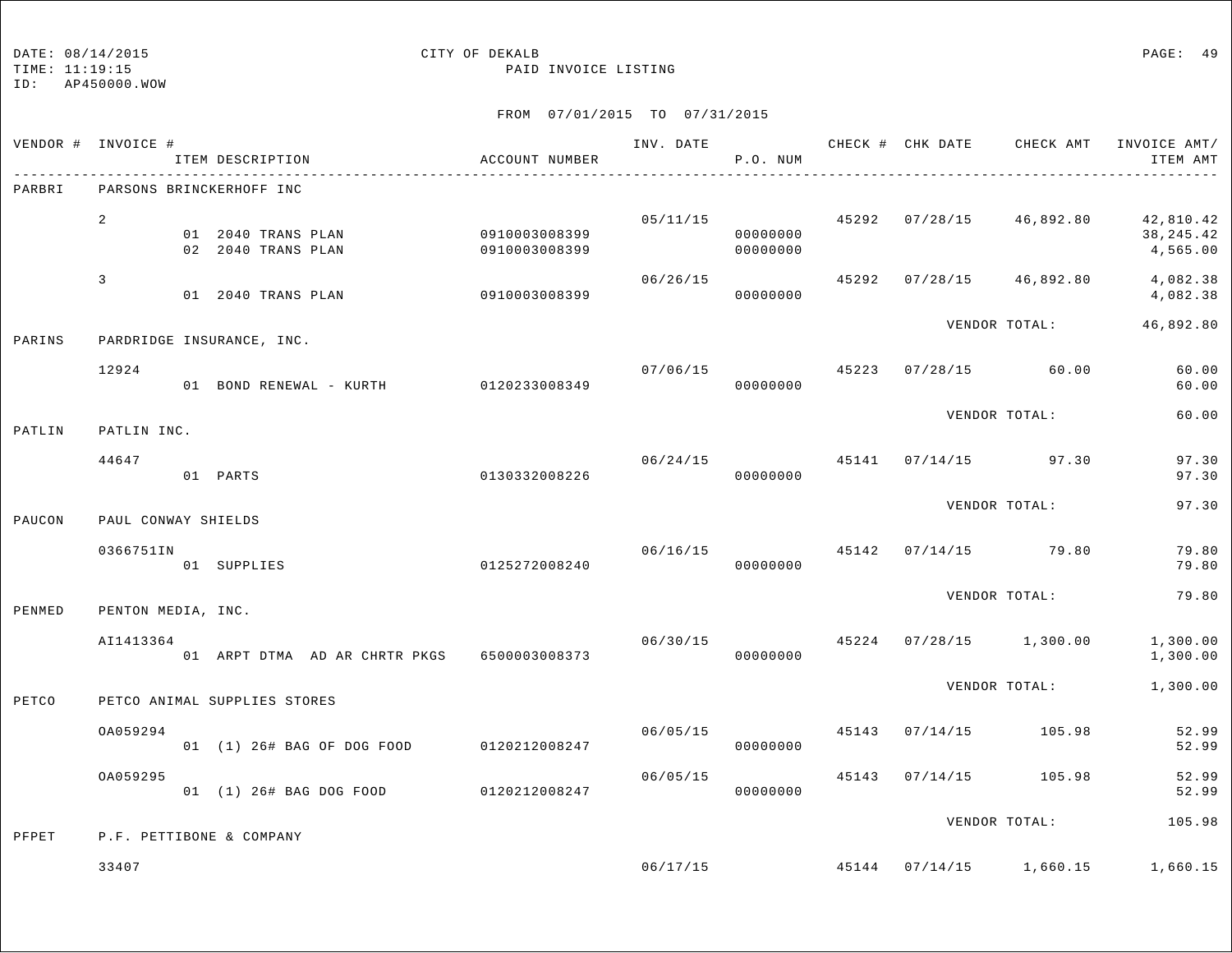### DATE: 08/14/2015 CITY OF DEKALB PAGE: 49

TIME: 11:19:15 PAID INVOICE LISTING

|        | VENDOR # INVOICE #  | ITEM DESCRIPTION                         | ACCOUNT NUMBER                 | INV. DATE | P.O. NUM                   |       |                                 | CHECK # CHK DATE CHECK AMT INVOICE AMT/<br>ITEM AMT           |
|--------|---------------------|------------------------------------------|--------------------------------|-----------|----------------------------|-------|---------------------------------|---------------------------------------------------------------|
| PARBRI |                     | PARSONS BRINCKERHOFF INC                 |                                |           |                            |       |                                 |                                                               |
|        | $\overline{a}$      | 01 2040 TRANS PLAN<br>02 2040 TRANS PLAN | 0910003008399<br>0910003008399 | 05/11/15  | 00000000<br>00000000       |       |                                 | 45292 07/28/15 46,892.80 42,810.42<br>38, 245. 42<br>4,565.00 |
|        | $\mathbf{3}$        | 01 2040 TRANS PLAN                       | 0910003008399                  | 06/26/15  | 00000000                   |       | 45292 07/28/15 46,892.80        | 4,082.38<br>4,082.38                                          |
| PARINS |                     | PARDRIDGE INSURANCE, INC.                |                                |           |                            |       | VENDOR TOTAL:                   | 46,892.80                                                     |
|        | 12924               | 01 BOND RENEWAL - KURTH 0120233008349    |                                |           | 07/06/15<br>00000000       |       | 45223 07/28/15 60.00            | 60.00<br>60.00                                                |
| PATLIN | PATLIN INC.         |                                          |                                |           |                            |       | VENDOR TOTAL:                   | 60.00                                                         |
|        | 44647               | 01 PARTS                                 | 0130332008226                  |           | 06/24/15 45141<br>00000000 |       | $07/14/15$ 97.30                | 97.30<br>97.30                                                |
| PAUCON | PAUL CONWAY SHIELDS |                                          |                                |           |                            |       | VENDOR TOTAL:                   | 97.30                                                         |
|        | 0366751IN           | 01 SUPPLIES                              | 0125272008240                  |           | 00000000                   |       | $06/16/15$ 45142 07/14/15 79.80 | 79.80<br>79.80                                                |
| PENMED | PENTON MEDIA, INC.  |                                          |                                |           |                            |       | VENDOR TOTAL:                   | 79.80                                                         |
|        | AI1413364           | 01 ARPT DTMA AD AR CHRTR PKGS            | 6500003008373                  | 06/30/15  | 00000000                   |       | 45224 07/28/15 1,300.00         | 1,300.00<br>1,300.00                                          |
| PETCO  |                     | PETCO ANIMAL SUPPLIES STORES             |                                |           |                            |       | VENDOR TOTAL:                   | 1,300.00                                                      |
|        | OA059294            | 01 (1) 26# BAG OF DOG FOOD               | 0120212008247                  |           | 06/05/15<br>00000000       |       | 45143 07/14/15 105.98           | 52.99<br>52.99                                                |
|        | OA059295            | 01 (1) 26# BAG DOG FOOD 0120212008247    |                                |           | 06/05/15<br>00000000       | 45143 | $07/14/15$ 105.98               | 52.99<br>52.99                                                |
| PFPET  |                     | P.F. PETTIBONE & COMPANY                 |                                |           |                            |       | VENDOR TOTAL:                   | 105.98                                                        |
|        | 33407               |                                          |                                |           |                            |       |                                 | 06/17/15 45144 07/14/15 1,660.15 1,660.15                     |
|        |                     |                                          |                                |           |                            |       |                                 |                                                               |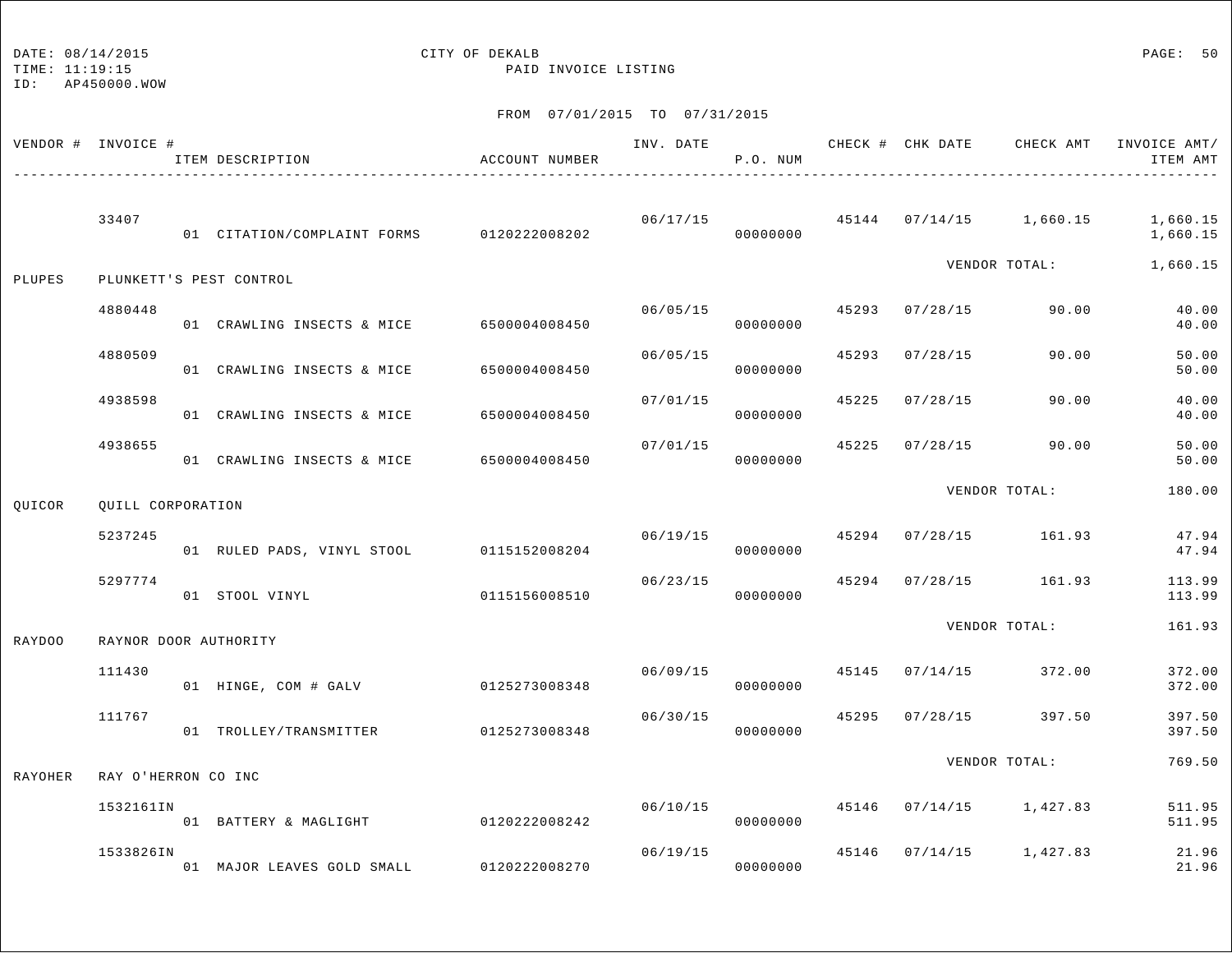TIME: 11:19:15 PAID INVOICE LISTING

ID: AP450000.WOW

|                | VENDOR # INVOICE #  | ITEM DESCRIPTION                          | ACCOUNT NUMBER | INV. DATE | P.O. NUM                   |       | CHECK # CHK DATE | CHECK AMT                          | INVOICE AMT/<br>ITEM AMT |
|----------------|---------------------|-------------------------------------------|----------------|-----------|----------------------------|-------|------------------|------------------------------------|--------------------------|
|                | 33407               | 01 CITATION/COMPLAINT FORMS 0120222008202 |                |           | 06/17/15<br>00000000       |       |                  | 45144 07/14/15 1,660.15            | 1,660.15<br>1,660.15     |
| PLUPES         |                     | PLUNKETT'S PEST CONTROL                   |                |           |                            |       |                  | VENDOR TOTAL:                      | 1,660.15                 |
|                | 4880448             | 01 CRAWLING INSECTS & MICE                | 6500004008450  | 06/05/15  | 00000000                   | 45293 | 07/28/15         | 90.00                              | 40.00<br>40.00           |
|                | 4880509             | 01 CRAWLING INSECTS & MICE                | 6500004008450  | 06/05/15  | 00000000                   | 45293 | 07/28/15         | 90.00                              | 50.00<br>50.00           |
|                | 4938598             | 01 CRAWLING INSECTS & MICE                | 6500004008450  | 07/01/15  | 00000000                   | 45225 | 07/28/15         | 90.00                              | 40.00<br>40.00           |
|                | 4938655             | 01 CRAWLING INSECTS & MICE                | 6500004008450  | 07/01/15  | 00000000                   | 45225 | 07/28/15         | 90.00                              | 50.00<br>50.00           |
| QUICOR         | QUILL CORPORATION   |                                           |                |           |                            |       |                  | VENDOR TOTAL:                      | 180.00                   |
|                | 5237245             | 01 RULED PADS, VINYL STOOL                | 0115152008204  | 06/19/15  | 00000000                   | 45294 |                  | $07/28/15$ 161.93                  | 47.94<br>47.94           |
|                | 5297774             | 01 STOOL VINYL                            | 0115156008510  | 06/23/15  | 00000000                   | 45294 |                  | 07/28/15 161.93                    | 113.99<br>113.99         |
| RAYDOO         |                     | RAYNOR DOOR AUTHORITY                     |                |           |                            |       |                  | VENDOR TOTAL:                      | 161.93                   |
|                | 111430              | 01 HINGE, COM # GALV                      | 0125273008348  |           | 06/09/15 45145<br>00000000 |       |                  | $07/14/15$ 372.00                  | 372.00<br>372.00         |
|                | 111767              | 01 TROLLEY/TRANSMITTER                    | 0125273008348  | 06/30/15  | 00000000                   | 45295 | 07/28/15         | 397.50                             | 397.50<br>397.50         |
| <b>RAYOHER</b> | RAY O'HERRON CO INC |                                           |                |           |                            |       |                  | VENDOR TOTAL:                      | 769.50                   |
|                | 1532161IN           | 01 BATTERY & MAGLIGHT                     | 0120222008242  |           | 00000000                   |       |                  | $06/10/15$ 45146 07/14/15 1,427.83 | 511.95<br>511.95         |
|                | 1533826IN           | 01 MAJOR LEAVES GOLD SMALL                | 0120222008270  | 06/19/15  | 00000000                   |       |                  | 45146 07/14/15 1,427.83            | 21.96<br>21.96           |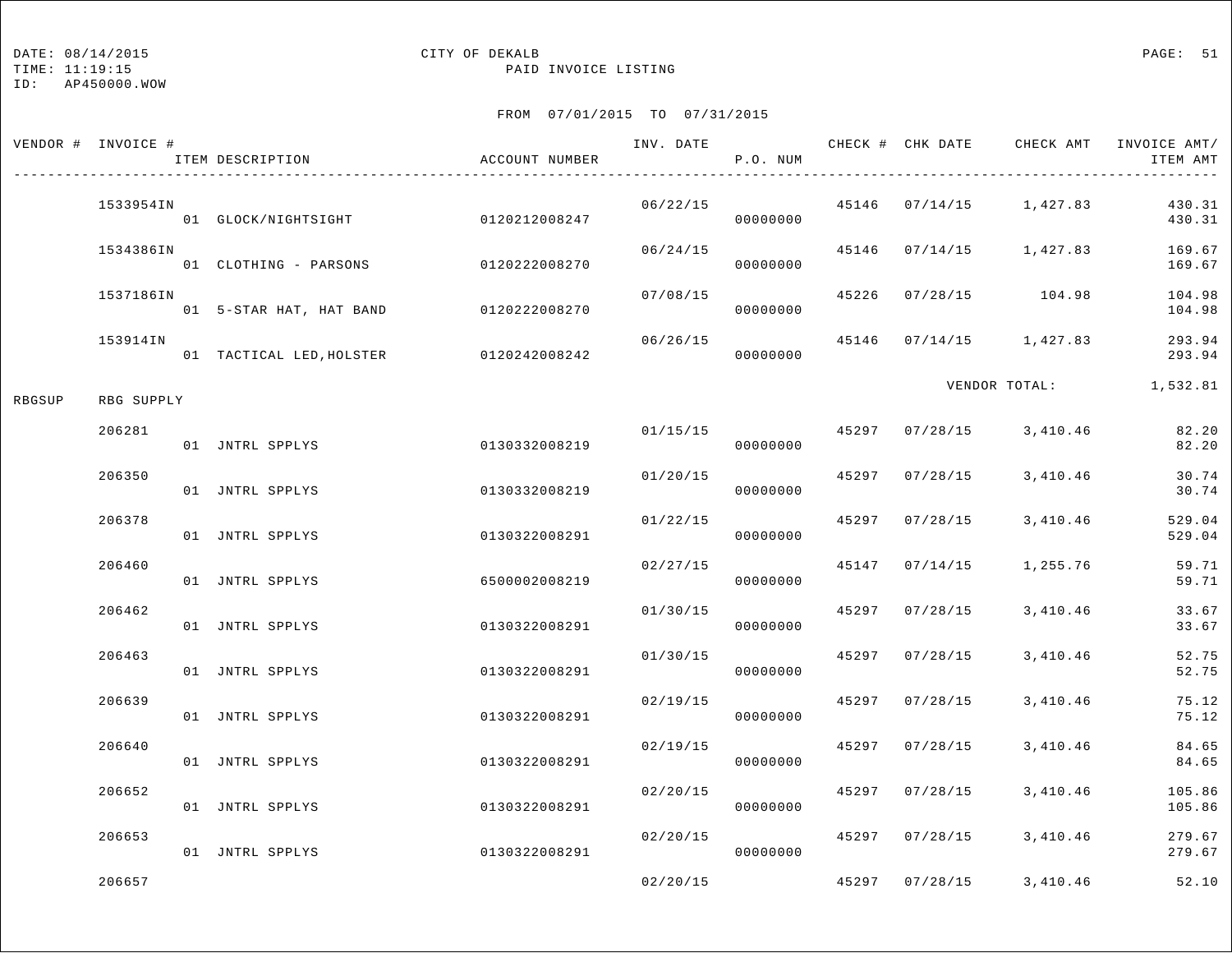TIME: 11:19:15 PAID INVOICE LISTING

ID: AP450000.WOW

|        | VENDOR # INVOICE # | ITEM DESCRIPTION                       | ACCOUNT NUMBER |          | P.O. NUM             |                | INV. DATE 6 CHECK # CHK DATE CHECK AMT | INVOICE AMT/<br>ITEM AMT |
|--------|--------------------|----------------------------------------|----------------|----------|----------------------|----------------|----------------------------------------|--------------------------|
|        | 1533954IN          | 01 GLOCK/NIGHTSIGHT 0120212008247      |                | 06/22/15 | 00000000             |                | 45146 07/14/15 1,427.83                | 430.31<br>430.31         |
|        | 1534386IN          | 01 CLOTHING - PARSONS                  | 0120222008270  | 06/24/15 | 00000000             | 45146 07/14/15 | 1,427.83                               | 169.67<br>169.67         |
|        | 1537186IN          | 01 5-STAR HAT, HAT BAND 0120222008270  |                | 07/08/15 | 00000000             |                | 45226 07/28/15 104.98                  | 104.98<br>104.98         |
|        | 153914IN           | 01 TACTICAL LED, HOLSTER 0120242008242 |                | 06/26/15 | 00000000             |                | 45146 07/14/15 1,427.83                | 293.94<br>293.94         |
| RBGSUP | RBG SUPPLY         |                                        |                |          |                      |                | VENDOR TOTAL:                          | 1,532.81                 |
|        | 206281             | 01 JNTRL SPPLYS                        | 0130332008219  |          | 01/15/15<br>00000000 |                | 45297 07/28/15 3,410.46                | 82.20<br>82.20           |
|        | 206350             | 01 JNTRL SPPLYS                        | 0130332008219  | 01/20/15 | 00000000             | 45297 07/28/15 | 3,410.46                               | 30.74<br>30.74           |
|        | 206378             | 01 JNTRL SPPLYS                        | 0130322008291  | 01/22/15 | 00000000             | 45297 07/28/15 | 3,410.46                               | 529.04<br>529.04         |
|        | 206460             | 01 JNTRL SPPLYS                        | 6500002008219  | 02/27/15 | 00000000             | 45147 07/14/15 | 1,255.76                               | 59.71<br>59.71           |
|        | 206462             | 01 JNTRL SPPLYS                        | 0130322008291  | 01/30/15 | 00000000             | 45297 07/28/15 | 3,410.46                               | 33.67<br>33.67           |
|        | 206463             | 01 JNTRL SPPLYS                        | 0130322008291  | 01/30/15 | 00000000             | 45297 07/28/15 | 3,410.46                               | 52.75<br>52.75           |
|        | 206639             | 01 JNTRL SPPLYS                        | 0130322008291  | 02/19/15 | 00000000             | 45297 07/28/15 | 3,410.46                               | 75.12<br>75.12           |
|        | 206640             | 01 JNTRL SPPLYS                        | 0130322008291  | 02/19/15 | 00000000             | 45297 07/28/15 | 3,410.46                               | 84.65<br>84.65           |
|        | 206652             | 01 JNTRL SPPLYS                        | 0130322008291  | 02/20/15 | 00000000             | 45297 07/28/15 | 3,410.46                               | 105.86<br>105.86         |
|        | 206653             | 01 JNTRL SPPLYS                        | 0130322008291  | 02/20/15 | 00000000             | 45297 07/28/15 | 3,410.46                               | 279.67<br>279.67         |
|        | 206657             |                                        |                | 02/20/15 |                      | 45297 07/28/15 | 3,410.46                               | 52.10                    |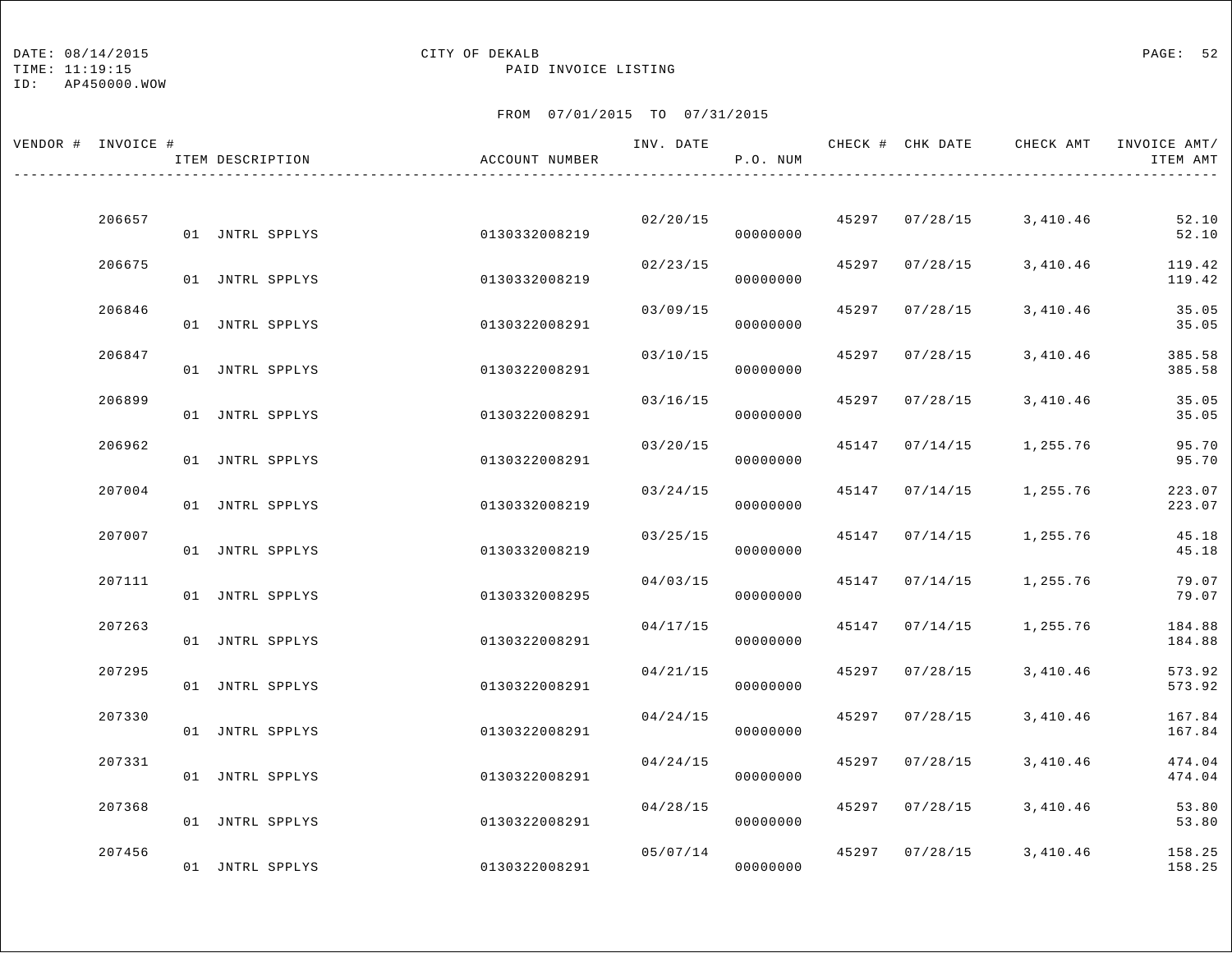## DATE:  $08/14/2015$  PAGE: 52

TIME: 11:19:15 PAID INVOICE LISTING

| VENDOR # INVOICE # | ITEM DESCRIPTION | ACCOUNT NUMBER |          | P.O. NUM             |       |                | INV. DATE 6 CHECK # CHK DATE CHECK AMT INVOICE AMT/ | ITEM AMT         |
|--------------------|------------------|----------------|----------|----------------------|-------|----------------|-----------------------------------------------------|------------------|
|                    |                  |                |          |                      |       |                |                                                     |                  |
| 206657             | 01 JNTRL SPPLYS  | 0130332008219  |          | 02/20/15<br>00000000 |       | 45297 07/28/15 | 3,410.46                                            | 52.10<br>52.10   |
| 206675             | 01 JNTRL SPPLYS  | 0130332008219  | 02/23/15 | 00000000             |       | 45297 07/28/15 | 3,410.46                                            | 119.42<br>119.42 |
| 206846             | 01 JNTRL SPPLYS  | 0130322008291  | 03/09/15 | 00000000             |       | 45297 07/28/15 | 3,410.46                                            | 35.05<br>35.05   |
| 206847             | 01 JNTRL SPPLYS  | 0130322008291  | 03/10/15 | 00000000             | 45297 | 07/28/15       | 3,410.46                                            | 385.58<br>385.58 |
| 206899             | 01 JNTRL SPPLYS  | 0130322008291  | 03/16/15 | 00000000             |       | 45297 07/28/15 | 3,410.46                                            | 35.05<br>35.05   |
| 206962             | 01 JNTRL SPPLYS  | 0130322008291  | 03/20/15 | 00000000             |       | 45147 07/14/15 | 1,255.76                                            | 95.70<br>95.70   |
| 207004             | 01 JNTRL SPPLYS  | 0130332008219  | 03/24/15 | 00000000             |       |                | 45147 07/14/15 1,255.76                             | 223.07<br>223.07 |
| 207007             | 01 JNTRL SPPLYS  | 0130332008219  | 03/25/15 | 00000000             |       | 45147 07/14/15 | 1,255.76                                            | 45.18<br>45.18   |
| 207111             | 01 JNTRL SPPLYS  | 0130332008295  | 04/03/15 | 00000000             |       | 45147 07/14/15 | 1,255.76                                            | 79.07<br>79.07   |
| 207263             | 01 JNTRL SPPLYS  | 0130322008291  | 04/17/15 | 00000000             |       | 45147 07/14/15 | 1,255.76                                            | 184.88<br>184.88 |
| 207295             | 01 JNTRL SPPLYS  | 0130322008291  | 04/21/15 | 00000000             |       | 45297 07/28/15 | 3,410.46                                            | 573.92<br>573.92 |
| 207330             | 01 JNTRL SPPLYS  | 0130322008291  | 04/24/15 | 00000000             |       | 45297 07/28/15 | 3,410.46                                            | 167.84<br>167.84 |
| 207331             | 01 JNTRL SPPLYS  | 0130322008291  | 04/24/15 | 00000000             |       | 45297 07/28/15 | 3,410.46                                            | 474.04<br>474.04 |
| 207368             | 01 JNTRL SPPLYS  | 0130322008291  | 04/28/15 | 00000000             |       | 45297 07/28/15 | 3,410.46                                            | 53.80<br>53.80   |
| 207456             | 01 JNTRL SPPLYS  | 0130322008291  | 05/07/14 | 00000000             |       | 45297 07/28/15 | 3,410.46                                            | 158.25<br>158.25 |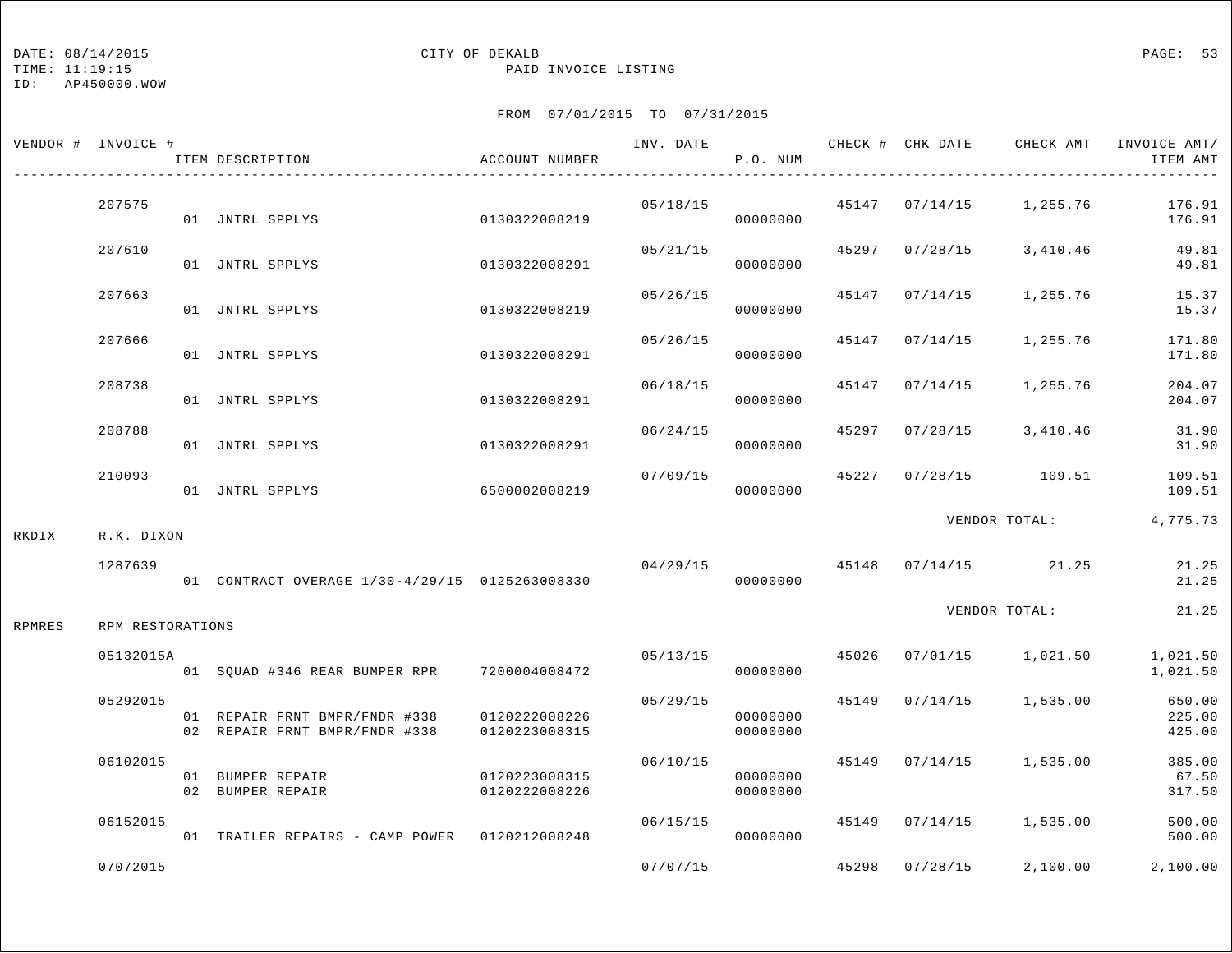TIME: 11:19:15 PAID INVOICE LISTING

ID: AP450000.WOW

|        | VENDOR # INVOICE # | ITEM DESCRIPTION                                               | ACCOUNT NUMBER                 |                | P.O. NUM             |       |                | INV. DATE 6 19 CHECK # CHK DATE CHECK AMT INVOICE AMT/ | ITEM AMT                   |
|--------|--------------------|----------------------------------------------------------------|--------------------------------|----------------|----------------------|-------|----------------|--------------------------------------------------------|----------------------------|
|        | 207575             | 01 JNTRL SPPLYS                                                | 0130322008219                  | 05/18/15       | 00000000             |       |                | 45147  07/14/15  1,255.76                              | 176.91<br>176.91           |
|        | 207610             | 01 JNTRL SPPLYS                                                | 0130322008291                  | 05/21/15       | 00000000             |       | 45297 07/28/15 | 3,410.46                                               | 49.81<br>49.81             |
|        | 207663             | 01 JNTRL SPPLYS                                                | 0130322008219                  | 05/26/15       | 00000000             | 45147 | 07/14/15       | 1,255.76                                               | 15.37<br>15.37             |
|        | 207666             | 01 JNTRL SPPLYS                                                | 0130322008291                  | 05/26/15       | 00000000             |       | 45147 07/14/15 | 1,255.76                                               | 171.80<br>171.80           |
|        | 208738             | 01 JNTRL SPPLYS                                                | 0130322008291                  | 06/18/15       | 00000000             |       | 45147 07/14/15 | 1,255.76                                               | 204.07<br>204.07           |
|        | 208788             | 01 JNTRL SPPLYS                                                | 0130322008291                  | 06/24/15       | 00000000             |       |                | 45297 07/28/15 3,410.46                                | 31.90<br>31.90             |
|        | 210093             | 01 JNTRL SPPLYS                                                | 6500002008219                  | 07/09/15       | 00000000             | 45227 |                | 07/28/15 109.51                                        | 109.51<br>109.51           |
| RKDIX  | R.K. DIXON         |                                                                |                                |                |                      |       |                | VENDOR TOTAL:                                          | 4,775.73                   |
|        | 1287639            | 01 CONTRACT OVERAGE 1/30-4/29/15 0125263008330                 |                                | 04/29/15       | 00000000             |       |                | 45148 07/14/15 21.25                                   | 21.25<br>21.25             |
| RPMRES | RPM RESTORATIONS   |                                                                |                                |                |                      |       |                | VENDOR TOTAL:                                          | 21.25                      |
|        | 05132015A          | 01 SQUAD #346 REAR BUMPER RPR 7200004008472                    |                                | 05/13/15 45026 | 00000000             |       |                | 07/01/15 1,021.50                                      | 1,021.50<br>1,021.50       |
|        | 05292015           | 01 REPAIR FRNT BMPR/FNDR #338<br>02 REPAIR FRNT BMPR/FNDR #338 | 0120222008226<br>0120223008315 | 05/29/15       | 00000000<br>00000000 |       |                | 45149 07/14/15 1,535.00                                | 650.00<br>225.00<br>425.00 |
|        | 06102015           | 01 BUMPER REPAIR<br>02 BUMPER REPAIR                           | 0120223008315<br>0120222008226 | 06/10/15       | 00000000<br>00000000 |       |                | 45149 07/14/15 1,535.00                                | 385.00<br>67.50<br>317.50  |
|        | 06152015           | 01 TRAILER REPAIRS - CAMP POWER 0120212008248                  |                                | 06/15/15       | 00000000             |       |                | 45149 07/14/15 1,535.00                                | 500.00<br>500.00           |
|        | 07072015           |                                                                |                                | 07/07/15       |                      |       | 45298 07/28/15 | 2,100.00                                               | 2,100.00                   |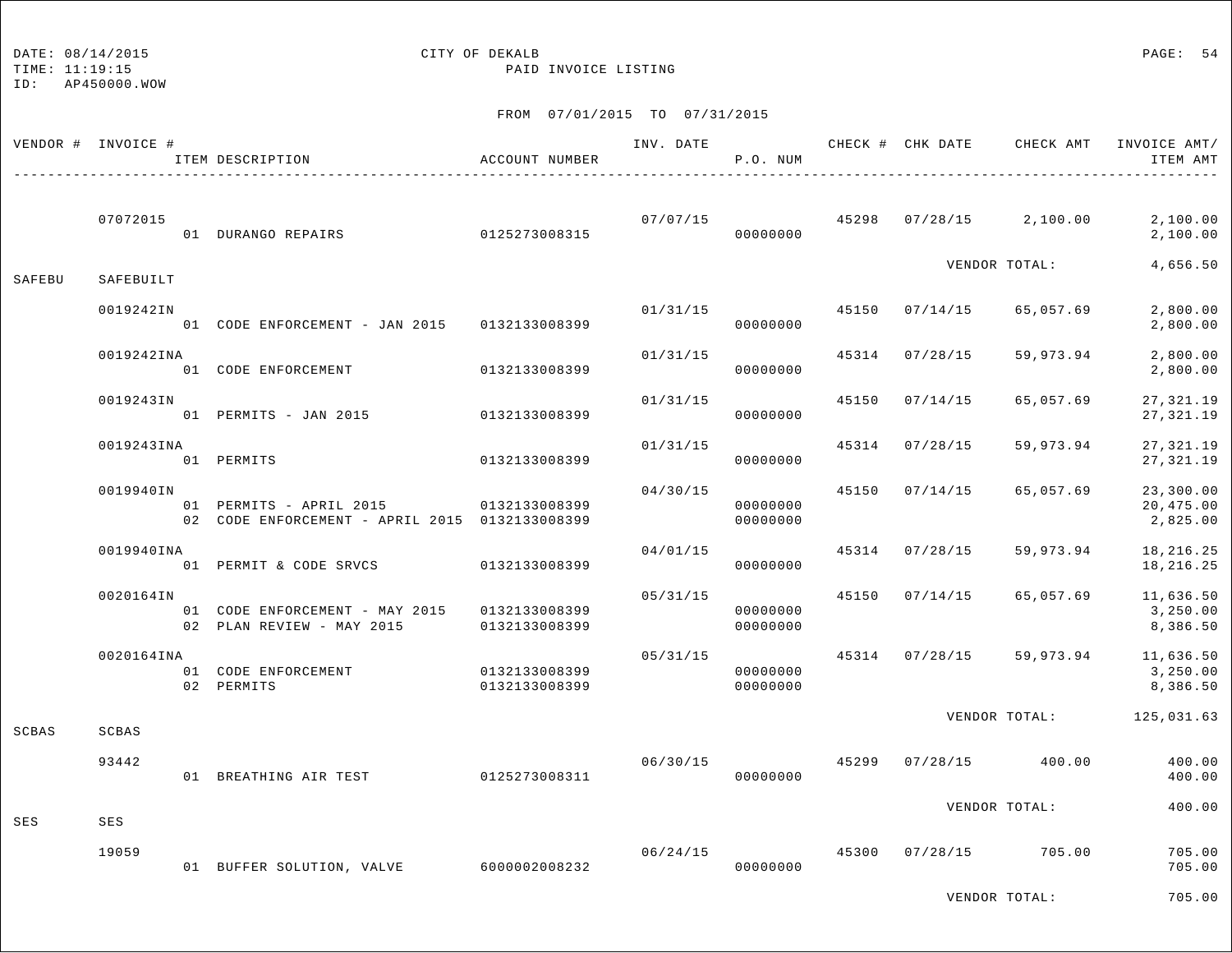DATE: 08/14/2015 CITY OF DEKALB PAGE: 54

TIME: 11:19:15 PAID INVOICE LISTING

ID: AP450000.WOW

FROM 07/01/2015 TO 07/31/2015

|        | VENDOR # INVOICE # | ITEM DESCRIPTION                                                                        | ACCOUNT NUMBER                 |          | P.O. NUM             |       |                |                                        | INV. DATE 6 1992 CHECK # CHK DATE CHECK AMT INVOICE AMT<br>ITEM AMT |
|--------|--------------------|-----------------------------------------------------------------------------------------|--------------------------------|----------|----------------------|-------|----------------|----------------------------------------|---------------------------------------------------------------------|
|        | 07072015           | 01 DURANGO REPAIRS 0125273008315                                                        |                                |          | 00000000             |       |                | $07/07/15$ 45298 07/28/15 2,100.00     | 2,100.00<br>2,100.00                                                |
| SAFEBU | SAFEBUILT          |                                                                                         |                                |          |                      |       |                | VENDOR TOTAL:                          | 4,656.50                                                            |
|        | 0019242IN          | 01 CODE ENFORCEMENT - JAN 2015 0132133008399                                            |                                | 01/31/15 | 00000000             |       | 45150 07/14/15 | 65,057.69                              | 2,800.00<br>2,800.00                                                |
|        | 0019242INA         | 01 CODE ENFORCEMENT                                                                     | 0132133008399                  | 01/31/15 | 00000000             |       | 45314 07/28/15 | 59,973.94                              | 2,800.00<br>2,800.00                                                |
|        | 0019243IN          | 01 PERMITS - JAN 2015 0132133008399                                                     |                                | 01/31/15 | 00000000             | 45150 | 07/14/15       | 65,057.69                              | 27, 321.19<br>27, 321.19                                            |
|        | 0019243INA         | 01 PERMITS                                                                              | 0132133008399                  | 01/31/15 | 00000000             |       | 45314 07/28/15 | 59,973.94                              | 27, 321.19<br>27,321.19                                             |
|        | 0019940IN          | 01 PERMITS - APRIL 2015 0132133008399<br>02 CODE ENFORCEMENT - APRIL 2015 0132133008399 |                                | 04/30/15 | 00000000<br>00000000 |       | 45150 07/14/15 | 65,057.69                              | 23,300.00<br>20,475.00<br>2,825.00                                  |
|        | 0019940INA         | 01 PERMIT & CODE SRVCS 0132133008399                                                    |                                | 04/01/15 | 00000000             |       | 45314 07/28/15 | 59,973.94                              | 18,216.25<br>18,216.25                                              |
|        | 0020164IN          | 01 CODE ENFORCEMENT - MAY 2015 0132133008399<br>02 PLAN REVIEW - MAY 2015               | 0132133008399                  | 05/31/15 | 00000000<br>00000000 |       | 45150 07/14/15 | 65,057.69                              | 11,636.50<br>3,250.00<br>8,386.50                                   |
|        | 0020164INA         | 01 CODE ENFORCEMENT<br>02 PERMITS                                                       | 0132133008399<br>0132133008399 | 05/31/15 | 00000000<br>00000000 |       |                |                                        | 45314 07/28/15 59,973.94 11,636.50<br>3,250.00<br>8,386.50          |
| SCBAS  | SCBAS              |                                                                                         |                                |          |                      |       |                |                                        | VENDOR TOTAL: 125,031.63                                            |
|        | 93442              | 01 BREATHING AIR TEST 0125273008311                                                     |                                |          | 00000000             |       |                | $06/30/15$ 45299 07/28/15 400.00       | 400.00<br>400.00                                                    |
| SES    | SES                |                                                                                         |                                |          |                      |       |                | VENDOR TOTAL:                          | 400.00                                                              |
|        | 19059              | 01 BUFFER SOLUTION, VALVE 6000002008232                                                 |                                |          | 00000000             |       |                | $06/24/15$ $45300$ $07/28/15$ $705.00$ | 705.00<br>705.00                                                    |

VENDOR TOTAL: 705.00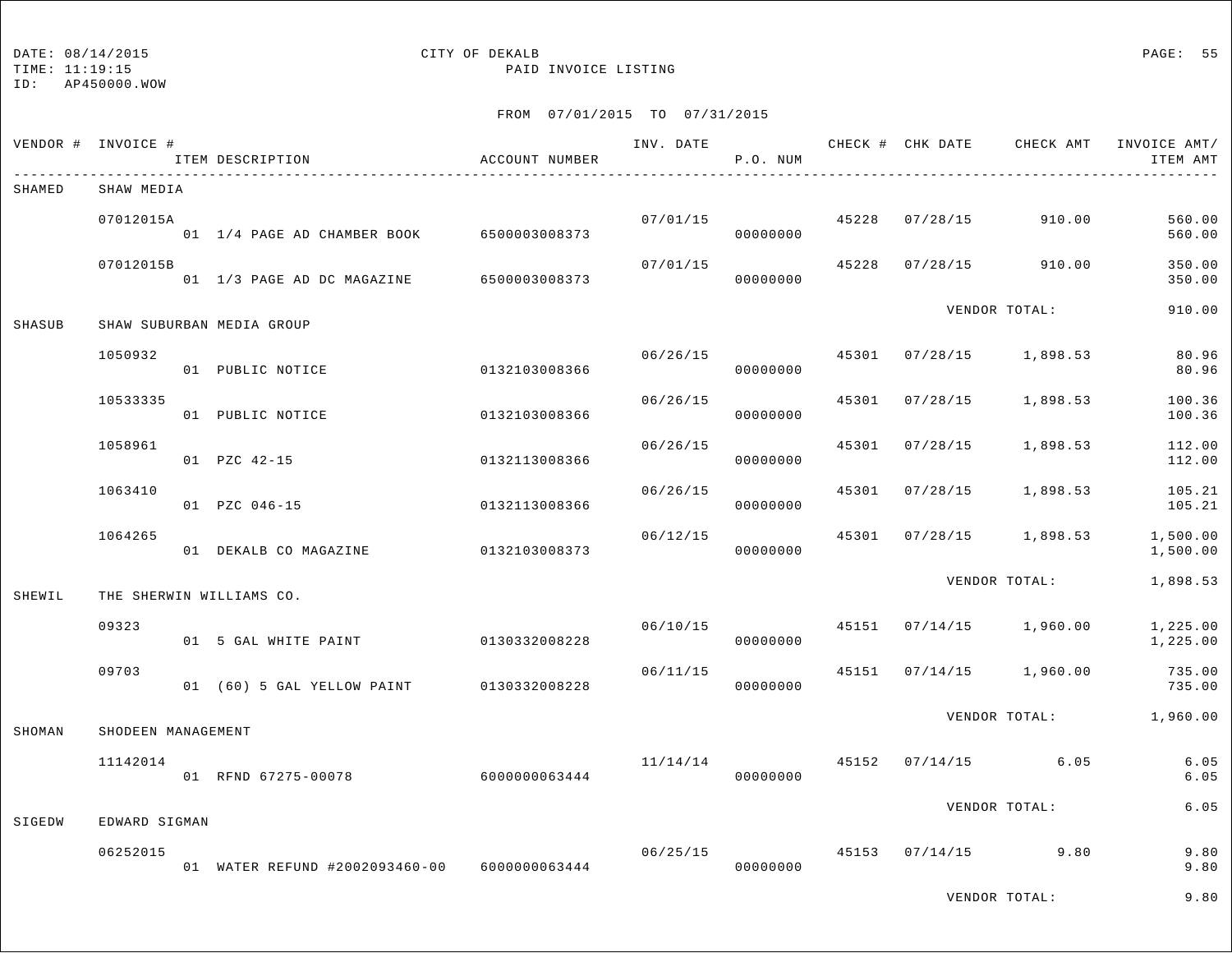## DATE:  $08/14/2015$  PAGE: 55

TIME: 11:19:15 PAID INVOICE LISTING

|        | VENDOR # INVOICE # | ITEM DESCRIPTION                             | ACCOUNT NUMBER | INV. DATE | P.O. NUM             |       |                | CHECK # CHK DATE CHECK AMT | INVOICE AMT/<br>ITEM AMT |
|--------|--------------------|----------------------------------------------|----------------|-----------|----------------------|-------|----------------|----------------------------|--------------------------|
| SHAMED | SHAW MEDIA         |                                              |                |           |                      |       |                |                            |                          |
|        | 07012015A          | 01 1/4 PAGE AD CHAMBER BOOK 6500003008373    |                |           | 07/01/15<br>00000000 |       | 45228 07/28/15 | 910.00                     | 560.00<br>560.00         |
|        | 07012015B          | 01 1/3 PAGE AD DC MAGAZINE 6500003008373     |                |           | 07/01/15<br>00000000 | 45228 | 07/28/15       | 910.00                     | 350.00<br>350.00         |
| SHASUB |                    | SHAW SUBURBAN MEDIA GROUP                    |                |           |                      |       |                | VENDOR TOTAL:              | 910.00                   |
|        | 1050932            | 01 PUBLIC NOTICE                             | 0132103008366  | 06/26/15  | 00000000             |       |                | 45301 07/28/15 1,898.53    | 80.96<br>80.96           |
|        | 10533335           | 01 PUBLIC NOTICE                             | 0132103008366  | 06/26/15  | 00000000             | 45301 | 07/28/15       | 1,898.53                   | 100.36<br>100.36         |
|        | 1058961            | 01 PZC 42-15                                 | 0132113008366  | 06/26/15  | 00000000             | 45301 | 07/28/15       | 1,898.53                   | 112.00<br>112.00         |
|        | 1063410            | 01 PZC 046-15                                | 0132113008366  | 06/26/15  | 00000000             | 45301 | 07/28/15       | 1,898.53                   | 105.21<br>105.21         |
|        | 1064265            | 01 DEKALB CO MAGAZINE                        | 0132103008373  | 06/12/15  | 00000000             |       | 45301 07/28/15 | 1,898.53                   | 1,500.00<br>1,500.00     |
| SHEWIL |                    | THE SHERWIN WILLIAMS CO.                     |                |           |                      |       |                | VENDOR TOTAL:              | 1,898.53                 |
|        | 09323              | 01 5 GAL WHITE PAINT                         | 0130332008228  | 06/10/15  | 00000000             |       |                | 45151 07/14/15 1,960.00    | 1,225.00<br>1,225.00     |
|        | 09703              | 01 (60) 5 GAL YELLOW PAINT 0130332008228     |                | 06/11/15  | 00000000             | 45151 |                | $07/14/15$ 1,960.00        | 735.00<br>735.00         |
| SHOMAN | SHODEEN MANAGEMENT |                                              |                |           |                      |       |                | VENDOR TOTAL:              | 1,960.00                 |
|        | 11142014           | 01 RFND 67275-00078                          | 6000000063444  | 11/14/14  | 00000000             |       |                | 45152 07/14/15 6.05        | 6.05<br>6.05             |
| SIGEDW | EDWARD SIGMAN      |                                              |                |           |                      |       |                | VENDOR TOTAL:              | 6.05                     |
|        | 06252015           | 01 WATER REFUND #2002093460-00 6000000063444 |                | 06/25/15  | 00000000             |       |                | 45153 07/14/15 9.80        | 9.80<br>9.80             |
|        |                    |                                              |                |           |                      |       |                | VENDOR TOTAL:              | 9.80                     |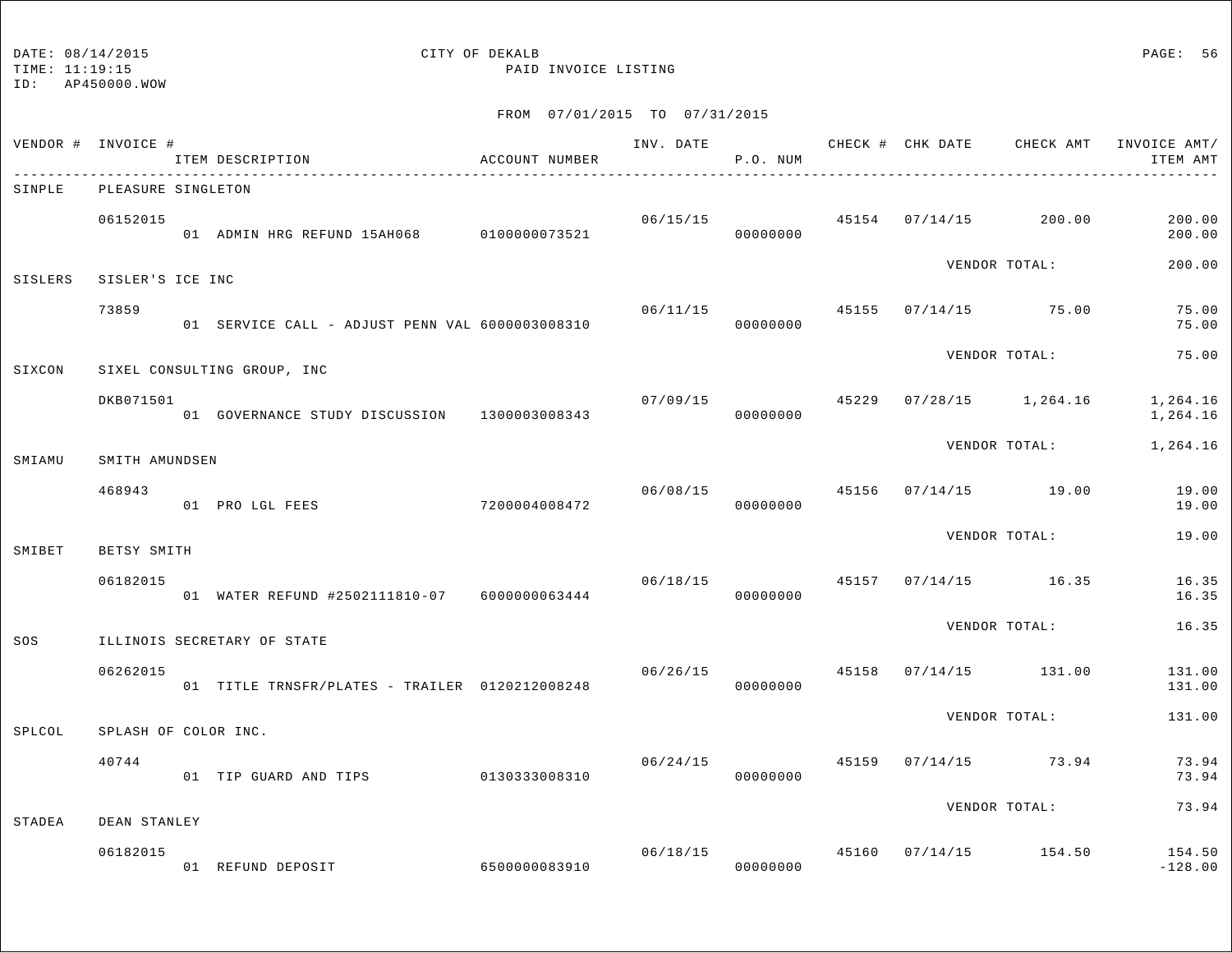TIME: 11:19:15 PAID INVOICE LISTING

ID: AP450000.WOW

| VENDOR # INVOICE # |                      | ITEM DESCRIPTION                                | ACCOUNT NUMBER | INV. DATE 6 CHECK # CHK DATE CHECK AMT | P.O. NUM                   |  |                                       | INVOICE AMT/<br>ITEM AMT |
|--------------------|----------------------|-------------------------------------------------|----------------|----------------------------------------|----------------------------|--|---------------------------------------|--------------------------|
| SINPLE             | PLEASURE SINGLETON   |                                                 |                |                                        |                            |  |                                       |                          |
|                    | 06152015             | 01 ADMIN HRG REFUND 15AH068 0100000073521       |                |                                        | 00000000                   |  | $06/15/15$ 45154 07/14/15 200.00      | 200.00<br>200.00         |
| <b>SISLERS</b>     | SISLER'S ICE INC     |                                                 |                |                                        |                            |  | VENDOR TOTAL:                         | 200.00                   |
|                    | 73859                | 01 SERVICE CALL - ADJUST PENN VAL 6000003008310 |                | 06/11/15                               | 00000000                   |  | 45155 07/14/15 75.00                  | 75.00<br>75.00           |
| SIXCON             |                      | SIXEL CONSULTING GROUP, INC                     |                |                                        |                            |  | VENDOR TOTAL:                         | 75.00                    |
|                    | DKB071501            | 01 GOVERNANCE STUDY DISCUSSION 1300003008343    |                | 07/09/15 45229                         | 00000000                   |  | $07/28/15$ 1,264.16                   | 1,264.16<br>1,264.16     |
| SMIAMU             | SMITH AMUNDSEN       |                                                 |                |                                        |                            |  | VENDOR TOTAL:                         | 1,264.16                 |
|                    | 468943               | 7200004008472<br>01 PRO LGL FEES                |                | 06/08/15                               | 00000000                   |  | 45156 07/14/15 19.00                  | 19.00<br>19.00           |
| SMIBET             | BETSY SMITH          |                                                 |                |                                        |                            |  | VENDOR TOTAL:                         | 19.00                    |
|                    | 06182015             | 01 WATER REFUND #2502111810-07 6000000063444    |                |                                        | 00000000                   |  | $06/18/15$ $45157$ $07/14/15$ $16.35$ | 16.35<br>16.35           |
| SOS                |                      | ILLINOIS SECRETARY OF STATE                     |                |                                        |                            |  | VENDOR TOTAL:                         | 16.35                    |
|                    | 06262015             | 01 TITLE TRNSFR/PLATES - TRAILER 0120212008248  |                | 06/26/15 45158                         | 00000000                   |  | 07/14/15 131.00                       | 131.00<br>131.00         |
| SPLCOL             | SPLASH OF COLOR INC. |                                                 |                |                                        |                            |  | VENDOR TOTAL:                         | 131.00                   |
|                    | 40744                | 01 TIP GUARD AND TIPS 0130333008310             |                | 06/24/15                               | 00000000                   |  | 45159 07/14/15 73.94                  | 73.94<br>73.94           |
| STADEA             | DEAN STANLEY         |                                                 |                |                                        |                            |  | VENDOR TOTAL:                         | 73.94                    |
|                    | 06182015             | 01 REFUND DEPOSIT 6500000083910                 |                |                                        | 06/18/15 45160<br>00000000 |  | $07/14/15$ 154.50                     | 154.50<br>$-128.00$      |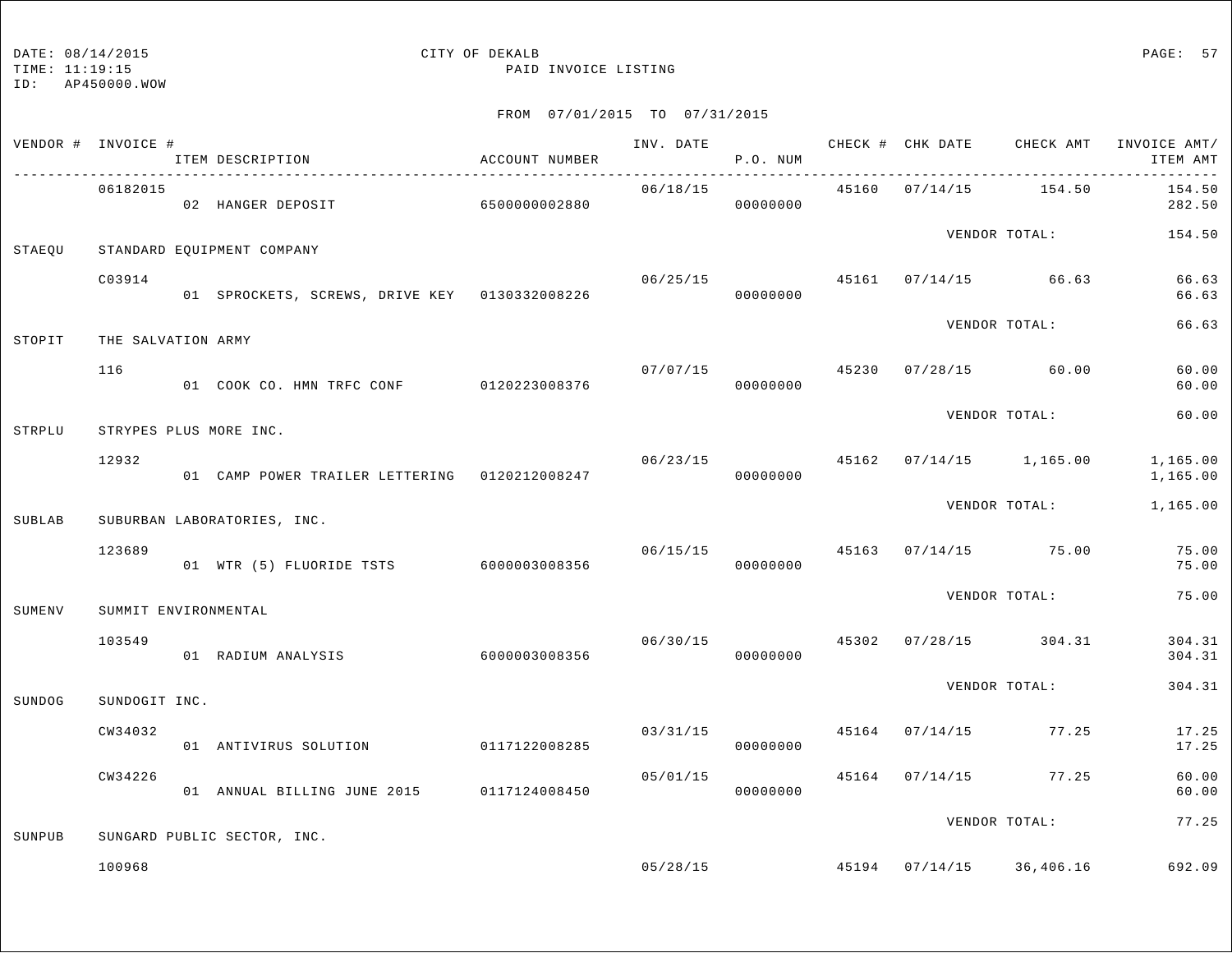TIME: 11:19:15 PAID INVOICE LISTING

ID: AP450000.WOW

|        | VENDOR # INVOICE #   | ITEM DESCRIPTION                              | ACCOUNT NUMBER |                | P.O. NUM                   |                | INV. DATE <b>CHECK # CHK DATE</b> CHECK AMT | INVOICE AMT/<br>ITEM AMT |
|--------|----------------------|-----------------------------------------------|----------------|----------------|----------------------------|----------------|---------------------------------------------|--------------------------|
|        | 06182015             | 02 HANGER DEPOSIT 6500000002880               |                | 06/18/15       | 00000000                   | 45160 07/14/15 | 154.50                                      | 154.50<br>282.50         |
| STAEOU |                      | STANDARD EQUIPMENT COMPANY                    |                |                |                            |                |                                             | VENDOR TOTAL: 154.50     |
|        | C03914               | 01 SPROCKETS, SCREWS, DRIVE KEY 0130332008226 |                |                | 00000000                   |                | $06/25/15$ 45161 07/14/15 66.63             | 66.63<br>66.63           |
| STOPIT | THE SALVATION ARMY   |                                               |                |                |                            |                | VENDOR TOTAL:                               | 66.63                    |
|        | 116                  | 01 COOK CO. HMN TRFC CONF 0120223008376       |                |                | 00000000                   |                | $07/07/15$ 45230 07/28/15 60.00             | 60.00<br>60.00           |
| STRPLU |                      | STRYPES PLUS MORE INC.                        |                |                |                            |                | VENDOR TOTAL:                               | 60.00                    |
|        | 12932                | 01 CAMP POWER TRAILER LETTERING 0120212008247 |                | 06/23/15 45162 | 00000000                   |                | $07/14/15$ 1,165.00                         | 1,165.00<br>1,165.00     |
| SUBLAB |                      | SUBURBAN LABORATORIES, INC.                   |                |                |                            |                | VENDOR TOTAL:                               | 1,165.00                 |
|        | 123689               | 01 WTR (5) FLUORIDE TSTS 6000003008356        |                |                | 00000000                   |                | $06/15/15$ $45163$ $07/14/15$ $75.00$       | 75.00<br>75.00           |
| SUMENV | SUMMIT ENVIRONMENTAL |                                               |                |                |                            |                | VENDOR TOTAL:                               | 75.00                    |
|        | 103549               | 01 RADIUM ANALYSIS                            | 6000003008356  |                | 00000000                   |                | $06/30/15$ $45302$ $07/28/15$ $304.31$      | 304.31<br>304.31         |
| SUNDOG | SUNDOGIT INC.        |                                               |                |                |                            |                | VENDOR TOTAL:                               | 304.31                   |
|        | CW34032              | 01 ANTIVIRUS SOLUTION 0117122008285           |                |                | 03/31/15 45164<br>00000000 |                | $07/14/15$ 77.25                            | 17.25<br>17.25           |
|        | CW34226              | 01 ANNUAL BILLING JUNE 2015 0117124008450     |                | 05/01/15       | 00000000                   | 45164 07/14/15 | 77.25                                       | 60.00<br>60.00           |
| SUNPUB |                      | SUNGARD PUBLIC SECTOR, INC.                   |                |                |                            |                | VENDOR TOTAL:                               | 77.25                    |
|        | 100968               |                                               |                |                |                            |                | $05/28/15$ $45194$ $07/14/15$ $36,406.16$   | 692.09                   |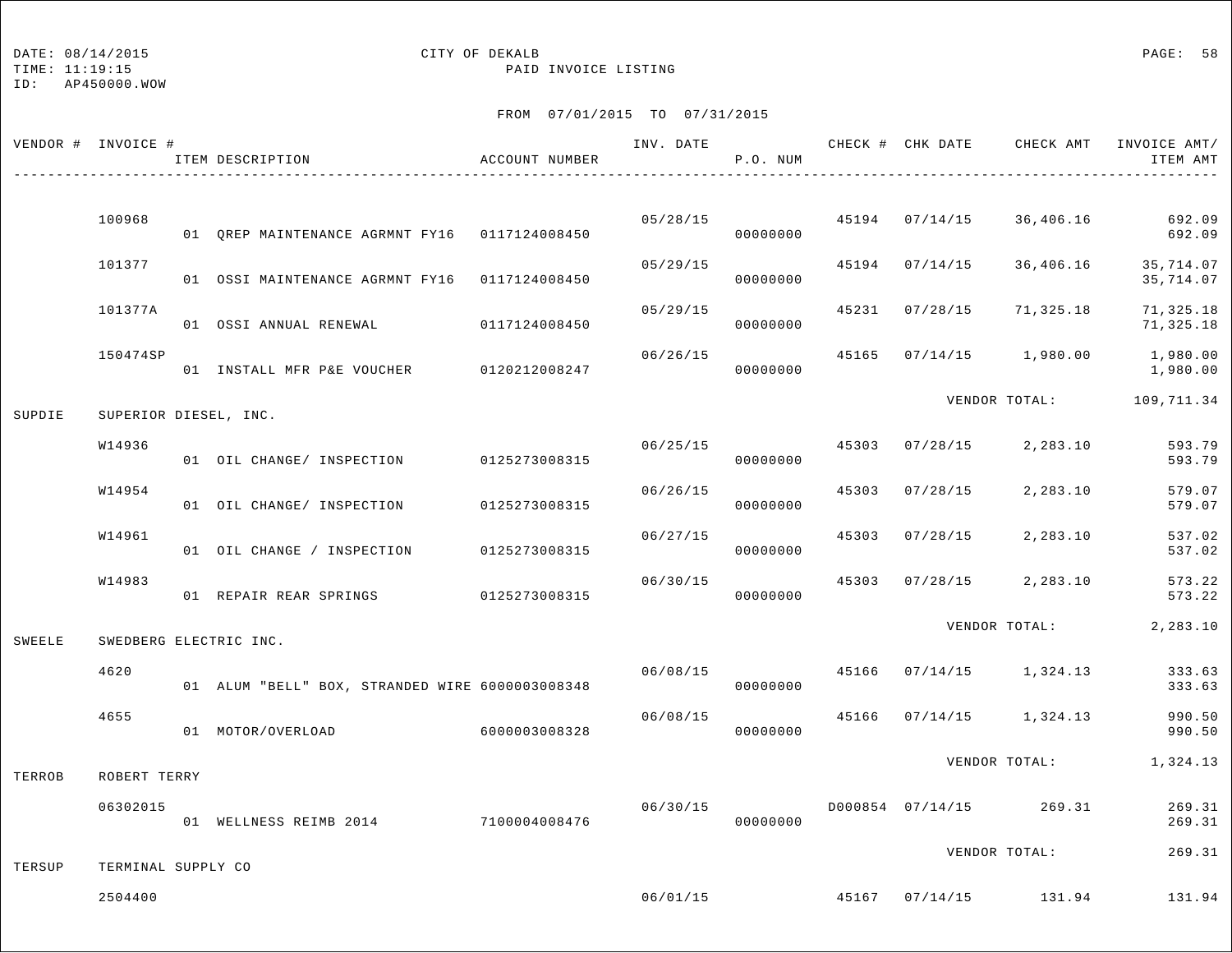TIME: 11:19:15 PAID INVOICE LISTING

ID: AP450000.WOW

|        | VENDOR # INVOICE #    | ITEM DESCRIPTION                                | ACCOUNT NUMBER | INV. DATE | P.O. NUM |       | CHECK # CHK DATE | CHECK AMT                              | INVOICE AMT/<br>ITEM AMT |
|--------|-----------------------|-------------------------------------------------|----------------|-----------|----------|-------|------------------|----------------------------------------|--------------------------|
|        | 100968                | 01 QREP MAINTENANCE AGRMNT FY16 0117124008450   |                | 05/28/15  | 00000000 |       | 45194 07/14/15   | 36,406.16                              | 692.09<br>692.09         |
|        | 101377                | 01 OSSI MAINTENANCE AGRMNT FY16 0117124008450   |                | 05/29/15  | 00000000 | 45194 | 07/14/15         | 36,406.16                              | 35,714.07<br>35,714.07   |
|        | 101377A               | 01 OSSI ANNUAL RENEWAL                          | 0117124008450  | 05/29/15  | 00000000 | 45231 | 07/28/15         | 71,325.18                              | 71,325.18<br>71,325.18   |
|        | 150474SP              | 01 INSTALL MFR P&E VOUCHER 0120212008247        |                | 06/26/15  | 00000000 |       |                  | 45165 07/14/15 1,980.00                | 1,980.00<br>1,980.00     |
| SUPDIE | SUPERIOR DIESEL, INC. |                                                 |                |           |          |       |                  |                                        | VENDOR TOTAL: 109,711.34 |
|        | W14936                | 01 OIL CHANGE/ INSPECTION                       | 0125273008315  | 06/25/15  | 00000000 | 45303 | 07/28/15         | 2,283.10                               | 593.79<br>593.79         |
|        | W14954                | 01 OIL CHANGE/ INSPECTION                       | 0125273008315  | 06/26/15  | 00000000 | 45303 | 07/28/15         | 2,283.10                               | 579.07<br>579.07         |
|        | W14961                | 01 OIL CHANGE / INSPECTION                      | 0125273008315  | 06/27/15  | 00000000 | 45303 | 07/28/15         | 2,283.10                               | 537.02<br>537.02         |
|        | W14983                | 01 REPAIR REAR SPRINGS                          | 0125273008315  | 06/30/15  | 00000000 | 45303 | 07/28/15         | 2,283.10                               | 573.22<br>573.22         |
| SWEELE |                       | SWEDBERG ELECTRIC INC.                          |                |           |          |       |                  | VENDOR TOTAL:                          | 2,283.10                 |
|        | 4620                  | 01 ALUM "BELL" BOX, STRANDED WIRE 6000003008348 |                | 06/08/15  | 00000000 | 45166 |                  | $07/14/15$ 1,324.13                    | 333.63<br>333.63         |
|        | 4655                  | 01 MOTOR/OVERLOAD                               | 6000003008328  | 06/08/15  | 00000000 | 45166 |                  | $07/14/15$ 1,324.13                    | 990.50<br>990.50         |
| TERROB | ROBERT TERRY          |                                                 |                |           |          |       |                  | VENDOR TOTAL:                          | 1,324.13                 |
|        | 06302015              | 01 WELLNESS REIMB 2014 7100004008476            |                | 06/30/15  | 00000000 |       |                  | D000854 07/14/15 269.31                | 269.31<br>269.31         |
| TERSUP | TERMINAL SUPPLY CO    |                                                 |                |           |          |       |                  | VENDOR TOTAL:                          | 269.31                   |
|        | 2504400               |                                                 |                |           |          |       |                  | $06/01/15$ $45167$ $07/14/15$ $131.94$ | 131.94                   |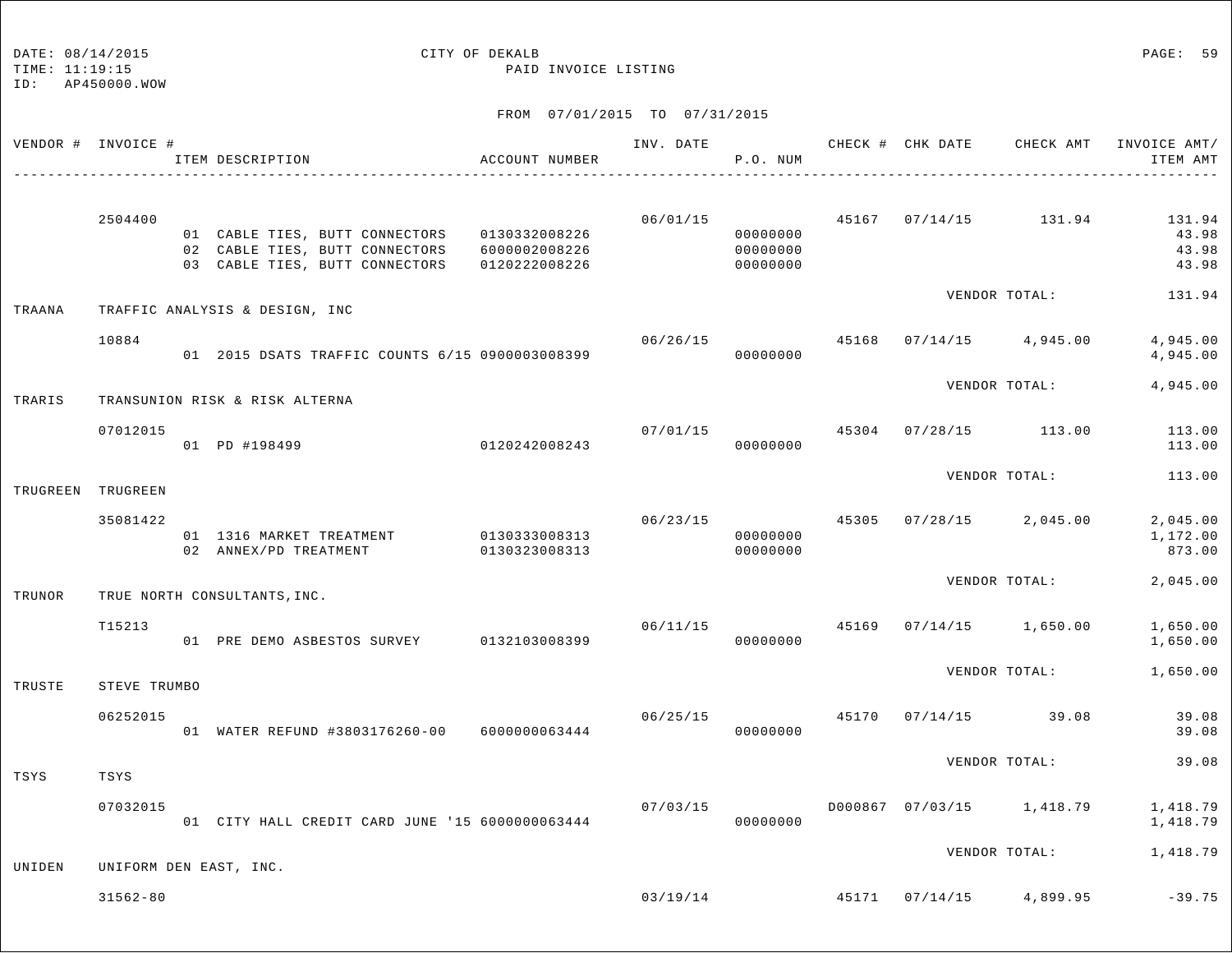## DATE:  $08/14/2015$  PAGE: 59

TIME: 11:19:15 PAID INVOICE LISTING

| VENDOR # INVOICE # |              | ITEM DESCRIPTION                                                                                                                             | ACCOUNT NUMBER | INV. DATE | P.O. NUM                         |       | CHECK # CHK DATE CHECK AMT INVOICE AMT/  | ITEM AMT                          |
|--------------------|--------------|----------------------------------------------------------------------------------------------------------------------------------------------|----------------|-----------|----------------------------------|-------|------------------------------------------|-----------------------------------|
|                    | 2504400      | 01 CABLE TIES, BUTT CONNECTORS 0130332008226<br>02 CABLE TIES, BUTT CONNECTORS 6000002008226<br>03 CABLE TIES, BUTT CONNECTORS 0120222008226 |                | 06/01/15  | 00000000<br>00000000<br>00000000 |       | 45167 07/14/15 131.94                    | 131.94<br>43.98<br>43.98<br>43.98 |
| TRAANA             |              | TRAFFIC ANALYSIS & DESIGN, INC                                                                                                               |                |           |                                  |       | VENDOR TOTAL:                            | 131.94                            |
|                    | 10884        | 01  2015 DSATS TRAFFIC COUNTS 6/15  0900003008399                                                                                            |                | 06/26/15  | 00000000                         | 45168 | $07/14/15$ 4,945.00                      | 4,945.00<br>4,945.00              |
| TRARIS             |              | TRANSUNION RISK & RISK ALTERNA                                                                                                               |                |           |                                  |       | VENDOR TOTAL:                            | 4,945.00                          |
|                    | 07012015     | 01 PD #198499 0120242008243                                                                                                                  |                | 07/01/15  | 45304<br>00000000                |       | 07/28/15 113.00                          | 113.00<br>113.00                  |
| TRUGREEN TRUGREEN  |              |                                                                                                                                              |                |           |                                  |       | VENDOR TOTAL:                            | 113.00                            |
|                    | 35081422     | 01 1316 MARKET TREATMENT 0130333008313<br>02 ANNEX/PD TREATMENT 0130323008313                                                                |                | 06/23/15  | 00000000<br>00000000             |       | 45305 07/28/15 2,045.00                  | 2,045.00<br>1,172.00<br>873.00    |
| TRUNOR             |              | TRUE NORTH CONSULTANTS, INC.                                                                                                                 |                |           |                                  |       | VENDOR TOTAL:                            | 2,045.00                          |
|                    | T15213       | 01 PRE DEMO ASBESTOS SURVEY 0132103008399                                                                                                    |                | 06/11/15  | 00000000                         |       | 45169 07/14/15 1,650.00                  | 1,650.00<br>1,650.00              |
| TRUSTE             | STEVE TRUMBO |                                                                                                                                              |                |           |                                  |       | VENDOR TOTAL:                            | 1,650.00                          |
|                    | 06252015     | 01 WATER REFUND #3803176260-00 6000000063444                                                                                                 |                |           | 06/25/15<br>00000000             | 45170 | $07/14/15$ 39.08                         | 39.08<br>39.08                    |
| TSYS               | TSYS         |                                                                                                                                              |                |           |                                  |       | VENDOR TOTAL:                            | 39.08                             |
|                    | 07032015     | 01 CITY HALL CREDIT CARD JUNE '15 6000000063444                                                                                              |                | 07/03/15  | 00000000                         |       | D000867 07/03/15 1,418.79                | 1,418.79<br>1,418.79              |
| UNIDEN             |              | UNIFORM DEN EAST, INC.                                                                                                                       |                |           |                                  |       | VENDOR TOTAL: 1,418.79                   |                                   |
|                    | $31562 - 80$ |                                                                                                                                              |                |           |                                  |       | $03/19/14$ $45171$ $07/14/15$ $4,899.95$ | $-39.75$                          |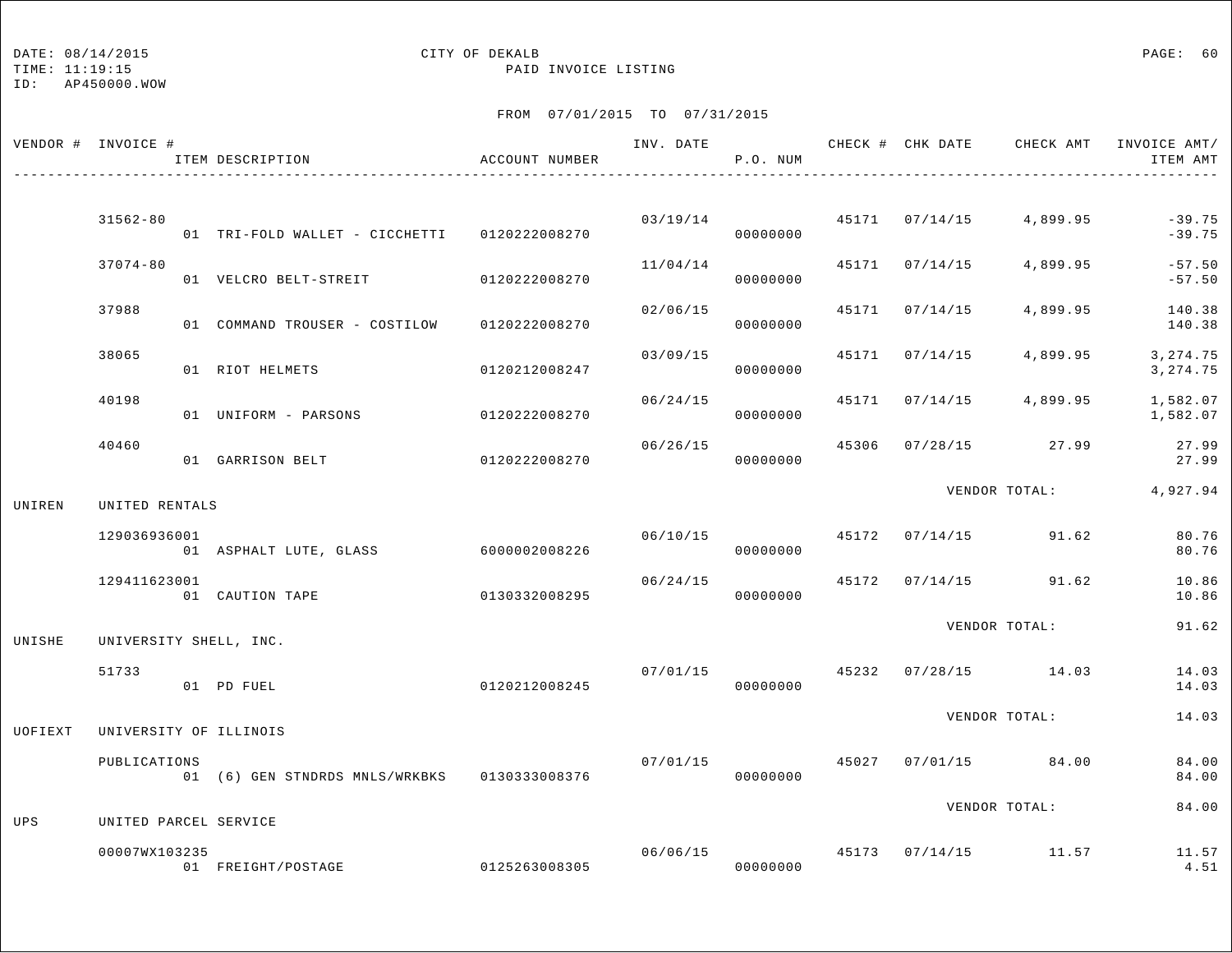## DATE:  $08/14/2015$  PAGE: 60

TIME: 11:19:15 PAID INVOICE LISTING

|         | VENDOR # INVOICE #    | ITEM DESCRIPTION                             | ACCOUNT NUMBER |          | P.O. NUM             |       |                | INV. DATE 6 1992 CHECK # CHK DATE CHECK AMT INVOICE AMT | ITEM AMT              |
|---------|-----------------------|----------------------------------------------|----------------|----------|----------------------|-------|----------------|---------------------------------------------------------|-----------------------|
|         |                       |                                              |                |          |                      |       |                |                                                         |                       |
|         | $31562 - 80$          | 01 TRI-FOLD WALLET - CICCHETTI 0120222008270 |                |          | 03/19/14<br>00000000 |       | 45171 07/14/15 | 4,899.95                                                | $-39.75$<br>$-39.75$  |
|         | $37074 - 80$          | 01 VELCRO BELT-STREIT                        | 0120222008270  | 11/04/14 | 00000000             |       | 45171 07/14/15 | 4,899.95                                                | $-57.50$<br>$-57.50$  |
|         | 37988                 | 01 COMMAND TROUSER - COSTILOW                | 0120222008270  | 02/06/15 | 00000000             |       | 45171 07/14/15 | 4,899.95                                                | 140.38<br>140.38      |
|         | 38065                 | 01 RIOT HELMETS                              | 0120212008247  | 03/09/15 | 00000000             | 45171 | 07/14/15       | 4,899.95                                                | 3, 274.75<br>3,274.75 |
|         | 40198                 | 01 UNIFORM - PARSONS                         | 0120222008270  | 06/24/15 | 00000000             |       |                | 45171 07/14/15 4,899.95                                 | 1,582.07<br>1,582.07  |
|         | 40460                 | 01 GARRISON BELT                             | 0120222008270  | 06/26/15 | 00000000             |       |                | 45306 07/28/15 27.99                                    | 27.99<br>27.99        |
| UNIREN  | UNITED RENTALS        |                                              |                |          |                      |       |                | VENDOR TOTAL:                                           | 4,927.94              |
|         |                       |                                              |                |          |                      |       |                |                                                         |                       |
|         | 129036936001          | 01 ASPHALT LUTE, GLASS 6000002008226         |                | 06/10/15 | 00000000             |       |                | 45172 07/14/15 91.62                                    | 80.76<br>80.76        |
|         | 129411623001          | 01 CAUTION TAPE                              | 0130332008295  |          | 06/24/15<br>00000000 |       |                | 45172 07/14/15 91.62                                    | 10.86<br>10.86        |
| UNISHE  |                       | UNIVERSITY SHELL, INC.                       |                |          |                      |       |                | VENDOR TOTAL:                                           | 91.62                 |
|         | 51733                 | 01 PD FUEL                                   | 0120212008245  |          | 07/01/15<br>00000000 | 45232 |                | $07/28/15$ 14.03                                        | 14.03<br>14.03        |
|         |                       |                                              |                |          |                      |       |                | VENDOR TOTAL:                                           | 14.03                 |
| UOFIEXT |                       | UNIVERSITY OF ILLINOIS                       |                |          |                      |       |                |                                                         |                       |
|         | PUBLICATIONS          | 01 (6) GEN STNDRDS MNLS/WRKBKS 0130333008376 |                | 07/01/15 | 00000000             |       |                | 45027 07/01/15 84.00                                    | 84.00<br>84.00        |
| UPS     | UNITED PARCEL SERVICE |                                              |                |          |                      |       |                | VENDOR TOTAL:                                           | 84.00                 |
|         | 00007WX103235         | 01 FREIGHT/POSTAGE                           | 0125263008305  |          | 00000000             |       |                | $06/06/15$ $45173$ $07/14/15$ $11.57$                   | 11.57<br>4.51         |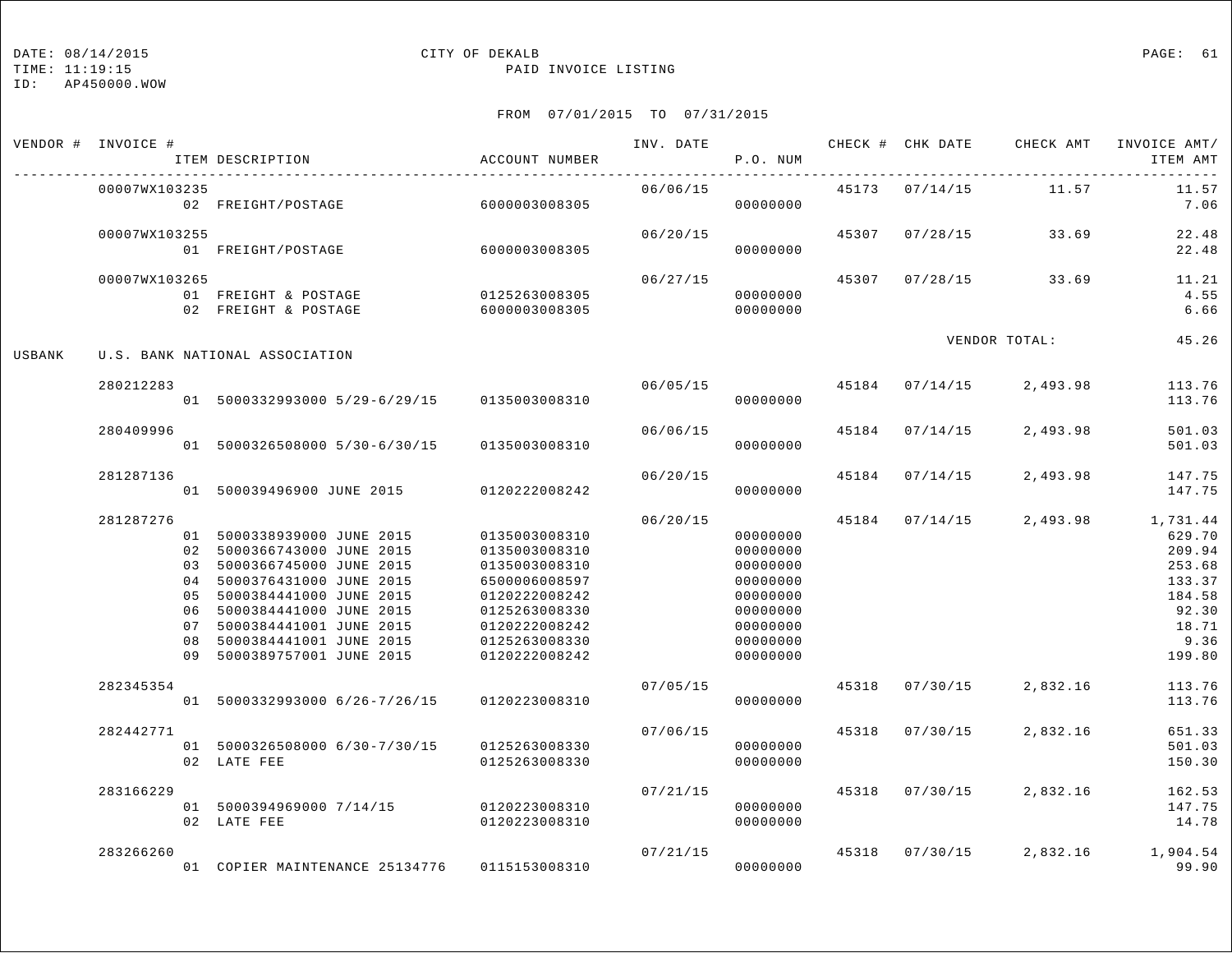ID: AP450000.WOW

## TIME: 11:19:15 PAID INVOICE LISTING

|        | VENDOR # INVOICE # | ITEM DESCRIPTION                                                                                                                                                                                                                                                           | ACCOUNT NUMBER                                                                                                                                        | INV. DATE | P.O. NUM                                                                                                 |       | -------------------------------- | CHECK # CHK DATE CHECK AMT | INVOICE AMT/<br>ITEM AMT                                                                       |
|--------|--------------------|----------------------------------------------------------------------------------------------------------------------------------------------------------------------------------------------------------------------------------------------------------------------------|-------------------------------------------------------------------------------------------------------------------------------------------------------|-----------|----------------------------------------------------------------------------------------------------------|-------|----------------------------------|----------------------------|------------------------------------------------------------------------------------------------|
|        | 00007WX103235      | 02 FREIGHT/POSTAGE                                                                                                                                                                                                                                                         | 6000003008305                                                                                                                                         | 06/06/15  | 00000000                                                                                                 |       | 45173 07/14/15                   | 11.57                      | 11.57<br>7.06                                                                                  |
|        | 00007WX103255      | 01 FREIGHT/POSTAGE                                                                                                                                                                                                                                                         | 60000003008305                                                                                                                                        | 06/20/15  | 00000000                                                                                                 |       |                                  | 45307 07/28/15 33.69       | 22.48<br>22.48                                                                                 |
|        | 00007WX103265      | 01 FREIGHT & POSTAGE<br>02 FREIGHT & POSTAGE                                                                                                                                                                                                                               | 0125263008305                                                                                                                                         | 06/27/15  | 00000000                                                                                                 |       |                                  | 45307 07/28/15 33.69       | 11.21<br>4.55<br>6.66                                                                          |
| USBANK |                    | U.S. BANK NATIONAL ASSOCIATION                                                                                                                                                                                                                                             |                                                                                                                                                       |           |                                                                                                          |       |                                  | VENDOR TOTAL:              | 45.26                                                                                          |
|        | 280212283          | 01 5000332993000 5/29-6/29/15 0135003008310                                                                                                                                                                                                                                |                                                                                                                                                       | 06/05/15  | 00000000                                                                                                 |       | 45184 07/14/15                   | 2,493.98                   | 113.76<br>113.76                                                                               |
|        | 280409996          | 01 5000326508000 5/30-6/30/15                                                                                                                                                                                                                                              | 0135003008310                                                                                                                                         | 06/06/15  | 00000000                                                                                                 |       | 45184 07/14/15                   | 2,493.98                   | 501.03<br>501.03                                                                               |
|        | 281287136          | 01 500039496900 JUNE 2015                                                                                                                                                                                                                                                  | 0120222008242                                                                                                                                         | 06/20/15  | 00000000                                                                                                 | 45184 | 07/14/15                         | 2,493.98                   | 147.75<br>147.75                                                                               |
|        | 281287276          | 01 5000338939000 JUNE 2015<br>02 5000366743000 JUNE 2015<br>03 5000366745000 JUNE 2015<br>04 5000376431000 JUNE 2015<br>05 5000384441000 JUNE 2015<br>06 5000384441000 JUNE 2015<br>07 5000384441001 JUNE 2015<br>08 5000384441001 JUNE 2015<br>09 5000389757001 JUNE 2015 | 0135003008310<br>0135003008310<br>0135003008310<br>6500006008597<br>0120222008242<br>0125263008330<br>0120222008242<br>0125263008330<br>0120222008242 | 06/20/15  | 00000000<br>00000000<br>00000000<br>00000000<br>00000000<br>00000000<br>00000000<br>00000000<br>00000000 |       | 45184 07/14/15                   | 2,493.98                   | 1,731.44<br>629.70<br>209.94<br>253.68<br>133.37<br>184.58<br>92.30<br>18.71<br>9.36<br>199.80 |
|        | 282345354          | 01 5000332993000 6/26-7/26/15                                                                                                                                                                                                                                              | 0120223008310                                                                                                                                         | 07/05/15  | 00000000                                                                                                 |       | 45318 07/30/15                   | 2,832.16                   | 113.76<br>113.76                                                                               |
|        | 282442771          | 01 5000326508000 6/30-7/30/15 0125263008330<br>02 LATE FEE                                                                                                                                                                                                                 | 0125263008330                                                                                                                                         | 07/06/15  | 00000000<br>00000000                                                                                     |       | 45318 07/30/15                   | 2,832.16                   | 651.33<br>501.03<br>150.30                                                                     |
|        | 283166229          | 01 5000394969000 7/14/15 0120223008310<br>02 LATE FEE                                                                                                                                                                                                                      | 0120223008310                                                                                                                                         | 07/21/15  | 00000000<br>00000000                                                                                     |       | 45318 07/30/15                   | 2,832.16                   | 162.53<br>147.75<br>14.78                                                                      |
|        | 283266260          | 01 COPIER MAINTENANCE 25134776 0115153008310                                                                                                                                                                                                                               |                                                                                                                                                       |           | 07/21/15<br>00000000                                                                                     |       | 45318 07/30/15                   | 2,832.16                   | 1,904.54<br>99.90                                                                              |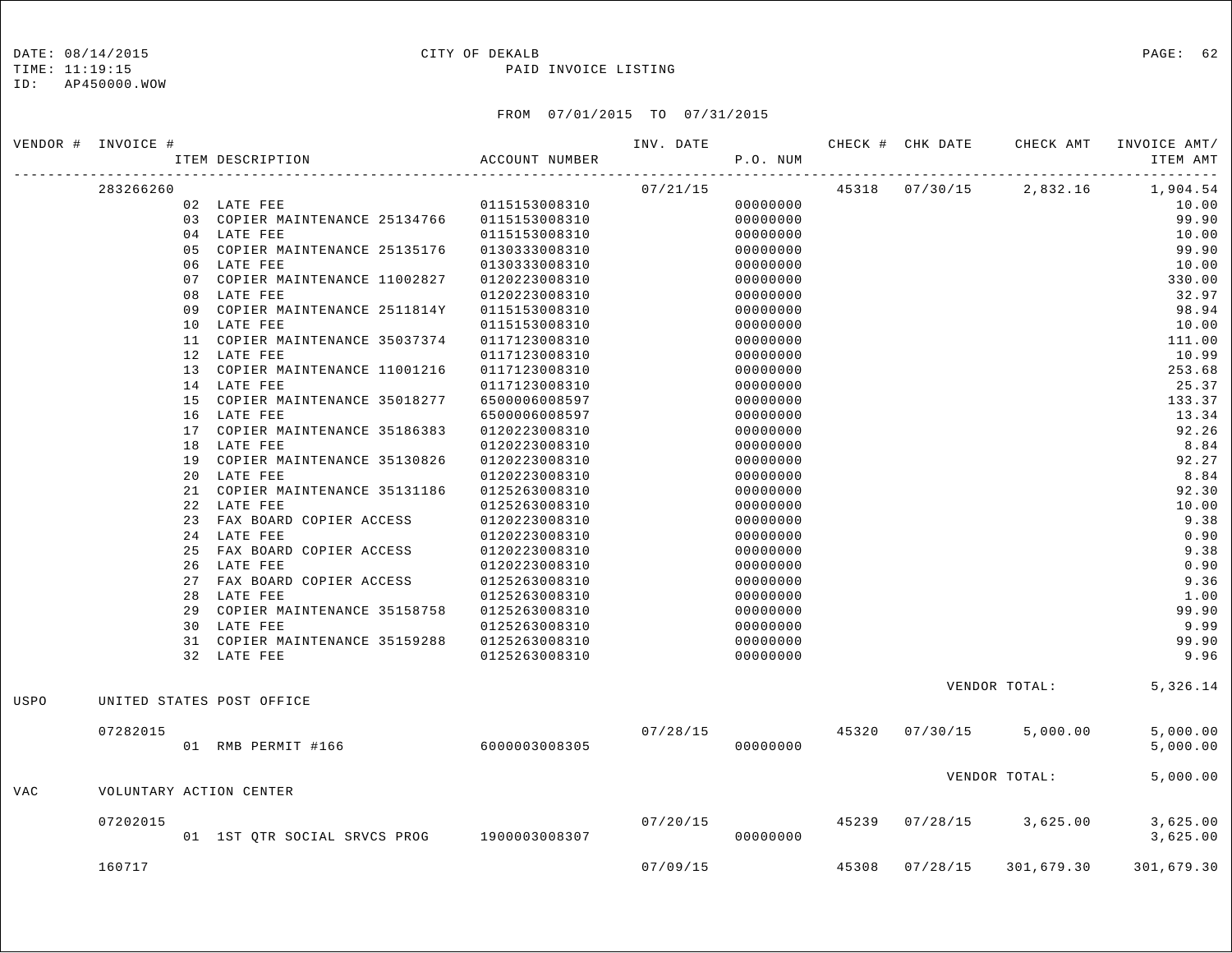### DATE:  $08/14/2015$  PAGE: 62

#### TIME: 11:19:15 PAID INVOICE LISTING

|            | VENDOR # INVOICE # |                                              |                | INV. DATE |          |       | CHECK # CHK DATE | CHECK AMT                 | INVOICE AMT/                                        |
|------------|--------------------|----------------------------------------------|----------------|-----------|----------|-------|------------------|---------------------------|-----------------------------------------------------|
|            |                    | ITEM DESCRIPTION                             | ACCOUNT NUMBER |           | P.O. NUM |       |                  |                           | ITEM AMT<br><u> - - - - - - - - - - - - - - - -</u> |
|            | 283266260          |                                              |                | 07/21/15  |          |       |                  | 45318  07/30/15  2,832.16 | 1,904.54                                            |
|            |                    | 02 LATE FEE                                  | 0115153008310  |           | 00000000 |       |                  |                           | 10.00                                               |
|            |                    | 03 COPIER MAINTENANCE 25134766 0115153008310 |                |           | 00000000 |       |                  |                           | 99.90                                               |
|            |                    | 04 LATE FEE                                  | 0115153008310  |           | 00000000 |       |                  |                           | 10.00                                               |
|            |                    | 05 COPIER MAINTENANCE 25135176               | 0130333008310  |           | 00000000 |       |                  |                           | 99.90                                               |
|            |                    | 06 LATE FEE                                  | 0130333008310  |           | 00000000 |       |                  |                           | 10.00                                               |
|            |                    | 07 COPIER MAINTENANCE 11002827               | 0120223008310  |           | 00000000 |       |                  |                           | 330.00                                              |
|            |                    | 08 LATE FEE                                  | 0120223008310  |           | 00000000 |       |                  |                           | 32.97                                               |
|            |                    | 09 COPIER MAINTENANCE 2511814Y               | 0115153008310  |           | 00000000 |       |                  |                           | 98.94                                               |
|            |                    | 10 LATE FEE                                  | 0115153008310  |           | 00000000 |       |                  |                           | 10.00                                               |
|            |                    | 11 COPIER MAINTENANCE 35037374               | 0117123008310  |           | 00000000 |       |                  |                           | 111.00                                              |
|            |                    | 12 LATE FEE                                  | 0117123008310  |           | 00000000 |       |                  |                           | 10.99                                               |
|            |                    | 13 COPIER MAINTENANCE 11001216               | 0117123008310  |           | 00000000 |       |                  |                           | 253.68                                              |
|            |                    | 14 LATE FEE                                  | 0117123008310  |           | 00000000 |       |                  |                           | 25.37                                               |
|            |                    | 15 COPIER MAINTENANCE 35018277               | 6500006008597  |           | 00000000 |       |                  |                           | 133.37                                              |
|            |                    | 16 LATE FEE                                  | 6500006008597  |           | 00000000 |       |                  |                           | 13.34                                               |
|            |                    | 17 COPIER MAINTENANCE 35186383               | 0120223008310  |           | 00000000 |       |                  |                           | 92.26                                               |
|            |                    | 18 LATE FEE                                  | 0120223008310  |           | 00000000 |       |                  |                           | 8.84                                                |
|            |                    | 19 COPIER MAINTENANCE 35130826               | 0120223008310  |           | 00000000 |       |                  |                           | 92.27                                               |
|            |                    | 20 LATE FEE                                  | 0120223008310  |           | 00000000 |       |                  |                           | 8.84                                                |
|            |                    | 21 COPIER MAINTENANCE 35131186               | 0125263008310  |           | 00000000 |       |                  |                           | 92.30                                               |
|            |                    | 22 LATE FEE                                  | 0125263008310  |           | 00000000 |       |                  |                           | 10.00                                               |
|            |                    | 23 FAX BOARD COPIER ACCESS                   | 0120223008310  |           | 00000000 |       |                  |                           | 9.38                                                |
|            |                    | 24 LATE FEE                                  | 0120223008310  |           | 00000000 |       |                  |                           | 0.90                                                |
|            |                    | 25 FAX BOARD COPIER ACCESS                   | 0120223008310  |           | 00000000 |       |                  |                           | 9.38                                                |
|            |                    | 26 LATE FEE                                  | 0120223008310  |           | 00000000 |       |                  |                           | 0.90                                                |
|            |                    | 27 FAX BOARD COPIER ACCESS                   | 0125263008310  |           | 00000000 |       |                  |                           | 9.36                                                |
|            |                    | 28 LATE FEE                                  | 0125263008310  |           | 00000000 |       |                  |                           | 1.00                                                |
|            |                    | 29 COPIER MAINTENANCE 35158758               | 0125263008310  |           | 00000000 |       |                  |                           | 99.90                                               |
|            |                    | 30 LATE FEE                                  | 0125263008310  |           | 00000000 |       |                  |                           | 9.99                                                |
|            |                    | 31 COPIER MAINTENANCE 35159288               | 0125263008310  |           | 00000000 |       |                  |                           | 99.90                                               |
|            |                    | 32 LATE FEE                                  | 0125263008310  |           | 00000000 |       |                  |                           | 9.96                                                |
| USPO       |                    | UNITED STATES POST OFFICE                    |                |           |          |       |                  | VENDOR TOTAL:             | 5,326.14                                            |
|            | 07282015           |                                              |                | 07/28/15  |          |       | 45320 07/30/15   | 5,000.00                  | 5,000.00                                            |
|            |                    | 01 RMB PERMIT #166                           | 60000003008305 |           | 00000000 |       |                  |                           | 5,000.00                                            |
|            |                    |                                              |                |           |          |       |                  | VENDOR TOTAL:             | 5,000.00                                            |
| <b>VAC</b> |                    | VOLUNTARY ACTION CENTER                      |                |           |          |       |                  |                           |                                                     |
|            | 07202015           |                                              |                | 07/20/15  | 00000000 | 45239 | 07/28/15         | 3,625.00                  | 3,625.00                                            |
|            |                    | 01 1ST QTR SOCIAL SRVCS PROG 1900003008307   |                |           |          |       |                  |                           | 3,625.00                                            |
|            | 160717             |                                              |                | 07/09/15  |          |       | 45308 07/28/15   | 301,679.30                | 301,679.30                                          |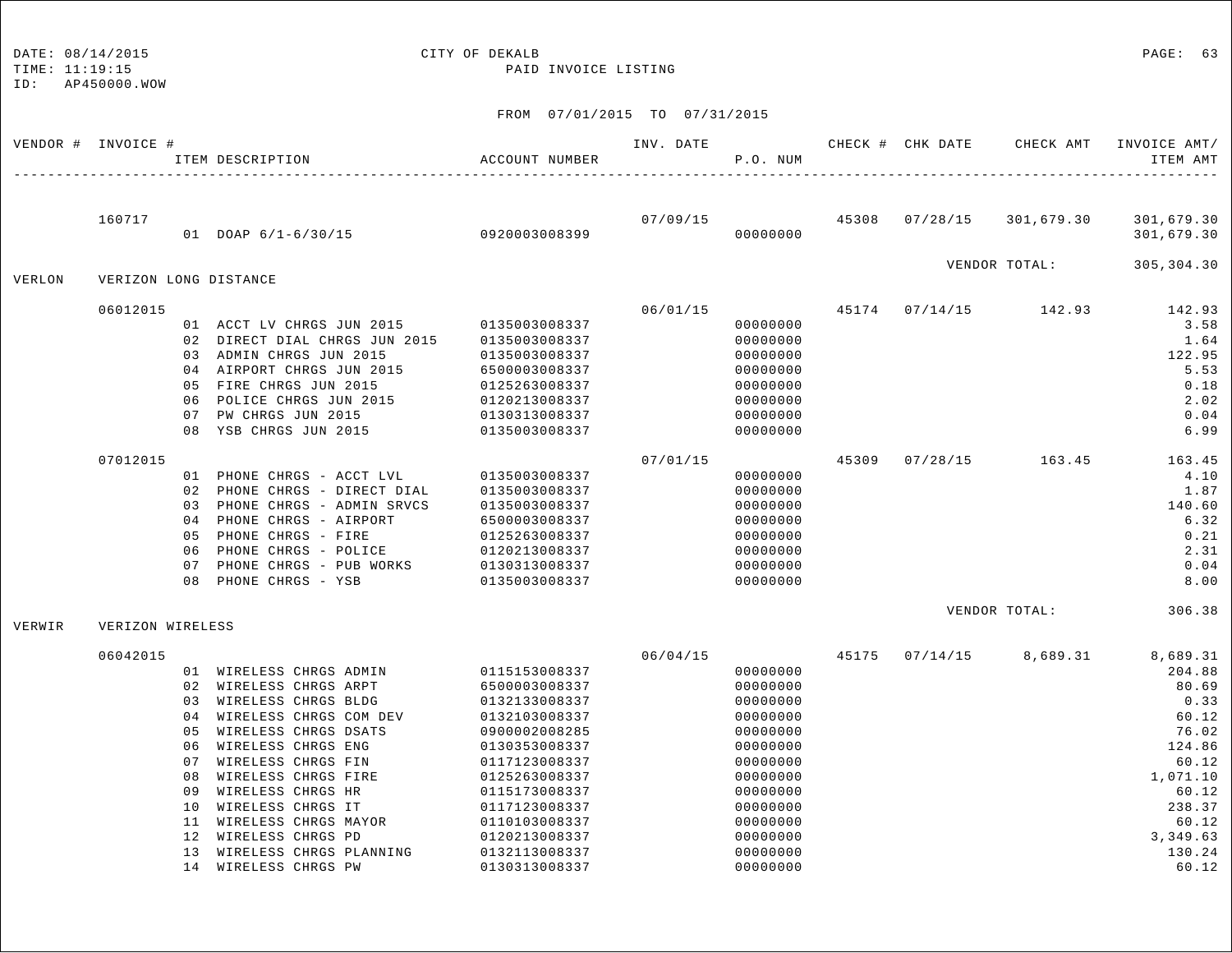## DATE: 08/14/2015 CITY OF DEKALB PAGE: 63

TIME: 11:19:15 PAID INVOICE LISTING

| 07/09/15 45308 07/28/15<br>160717<br>301,679.30<br>301,679.30<br>01 DOAP 6/1-6/30/15 0920003008399<br>00000000<br>301,679.30<br>VENDOR TOTAL:<br>305,304.30<br>VERLON<br>VERIZON LONG DISTANCE<br>06/01/15<br>06012015<br>45174 07/14/15 142.93<br>142.93<br>01 ACCT LV CHRGS JUN 2015 0135003008337<br>00000000<br>3.58<br>02 DIRECT DIAL CHRGS JUN 2015<br>00000000<br>1.64<br>0135003008337<br>03 ADMIN CHRGS JUN 2015<br>122.95<br>0135003008337<br>00000000<br>04 AIRPORT CHRGS JUN 2015<br>00000000<br>5.53<br>6500003008337<br>05 FIRE CHRGS JUN 2015<br>0.18<br>0125263008337<br>00000000<br>06 POLICE CHRGS JUN 2015<br>2.02<br>0120213008337<br>00000000<br>PW CHRGS JUN 2015<br>0130313008337<br>00000000<br>0.04<br>07<br>08 YSB CHRGS JUN 2015<br>6.99<br>0135003008337<br>00000000<br>45309 07/28/15 163.45<br>07012015<br>07/01/15<br>163.45<br>01 PHONE CHRGS - ACCT LVL<br>4.10<br>00000000<br>0135003008337<br>PHONE CHRGS - DIRECT DIAL<br>1.87<br>02<br>0135003008337<br>00000000<br>PHONE CHRGS - ADMIN SRVCS<br>140.60<br>0135003008337<br>00000000<br>0.3<br>PHONE CHRGS - AIRPORT<br>6.32<br>6500003008337<br>00000000<br>04<br>PHONE CHRGS - FIRE<br>00000000<br>0.21<br>05<br>0125263008337<br>PHONE CHRGS - POLICE<br>2.31<br>0120213008337<br>00000000<br>06<br>PHONE CHRGS - PUB WORKS<br>0130313008337<br>0.04<br>00000000<br>07<br>PHONE CHRGS - YSB<br>8.00<br>08<br>0135003008337<br>00000000<br>VENDOR TOTAL: 306.38<br>VERWIR<br>VERIZON WIRELESS<br>06/04/15<br>06042015<br>45175 07/14/15<br>8,689.31<br>8,689.31<br>01 WIRELESS CHRGS ADMIN<br>0115153008337<br>00000000<br>204.88<br>02 WIRELESS CHRGS ARPT<br>00000000<br>80.69<br>6500003008337<br>03 WIRELESS CHRGS BLDG<br>0.33<br>0132133008337<br>00000000<br>04 WIRELESS CHRGS COM DEV<br>60.12<br>0132103008337<br>00000000<br>WIRELESS CHRGS DSATS<br>76.02<br>0.5<br>0900002008285<br>00000000<br>WIRELESS CHRGS ENG<br>124.86<br>06<br>0130353008337<br>00000000<br>WIRELESS CHRGS FIN<br>00000000<br>60.12<br>0.7<br>0117123008337<br>WIRELESS CHRGS FIRE<br>1,071.10<br>08<br>0125263008337<br>00000000<br>WIRELESS CHRGS HR<br>00000000<br>60.12<br>09<br>0115173008337<br>WIRELESS CHRGS IT<br>238.37<br>10<br>0117123008337<br>00000000<br>WIRELESS CHRGS MAYOR<br>11<br>0110103008337<br>00000000<br>60.12<br>WIRELESS CHRGS PD<br>12 <sup>°</sup><br>0120213008337<br>00000000<br>3,349.63<br>WIRELESS CHRGS PLANNING<br>13<br>0132113008337<br>00000000<br>130.24<br>14 WIRELESS CHRGS PW<br>60.12<br>0130313008337<br>00000000 | VENDOR # INVOICE # |  | ITEM DESCRIPTION | ACCOUNT NUMBER | INV. DATE | P.O. NUM | CHECK # CHK DATE | CHECK AMT | INVOICE AMT/<br>ITEM AMT |
|-------------------------------------------------------------------------------------------------------------------------------------------------------------------------------------------------------------------------------------------------------------------------------------------------------------------------------------------------------------------------------------------------------------------------------------------------------------------------------------------------------------------------------------------------------------------------------------------------------------------------------------------------------------------------------------------------------------------------------------------------------------------------------------------------------------------------------------------------------------------------------------------------------------------------------------------------------------------------------------------------------------------------------------------------------------------------------------------------------------------------------------------------------------------------------------------------------------------------------------------------------------------------------------------------------------------------------------------------------------------------------------------------------------------------------------------------------------------------------------------------------------------------------------------------------------------------------------------------------------------------------------------------------------------------------------------------------------------------------------------------------------------------------------------------------------------------------------------------------------------------------------------------------------------------------------------------------------------------------------------------------------------------------------------------------------------------------------------------------------------------------------------------------------------------------------------------------------------------------------------------------------------------------------------------------------------------------------------------------------------------------------------------------------------------------------------------------------------------------------------------------------------------------------------|--------------------|--|------------------|----------------|-----------|----------|------------------|-----------|--------------------------|
|                                                                                                                                                                                                                                                                                                                                                                                                                                                                                                                                                                                                                                                                                                                                                                                                                                                                                                                                                                                                                                                                                                                                                                                                                                                                                                                                                                                                                                                                                                                                                                                                                                                                                                                                                                                                                                                                                                                                                                                                                                                                                                                                                                                                                                                                                                                                                                                                                                                                                                                                           |                    |  |                  |                |           |          |                  |           |                          |
|                                                                                                                                                                                                                                                                                                                                                                                                                                                                                                                                                                                                                                                                                                                                                                                                                                                                                                                                                                                                                                                                                                                                                                                                                                                                                                                                                                                                                                                                                                                                                                                                                                                                                                                                                                                                                                                                                                                                                                                                                                                                                                                                                                                                                                                                                                                                                                                                                                                                                                                                           |                    |  |                  |                |           |          |                  |           |                          |
|                                                                                                                                                                                                                                                                                                                                                                                                                                                                                                                                                                                                                                                                                                                                                                                                                                                                                                                                                                                                                                                                                                                                                                                                                                                                                                                                                                                                                                                                                                                                                                                                                                                                                                                                                                                                                                                                                                                                                                                                                                                                                                                                                                                                                                                                                                                                                                                                                                                                                                                                           |                    |  |                  |                |           |          |                  |           |                          |
|                                                                                                                                                                                                                                                                                                                                                                                                                                                                                                                                                                                                                                                                                                                                                                                                                                                                                                                                                                                                                                                                                                                                                                                                                                                                                                                                                                                                                                                                                                                                                                                                                                                                                                                                                                                                                                                                                                                                                                                                                                                                                                                                                                                                                                                                                                                                                                                                                                                                                                                                           |                    |  |                  |                |           |          |                  |           |                          |
|                                                                                                                                                                                                                                                                                                                                                                                                                                                                                                                                                                                                                                                                                                                                                                                                                                                                                                                                                                                                                                                                                                                                                                                                                                                                                                                                                                                                                                                                                                                                                                                                                                                                                                                                                                                                                                                                                                                                                                                                                                                                                                                                                                                                                                                                                                                                                                                                                                                                                                                                           |                    |  |                  |                |           |          |                  |           |                          |
|                                                                                                                                                                                                                                                                                                                                                                                                                                                                                                                                                                                                                                                                                                                                                                                                                                                                                                                                                                                                                                                                                                                                                                                                                                                                                                                                                                                                                                                                                                                                                                                                                                                                                                                                                                                                                                                                                                                                                                                                                                                                                                                                                                                                                                                                                                                                                                                                                                                                                                                                           |                    |  |                  |                |           |          |                  |           |                          |
|                                                                                                                                                                                                                                                                                                                                                                                                                                                                                                                                                                                                                                                                                                                                                                                                                                                                                                                                                                                                                                                                                                                                                                                                                                                                                                                                                                                                                                                                                                                                                                                                                                                                                                                                                                                                                                                                                                                                                                                                                                                                                                                                                                                                                                                                                                                                                                                                                                                                                                                                           |                    |  |                  |                |           |          |                  |           |                          |
|                                                                                                                                                                                                                                                                                                                                                                                                                                                                                                                                                                                                                                                                                                                                                                                                                                                                                                                                                                                                                                                                                                                                                                                                                                                                                                                                                                                                                                                                                                                                                                                                                                                                                                                                                                                                                                                                                                                                                                                                                                                                                                                                                                                                                                                                                                                                                                                                                                                                                                                                           |                    |  |                  |                |           |          |                  |           |                          |
|                                                                                                                                                                                                                                                                                                                                                                                                                                                                                                                                                                                                                                                                                                                                                                                                                                                                                                                                                                                                                                                                                                                                                                                                                                                                                                                                                                                                                                                                                                                                                                                                                                                                                                                                                                                                                                                                                                                                                                                                                                                                                                                                                                                                                                                                                                                                                                                                                                                                                                                                           |                    |  |                  |                |           |          |                  |           |                          |
|                                                                                                                                                                                                                                                                                                                                                                                                                                                                                                                                                                                                                                                                                                                                                                                                                                                                                                                                                                                                                                                                                                                                                                                                                                                                                                                                                                                                                                                                                                                                                                                                                                                                                                                                                                                                                                                                                                                                                                                                                                                                                                                                                                                                                                                                                                                                                                                                                                                                                                                                           |                    |  |                  |                |           |          |                  |           |                          |
|                                                                                                                                                                                                                                                                                                                                                                                                                                                                                                                                                                                                                                                                                                                                                                                                                                                                                                                                                                                                                                                                                                                                                                                                                                                                                                                                                                                                                                                                                                                                                                                                                                                                                                                                                                                                                                                                                                                                                                                                                                                                                                                                                                                                                                                                                                                                                                                                                                                                                                                                           |                    |  |                  |                |           |          |                  |           |                          |
|                                                                                                                                                                                                                                                                                                                                                                                                                                                                                                                                                                                                                                                                                                                                                                                                                                                                                                                                                                                                                                                                                                                                                                                                                                                                                                                                                                                                                                                                                                                                                                                                                                                                                                                                                                                                                                                                                                                                                                                                                                                                                                                                                                                                                                                                                                                                                                                                                                                                                                                                           |                    |  |                  |                |           |          |                  |           |                          |
|                                                                                                                                                                                                                                                                                                                                                                                                                                                                                                                                                                                                                                                                                                                                                                                                                                                                                                                                                                                                                                                                                                                                                                                                                                                                                                                                                                                                                                                                                                                                                                                                                                                                                                                                                                                                                                                                                                                                                                                                                                                                                                                                                                                                                                                                                                                                                                                                                                                                                                                                           |                    |  |                  |                |           |          |                  |           |                          |
|                                                                                                                                                                                                                                                                                                                                                                                                                                                                                                                                                                                                                                                                                                                                                                                                                                                                                                                                                                                                                                                                                                                                                                                                                                                                                                                                                                                                                                                                                                                                                                                                                                                                                                                                                                                                                                                                                                                                                                                                                                                                                                                                                                                                                                                                                                                                                                                                                                                                                                                                           |                    |  |                  |                |           |          |                  |           |                          |
|                                                                                                                                                                                                                                                                                                                                                                                                                                                                                                                                                                                                                                                                                                                                                                                                                                                                                                                                                                                                                                                                                                                                                                                                                                                                                                                                                                                                                                                                                                                                                                                                                                                                                                                                                                                                                                                                                                                                                                                                                                                                                                                                                                                                                                                                                                                                                                                                                                                                                                                                           |                    |  |                  |                |           |          |                  |           |                          |
|                                                                                                                                                                                                                                                                                                                                                                                                                                                                                                                                                                                                                                                                                                                                                                                                                                                                                                                                                                                                                                                                                                                                                                                                                                                                                                                                                                                                                                                                                                                                                                                                                                                                                                                                                                                                                                                                                                                                                                                                                                                                                                                                                                                                                                                                                                                                                                                                                                                                                                                                           |                    |  |                  |                |           |          |                  |           |                          |
|                                                                                                                                                                                                                                                                                                                                                                                                                                                                                                                                                                                                                                                                                                                                                                                                                                                                                                                                                                                                                                                                                                                                                                                                                                                                                                                                                                                                                                                                                                                                                                                                                                                                                                                                                                                                                                                                                                                                                                                                                                                                                                                                                                                                                                                                                                                                                                                                                                                                                                                                           |                    |  |                  |                |           |          |                  |           |                          |
|                                                                                                                                                                                                                                                                                                                                                                                                                                                                                                                                                                                                                                                                                                                                                                                                                                                                                                                                                                                                                                                                                                                                                                                                                                                                                                                                                                                                                                                                                                                                                                                                                                                                                                                                                                                                                                                                                                                                                                                                                                                                                                                                                                                                                                                                                                                                                                                                                                                                                                                                           |                    |  |                  |                |           |          |                  |           |                          |
|                                                                                                                                                                                                                                                                                                                                                                                                                                                                                                                                                                                                                                                                                                                                                                                                                                                                                                                                                                                                                                                                                                                                                                                                                                                                                                                                                                                                                                                                                                                                                                                                                                                                                                                                                                                                                                                                                                                                                                                                                                                                                                                                                                                                                                                                                                                                                                                                                                                                                                                                           |                    |  |                  |                |           |          |                  |           |                          |
|                                                                                                                                                                                                                                                                                                                                                                                                                                                                                                                                                                                                                                                                                                                                                                                                                                                                                                                                                                                                                                                                                                                                                                                                                                                                                                                                                                                                                                                                                                                                                                                                                                                                                                                                                                                                                                                                                                                                                                                                                                                                                                                                                                                                                                                                                                                                                                                                                                                                                                                                           |                    |  |                  |                |           |          |                  |           |                          |
|                                                                                                                                                                                                                                                                                                                                                                                                                                                                                                                                                                                                                                                                                                                                                                                                                                                                                                                                                                                                                                                                                                                                                                                                                                                                                                                                                                                                                                                                                                                                                                                                                                                                                                                                                                                                                                                                                                                                                                                                                                                                                                                                                                                                                                                                                                                                                                                                                                                                                                                                           |                    |  |                  |                |           |          |                  |           |                          |
|                                                                                                                                                                                                                                                                                                                                                                                                                                                                                                                                                                                                                                                                                                                                                                                                                                                                                                                                                                                                                                                                                                                                                                                                                                                                                                                                                                                                                                                                                                                                                                                                                                                                                                                                                                                                                                                                                                                                                                                                                                                                                                                                                                                                                                                                                                                                                                                                                                                                                                                                           |                    |  |                  |                |           |          |                  |           |                          |
|                                                                                                                                                                                                                                                                                                                                                                                                                                                                                                                                                                                                                                                                                                                                                                                                                                                                                                                                                                                                                                                                                                                                                                                                                                                                                                                                                                                                                                                                                                                                                                                                                                                                                                                                                                                                                                                                                                                                                                                                                                                                                                                                                                                                                                                                                                                                                                                                                                                                                                                                           |                    |  |                  |                |           |          |                  |           |                          |
|                                                                                                                                                                                                                                                                                                                                                                                                                                                                                                                                                                                                                                                                                                                                                                                                                                                                                                                                                                                                                                                                                                                                                                                                                                                                                                                                                                                                                                                                                                                                                                                                                                                                                                                                                                                                                                                                                                                                                                                                                                                                                                                                                                                                                                                                                                                                                                                                                                                                                                                                           |                    |  |                  |                |           |          |                  |           |                          |
|                                                                                                                                                                                                                                                                                                                                                                                                                                                                                                                                                                                                                                                                                                                                                                                                                                                                                                                                                                                                                                                                                                                                                                                                                                                                                                                                                                                                                                                                                                                                                                                                                                                                                                                                                                                                                                                                                                                                                                                                                                                                                                                                                                                                                                                                                                                                                                                                                                                                                                                                           |                    |  |                  |                |           |          |                  |           |                          |
|                                                                                                                                                                                                                                                                                                                                                                                                                                                                                                                                                                                                                                                                                                                                                                                                                                                                                                                                                                                                                                                                                                                                                                                                                                                                                                                                                                                                                                                                                                                                                                                                                                                                                                                                                                                                                                                                                                                                                                                                                                                                                                                                                                                                                                                                                                                                                                                                                                                                                                                                           |                    |  |                  |                |           |          |                  |           |                          |
|                                                                                                                                                                                                                                                                                                                                                                                                                                                                                                                                                                                                                                                                                                                                                                                                                                                                                                                                                                                                                                                                                                                                                                                                                                                                                                                                                                                                                                                                                                                                                                                                                                                                                                                                                                                                                                                                                                                                                                                                                                                                                                                                                                                                                                                                                                                                                                                                                                                                                                                                           |                    |  |                  |                |           |          |                  |           |                          |
|                                                                                                                                                                                                                                                                                                                                                                                                                                                                                                                                                                                                                                                                                                                                                                                                                                                                                                                                                                                                                                                                                                                                                                                                                                                                                                                                                                                                                                                                                                                                                                                                                                                                                                                                                                                                                                                                                                                                                                                                                                                                                                                                                                                                                                                                                                                                                                                                                                                                                                                                           |                    |  |                  |                |           |          |                  |           |                          |
|                                                                                                                                                                                                                                                                                                                                                                                                                                                                                                                                                                                                                                                                                                                                                                                                                                                                                                                                                                                                                                                                                                                                                                                                                                                                                                                                                                                                                                                                                                                                                                                                                                                                                                                                                                                                                                                                                                                                                                                                                                                                                                                                                                                                                                                                                                                                                                                                                                                                                                                                           |                    |  |                  |                |           |          |                  |           |                          |
|                                                                                                                                                                                                                                                                                                                                                                                                                                                                                                                                                                                                                                                                                                                                                                                                                                                                                                                                                                                                                                                                                                                                                                                                                                                                                                                                                                                                                                                                                                                                                                                                                                                                                                                                                                                                                                                                                                                                                                                                                                                                                                                                                                                                                                                                                                                                                                                                                                                                                                                                           |                    |  |                  |                |           |          |                  |           |                          |
|                                                                                                                                                                                                                                                                                                                                                                                                                                                                                                                                                                                                                                                                                                                                                                                                                                                                                                                                                                                                                                                                                                                                                                                                                                                                                                                                                                                                                                                                                                                                                                                                                                                                                                                                                                                                                                                                                                                                                                                                                                                                                                                                                                                                                                                                                                                                                                                                                                                                                                                                           |                    |  |                  |                |           |          |                  |           |                          |
|                                                                                                                                                                                                                                                                                                                                                                                                                                                                                                                                                                                                                                                                                                                                                                                                                                                                                                                                                                                                                                                                                                                                                                                                                                                                                                                                                                                                                                                                                                                                                                                                                                                                                                                                                                                                                                                                                                                                                                                                                                                                                                                                                                                                                                                                                                                                                                                                                                                                                                                                           |                    |  |                  |                |           |          |                  |           |                          |
|                                                                                                                                                                                                                                                                                                                                                                                                                                                                                                                                                                                                                                                                                                                                                                                                                                                                                                                                                                                                                                                                                                                                                                                                                                                                                                                                                                                                                                                                                                                                                                                                                                                                                                                                                                                                                                                                                                                                                                                                                                                                                                                                                                                                                                                                                                                                                                                                                                                                                                                                           |                    |  |                  |                |           |          |                  |           |                          |
|                                                                                                                                                                                                                                                                                                                                                                                                                                                                                                                                                                                                                                                                                                                                                                                                                                                                                                                                                                                                                                                                                                                                                                                                                                                                                                                                                                                                                                                                                                                                                                                                                                                                                                                                                                                                                                                                                                                                                                                                                                                                                                                                                                                                                                                                                                                                                                                                                                                                                                                                           |                    |  |                  |                |           |          |                  |           |                          |
|                                                                                                                                                                                                                                                                                                                                                                                                                                                                                                                                                                                                                                                                                                                                                                                                                                                                                                                                                                                                                                                                                                                                                                                                                                                                                                                                                                                                                                                                                                                                                                                                                                                                                                                                                                                                                                                                                                                                                                                                                                                                                                                                                                                                                                                                                                                                                                                                                                                                                                                                           |                    |  |                  |                |           |          |                  |           |                          |
|                                                                                                                                                                                                                                                                                                                                                                                                                                                                                                                                                                                                                                                                                                                                                                                                                                                                                                                                                                                                                                                                                                                                                                                                                                                                                                                                                                                                                                                                                                                                                                                                                                                                                                                                                                                                                                                                                                                                                                                                                                                                                                                                                                                                                                                                                                                                                                                                                                                                                                                                           |                    |  |                  |                |           |          |                  |           |                          |
|                                                                                                                                                                                                                                                                                                                                                                                                                                                                                                                                                                                                                                                                                                                                                                                                                                                                                                                                                                                                                                                                                                                                                                                                                                                                                                                                                                                                                                                                                                                                                                                                                                                                                                                                                                                                                                                                                                                                                                                                                                                                                                                                                                                                                                                                                                                                                                                                                                                                                                                                           |                    |  |                  |                |           |          |                  |           |                          |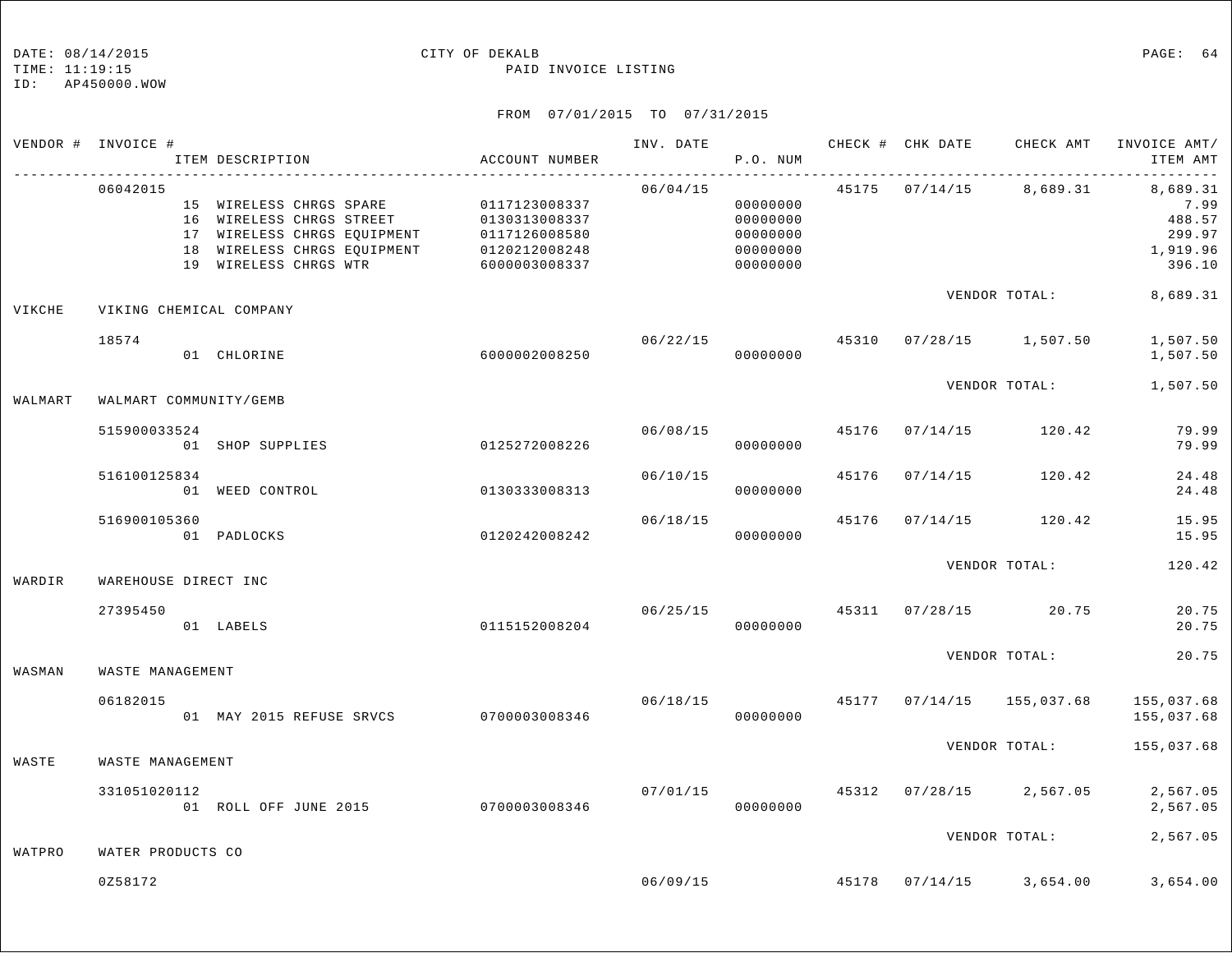TIME: 11:19:15 PAID INVOICE LISTING

ID: AP450000.WOW

|         | VENDOR # INVOICE #      | ITEM DESCRIPTION                                                                                                                                                                     | ACCOUNT NUMBER                 | INV. DATE | P.O. NUM                                                 |       | CHECK # CHK DATE | CHECK AMT                 | INVOICE AMT/<br>ITEM AMT                                    |
|---------|-------------------------|--------------------------------------------------------------------------------------------------------------------------------------------------------------------------------------|--------------------------------|-----------|----------------------------------------------------------|-------|------------------|---------------------------|-------------------------------------------------------------|
|         | 06042015                | 15 WIRELESS CHRGS SPARE 0117123008337<br>16 WIRELESS CHRGS STREET 0130313008337<br>17 WIRELESS CHRGS EQUIPMENT 0117126008580<br>18 WIRELESS CHRGS EQUIPMENT<br>19 WIRELESS CHRGS WTR | 0120212008248<br>6000003008337 | 06/04/15  | 00000000<br>00000000<br>00000000<br>00000000<br>00000000 |       |                  | 45175 07/14/15 8,689.31   | 8,689.31<br>7.99<br>488.57<br>299.97<br>1,919.96<br>396.10  |
| VIKCHE  | VIKING CHEMICAL COMPANY |                                                                                                                                                                                      |                                |           |                                                          |       |                  | VENDOR TOTAL:             | 8,689.31                                                    |
|         | 18574                   | 01 CHLORINE                                                                                                                                                                          | 6000002008250                  |           | 06/22/15<br>00000000                                     |       |                  | 45310 07/28/15 1,507.50   | 1,507.50<br>1,507.50                                        |
| WALMART | WALMART COMMUNITY/GEMB  |                                                                                                                                                                                      |                                |           |                                                          |       |                  | VENDOR TOTAL:             | 1,507.50                                                    |
|         | 515900033524            | 01 SHOP SUPPLIES                                                                                                                                                                     | 0125272008226                  | 06/08/15  | 00000000                                                 | 45176 |                  | $07/14/15$ 120.42         | 79.99<br>79.99                                              |
|         | 516100125834            | 01 WEED CONTROL                                                                                                                                                                      | 0130333008313                  | 06/10/15  | 00000000                                                 | 45176 | 07/14/15         | 120.42                    | 24.48<br>24.48                                              |
|         | 516900105360            | 01 PADLOCKS                                                                                                                                                                          | 0120242008242                  | 06/18/15  | 00000000                                                 | 45176 |                  | $07/14/15$ 120.42         | 15.95<br>15.95                                              |
| WARDIR  | WAREHOUSE DIRECT INC    |                                                                                                                                                                                      |                                |           |                                                          |       |                  | VENDOR TOTAL:             | 120.42                                                      |
|         | 27395450                | 01 LABELS                                                                                                                                                                            | 0115152008204                  | 06/25/15  | 00000000                                                 |       |                  | 45311 07/28/15 20.75      | 20.75<br>20.75                                              |
| WASMAN  | WASTE MANAGEMENT        |                                                                                                                                                                                      |                                |           |                                                          |       |                  | VENDOR TOTAL:             | 20.75                                                       |
|         | 06182015                | 01 MAY 2015 REFUSE SRVCS 0700003008346                                                                                                                                               |                                |           | 00000000                                                 |       |                  |                           | 06/18/15 45177 07/14/15 155,037.68 155,037.68<br>155,037.68 |
| WASTE   | WASTE MANAGEMENT        |                                                                                                                                                                                      |                                |           |                                                          |       |                  | VENDOR TOTAL:             | 155,037.68                                                  |
|         | 331051020112            | 01 ROLL OFF JUNE 2015 0700003008346                                                                                                                                                  |                                | 07/01/15  | 00000000                                                 |       |                  | 45312 07/28/15 2,567.05   | 2,567.05<br>2,567.05                                        |
| WATPRO  | WATER PRODUCTS CO       |                                                                                                                                                                                      |                                |           |                                                          |       |                  | VENDOR TOTAL:             | 2,567.05                                                    |
|         | 0258172                 |                                                                                                                                                                                      |                                |           | 06/09/15                                                 |       |                  | 45178  07/14/15  3,654.00 | 3,654.00                                                    |